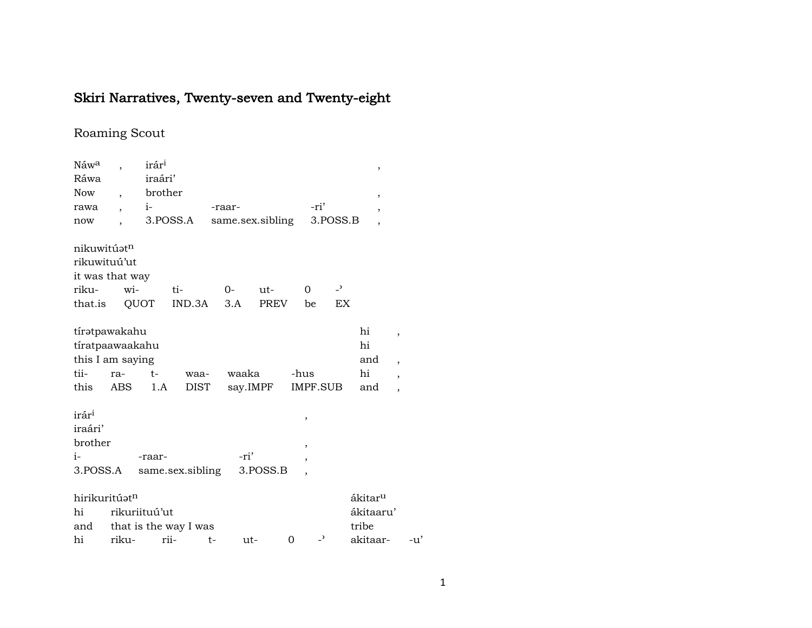## Skiri Narratives, Twenty-seven and Twenty-eight

## Roaming Scout

| Náw <sup>a</sup>  |                          | irár <sup>i</sup> |                       |      |                  |             |          |                          |                          | ,                        |                          |  |
|-------------------|--------------------------|-------------------|-----------------------|------|------------------|-------------|----------|--------------------------|--------------------------|--------------------------|--------------------------|--|
| Ráwa              |                          | iraári'           |                       |      |                  |             |          |                          |                          |                          |                          |  |
| <b>Now</b>        | $\overline{\phantom{a}}$ | brother           |                       |      |                  |             |          |                          |                          | ,                        |                          |  |
| rawa              |                          | $i-$              |                       |      | -raar-           |             |          | -ri'                     |                          | ,                        |                          |  |
| now               |                          |                   | 3.POSS.A              |      | same.sex.sibling |             |          | 3.POSS.B                 |                          | $\overline{\phantom{a}}$ |                          |  |
|                   |                          |                   |                       |      |                  |             |          |                          |                          |                          |                          |  |
| nikuwitúatn       |                          |                   |                       |      |                  |             |          |                          |                          |                          |                          |  |
| rikuwituú'ut      |                          |                   |                       |      |                  |             |          |                          |                          |                          |                          |  |
| it was that way   |                          |                   |                       |      |                  |             |          |                          |                          |                          |                          |  |
| riku-             |                          | wi-               | ti-                   |      | $O -$            | $ut-$       |          | 0                        | $\overline{\phantom{0}}$ |                          |                          |  |
| that.is           |                          | QUOT              | IND.3A                |      | 3.A              | <b>PREV</b> |          | be                       | EX                       |                          |                          |  |
|                   |                          |                   |                       |      |                  |             |          |                          |                          |                          |                          |  |
| tíratpawakahu     |                          |                   |                       |      |                  |             |          |                          |                          | hi                       | $\overline{\phantom{a}}$ |  |
| tíratpaawaakahu   |                          |                   |                       |      |                  |             |          |                          |                          | hi                       |                          |  |
| this I am saying  |                          |                   |                       |      |                  |             |          |                          |                          | and                      | $\overline{\phantom{a}}$ |  |
| tii-              | ra-                      | $t-$              | waa-                  |      | waaka            |             | -hus     |                          |                          | hi                       | $\overline{\phantom{a}}$ |  |
| this              | ABS                      | 1.A               | DIST                  |      | say.IMPF         |             |          | IMPF.SUB                 |                          | and                      | $\overline{\phantom{a}}$ |  |
|                   |                          |                   |                       |      |                  |             |          |                          |                          |                          |                          |  |
| irár <sup>i</sup> |                          |                   |                       |      |                  |             |          | ,                        |                          |                          |                          |  |
| iraári'           |                          |                   |                       |      |                  |             |          |                          |                          |                          |                          |  |
| brother           |                          |                   |                       |      |                  |             |          | ,                        |                          |                          |                          |  |
| $i-$              |                          | -raar-            |                       |      | -ri'             |             |          | ,                        |                          |                          |                          |  |
| 3.POSS.A          |                          |                   | same.sex.sibling      |      |                  | 3.POSS.B    |          | $\overline{\phantom{a}}$ |                          |                          |                          |  |
|                   |                          |                   |                       |      |                  |             |          |                          |                          |                          |                          |  |
| hirikuritúatn     |                          |                   |                       |      |                  |             |          |                          |                          | ákitar <sup>u</sup>      |                          |  |
| hi                |                          | rikuriituú'ut     |                       |      |                  |             |          |                          |                          | ákitaaru'                |                          |  |
| and               |                          |                   | that is the way I was |      |                  |             |          |                          |                          | tribe                    |                          |  |
| hi                | riku-                    |                   | rii-                  | $t-$ | ut-              |             | $\Omega$ | $\overline{\phantom{0}}$ |                          | akitaar-                 | -u'                      |  |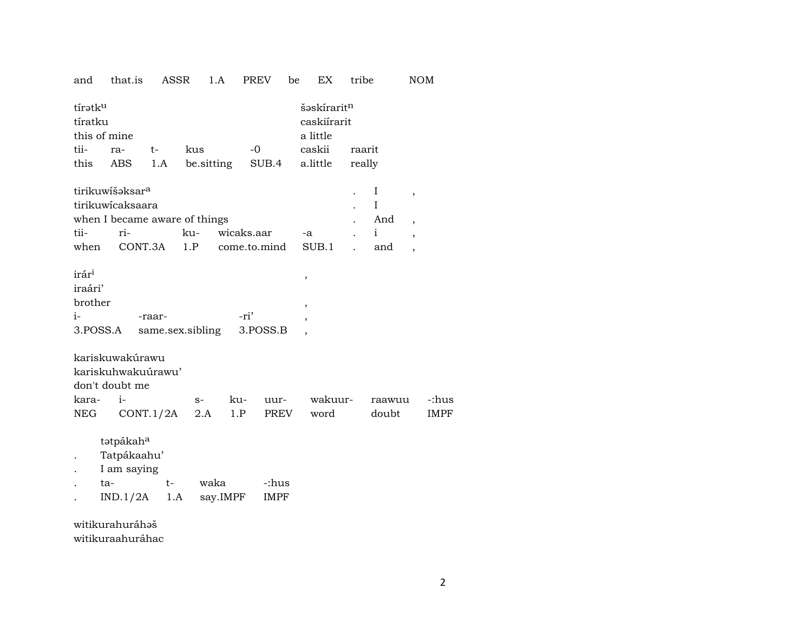| tíratk <sup>u</sup><br>tíratku<br>this of mine<br>tii-<br>this | ra-<br>ABS                                                      | $t-$<br>1.A | kus  | be.sitting | $-0$<br>SUB.4    |      | šəskirarit <sup>n</sup><br>caskiírarit<br>a little<br>caskii<br>a.little | raarit<br>really |                                                      |       |
|----------------------------------------------------------------|-----------------------------------------------------------------|-------------|------|------------|------------------|------|--------------------------------------------------------------------------|------------------|------------------------------------------------------|-------|
|                                                                | tirikuwišəksar <sup>a</sup>                                     |             |      |            |                  |      |                                                                          | Ι                |                                                      |       |
|                                                                | tirikuwicaksaara                                                |             |      |            |                  |      |                                                                          | I                | $\overline{\phantom{a}}$                             |       |
|                                                                | when I became aware of things                                   |             |      |            |                  |      |                                                                          | And              |                                                      |       |
| tii-                                                           | ri-                                                             |             | ku-  | wicaks.aar |                  |      | $-a$                                                                     | i.               | $\overline{\phantom{a}}$                             |       |
| when                                                           |                                                                 | CONT.3A     |      |            | 1.P come.to.mind |      | SUB.1                                                                    | and              | $\overline{\phantom{a}}$<br>$\overline{\phantom{a}}$ |       |
|                                                                |                                                                 |             |      |            |                  |      |                                                                          |                  |                                                      |       |
| irár <sup>i</sup>                                              |                                                                 |             |      |            |                  |      | ,                                                                        |                  |                                                      |       |
| iraári'                                                        |                                                                 |             |      |            |                  |      |                                                                          |                  |                                                      |       |
| brother                                                        |                                                                 |             |      |            |                  |      | ,                                                                        |                  |                                                      |       |
| $i-$                                                           |                                                                 | -raar-      |      |            | -ri'             |      | $\overline{ }$                                                           |                  |                                                      |       |
|                                                                | 3.POSS.A same.sex.sibling 3.POSS.B                              |             |      |            |                  |      |                                                                          |                  |                                                      |       |
| kara-                                                          | kariskuwakúrawu<br>kariskuhwakuúrawu'<br>don't doubt me<br>$i-$ |             | $S-$ | ku-        |                  | uur- | wakuur-                                                                  | raawuu           |                                                      | -:hus |
| NEG                                                            |                                                                 | CONT.1/2A   | 2.A  | 1.P        |                  | PREV | word                                                                     | doubt            |                                                      | IMPF  |
|                                                                | tatpákah <sup>a</sup>                                           |             |      |            |                  |      |                                                                          |                  |                                                      |       |

1.A PREV

tribe

be EX

 $\rm{NOM}$ 

Tatpákaahu'  $\ddot{\phantom{a}}$ 

that.is

and

ASSR

- I am saying  $\bullet$
- ta $t$ waka -:hus  $\ddot{\phantom{a}}$  $IND.1/2A$  1.A say.IMPF  $\ensuremath{\mathsf{IMPF}}$  $\bullet$

witikurahuráhəš witikuraahuráhac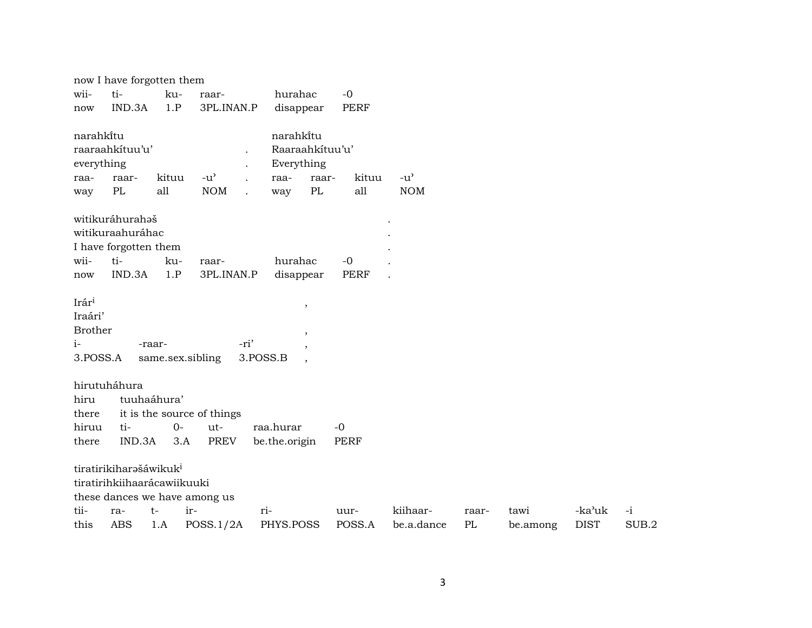|                | now I have forgotten them          |             |                               |                                   |             |               |       |          |             |       |
|----------------|------------------------------------|-------------|-------------------------------|-----------------------------------|-------------|---------------|-------|----------|-------------|-------|
| wii-           | ti-                                | ku-         | raar-                         | hurahac                           | $-0$        |               |       |          |             |       |
| now            | IND.3A                             | 1.P         | 3PL.INAN.P                    | disappear                         | PERF        |               |       |          |             |       |
| narahkitu      |                                    |             |                               | narahkitu                         |             |               |       |          |             |       |
|                | raaraahkituu'u'                    |             |                               | Raaraahkituu'u'                   |             |               |       |          |             |       |
| everything     |                                    |             |                               | Everything                        |             |               |       |          |             |       |
| raa-           | raar-                              | kituu       | $-u^{\prime}$                 | raa-<br>raar-                     | kituu       | $-u^{\prime}$ |       |          |             |       |
| way            | PL                                 | all         | <b>NOM</b>                    | PL<br>way<br>$\ddot{\phantom{a}}$ | all         | <b>NOM</b>    |       |          |             |       |
|                | witikuráhurahaš                    |             |                               |                                   |             |               |       |          |             |       |
|                | witikuraahuráhac                   |             |                               |                                   |             |               |       |          |             |       |
|                | I have forgotten them              |             |                               |                                   |             |               |       |          |             |       |
| wii-           | ti-                                | ku-         | raar-                         | hurahac                           | $-0$        |               |       |          |             |       |
| now            | IND.3A                             | 1.P         | 3PL.INAN.P                    | disappear                         | <b>PERF</b> |               |       |          |             |       |
| Irári          |                                    |             |                               | $\overline{\phantom{a}}$          |             |               |       |          |             |       |
| Iraári'        |                                    |             |                               |                                   |             |               |       |          |             |       |
| <b>Brother</b> |                                    |             |                               | $\overline{\phantom{a}}$          |             |               |       |          |             |       |
| $i-$           |                                    | -raar-      |                               | -ri'                              |             |               |       |          |             |       |
| 3.POSS.A       |                                    |             | same.sex.sibling              | 3.POSS.B                          |             |               |       |          |             |       |
|                | hirutuháhura                       |             |                               |                                   |             |               |       |          |             |       |
| hiru           |                                    | tuuhaáhura' |                               |                                   |             |               |       |          |             |       |
| there          |                                    |             | it is the source of things    |                                   |             |               |       |          |             |       |
| hiruu          | ti-                                | $0 -$       | ut-                           | raa.hurar                         | $-0$        |               |       |          |             |       |
| there          | IND.3A                             | 3.A         | <b>PREV</b>                   | be.the.origin                     | <b>PERF</b> |               |       |          |             |       |
|                | tiratirikiharašáwikuk <sup>i</sup> |             |                               |                                   |             |               |       |          |             |       |
|                | tiratirihkiihaarácawiikuuki        |             |                               |                                   |             |               |       |          |             |       |
|                |                                    |             | these dances we have among us |                                   |             |               |       |          |             |       |
| tii-           | ra-                                | $t-$        | ir-                           | ri-                               | uur-        | kiihaar-      | raar- | tawi     | -ka'uk      | $-i$  |
| this           | <b>ABS</b>                         | 1.A         | POSS.1/2A                     | PHYS.POSS                         | POSS.A      | be.a.dance    | PL    | be.among | <b>DIST</b> | SUB.2 |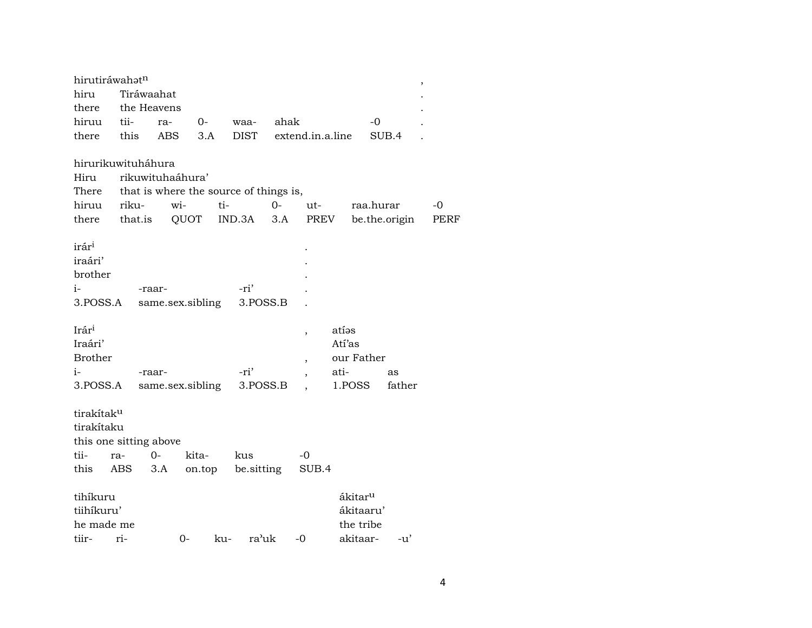| hirutiráwahatn                                                                               |            |             |                                         |     |                          |              |                          |                         |                                                           |              | $\overline{\phantom{a}}$ |
|----------------------------------------------------------------------------------------------|------------|-------------|-----------------------------------------|-----|--------------------------|--------------|--------------------------|-------------------------|-----------------------------------------------------------|--------------|--------------------------|
| hiru                                                                                         |            | Tiráwaahat  |                                         |     |                          |              |                          |                         |                                                           |              |                          |
| there                                                                                        |            | the Heavens |                                         |     |                          |              |                          |                         |                                                           |              |                          |
| hiruu                                                                                        | tii-       | ra-         |                                         | 0-  | waa-                     | ahak         |                          |                         | $-0$                                                      |              |                          |
| there                                                                                        | this       | ABS         |                                         | 3.A | <b>DIST</b>              |              | extend.in.a.line         |                         |                                                           | SUB.4        |                          |
| hirurikuwituháhura<br>Hiru<br>There that is where the source of things is,<br>hiruu<br>there | riku-      |             | rikuwituhaáhura'<br>wi-<br>that.is QUOT | ti- | IND.3A                   | $O -$<br>3.A | ut-                      | PREV                    | raa.hurar<br>be.the.origin                                |              | -0<br>PERF               |
| irár <sup>i</sup><br>iraári'<br>brother<br>$i-$<br>3.POSS.A                                  |            | -raar-      | same.sex.sibling                        |     | -ri'<br>3.POSS.B         |              |                          |                         |                                                           |              |                          |
| Irár <sup>i</sup><br>Iraári'<br><b>Brother</b><br>$i-$<br>3.POSS.A                           |            | -raar-      | same.sex.sibling                        |     | -ri'<br>3.POSS.B         |              | $\overline{\phantom{a}}$ | atíəs<br>Atí'as<br>ati- | our Father<br>1.POSS                                      | as<br>father |                          |
| tirakítak <sup>u</sup><br>tirakítaku<br>this one sitting above<br>tii-<br>this               | ra-<br>ABS | $0-$<br>3.A | kita-                                   |     | kus<br>on.top be.sitting |              | -0<br>SUB.4              |                         |                                                           |              |                          |
| tihíkuru<br>tiihíkuru'<br>he made me<br>tiir-                                                | ri-        |             | 0-                                      | ku- | ra'uk                    |              | $-0$                     |                         | ákitar <sup>u</sup><br>ákitaaru'<br>the tribe<br>akitaar- | -u'          |                          |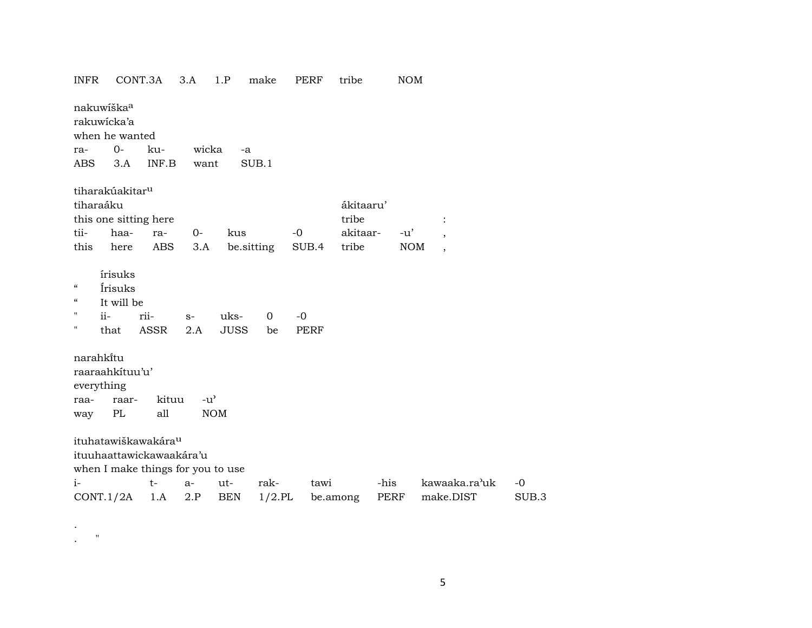| <b>INFR</b>                           | CONT.3A                                                     |              | 3.A                                 | 1.P                 | make              | PERF                | tribe     | <b>NOM</b>  |                |       |
|---------------------------------------|-------------------------------------------------------------|--------------|-------------------------------------|---------------------|-------------------|---------------------|-----------|-------------|----------------|-------|
| nakuwiška <sup>a</sup><br>rakuwicka'a | when he wanted                                              |              |                                     |                     |                   |                     |           |             |                |       |
| ra-                                   | $0-$                                                        | ku-          | wicka                               | -a                  |                   |                     |           |             |                |       |
| ABS                                   | 3.A                                                         | INF.B        | want                                |                     | SUB.1             |                     |           |             |                |       |
|                                       | tiharakúakitar <sup>u</sup>                                 |              |                                     |                     |                   |                     |           |             |                |       |
| tiharaáku                             |                                                             |              |                                     |                     |                   |                     | ákitaaru' |             |                |       |
|                                       | this one sitting here                                       |              |                                     |                     |                   |                     | tribe     |             | $\ddot{\cdot}$ |       |
| tii-                                  | haa-                                                        | ra-          | $0-$                                | kus                 |                   | $-0$                | akitaar-  | $-u'$       |                |       |
| this                                  | here                                                        | ABS          | 3.A                                 | be.sitting          |                   | SUB.4               | tribe     | <b>NOM</b>  | $\cdot$        |       |
| 4<br>"<br>н<br>$ii -$<br>н            | írisuks<br>Írisuks<br>It will be<br>that                    | rii-<br>ASSR | $S-$<br>2.A                         | uks-<br><b>JUSS</b> | $\mathbf 0$<br>be | $-0$<br><b>PERF</b> |           |             |                |       |
| narahkitu                             |                                                             |              |                                     |                     |                   |                     |           |             |                |       |
|                                       | raaraahkituu'u'                                             |              |                                     |                     |                   |                     |           |             |                |       |
| everything                            |                                                             |              |                                     |                     |                   |                     |           |             |                |       |
| raa-                                  | raar-                                                       | kituu        | $-u$ <sup><math>\prime</math></sup> |                     |                   |                     |           |             |                |       |
| way                                   | PL                                                          | all          |                                     | <b>NOM</b>          |                   |                     |           |             |                |       |
|                                       | ituhatawiškawakára <sup>u</sup><br>ituuhaattawickawaakára'u |              | when I make things for you to use   |                     |                   |                     |           |             |                |       |
| $i-$                                  |                                                             | t-           | $a-$                                | ut-                 | rak-              | tawi                |           | -his        | kawaaka.ra'uk  | $-0$  |
| CONT.1/2A                             |                                                             | 1.A          | 2.P                                 | <b>BEN</b>          | $1/2$ .PL         |                     | be.among  | <b>PERF</b> | make.DIST      | SUB.3 |

. . "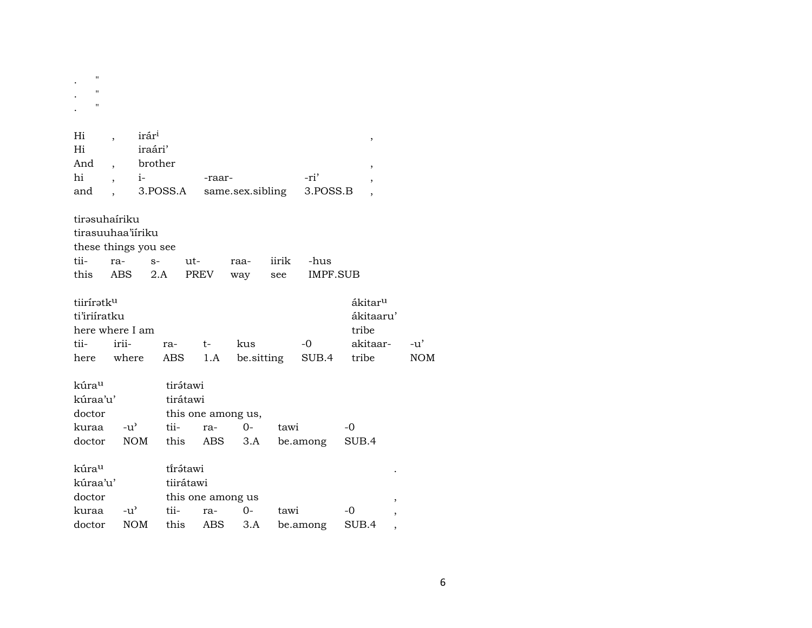| $\pmb{\mathsf{H}}$<br>$\pmb{\mathsf{H}}$<br>$\pmb{\mathsf{H}}$ |                             |                                      |                                  |                  |            |                  |                                                           |  |
|----------------------------------------------------------------|-----------------------------|--------------------------------------|----------------------------------|------------------|------------|------------------|-----------------------------------------------------------|--|
|                                                                |                             |                                      |                                  |                  |            |                  |                                                           |  |
| Hi<br>Hi<br>And<br>hi<br>and                                   | irár <sup>i</sup><br>$i-$   | iraári'<br>brother<br>3.POSS.A       | -raar-                           | same.sex.sibling |            | -ri'<br>3.POSS.B | ,<br>$\overline{\phantom{a}}$<br>$\overline{\phantom{a}}$ |  |
| tirəsuhairiku                                                  |                             |                                      |                                  |                  |            |                  |                                                           |  |
|                                                                | tirasuuhaa'iiriku           |                                      |                                  |                  |            |                  |                                                           |  |
|                                                                | these things you see        |                                      |                                  |                  |            |                  |                                                           |  |
| tii-                                                           | ra-                         | $S-$                                 | ut-                              | raa-             | iirik      | -hus             |                                                           |  |
| this                                                           | <b>ABS</b>                  | 2.A                                  | PREV                             | way              | see        | IMPF.SUB         |                                                           |  |
| tiiríratku<br>ti'iriiratku<br>tii-                             | here where I am<br>irii-    | ra-                                  | t-                               | kus              |            | -0               | ákitar <sup>u</sup><br>ákitaaru'<br>tribe<br>akitaar-     |  |
|                                                                | here where                  | ABS                                  | 1.A                              |                  | be.sitting | SUB.4            | tribe                                                     |  |
| kúra <sup>u</sup><br>kúraa'u'<br>doctor<br>kuraa<br>doctor     | $-u^{\prime}$<br><b>NOM</b> | tirátawi<br>tirátawi<br>tii-<br>this | this one among us,<br>ra-<br>ABS | $O-$<br>3.A      | tawi       | be.among         | $-0$<br>SUB.4                                             |  |
| kúrau<br>kúraa'u'                                              |                             | tírátawi<br>tiirátawi                |                                  |                  |            |                  |                                                           |  |
| doctor                                                         |                             |                                      | this one among us                |                  |            |                  |                                                           |  |
| kuraa                                                          | $-u^{\prime}$               | tii-                                 | ra-                              | $O -$            | tawi       |                  | $-0$                                                      |  |
| doctor                                                         | <b>NOM</b>                  | this                                 | <b>ABS</b>                       | 3.A              |            | be.among         | SUB.4                                                     |  |

 $-u'$  $\rm{NOM}$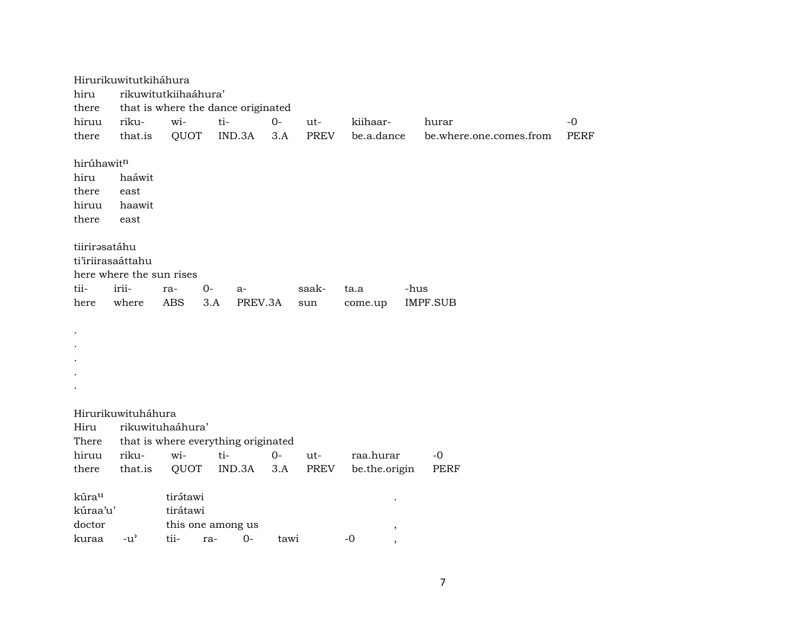Hirurikuwitutkiháhura hiru rikuwitutkiihaáhura' there that is where the dance originated hiruu riku- wi- ti- 0- ut- kiihaar- hurar -0 there that.is QUOT IND.3A 3.A PREV be.a.dance be.where.one.comes.from PERF hirúhawit¶ hiru haáwit there east hiruu haawit there east tiirirəsatáhu ti'iriirasaáttahu here where the sun rises tii- irii- ra- 0- a- saak- ta.a -hus here where ABS 3.A PREV.3A sun come.up IMPF.SUB . . . . . Hirurikuwituháhura Hiru rikuwituhaáhura' There that is where everything originated hiruu riku- wi- ti- 0- ut- raa.hurar -0 there that.is QUOT IND.3A 3.A PREV be.the.origin PERF kúra<sup>u</sup> tirátawi . kúraa'u' tirátawi doctor this one among us , kuraa -u" tii- ra- 0- tawi -0 ,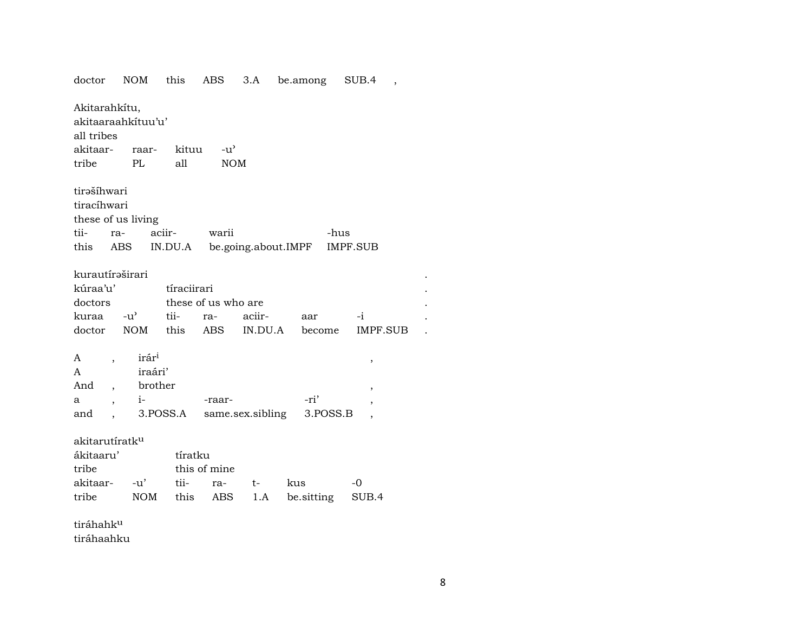| doctor                                            | <b>NOM</b>                   | this        | ABS                 | 3.A     | be.among                    | SUB.4           |  |
|---------------------------------------------------|------------------------------|-------------|---------------------|---------|-----------------------------|-----------------|--|
| Akitarahkítu,<br>akitaaraahkituu'u'<br>all tribes |                              |             |                     |         |                             |                 |  |
| akitaar- raar-                                    |                              | kituu       | $-u^{\prime}$       |         |                             |                 |  |
| tribe                                             | PL                           | all         | <b>NOM</b>          |         |                             |                 |  |
| tirašíhwari<br>tiracíhwari<br>these of us living  |                              |             |                     |         |                             |                 |  |
| tii-<br>ra-                                       |                              | aciir-      | warii               |         |                             | -hus            |  |
| this                                              | ABS                          |             |                     |         | IN.DU.A be.going.about.IMPF | <b>IMPF.SUB</b> |  |
| kurautíraširari<br>kúraa'u'                       |                              | tíraciirari |                     |         |                             |                 |  |
| doctors                                           |                              |             | these of us who are |         |                             |                 |  |
| kuraa -u'                                         |                              | tii-        | ra-                 | aciir-  | aar                         | $-i$            |  |
| doctor                                            | NOM                          | this        | ABS                 | IN.DU.A | become                      | IMPF.SUB        |  |
| A<br>$\overline{\phantom{a}}$<br>A                | irár <sup>i</sup><br>iraári' |             |                     |         |                             | ,               |  |
| And                                               | brother                      |             |                     |         |                             | ,               |  |
| а                                                 | $i-$                         |             | -raar-              |         | -ri'                        | ,               |  |
| and                                               |                              | 3.POSS.A    | same.sex.sibling    |         |                             | 3.POSS.B        |  |
|                                                   |                              |             |                     |         |                             |                 |  |
| akitarutíratk <sup>u</sup>                        |                              |             |                     |         |                             |                 |  |
| ákitaaru'                                         |                              | tíratku     |                     |         |                             |                 |  |
| tribe                                             |                              |             | this of mine        |         |                             |                 |  |
| akitaar-                                          | $-u'$                        | tii-        | ra-                 | $t-$    | kus                         | -0              |  |
| tribe                                             | NOM                          | this        | ABS                 | 1.A     | be.sitting                  | SUB.4           |  |
| tiráhahk <sup>u</sup>                             |                              |             |                     |         |                             |                 |  |

tiráhaahku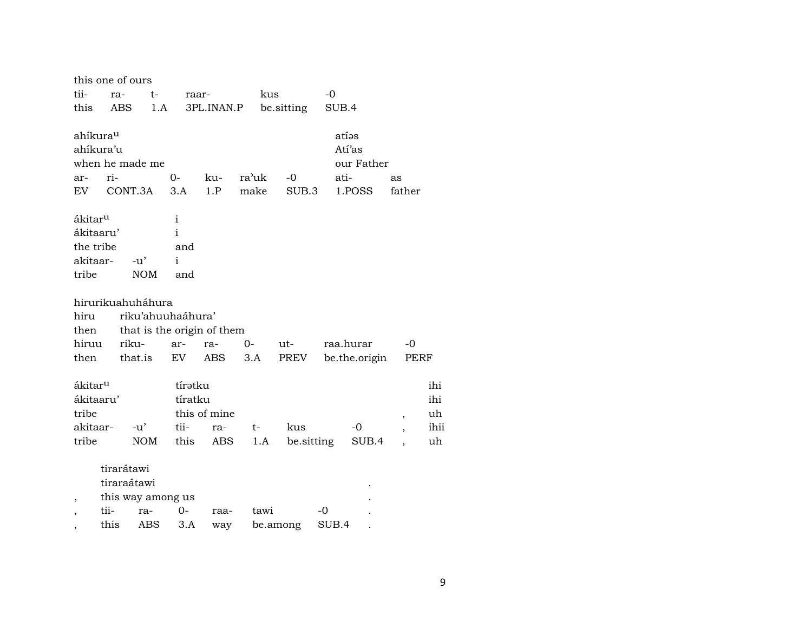|                                                                    | this one of ours |                                  |                                                 |                            |               |                   |       |                                         |                                                      |                                |
|--------------------------------------------------------------------|------------------|----------------------------------|-------------------------------------------------|----------------------------|---------------|-------------------|-------|-----------------------------------------|------------------------------------------------------|--------------------------------|
| tii-                                                               | ra-              | t-                               | raar-                                           |                            | kus           |                   | -0    |                                         |                                                      |                                |
| this                                                               | ABS              | 1.A                              |                                                 | 3PL.INAN.P                 |               | be sitting        | SUB.4 |                                         |                                                      |                                |
| ahíkura <sup>u</sup><br>ahíkura'u<br>ar-<br>EV.                    | ri-              | when he made me<br>CONT.3A       | $0-$<br>3.A                                     | ku-<br>1.P                 | ra'uk<br>make | $-0$<br>SUB.3     | ati-  | atías<br>Atí'as<br>our Father<br>1.POSS | as<br>father                                         |                                |
| ákitar <sup>u</sup><br>ákitaaru'<br>the tribe<br>akitaar-<br>tribe |                  | $-u'$<br><b>NOM</b>              | i<br>$\mathbf{i}$<br>and<br>$\mathbf{i}$<br>and |                            |               |                   |       |                                         |                                                      |                                |
|                                                                    |                  | hirurikuahuháhura                |                                                 |                            |               |                   |       |                                         |                                                      |                                |
| hiru                                                               |                  | riku'ahuuhaáhura'                |                                                 |                            |               |                   |       |                                         |                                                      |                                |
| then                                                               |                  | that is the origin of them       |                                                 |                            |               |                   |       |                                         |                                                      |                                |
| hiruu                                                              |                  | riku-                            | ar-                                             | ra-                        | 0-            | ut-               |       | raa.hurar                               | $-0$                                                 |                                |
| then                                                               |                  | that.is                          | EV                                              | ABS                        | 3.A           | PREV              |       | be.the.origin                           | PERF                                                 |                                |
| ákitar <sup>u</sup><br>ákitaaru'<br>tribe<br>akitaar-<br>tribe     |                  | $-u'$<br><b>NOM</b>              | tíratku<br>tíratku<br>tii-<br>this              | this of mine<br>ra-<br>ABS | t-<br>1.A     | kus<br>be.sitting |       | -0<br>SUB.4                             | $\overline{\phantom{a}}$<br>$\overline{\phantom{a}}$ | ihi<br>ihi<br>uh<br>ihii<br>uh |
| ,                                                                  | tirarátawi       | tiraraátawi<br>this way among us |                                                 |                            |               |                   |       |                                         |                                                      |                                |
|                                                                    | tii-             | ra-                              | $0-$                                            | raa-                       | tawi          |                   | -0    |                                         |                                                      |                                |
|                                                                    | this             | <b>ABS</b>                       | 3.A                                             | way                        |               | be.among          | SUB.4 |                                         |                                                      |                                |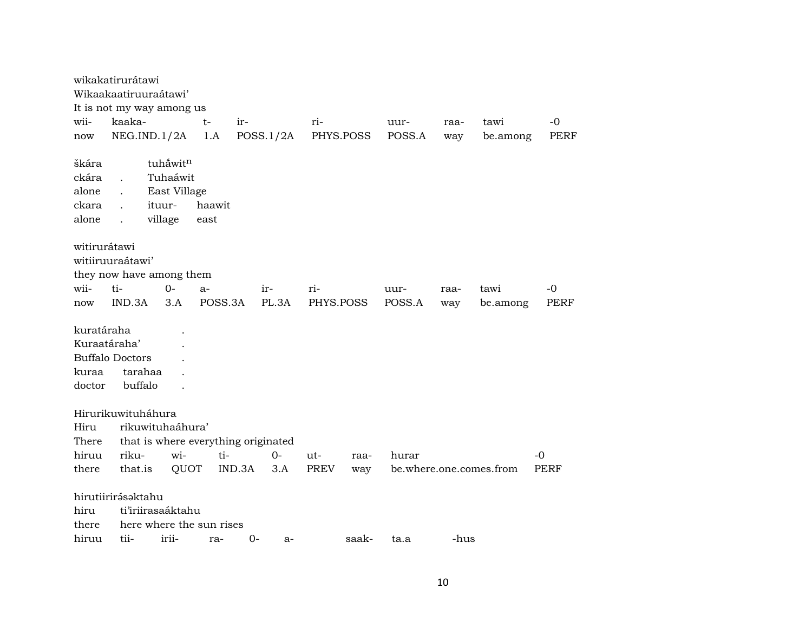|                                               | wikakatirurátawi                                    |                                     |         |        |           |             |       |        |      |                         |             |
|-----------------------------------------------|-----------------------------------------------------|-------------------------------------|---------|--------|-----------|-------------|-------|--------|------|-------------------------|-------------|
|                                               | Wikaakaatiruuraátawi'                               |                                     |         |        |           |             |       |        |      |                         |             |
|                                               | It is not my way among us                           |                                     |         |        |           |             |       |        |      |                         |             |
| wii-                                          | kaaka-                                              |                                     | $t-$    | $ir-$  |           | $ri-$       |       | uur-   | raa- | tawi                    | $-0$        |
| now                                           | NEG.IND.1/2A                                        |                                     | 1.A     |        | POSS.1/2A | PHYS.POSS   |       | POSS.A | way  | be.among                | <b>PERF</b> |
| škára                                         |                                                     | tuhåwitn                            |         |        |           |             |       |        |      |                         |             |
| ckára                                         |                                                     | Tuhaáwit                            |         |        |           |             |       |        |      |                         |             |
| alone                                         |                                                     | East Village                        |         |        |           |             |       |        |      |                         |             |
| ckara                                         |                                                     | ituur-                              | haawit  |        |           |             |       |        |      |                         |             |
| alone                                         | $\ddot{\phantom{a}}$                                | village                             | east    |        |           |             |       |        |      |                         |             |
| witirurátawi<br>wii-                          | witiiruuraátawi'<br>they now have among them<br>ti- | $O -$                               | $a-$    |        | ir-       | ri-         |       | uur-   | raa- | tawi                    | -0          |
| now                                           | IND.3A                                              | 3.A                                 | POSS.3A |        | PL.3A     | PHYS.POSS   |       | POSS.A | way  | be.among                | <b>PERF</b> |
| kuratáraha<br>Kuraatáraha'<br>kuraa<br>doctor | <b>Buffalo Doctors</b><br>tarahaa<br>buffalo        |                                     |         |        |           |             |       |        |      |                         |             |
|                                               | Hirurikuwituháhura                                  |                                     |         |        |           |             |       |        |      |                         |             |
| Hiru                                          |                                                     | rikuwituhaáhura'                    |         |        |           |             |       |        |      |                         |             |
| There                                         |                                                     | that is where everything originated |         |        |           |             |       |        |      |                         |             |
| hiruu                                         | riku-                                               | wi-                                 | ti-     |        | $0-$      | ut-         | raa-  | hurar  |      |                         | $-0$        |
| there                                         | that.is                                             | QUOT                                |         | IND.3A | 3.A       | <b>PREV</b> | way   |        |      | be.where.one.comes.from | PERF        |
|                                               | hirutiirirásaktahu                                  |                                     |         |        |           |             |       |        |      |                         |             |
| hiru                                          |                                                     | ti'iriirasaáktahu                   |         |        |           |             |       |        |      |                         |             |
| there                                         |                                                     | here where the sun rises            |         |        |           |             |       |        |      |                         |             |
| hiruu                                         | tii-                                                | irii-                               | ra-     | $0-$   | $a-$      |             | saak- | ta.a   | -hus |                         |             |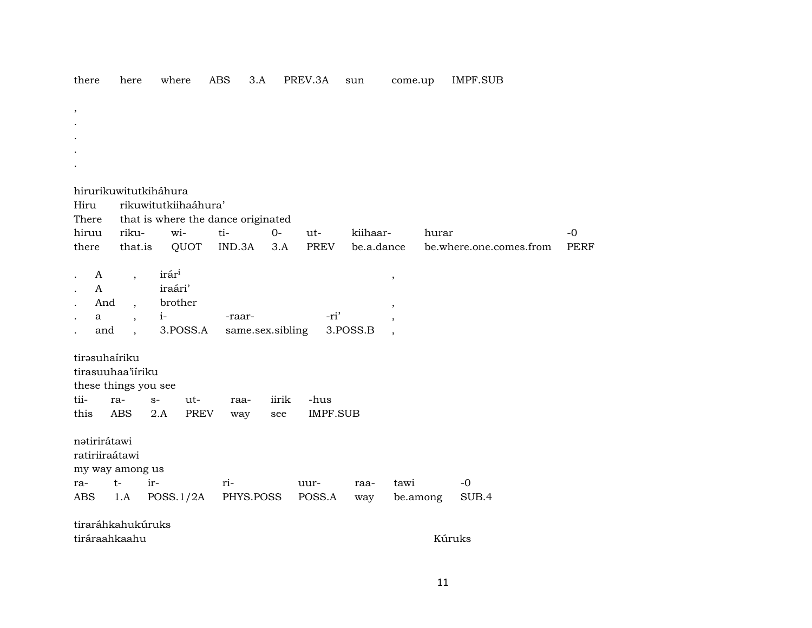| there        | here                               | where                              | <b>ABS</b>       | 3.A              | PREV.3A        | sun        | come.up  |       | <b>IMPF.SUB</b>         |             |
|--------------|------------------------------------|------------------------------------|------------------|------------------|----------------|------------|----------|-------|-------------------------|-------------|
| ,            |                                    |                                    |                  |                  |                |            |          |       |                         |             |
|              |                                    |                                    |                  |                  |                |            |          |       |                         |             |
|              |                                    |                                    |                  |                  |                |            |          |       |                         |             |
|              |                                    |                                    |                  |                  |                |            |          |       |                         |             |
|              |                                    |                                    |                  |                  |                |            |          |       |                         |             |
|              |                                    | hirurikuwitutkiháhura              |                  |                  |                |            |          |       |                         |             |
| Hiru         |                                    | rikuwitutkiihaáhura'               |                  |                  |                |            |          |       |                         |             |
| There        |                                    | that is where the dance originated |                  |                  |                |            |          |       |                         |             |
| hiruu        | riku-                              | wi-                                | ti-              | $0-$             | ut-            | kiihaar-   |          | hurar |                         | $-0$        |
| there        | that.is                            | QUOT                               | IND.3A           | 3.A              | PREV           | be.a.dance |          |       | be.where.one.comes.from | <b>PERF</b> |
| A            |                                    | irár <sup>i</sup>                  |                  |                  |                |            |          |       |                         |             |
| $\mathsf{A}$ | $\overline{\phantom{a}}$           | iraári'                            |                  |                  |                |            | $\,$     |       |                         |             |
| And          | $\overline{\phantom{a}}$           | brother                            |                  |                  |                |            | $\, ,$   |       |                         |             |
| a            | $\overline{\phantom{a}}$           | $i-$                               | -raar-           |                  | -ri'           |            | $\cdot$  |       |                         |             |
| and          | $\ddot{\phantom{a}}$               | 3.POSS.A                           |                  | same.sex.sibling |                | 3.POSS.B   | $\cdot$  |       |                         |             |
|              |                                    |                                    |                  |                  |                |            |          |       |                         |             |
|              | tirəsuhairiku<br>tirasuuhaa'iiriku |                                    |                  |                  |                |            |          |       |                         |             |
|              | these things you see               |                                    |                  |                  |                |            |          |       |                         |             |
| tii-         | ra-                                | ut-<br>$S-$                        | raa-             | iirik            | -hus           |            |          |       |                         |             |
| this         | <b>ABS</b>                         | 2.A<br>PREV                        | way              | see              | IMPF.SUB       |            |          |       |                         |             |
|              |                                    |                                    |                  |                  |                |            |          |       |                         |             |
| natirirátawi |                                    |                                    |                  |                  |                |            |          |       |                         |             |
|              | ratiriiraátawi                     |                                    |                  |                  |                |            |          |       |                         |             |
|              | my way among us                    |                                    |                  |                  |                |            |          |       |                         |             |
| ra-<br>ABS   | $t-$<br>1.A                        | ir-                                | ri-<br>PHYS.POSS |                  | uur-<br>POSS.A | raa-       | tawi     |       | $-0$<br>SUB.4           |             |
|              |                                    | POSS.1/2A                          |                  |                  |                | way        | be.among |       |                         |             |
|              | tiraráhkahukúruks                  |                                    |                  |                  |                |            |          |       |                         |             |
|              | tiráraahkaahu                      |                                    |                  |                  |                |            |          |       | Kúruks                  |             |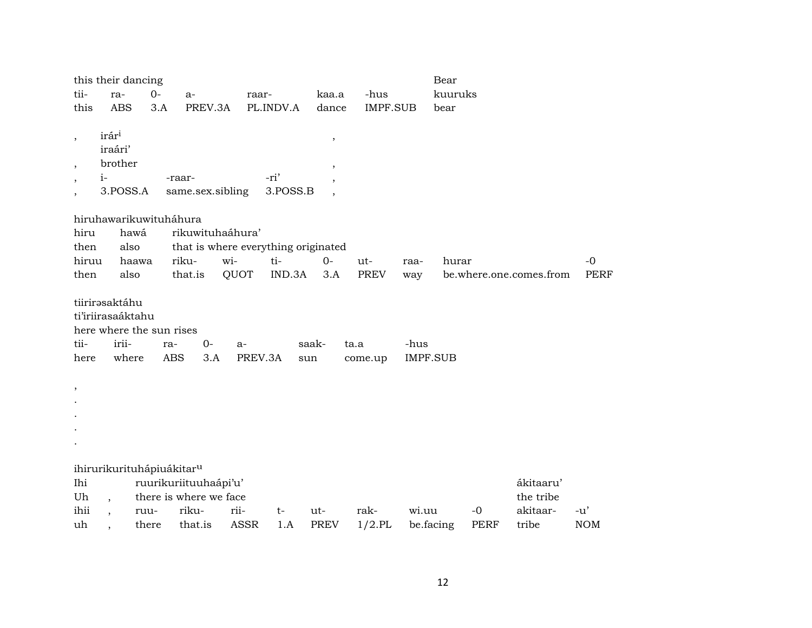|                          | this their dancing                    |       |                                     |                 |           |                         |                 |                         | Bear      |      |                         |             |
|--------------------------|---------------------------------------|-------|-------------------------------------|-----------------|-----------|-------------------------|-----------------|-------------------------|-----------|------|-------------------------|-------------|
| tii-                     | ra-                                   | $0-$  | a-                                  | raar-           |           | kaa.a                   | -hus            |                         | kuuruks   |      |                         |             |
| this                     | <b>ABS</b>                            | 3.A   | PREV.3A                             |                 | PL.INDV.A | dance                   | <b>IMPF.SUB</b> |                         | bear      |      |                         |             |
|                          |                                       |       |                                     |                 |           |                         |                 |                         |           |      |                         |             |
| $\, ,$                   | irár <sup>i</sup>                     |       |                                     |                 |           | $^\mathrm{^\mathrm{o}}$ |                 |                         |           |      |                         |             |
|                          | iraári'                               |       |                                     |                 |           |                         |                 |                         |           |      |                         |             |
| $\overline{\phantom{a}}$ | brother                               |       |                                     |                 |           | $^\mathrm{,}$           |                 |                         |           |      |                         |             |
| $\overline{\phantom{a}}$ | $i-$                                  |       | -raar-                              |                 | -ri'      |                         |                 |                         |           |      |                         |             |
| $\overline{\phantom{a}}$ | 3.POSS.A                              |       | same.sex.sibling                    |                 | 3.POSS.B  |                         |                 |                         |           |      |                         |             |
|                          |                                       |       |                                     |                 |           |                         |                 |                         |           |      |                         |             |
|                          | hiruhawarikuwituháhura                |       |                                     |                 |           |                         |                 |                         |           |      |                         |             |
| hiru                     | hawá                                  |       | rikuwituhaáhura'                    |                 |           |                         |                 |                         |           |      |                         |             |
| then                     | also                                  |       | that is where everything originated |                 |           |                         |                 |                         |           |      |                         |             |
| hiruu                    |                                       | haawa | riku-                               | wi-             | ti-       | $0-$                    | ut-             | raa-                    | hurar     |      |                         | $-0$        |
| then                     | also                                  |       | that.is                             | QUOT            | IND.3A    | 3.A                     | PREV            | way                     |           |      | be.where.one.comes.from | <b>PERF</b> |
|                          |                                       |       |                                     |                 |           |                         |                 |                         |           |      |                         |             |
|                          | tiirirasaktáhu                        |       |                                     |                 |           |                         |                 |                         |           |      |                         |             |
|                          | ti'iriirasaáktahu                     |       |                                     |                 |           |                         |                 |                         |           |      |                         |             |
|                          | here where the sun rises<br>irii-     |       |                                     |                 |           |                         |                 |                         |           |      |                         |             |
| tii-                     | where                                 | ra-   | $0-$<br><b>ABS</b><br>3.A           | $a-$<br>PREV.3A |           | saak-                   | ta.a            | -hus<br><b>IMPF.SUB</b> |           |      |                         |             |
| here                     |                                       |       |                                     |                 | sun       |                         | come.up         |                         |           |      |                         |             |
|                          |                                       |       |                                     |                 |           |                         |                 |                         |           |      |                         |             |
| $\, ,$                   |                                       |       |                                     |                 |           |                         |                 |                         |           |      |                         |             |
|                          |                                       |       |                                     |                 |           |                         |                 |                         |           |      |                         |             |
|                          |                                       |       |                                     |                 |           |                         |                 |                         |           |      |                         |             |
|                          |                                       |       |                                     |                 |           |                         |                 |                         |           |      |                         |             |
|                          |                                       |       |                                     |                 |           |                         |                 |                         |           |      |                         |             |
|                          | ihirurikurituhápiuákitar <sup>u</sup> |       |                                     |                 |           |                         |                 |                         |           |      |                         |             |
| Ihi                      |                                       |       | ruurikuriituuhaápi'u'               |                 |           |                         |                 |                         |           |      | ákitaaru'               |             |
| Uh                       |                                       |       | there is where we face              |                 |           |                         |                 |                         |           |      | the tribe               |             |
| ihii                     |                                       | ruu-  | riku-                               | rii-            | $t-$      | ut-                     | rak-            | wi.uu                   |           | $-0$ | akitaar-                | $-u'$       |
| uh                       |                                       | there | that.is                             | ASSR            | 1.A       | PREV                    | $1/2$ .PL       |                         | be.facing | PERF | tribe                   | <b>NOM</b>  |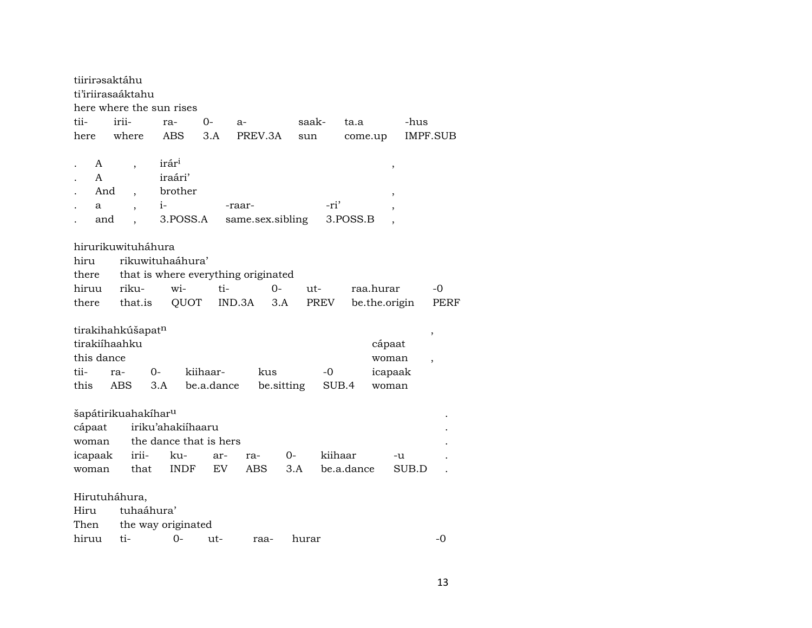| tiirirasaktáhu |                                 |                                     |            |                  |            |            |               |                |
|----------------|---------------------------------|-------------------------------------|------------|------------------|------------|------------|---------------|----------------|
|                | ti'iriirasaáktahu               |                                     |            |                  |            |            |               |                |
|                |                                 | here where the sun rises            |            |                  |            |            |               |                |
| tii-           | irii-                           | ra-                                 | $O -$      | a-               | saak-      | ta.a       | -hus          |                |
| here           | where                           | ABS                                 | 3.A        | PREV.3A          | sun        |            | come.up       | IMPF.SUB       |
|                |                                 |                                     |            |                  |            |            |               |                |
| A              | $\overline{\phantom{a}}$        | irár <sup>i</sup>                   |            |                  |            |            | ,             |                |
| A              |                                 | iraári'                             |            |                  |            |            |               |                |
| And            | $\overline{\phantom{a}}$        | brother                             |            |                  |            |            |               |                |
| a              |                                 | $i-$                                |            | -raar-           |            | -ri'       |               |                |
| and            |                                 | 3.POSS.A                            |            | same.sex.sibling |            | 3.POSS.B   |               |                |
|                |                                 |                                     |            |                  |            |            |               |                |
|                | hirurikuwituháhura              |                                     |            |                  |            |            |               |                |
| hiru           |                                 | rikuwituhaáhura'                    |            |                  |            |            |               |                |
| there          |                                 | that is where everything originated |            |                  |            |            |               |                |
| hiruu          | riku-                           | wi-                                 | ti-        | 0-               |            | ut-        | raa.hurar     | -0             |
| there          | that.is                         | QUOT                                |            | IND.3A           | 3.A        | PREV       | be.the.origin | <b>PERF</b>    |
|                |                                 |                                     |            |                  |            |            |               |                |
|                | tirakihahkúšapatn               |                                     |            |                  |            |            |               |                |
| tirakiíhaahku  |                                 |                                     |            |                  |            |            | cápaat        | ,              |
| this dance     |                                 |                                     |            |                  |            |            | woman         |                |
|                |                                 |                                     |            |                  |            |            |               | $\overline{ }$ |
| tii-           | ra-                             | 0-                                  | kiihaar-   | kus              |            | -0         | icapaak       |                |
| this           | <b>ABS</b>                      | 3.A                                 | be.a.dance |                  | be.sitting | SUB.4      | woman         |                |
|                |                                 |                                     |            |                  |            |            |               |                |
|                | šapátirikuahakíhar <sup>u</sup> |                                     |            |                  |            |            |               |                |
| cápaat         |                                 | iriku'ahakiihaaru                   |            |                  |            |            |               |                |
| woman          |                                 | the dance that is hers              |            |                  |            |            |               |                |
| icapaak        | irii-                           | ku-                                 | ar-        | ra-              | 0-         | kiihaar    | -u            |                |
| woman          | that                            | <b>INDF</b>                         | EV.        | ABS              | 3.A        | be.a.dance | SUB.D         |                |
|                |                                 |                                     |            |                  |            |            |               |                |
|                | Hirutuháhura,                   |                                     |            |                  |            |            |               |                |
| Hiru           | tuhaáhura'                      |                                     |            |                  |            |            |               |                |
| Then           |                                 | the way originated                  |            |                  |            |            |               |                |
| hiruu          | ti-                             | 0-                                  | ut-        | raa-             | hurar      |            |               | -0             |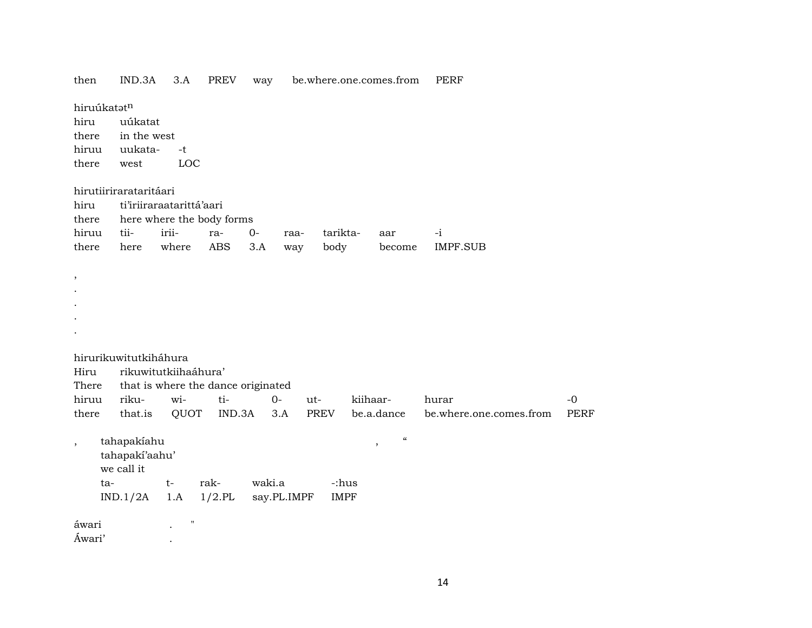| then                            | IND.3A                                                         | 3.A                                                                       | PREV              | way          |             | be.where.one.comes.from |                                                         | PERF                             |                     |
|---------------------------------|----------------------------------------------------------------|---------------------------------------------------------------------------|-------------------|--------------|-------------|-------------------------|---------------------------------------------------------|----------------------------------|---------------------|
| hiru<br>there<br>hiruu<br>there | hiruúkatatn<br>uúkatat<br>in the west<br>uukata-<br>west       | $-t$<br>LOC                                                               |                   |              |             |                         |                                                         |                                  |                     |
| hiru<br>there<br>hiruu<br>there | hirutiirirarataritáari<br>tii-<br>here                         | ti'iriiraraatarittá'aari<br>here where the body forms<br>irii-<br>where   | ra-<br><b>ABS</b> | $O -$<br>3.A | raa-<br>way | tarikta-<br>body        | aar<br>become                                           | $-i$<br><b>IMPF.SUB</b>          |                     |
| ,                               |                                                                |                                                                           |                   |              |             |                         |                                                         |                                  |                     |
| Hiru<br>There<br>hiruu<br>there | hirurikuwitutkiháhura<br>riku-<br>that.is                      | rikuwitutkiihaáhura'<br>that is where the dance originated<br>wi-<br>QUOT | ti-<br>IND.3A     | $0-$         | ut-<br>3.A  | PREV                    | kiihaar-<br>be.a.dance                                  | hurar<br>be.where.one.comes.from | $-0$<br><b>PERF</b> |
| $\overline{\phantom{a}}$        | tahapakiahu<br>tahapakí'aahu'<br>we call it<br>ta-<br>IND.1/2A | $t-$<br>1.A                                                               | rak-<br>$1/2$ .PL | waki.a       | say.PL.IMPF | -:hus<br><b>IMPF</b>    | $\boldsymbol{\zeta}\boldsymbol{\zeta}$<br>$^\mathrm{,}$ |                                  |                     |
| áwari<br>Áwari'                 |                                                                | Ħ                                                                         |                   |              |             |                         |                                                         |                                  |                     |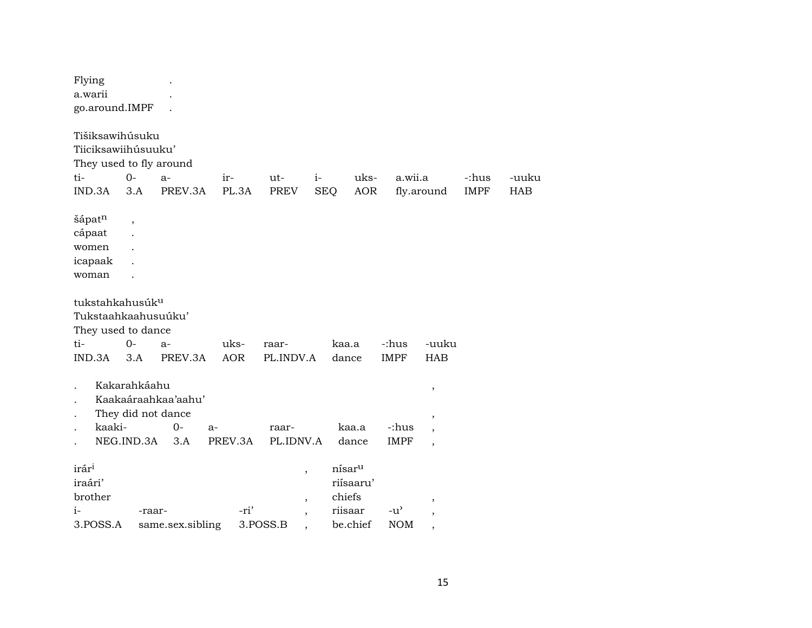| Flying<br>a.warii<br>go.around.IMPF                                                                |                                                           |                      |                    |                                                                                              |                    |                                                                  |                             |                                                         |                      |                     |
|----------------------------------------------------------------------------------------------------|-----------------------------------------------------------|----------------------|--------------------|----------------------------------------------------------------------------------------------|--------------------|------------------------------------------------------------------|-----------------------------|---------------------------------------------------------|----------------------|---------------------|
| Tišiksawihúsuku<br>Tiiciksawiihúsuuku'<br>They used to fly around<br>$0-$<br>ti-<br>IND.3A         | $a-$<br>3.A                                               | PREV.3A              | ir-<br>PL.3A       | ut-<br><b>PREV</b>                                                                           | $i-$<br><b>SEQ</b> | uks-<br><b>AOR</b>                                               | a.wii.a                     | fly.around                                              | -:hus<br><b>IMPF</b> | -uuku<br><b>HAB</b> |
| šápatn<br>cápaat<br>women<br>icapaak<br>woman                                                      | ,                                                         |                      |                    |                                                                                              |                    |                                                                  |                             |                                                         |                      |                     |
| tukstahkahusúk <sup>u</sup><br>Tukstaahkaahusuúku'<br>They used to dance<br>ti-<br>$0 -$<br>IND.3A | $a-$<br>3.A                                               | PREV.3A              | uks-<br><b>AOR</b> | raar-<br>PL.INDV.A                                                                           |                    | kaa.a<br>dance                                                   | -:hus<br><b>IMPF</b>        | -uuku<br><b>HAB</b>                                     |                      |                     |
| kaaki-<br>NEG.IND.3A                                                                               | Kakarahkáahu<br>Kaakaáraahkaa'aahu'<br>They did not dance | $0 -$<br>$a-$<br>3.A | PREV.3A            | raar-<br>PL.IDNV.A                                                                           |                    | kaa.a<br>dance                                                   | -:hus<br><b>IMPF</b>        | $\, ,$<br>$\, ,$<br>$\cdot$<br>$\overline{\phantom{a}}$ |                      |                     |
| irár <sup>i</sup><br>iraári'<br>brother<br>$i-$<br>3.POSS.A                                        | -raar-                                                    | same.sex.sibling     | -ri'               | $\overline{\phantom{a}}$<br>$\overline{\phantom{a}}$<br>$\overline{\phantom{a}}$<br>3.POSS.B |                    | nísar <sup>u</sup><br>riísaaru'<br>chiefs<br>riisaar<br>be.chief | $-u^{\prime}$<br><b>NOM</b> |                                                         |                      |                     |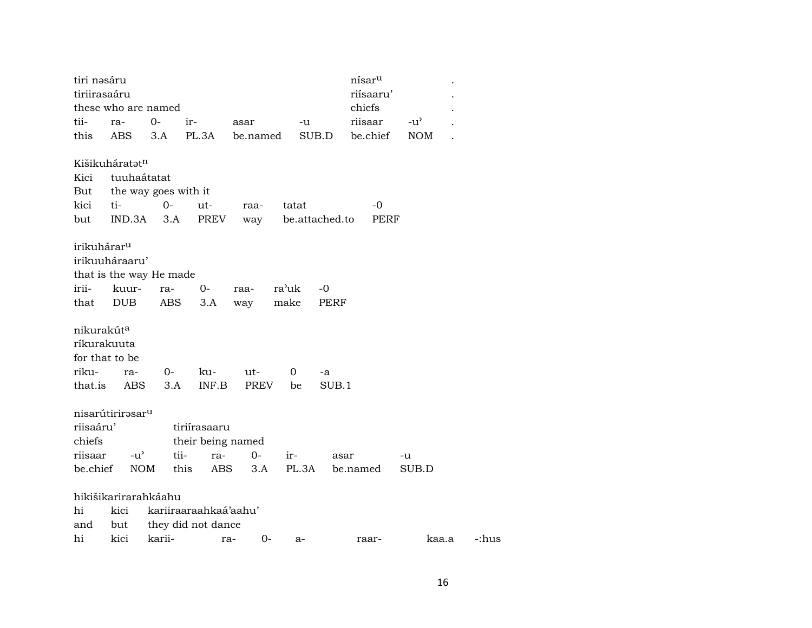| tiri nəsáru             |                              |                      |                       |             |       |                | nísar <sup>u</sup> |               |       |
|-------------------------|------------------------------|----------------------|-----------------------|-------------|-------|----------------|--------------------|---------------|-------|
| tiriirasaáru            |                              |                      |                       |             |       |                | riísaaru'          |               |       |
|                         | these who are named          |                      |                       |             |       |                | chiefs             |               |       |
| tii-                    | ra-                          | 0-                   | ir-                   | asar        | -u    |                | riisaar            | $-u^{\prime}$ |       |
| this                    | ABS                          | 3.A                  | PL.3A                 | be.named    |       | SUB.D          | be.chief           | <b>NOM</b>    |       |
|                         |                              |                      |                       |             |       |                |                    |               |       |
|                         | Kišikuháratat <sup>n</sup>   |                      |                       |             |       |                |                    |               |       |
| Kici                    | tuuhaátatat                  |                      |                       |             |       |                |                    |               |       |
| But                     |                              | the way goes with it |                       |             |       |                |                    |               |       |
| kici                    | ti-                          | $0-$                 | ut-                   | raa-        | tatat |                | -0                 |               |       |
| but                     | IND.3A                       | 3.A                  | PREV                  | way         |       | be.attached.to | PERF               |               |       |
|                         |                              |                      |                       |             |       |                |                    |               |       |
| irikuhárar <sup>u</sup> |                              |                      |                       |             |       |                |                    |               |       |
|                         | irikuuháraaru'               |                      |                       |             |       |                |                    |               |       |
|                         | that is the way He made      |                      |                       |             |       |                |                    |               |       |
| irii-                   | kuur-                        | ra-                  | $0-$                  | raa-        | ra'uk | -0             |                    |               |       |
| that                    | <b>DUB</b>                   | ABS                  | 3.A                   | way         | make  | PERF           |                    |               |       |
|                         |                              |                      |                       |             |       |                |                    |               |       |
| nikurakút <sup>a</sup>  |                              |                      |                       |             |       |                |                    |               |       |
|                         | ríkurakuuta                  |                      |                       |             |       |                |                    |               |       |
|                         | for that to be               |                      |                       |             |       |                |                    |               |       |
| riku-                   | ra-                          | 0-                   | ku-                   | ut-         | 0     | -a             |                    |               |       |
| that.is                 | ABS                          | 3.A                  | INF.B                 | PREV        | be    | SUB.1          |                    |               |       |
|                         |                              |                      |                       |             |       |                |                    |               |       |
|                         | nisarútirirasar <sup>u</sup> |                      |                       |             |       |                |                    |               |       |
| riisaáru'               |                              |                      | tiriírasaaru          |             |       |                |                    |               |       |
| chiefs                  |                              |                      | their being named     |             |       |                |                    |               |       |
| riisaar                 | $-u^{\prime}$                | tii-                 | ra-                   | $0-$        | ir-   | asar           |                    | -u            |       |
| be.chief                |                              | <b>NOM</b>           | this<br>ABS           | 3.A         | PL.3A |                | be.named           | SUB.D         |       |
|                         |                              |                      |                       |             |       |                |                    |               |       |
|                         | hikišikarirarahkáahu         |                      |                       |             |       |                |                    |               |       |
| hi                      | kici                         |                      | kariiraaraahkaá'aahu' |             |       |                |                    |               |       |
| and                     | but                          |                      | they did not dance    |             |       |                |                    |               |       |
| hi                      | kici                         | karii-               |                       | $0-$<br>ra- | a-    |                | raar-              | kaa.a         | -:hus |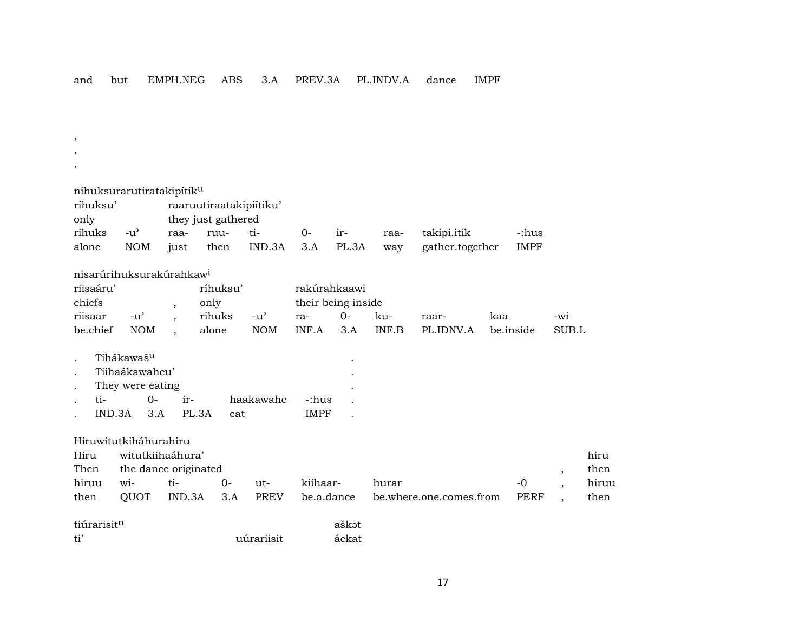and but EMPH.NEG ABS 3.A PREV.3A PL.INDV.A dance IMPF

, , , nihuksurarutiratakipítikµ ríhuksu' raaruutiraatakipiítiku' only they just gathered rihuks -u" raa- ruu- ti- 0- ir- raa- takipi.itik -:hus alone NOM just then IND.3A 3.A PL.3A way gather.together IMPF nisarúrihuksurakúrahkaw<sup>i</sup> riisaáru' ríhuksu' rakúrahkaawi chiefs , only their being inside riisaar -u" , rihuks -u" ra- 0- ku- raar- kaa -wi be.chief NOM , alone NOM INF.A 3.A INF.B PL.IDNV.A be.inside SUB.L Tihákawaš<sup>u</sup> . Tiihaákawahcu' . They were eating . ti- 0- ir- haakawahc -:hus . IND.3A 3.A PL.3A eat IMPF Hiruwitutkiháhurahiru Hiru witutkiihaáhura' hiru Then the dance originated  $\qquad \qquad , \qquad$  then hiruu wi- ti- 0- ut- kiihaar- hurar -0 , hiruu then QUOT IND.3A 3.A PREV be.a.dance be.where.one.comes.from PERF , then tiúrarisit<sup>n</sup> aškat ti' uúrariisit áckat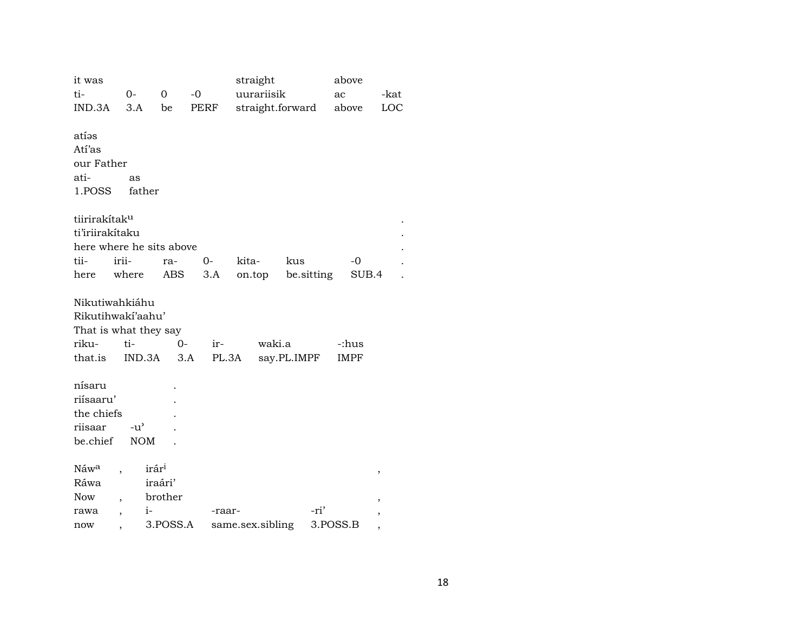| it was<br>ti-<br>IND.3A       | 0-<br>3.A                        | $\Omega$<br>be    | $-0$<br>PERF | straight<br>uurariisik<br>straight.forward |             | above<br>ac<br>above | -kat<br>LOC |
|-------------------------------|----------------------------------|-------------------|--------------|--------------------------------------------|-------------|----------------------|-------------|
| atíəs<br>Atí'as<br>our Father |                                  |                   |              |                                            |             |                      |             |
| ati-                          | as                               |                   |              |                                            |             |                      |             |
| 1.POSS                        | father                           |                   |              |                                            |             |                      |             |
| tiirirakítak <sup>u</sup>     |                                  |                   |              |                                            |             |                      |             |
| ti'iriirakítaku               |                                  |                   |              |                                            |             |                      |             |
|                               | here where he sits above         |                   |              |                                            |             |                      |             |
| tii-                          | irii-                            | ra-               | $0-$         | kita-                                      | kus         | $-0$                 |             |
| here                          | where                            | ABS               | 3.A          | on.top                                     | be.sitting  | SUB.4                |             |
|                               |                                  |                   |              |                                            |             |                      |             |
|                               | Nikutiwahkiáhu                   |                   |              |                                            |             |                      |             |
|                               | Rikutihwakí'aahu'                |                   |              |                                            |             |                      |             |
|                               | That is what they say            |                   |              |                                            |             |                      |             |
| riku-                         | ti-                              | 0-                | ir-          | waki.a                                     |             | -:hus                |             |
| that.is                       | IND.3A                           | 3.A               |              | PL.3A                                      | say.PL.IMPF | <b>IMPF</b>          |             |
|                               |                                  |                   |              |                                            |             |                      |             |
| nísaru                        |                                  |                   |              |                                            |             |                      |             |
| riísaaru'                     |                                  |                   |              |                                            |             |                      |             |
| the chiefs<br>riisaar         | $-u^{\prime}$                    |                   |              |                                            |             |                      |             |
| be.chief                      | <b>NOM</b>                       |                   |              |                                            |             |                      |             |
|                               |                                  |                   |              |                                            |             |                      |             |
| Náwa                          |                                  | irár <sup>i</sup> |              |                                            |             |                      | ,           |
| Ráwa                          |                                  | iraári'           |              |                                            |             |                      |             |
| Now                           |                                  | brother           |              |                                            |             |                      |             |
| rawa                          | $i-$<br>$\overline{\phantom{a}}$ |                   | -raar-       |                                            | -ri'        |                      | ,           |
| now                           |                                  | 3.POSS.A          |              | same.sex.sibling                           |             | 3.POSS.B             |             |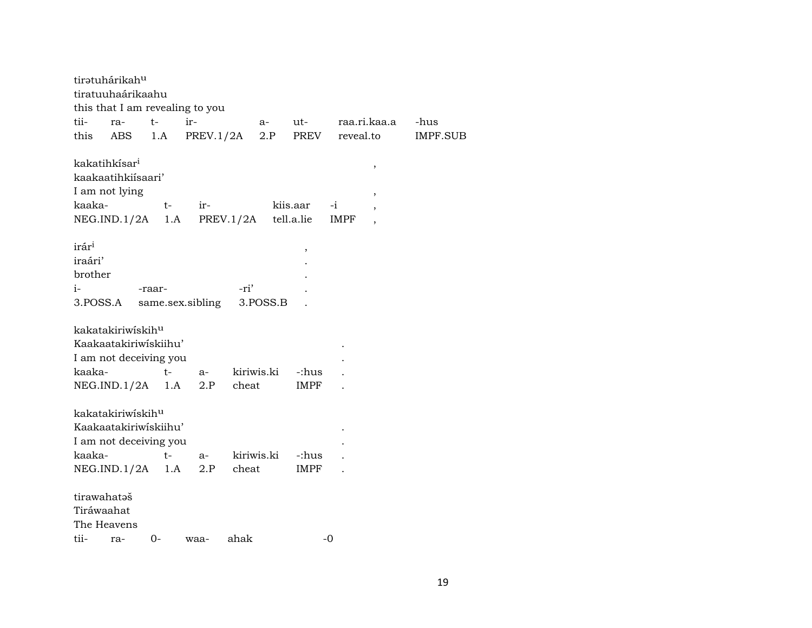|                                                           | tirətuhárikah <sup>u</sup><br>tiratuuhaárikaahu                   |                                                                            | this that I am revealing to you   |                            |          |                        |              |                                            |                 |
|-----------------------------------------------------------|-------------------------------------------------------------------|----------------------------------------------------------------------------|-----------------------------------|----------------------------|----------|------------------------|--------------|--------------------------------------------|-----------------|
| tii-                                                      | ra-                                                               | $t-$                                                                       | ir-                               |                            | a-       | ut-                    |              | raa.ri.kaa.a                               | -hus            |
| this                                                      | ABS                                                               | 1.A                                                                        | PREV.1/2A                         |                            | 2.P      | PREV                   | reveal.to    |                                            | <b>IMPF.SUB</b> |
| kaaka-                                                    | kakatihkísar <sup>i</sup><br>kaakaatihkiisaari'<br>I am not lying | t-                                                                         | ir-<br>NEG.ID.1/2A 1.A  PREV.1/2A |                            |          | kiis.aar<br>tell.a.lie | $-i$<br>IMPF | $\,$<br>$\, ,$<br>$\overline{\phantom{a}}$ |                 |
| irár <sup>i</sup><br>iraári'<br>brother<br>i-<br>3.POSS.A |                                                                   | -raar-                                                                     | same.sex.sibling                  | -ri'                       | 3.POSS.B | $\,$                   |              |                                            |                 |
| kaaka-                                                    | kakatakiriwiskih <sup>u</sup>                                     | Kaakaatakiriwiskiihu'<br>I am not deceiving you<br>$t-$<br>NEG.ID.1/2A 1.A | $a-$<br>2.P                       | kiriwis.ki<br>cheat        |          | -:hus<br>IMPF          |              |                                            |                 |
| kaaka-                                                    | kakatakiriwiskihu                                                 | Kaakaatakiriwiskiihu'<br>I am not deceiving you<br>t-<br>NEG.ID.1/2A 1.A   |                                   | a- kiriwis.ki<br>2.P cheat |          | -:hus<br>IMPF          |              |                                            |                 |
| tirawahataš<br>Tiráwaahat<br>tii-                         | The Heavens<br>ra-                                                | 0-                                                                         | waa-                              | ahak                       |          |                        | -0           |                                            |                 |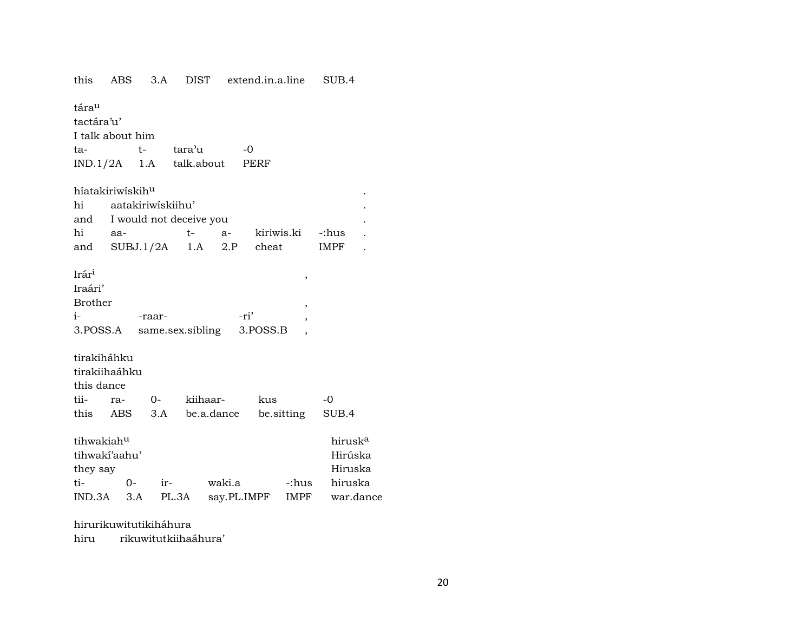| this                         | ABS  |                 |        | 3.A DIST extend.in.a.line |            | SUB.4               |  |
|------------------------------|------|-----------------|--------|---------------------------|------------|---------------------|--|
| tára <sup>u</sup>            |      |                 |        |                           |            |                     |  |
| tactára'u'                   |      |                 |        |                           |            |                     |  |
| I talk about him             |      |                 |        |                           |            |                     |  |
| ta-                          |      | $t-$            | tara'u | $-0$                      |            |                     |  |
| IND.1/2A 1.A talk.about PERF |      |                 |        |                           |            |                     |  |
| híatakiriwískih <sup>u</sup> |      |                 |        |                           |            |                     |  |
| hi aatakiriwiskiihu'         |      |                 |        |                           |            |                     |  |
|                              |      |                 |        |                           |            |                     |  |
| and I would not deceive you  |      |                 | $t-$   |                           |            |                     |  |
| hi aa-                       |      |                 |        | a- kiriwis.ki -:hus       |            |                     |  |
| and SUBJ.1/2A 1.A 2.P        |      |                 |        | cheat                     |            | IMPF                |  |
| Irári                        |      |                 |        |                           |            |                     |  |
| Iraári'                      |      |                 |        |                           | ,          |                     |  |
| <b>Brother</b>               |      |                 |        |                           |            |                     |  |
| $i$ - $i$                    |      | -raar-          |        | -ri'                      | ,          |                     |  |
| 3.POSS.A                     |      |                 |        | same.sex.sibling 3.POSS.B |            |                     |  |
|                              |      |                 |        |                           |            |                     |  |
| tirakiháhku                  |      |                 |        |                           |            |                     |  |
| tirakiihaáhku                |      |                 |        |                           |            |                     |  |
| this dance                   |      |                 |        |                           |            |                     |  |
| tii-                         |      | ra- 0- kiihaar- |        | kus                       |            | $-0$                |  |
| this ABS 3.A be.a.dance      |      |                 |        |                           | be sitting | SUB.4               |  |
|                              |      |                 |        |                           |            |                     |  |
| tihwakiah <sup>u</sup>       |      |                 |        |                           |            | hirusk <sup>a</sup> |  |
| tihwakí'aahu'                |      |                 |        |                           |            | Hirúska             |  |
| they say                     |      |                 |        |                           |            | Hiruska             |  |
| ti-                          | $0-$ |                 | ir-    | waki.a                    | -:hus      | hiruska             |  |
| $IND.3A$ $3.A$               |      |                 |        | PL.3A say.PL.IMPF         |            | IMPF war.dance      |  |
|                              |      |                 |        |                           |            |                     |  |

hirurikuwitutikiháhura hiru

rikuwitutkiihaáhura'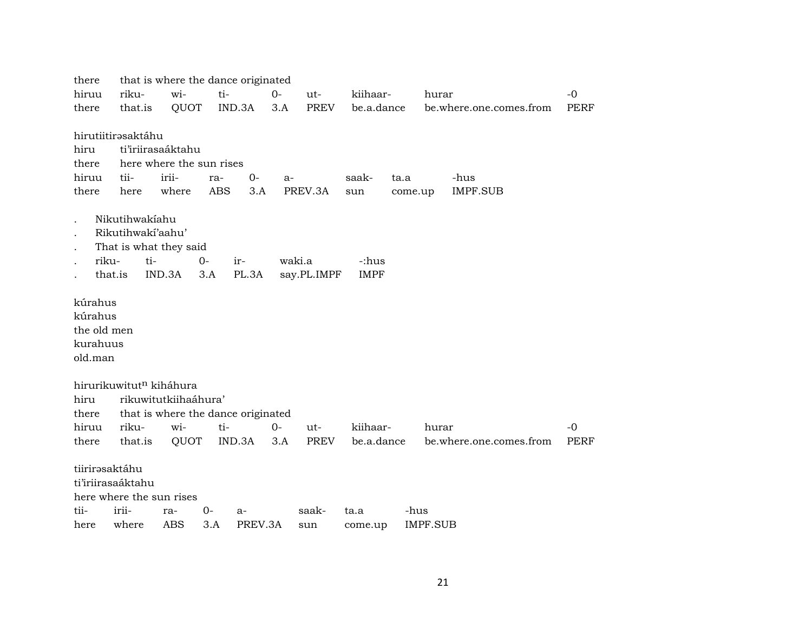| there          |                                     | that is where the dance originated |       |         |        |             |             |         |                         |             |
|----------------|-------------------------------------|------------------------------------|-------|---------|--------|-------------|-------------|---------|-------------------------|-------------|
| hiruu          | riku-                               | wi-                                | ti-   |         | $0-$   | ut-         | kiihaar-    |         | hurar                   | $-0$        |
| there          | that.is                             | QUOT                               |       | IND.3A  | 3.A    | PREV        | be.a.dance  |         | be.where.one.comes.from | PERF        |
|                |                                     |                                    |       |         |        |             |             |         |                         |             |
|                | hirutiitirəsaktáhu                  |                                    |       |         |        |             |             |         |                         |             |
| hiru           |                                     | ti'iriirasaáktahu                  |       |         |        |             |             |         |                         |             |
| there          |                                     | here where the sun rises           |       |         |        |             |             |         |                         |             |
| hiruu          | tii-                                | irii-                              | ra-   | $0-$    | a-     |             | saak-       | ta.a    | -hus                    |             |
| there          | here                                | where                              | ABS   | 3.A     |        | PREV.3A     | sun         | come.up | <b>IMPF.SUB</b>         |             |
|                |                                     |                                    |       |         |        |             |             |         |                         |             |
|                | Nikutihwakiahu<br>Rikutihwakí'aahu' |                                    |       |         |        |             |             |         |                         |             |
|                |                                     |                                    |       |         |        |             |             |         |                         |             |
| riku-          | That is what they said<br>ti-       |                                    | $O -$ | ir-     | waki.a |             | -:hus       |         |                         |             |
|                | that.is                             | IND.3A                             | 3.A   | PL.3A   |        | say.PL.IMPF | <b>IMPF</b> |         |                         |             |
|                |                                     |                                    |       |         |        |             |             |         |                         |             |
| kúrahus        |                                     |                                    |       |         |        |             |             |         |                         |             |
| kúrahus        |                                     |                                    |       |         |        |             |             |         |                         |             |
| the old men    |                                     |                                    |       |         |        |             |             |         |                         |             |
| kurahuus       |                                     |                                    |       |         |        |             |             |         |                         |             |
| old.man        |                                     |                                    |       |         |        |             |             |         |                         |             |
|                |                                     |                                    |       |         |        |             |             |         |                         |             |
|                | hirurikuwitut <sup>n</sup> kiháhura |                                    |       |         |        |             |             |         |                         |             |
| hiru           |                                     | rikuwitutkiihaáhura'               |       |         |        |             |             |         |                         |             |
| there          |                                     | that is where the dance originated |       |         |        |             |             |         |                         |             |
| hiruu          | riku-                               | wi-                                | ti-   |         | $0-$   | $ut-$       | kiihaar-    |         | hurar                   | $-0$        |
| there          | that.is                             | QUOT                               |       | IND.3A  | 3.A    | PREV        | be.a.dance  |         | be.where.one.comes.from | <b>PERF</b> |
|                |                                     |                                    |       |         |        |             |             |         |                         |             |
| tiirirəsaktáhu |                                     |                                    |       |         |        |             |             |         |                         |             |
|                | ti'iriirasaáktahu                   |                                    |       |         |        |             |             |         |                         |             |
|                | here where the sun rises            |                                    |       |         |        |             |             |         |                         |             |
| tii-           | irii-                               | ra-                                | $0-$  | $a-$    |        | saak-       | ta.a        | -hus    |                         |             |
| here           | where                               | <b>ABS</b>                         | 3.A   | PREV.3A |        | sun         | come.up     |         | <b>IMPF.SUB</b>         |             |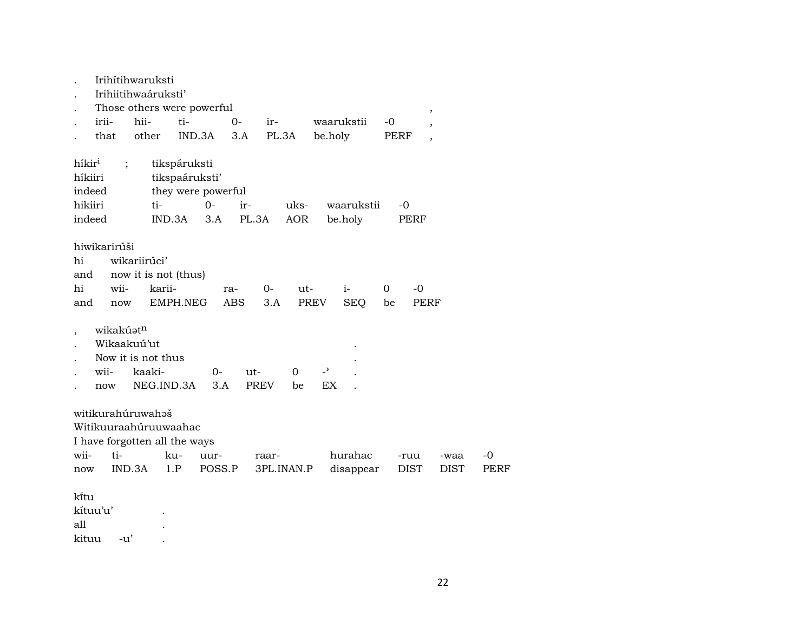|                                         | Irihítihwaruksti                                                                             |                                                |                                |                    |                   |             |                   |                                |                      |         |              |                          |                     |              |
|-----------------------------------------|----------------------------------------------------------------------------------------------|------------------------------------------------|--------------------------------|--------------------|-------------------|-------------|-------------------|--------------------------------|----------------------|---------|--------------|--------------------------|---------------------|--------------|
|                                         | Irihiitihwaáruksti'                                                                          |                                                |                                |                    |                   |             |                   |                                |                      |         |              |                          |                     |              |
|                                         | Those others were powerful                                                                   |                                                |                                |                    |                   |             |                   |                                |                      |         |              | $\,$                     |                     |              |
|                                         | irii-                                                                                        | hii-                                           | ti-                            |                    | $0 -$             | ir-         |                   |                                | waarukstii           | -0      |              | $\overline{\phantom{a}}$ |                     |              |
|                                         | that                                                                                         | other                                          |                                | IND.3A             | 3.A               |             | PL.3A             | be.holy                        |                      |         | PERF         | $\overline{ }$           |                     |              |
| híkir <sup>i</sup><br>híkiiri<br>indeed | $\vdots$                                                                                     |                                                | tikspáruksti<br>tikspaáruksti' | they were powerful |                   |             |                   |                                |                      |         |              |                          |                     |              |
| hikiiri                                 |                                                                                              | ti-                                            |                                | $0 -$              | ir-               |             | uks-              |                                | waarukstii           |         | $-0$         |                          |                     |              |
| indeed                                  |                                                                                              |                                                | IND.3A                         | 3.A                | PL.3A             |             | <b>AOR</b>        |                                | be.holy              |         | PERF         |                          |                     |              |
| hi<br>and<br>hi<br>and                  | hiwikarirúši<br>wii-<br>now                                                                  | wikariirúci'<br>now it is not (thus)<br>karii- | EMPH.NEG                       |                    | ra-<br><b>ABS</b> | $0-$<br>3.A | $ut-$             | PREV                           | $i-$<br><b>SEQ</b>   | 0<br>be |              | -0<br>PERF               |                     |              |
|                                         | wikakúat <sup>n</sup><br>Wikaakuú'ut<br>Now it is not thus<br>wii-<br>now                    | kaaki-<br>NEG.IND.3A                           |                                | 0-<br>3.A          | ut-               | <b>PREV</b> | $\mathbf 0$<br>be | $\overline{\phantom{0}}$<br>EX |                      |         |              |                          |                     |              |
| wii-<br>now                             | witikurahúruwahaš<br>Witikuuraahúruuwaahac<br>I have forgotten all the ways<br>ti-<br>IND.3A |                                                | ku-<br>1.P                     | uur-<br>POSS.P     |                   | raar-       | 3PL.INAN.P        |                                | hurahac<br>disappear |         | -ruu<br>DIST |                          | -waa<br><b>DIST</b> | $-0$<br>PERF |
| ki̇̃tu<br>kítuu'u'<br>all<br>kituu      | $-u'$                                                                                        |                                                |                                |                    |                   |             |                   |                                |                      |         |              |                          |                     |              |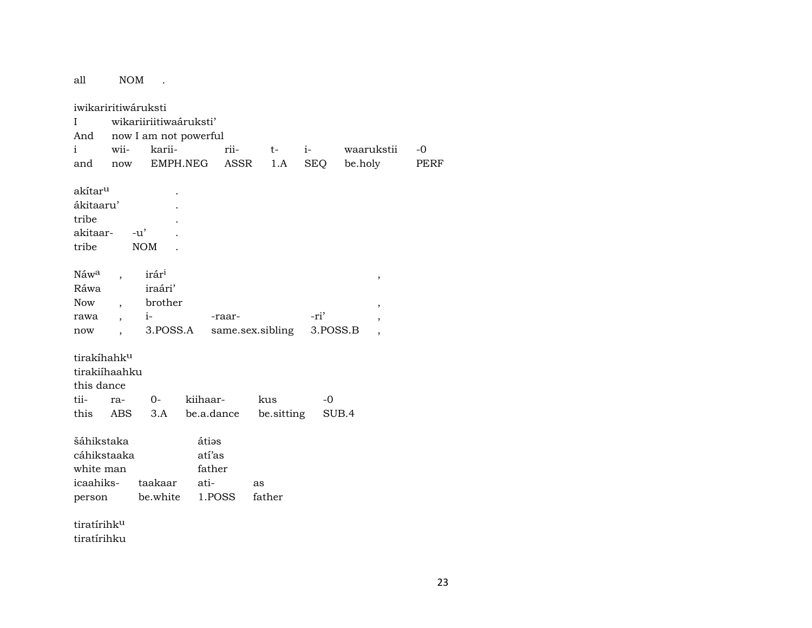NOM. all

iwikariritiwáruksti wikariiriitiwaáruksti'  $\mathbf{I}$ And now I am not powerful  $\mathbf{i}$ wiirii $i$ karii $t$ waarukstii EMPH.NEG ASSR  $1.A$ **SEQ** be.holy and now akítar<sup>u</sup>  $\ddot{\phantom{a}}$ ákitaaru'  $\overline{a}$ tribe  $\overline{a}$  $-u'$ akitaar- $\overline{a}$ tribe  $\rm{NOM}$  $\overline{a}$ Náw<sup>a</sup>  $\mathrm{ir\acute{a}r^{i}}$  $\overline{a}$  $\, ,$ Ráwa iraári' brother Now  $\overline{ }$ ,  $\cdot$  $i-$ -ri' -raarrawa  $\overline{\phantom{a}}$ 3.POSS.A same.sex.sibling 3.POSS.B  $\operatorname{now}$  $\overline{ }$ ,  $\cdot$ tirakíhahk<sup>u</sup> tirakiíhaahku this dance tii- $O$ kiihaarrakus  $-0$ be.a.dance be.sitting this SUB.4 **ABS**  $3.A$ šáhikstaka átiəs cáhikstaaka atí'as white man father icaahikstaakaar atias person be.white father 1.POSS tiratírihk<sup>u</sup>

tiratírihku

 $-0$ 

**PERF**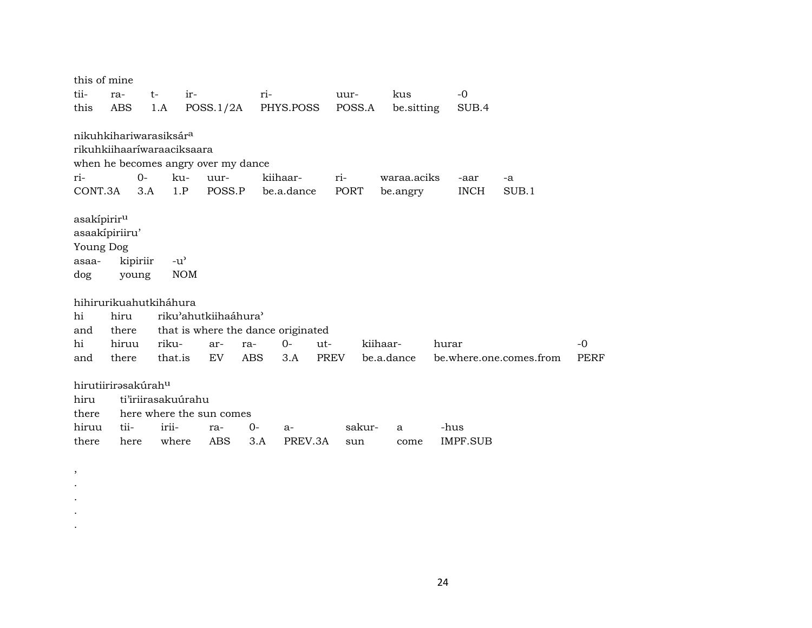| this of mine                       |       |          |                            |                                     |     |            |      |        |             |            |             |                         |             |
|------------------------------------|-------|----------|----------------------------|-------------------------------------|-----|------------|------|--------|-------------|------------|-------------|-------------------------|-------------|
| tii-                               | ra-   | t-       | ir-                        |                                     | ri- |            |      | uur-   | kus         |            | $-0$        |                         |             |
| this                               | ABS   | 1.A      |                            | POSS.1/2A                           |     | PHYS.POSS  |      | POSS.A |             | be.sitting | SUB.4       |                         |             |
|                                    |       |          |                            |                                     |     |            |      |        |             |            |             |                         |             |
| nikuhkihariwarasiksár <sup>a</sup> |       |          |                            |                                     |     |            |      |        |             |            |             |                         |             |
|                                    |       |          | rikuhkiihaaríwaraaciksaara |                                     |     |            |      |        |             |            |             |                         |             |
|                                    |       |          |                            | when he becomes angry over my dance |     |            |      |        |             |            |             |                         |             |
| ri-                                |       | $0 -$    | ku-                        | uur-                                |     | kiihaar-   | ri-  |        | waraa.aciks |            | -aar        | -a                      |             |
| CONT.3A                            |       | 3.A      | 1.P                        | POSS.P                              |     | be.a.dance |      | PORT   | be.angry    |            | <b>INCH</b> | SUB.1                   |             |
|                                    |       |          |                            |                                     |     |            |      |        |             |            |             |                         |             |
| asakípirir <sup>u</sup>            |       |          |                            |                                     |     |            |      |        |             |            |             |                         |             |
| asaakípiriiru'                     |       |          |                            |                                     |     |            |      |        |             |            |             |                         |             |
| Young Dog                          |       |          |                            |                                     |     |            |      |        |             |            |             |                         |             |
| asaa-                              |       | kipiriir | $-u^{\prime}$              |                                     |     |            |      |        |             |            |             |                         |             |
| dog                                | young |          | <b>NOM</b>                 |                                     |     |            |      |        |             |            |             |                         |             |
|                                    |       |          |                            |                                     |     |            |      |        |             |            |             |                         |             |
| hihirurikuahutkiháhura             |       |          |                            |                                     |     |            |      |        |             |            |             |                         |             |
| hi                                 | hiru  |          |                            | riku'ahutkiihaáhura'                |     |            |      |        |             |            |             |                         |             |
| and                                | there |          |                            | that is where the dance originated  |     |            |      |        |             |            |             |                         |             |
| hi                                 | hiruu |          | riku-                      | ar-<br>ra-                          |     | $O -$      | ut-  |        | kiihaar-    | hurar      |             |                         | $-0$        |
| and                                | there |          | that.is                    | <b>ABS</b><br>EV.                   |     | 3.A        | PREV |        | be.a.dance  |            |             | be.where.one.comes.from | <b>PERF</b> |
|                                    |       |          |                            |                                     |     |            |      |        |             |            |             |                         |             |
| hirutiirirəsakúrah <sup>u</sup>    |       |          |                            |                                     |     |            |      |        |             |            |             |                         |             |
| hiru                               |       |          | ti'iriirasakuúrahu         |                                     |     |            |      |        |             |            |             |                         |             |
| there                              |       |          |                            | here where the sun comes            |     |            |      |        |             |            |             |                         |             |
| hiruu                              | tii-  |          | irii-                      | $0-$<br>ra-                         |     | a-         |      | sakur- | a           |            | -hus        |                         |             |
| there                              | here  |          | where                      | <b>ABS</b>                          | 3.A | PREV.3A    |      | sun    | come        |            | IMPF.SUB    |                         |             |

, . . . .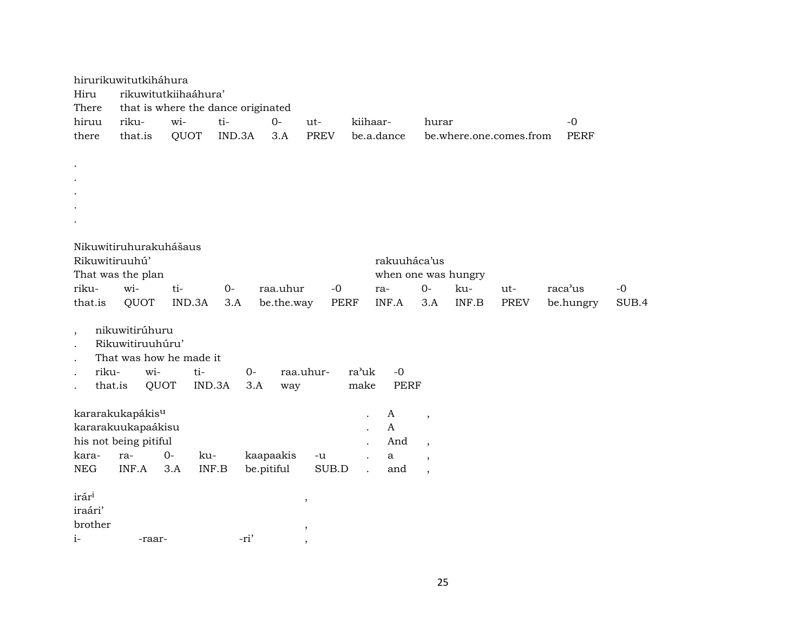|            | hirurikuwitutkiháhura        |                      |                                    |            |             |                           |                          |                         |      |             |       |
|------------|------------------------------|----------------------|------------------------------------|------------|-------------|---------------------------|--------------------------|-------------------------|------|-------------|-------|
| Hiru       |                              | rikuwitutkiihaáhura' |                                    |            |             |                           |                          |                         |      |             |       |
| There      |                              |                      | that is where the dance originated |            |             |                           |                          |                         |      |             |       |
| hiruu      | riku-                        | wi-                  | ti-                                | $O -$      | ut-         | kiihaar-                  | hurar                    |                         |      | $-0$        |       |
| there      | that.is                      | QUOT                 | IND.3A                             | 3.A        | <b>PREV</b> | be.a.dance                |                          | be.where.one.comes.from |      | <b>PERF</b> |       |
|            |                              |                      |                                    |            |             |                           |                          |                         |      |             |       |
|            |                              |                      |                                    |            |             |                           |                          |                         |      |             |       |
|            |                              |                      |                                    |            |             |                           |                          |                         |      |             |       |
|            |                              |                      |                                    |            |             |                           |                          |                         |      |             |       |
|            |                              |                      |                                    |            |             |                           |                          |                         |      |             |       |
|            |                              |                      |                                    |            |             |                           |                          |                         |      |             |       |
|            | Nikuwitiruhurakuhášaus       |                      |                                    |            |             |                           |                          |                         |      |             |       |
|            | Rikuwitiruuhú'               |                      |                                    |            |             | rakuuháca'us              |                          |                         |      |             |       |
|            | That was the plan            |                      |                                    |            |             | when one was hungry       |                          |                         |      |             |       |
| riku-      | wi-                          | ti-                  | $0-$                               | raa.uhur   | $-0$        | ra-                       | $0-$                     | ku-                     | ut-  | raca'us     | $-0$  |
| that.is    | <b>QUOT</b>                  | IND.3A               | 3.A                                | be.the.way | <b>PERF</b> | INF.A                     | 3.A                      | INF.B                   | PREV | be.hungry   | SUB.4 |
|            | nikuwitirúhuru               |                      |                                    |            |             |                           |                          |                         |      |             |       |
| $\cdot$    | Rikuwitiruuhúru'             |                      |                                    |            |             |                           |                          |                         |      |             |       |
|            | That was how he made it      |                      |                                    |            |             |                           |                          |                         |      |             |       |
| riku-      | wi-                          | ti-                  | $0 -$                              |            | raa.uhur-   | ra'uk<br>$-0$             |                          |                         |      |             |       |
| that.is    | QUOT                         |                      | IND.3A<br>3.A                      | way        |             | make<br><b>PERF</b>       |                          |                         |      |             |       |
|            |                              |                      |                                    |            |             |                           |                          |                         |      |             |       |
|            | kararakukapákis <sup>u</sup> |                      |                                    |            |             | A<br>$\ddot{\phantom{0}}$ | $\overline{ }$           |                         |      |             |       |
|            | kararakuukapaákisu           |                      |                                    |            |             | $\mathbf{A}$              |                          |                         |      |             |       |
|            | his not being pitiful        |                      |                                    |            |             | And                       | $\overline{\phantom{a}}$ |                         |      |             |       |
| kara-      | ra-                          | $0-$<br>ku-          |                                    | kaapaakis  | $-u$        | $\mathbf{a}$              | $\overline{\phantom{a}}$ |                         |      |             |       |
| <b>NEG</b> | INF.A                        | 3.A                  | INF.B                              | be.pitiful | SUB.D       | and                       | $\overline{\phantom{a}}$ |                         |      |             |       |
| irári      |                              |                      |                                    |            |             |                           |                          |                         |      |             |       |
| iraári'    |                              |                      |                                    |            | $\,$        |                           |                          |                         |      |             |       |
| brother    |                              |                      |                                    |            | $\, ,$      |                           |                          |                         |      |             |       |
| $i-$       | -raar-                       |                      | -ri'                               |            |             |                           |                          |                         |      |             |       |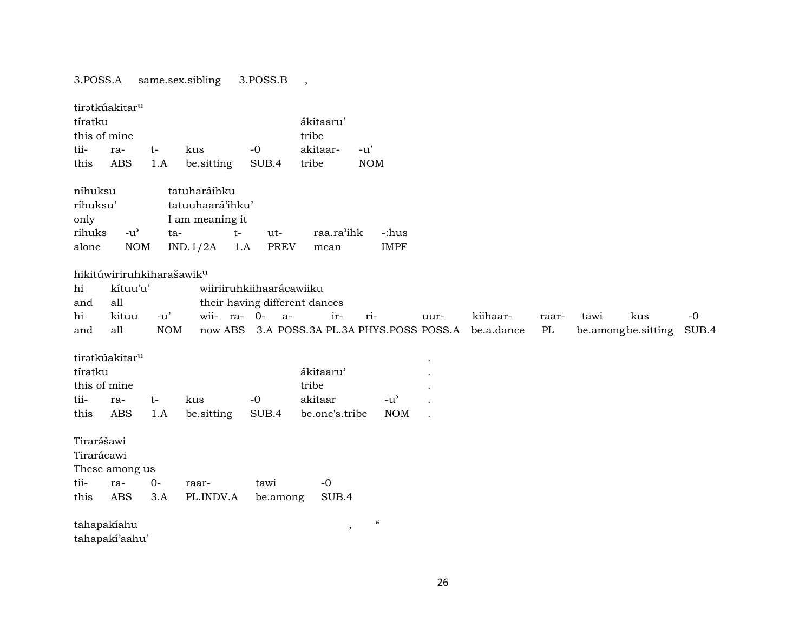## 3.POSS.A same.sex.sibling 3.POSS.B ,

| tíratku<br>this of mine<br>tii-<br>this        | tiratkúakitar <sup>u</sup><br>ra-<br><b>ABS</b>                          | $t-$<br>1.A         | kus<br>be.sitting                                                              | $-0$<br>SUB.4                                                     | ákitaaru'<br>tribe<br>akitaar-<br>tribe           | $-u'$<br>$\rm{NOM}$                    |                                                   |      |                        |             |                            |     |               |
|------------------------------------------------|--------------------------------------------------------------------------|---------------------|--------------------------------------------------------------------------------|-------------------------------------------------------------------|---------------------------------------------------|----------------------------------------|---------------------------------------------------|------|------------------------|-------------|----------------------------|-----|---------------|
| níhuksu<br>ríhuksu'<br>only<br>rihuks<br>alone | $-u^{\prime}$<br>$\rm{NOM}$                                              | ta-                 | tatuharáihku<br>tatuuhaará'ihku'<br>I am meaning it<br>$t-$<br>IND.1/2A<br>1.A | ut-<br><b>PREV</b>                                                | raa.ra'ihk<br>mean                                |                                        | -:hus<br><b>IMPF</b>                              |      |                        |             |                            |     |               |
| hi<br>and<br>hi<br>and                         | hikitúwiriruhkiharašawik <sup>u</sup><br>kítuu'u'<br>all<br>kituu<br>all | $-u'$<br><b>NOM</b> | wii- ra- 0-                                                                    | wiiriiruhkiihaarácawiiku<br>their having different dances<br>$a-$ | ir-<br>now ABS 3.A POSS.3A PL.3A PHYS.POSS POSS.A | ri-                                    |                                                   | uur- | kiihaar-<br>be.a.dance | raar-<br>PL | tawi<br>be.amongbe.sitting | kus | $-0$<br>SUB.4 |
| tíratku<br>this of mine<br>tii-<br>this        | tirətkúakitar <sup>u</sup><br>ra-<br><b>ABS</b>                          | $t-$<br>1.A         | kus<br>be.sitting                                                              | $-0$<br>SUB.4                                                     | ákitaaru'<br>tribe<br>akitaar<br>be.one's.tribe   |                                        | $-u$ <sup><math>\prime</math></sup><br><b>NOM</b> |      |                        |             |                            |     |               |
| Tirarášawi<br>Tirarácawi<br>tii-<br>this       | These among us<br>ra-<br><b>ABS</b>                                      | $0-$<br>3.A         | raar-<br>PL.INDV.A                                                             | tawi<br>be.among                                                  | $-0$<br>SUB.4                                     |                                        |                                                   |      |                        |             |                            |     |               |
| tahapakiahu                                    | tahapakí'aahu'                                                           |                     |                                                                                |                                                                   | $\,$                                              | $\boldsymbol{\zeta}\boldsymbol{\zeta}$ |                                                   |      |                        |             |                            |     |               |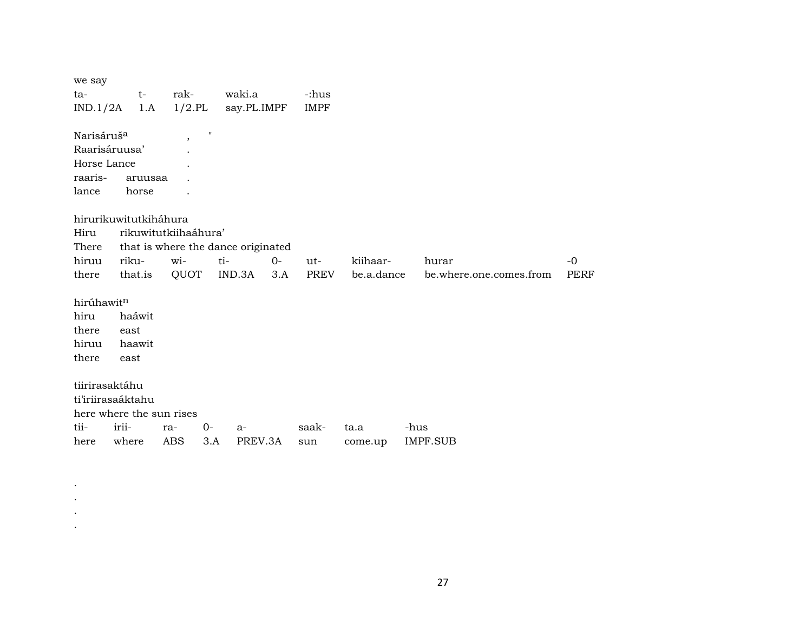| we say                 |                          |                      |                                    |         |             |            |                         |             |
|------------------------|--------------------------|----------------------|------------------------------------|---------|-------------|------------|-------------------------|-------------|
| ta-                    | $t-$                     | rak-                 | waki.a                             |         | -:hus       |            |                         |             |
| IND.1/2A               | 1.A                      | $1/2$ .PL            | say.PL.IMPF                        |         | <b>IMPF</b> |            |                         |             |
|                        |                          |                      |                                    |         |             |            |                         |             |
| Narisáruš <sup>a</sup> |                          | $\overline{ }$       | $^{\prime\prime}$                  |         |             |            |                         |             |
| Raarisáruusa'          |                          |                      |                                    |         |             |            |                         |             |
| Horse Lance            |                          |                      |                                    |         |             |            |                         |             |
| raaris-                | aruusaa                  |                      |                                    |         |             |            |                         |             |
| lance                  | horse                    |                      |                                    |         |             |            |                         |             |
|                        |                          |                      |                                    |         |             |            |                         |             |
|                        | hirurikuwitutkiháhura    |                      |                                    |         |             |            |                         |             |
| Hiru                   |                          | rikuwitutkiihaáhura' |                                    |         |             |            |                         |             |
| There                  |                          |                      | that is where the dance originated |         |             |            |                         |             |
| hiruu                  | riku-                    | wi-                  | ti-                                | $0-$    | ut-         | kiihaar-   | hurar                   | $-0$        |
| there                  | that.is                  | QUOT                 | IND.3A                             | 3.A     | PREV        | be.a.dance | be.where.one.comes.from | <b>PERF</b> |
|                        |                          |                      |                                    |         |             |            |                         |             |
| hirúhawitn             |                          |                      |                                    |         |             |            |                         |             |
| hiru                   | haáwit                   |                      |                                    |         |             |            |                         |             |
| there                  | east                     |                      |                                    |         |             |            |                         |             |
| hiruu                  | haawit                   |                      |                                    |         |             |            |                         |             |
| there                  | east                     |                      |                                    |         |             |            |                         |             |
|                        |                          |                      |                                    |         |             |            |                         |             |
| tiirirasaktáhu         |                          |                      |                                    |         |             |            |                         |             |
| ti'iriirasaáktahu      |                          |                      |                                    |         |             |            |                         |             |
|                        | here where the sun rises |                      |                                    |         |             |            |                         |             |
| tii-                   | irii-                    | ra-                  | $0-$<br>$a-$                       |         | saak-       | ta.a       | -hus                    |             |
| here                   | where                    | <b>ABS</b>           | 3.A                                | PREV.3A | sun         | come.up    | <b>IMPF.SUB</b>         |             |

. . . .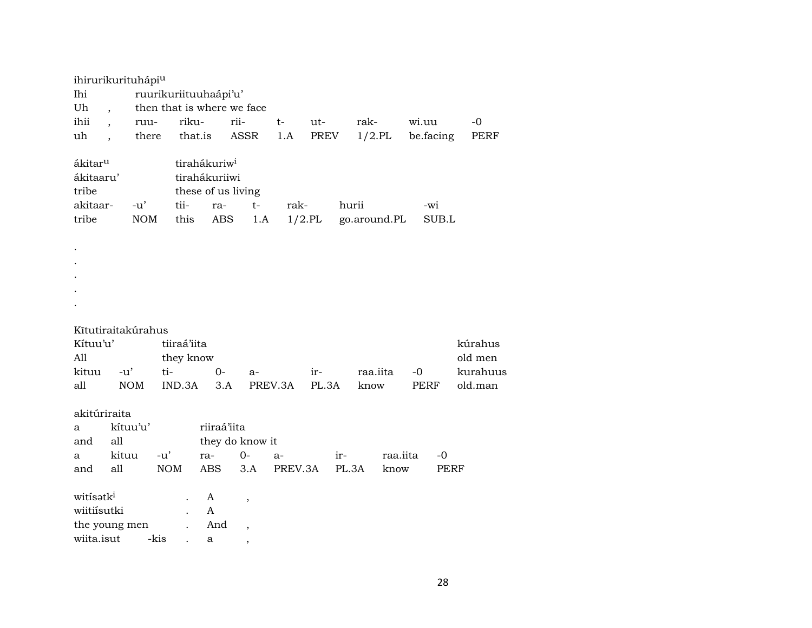|                       | ihirurikurituhápiu       |                       |             |                          |                            |           |       |               |                  |          |
|-----------------------|--------------------------|-----------------------|-------------|--------------------------|----------------------------|-----------|-------|---------------|------------------|----------|
| Ihi                   |                          | ruurikuriituuhaápi'u' |             |                          |                            |           |       |               |                  |          |
| Uh                    | $\overline{\phantom{a}}$ |                       |             |                          | then that is where we face |           |       |               |                  |          |
| ihii                  | $\ddot{\phantom{0}}$     | ruu-                  | riku-       |                          | rii-                       | $t-$      | ut-   | rak-          | wi.uu            | $-0$     |
| uh                    | $\ddot{\phantom{0}}$     | there                 | that.is     |                          | ASSR                       | 1.A       | PREV  | $1/2$ .PL     | be.facing        | PERF     |
|                       |                          |                       |             |                          |                            |           |       |               |                  |          |
| ákitar <sup>u</sup>   |                          |                       |             | tirahákuriw <sup>i</sup> |                            |           |       |               |                  |          |
| ákitaaru'             |                          |                       |             | tirahákuriiwi            |                            |           |       |               |                  |          |
| tribe                 |                          |                       |             |                          | these of us living         |           |       |               |                  |          |
| akitaar-              | $-u'$                    |                       | tii-        | ra-                      | $t-$                       | rak-      |       | hurii         | -wi              |          |
| tribe                 |                          | <b>NOM</b>            | this        | $\mathbf{ABS}$           | 1.A                        | $1/2$ .PL |       | go.around.PL  | SUB.L            |          |
|                       |                          |                       |             |                          |                            |           |       |               |                  |          |
| $\bullet$             |                          |                       |             |                          |                            |           |       |               |                  |          |
|                       |                          |                       |             |                          |                            |           |       |               |                  |          |
|                       |                          |                       |             |                          |                            |           |       |               |                  |          |
|                       |                          |                       |             |                          |                            |           |       |               |                  |          |
|                       |                          |                       |             |                          |                            |           |       |               |                  |          |
|                       |                          |                       |             |                          |                            |           |       |               |                  |          |
|                       | Kītutiraitakúrahus       |                       |             |                          |                            |           |       |               |                  |          |
| Kítuu'u'              |                          |                       | tiiraá'iita |                          |                            |           |       |               |                  | kúrahus  |
| All                   |                          |                       | they know   |                          |                            |           |       |               |                  | old men  |
| kituu                 | $-u'$                    | ti-                   |             | $0-$                     | a-                         |           | ir-   | raa.iita      | $-0$             | kurahuus |
| all                   | <b>NOM</b>               |                       | IND.3A      | 3.A                      |                            | PREV.3A   | PL.3A | know          | PERF             | old.man  |
|                       |                          |                       |             |                          |                            |           |       |               |                  |          |
| akitúriraita          |                          |                       |             |                          |                            |           |       |               |                  |          |
| a                     | kítuu'u'                 |                       |             | riiraá'iita              |                            |           |       |               |                  |          |
| and                   | all                      |                       |             |                          | they do know it            |           |       |               |                  |          |
| а                     | kituu                    | $-u'$                 |             | ra-                      | $O -$                      | a-        | ir-   |               | raa.iita<br>$-0$ |          |
| and                   | all                      | <b>NOM</b>            |             | <b>ABS</b>               | 3.A                        | PREV.3A   |       | PL.3A<br>know | PERF             |          |
|                       |                          |                       |             |                          |                            |           |       |               |                  |          |
| witisatk <sup>i</sup> |                          |                       |             | A                        |                            |           |       |               |                  |          |
| wiitiísutki           |                          |                       |             | A                        | $\,$                       |           |       |               |                  |          |
|                       | the young men            |                       |             | And                      |                            |           |       |               |                  |          |
| wiita.isut            |                          | -kis                  |             | a                        | $\,$                       |           |       |               |                  |          |
|                       |                          |                       |             |                          | $\,$                       |           |       |               |                  |          |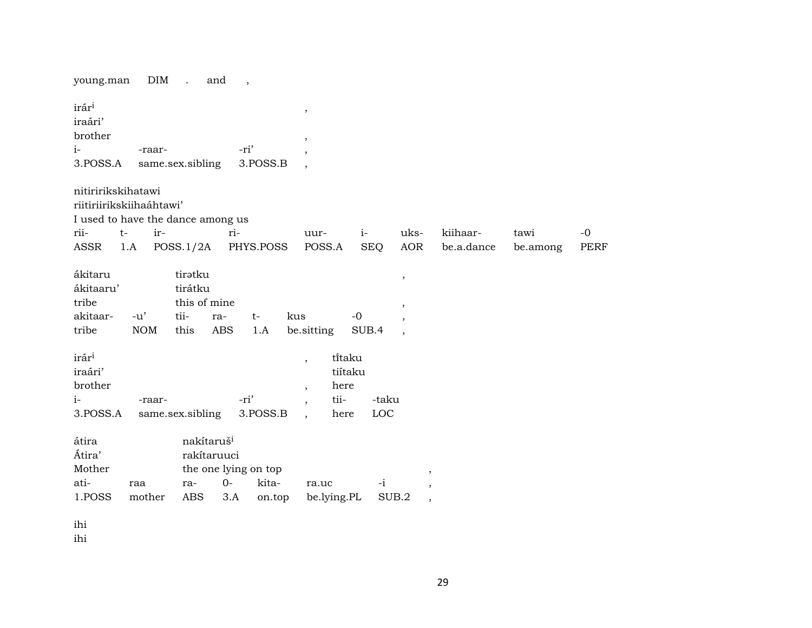| DIM<br>young.man                                                                                                          | $\sim 100$ km s $^{-1}$<br>and<br>$\overline{\phantom{a}}$                                                    |                                                                                                  |                                      |                        |                  |              |
|---------------------------------------------------------------------------------------------------------------------------|---------------------------------------------------------------------------------------------------------------|--------------------------------------------------------------------------------------------------|--------------------------------------|------------------------|------------------|--------------|
| irár <sup>i</sup><br>iraári'<br>brother                                                                                   |                                                                                                               | $^\mathrm{^{^\circ}}$<br>$^\mathrm{^\mathrm{o}}$                                                 |                                      |                        |                  |              |
| $i-$<br>-raar-                                                                                                            | -ri'                                                                                                          | $\overline{\phantom{a}}$                                                                         |                                      |                        |                  |              |
| 3.POSS.A                                                                                                                  | same.sex.sibling<br>3.POSS.B                                                                                  | $\overline{\phantom{a}}$                                                                         |                                      |                        |                  |              |
| nitiririkskihatawi<br>riitiriirikskiihaáhtawi'<br>I used to have the dance among us<br>ir-<br>rii-<br>$t-$<br>1.A<br>ASSR | ri-<br>POSS.1/2A<br>PHYS.POSS                                                                                 | uur-<br>$i-$<br>POSS.A<br><b>SEQ</b>                                                             | uks-<br>AOR                          | kiihaar-<br>be.a.dance | tawi<br>be.among | $-0$<br>PERF |
| ákitaru<br>ákitaaru'<br>tribe                                                                                             | tirətku<br>tirátku<br>this of mine                                                                            |                                                                                                  | $\, \, ,$<br>$^\mathrm{^\mathrm{o}}$ |                        |                  |              |
| akitaar-<br>$-u'$                                                                                                         | tii-<br>kus<br>ra-<br>$t-$                                                                                    | $-0$                                                                                             | $\overline{\phantom{a}}$             |                        |                  |              |
| <b>NOM</b><br>tribe                                                                                                       | <b>ABS</b><br>this<br>1.A                                                                                     | be sitting<br>SUB.4                                                                              |                                      |                        |                  |              |
| irár <sup>i</sup><br>iraári'<br>brother<br>$i-$<br>-raar-<br>3.POSS.A                                                     | -ri'<br>3.POSS.B<br>same.sex.sibling                                                                          | titaku<br>$\overline{\phantom{a}}$<br>tiítaku<br>here<br>$\cdot$<br>tii-<br>-taku<br>LOC<br>here |                                      |                        |                  |              |
| átira<br>Átira'<br>Mother<br>ati-<br>raa<br>1.POSS<br>mother                                                              | nakítaruš <sup>i</sup><br>rakítaruuci<br>the one lying on top<br>$0-$<br>kita-<br>ra-<br>ABS<br>3.A<br>on.top | $-i$<br>ra.uc<br>be.lying.PL                                                                     | SUB.2<br>$\overline{\phantom{a}}$    |                        |                  |              |

ihi

ihi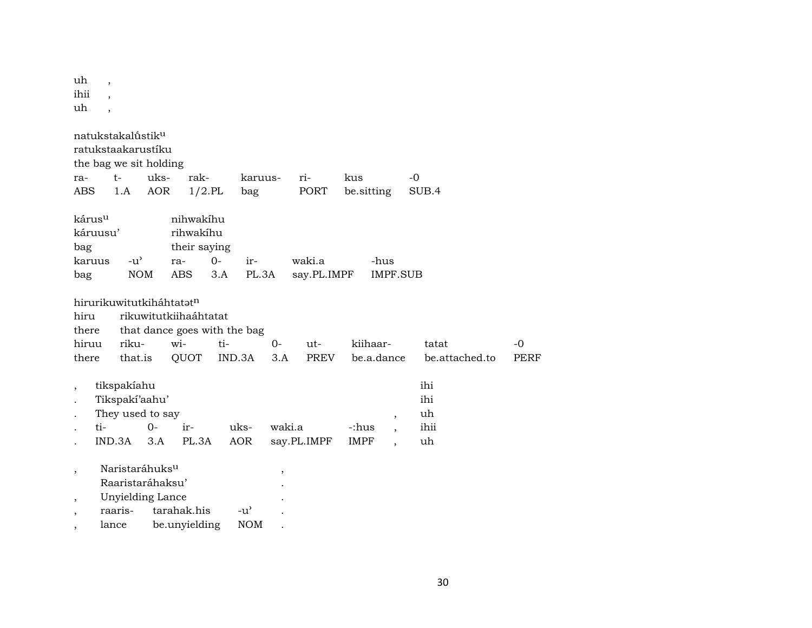| uh<br>ihii<br>uh                                     | $\overline{ }$                        |                             |                                                                    |                                                                                                  |              |                                     |                          |        |                    |               |                          |      |                                |                |                     |
|------------------------------------------------------|---------------------------------------|-----------------------------|--------------------------------------------------------------------|--------------------------------------------------------------------------------------------------|--------------|-------------------------------------|--------------------------|--------|--------------------|---------------|--------------------------|------|--------------------------------|----------------|---------------------|
| ra-<br><b>ABS</b>                                    | natukstakalústik <sup>u</sup><br>$t-$ | 1.A                         | ratukstaakarustíku<br>the bag we sit holding<br>uks-<br><b>AOR</b> | rak-<br>$1/2$ .PL                                                                                |              | karuus-<br>bag                      |                          | ri-    | PORT               | kus           | be.sitting               | $-0$ | SUB.4                          |                |                     |
| kárus <sup>u</sup><br>bag<br>bag                     | káruusu'<br>karuus                    | $-u^{\prime}$<br><b>NOM</b> |                                                                    | nihwakihu<br>rihwakíhu<br>their saying<br>ra-<br><b>ABS</b>                                      | $O -$<br>3.A | ir-<br>PL.3A                        |                          | waki.a | say.PL.IMPF        |               | -hus<br><b>IMPF.SUB</b>  |      |                                |                |                     |
| hiru<br>there<br>hiruu<br>there                      |                                       | riku-<br>that.is            |                                                                    | hirurikuwitutkiháhtatatn<br>rikuwitutkiihaáhtatat<br>that dance goes with the bag<br>wi-<br>QUOT | ti-          | IND.3A                              | $0-$<br>3.A              |        | ut-<br><b>PREV</b> |               | kiihaar-<br>be.a.dance   |      | tatat                          | be.attached.to | $-0$<br><b>PERF</b> |
|                                                      | ti-<br>IND.3A                         | tikspakíahu                 | Tikspakí'aahu'<br>They used to say<br>$O -$<br>3.A                 | ir-<br>PL.3A                                                                                     |              | uks-<br><b>AOR</b>                  | waki.a                   |        | say.PL.IMPF        | -:hus<br>IMPF | $\overline{\phantom{a}}$ |      | ihi<br>ihi<br>uh<br>ihii<br>uh |                |                     |
| $\overline{\phantom{a}}$<br>$\overline{\phantom{a}}$ | raaris-                               |                             | Naristaráhuks <sup>u</sup><br>Raaristaráhaksu'<br>Unyielding Lance | tarahak.his                                                                                      |              | $-u$ <sup><math>\prime</math></sup> | $\overline{\phantom{a}}$ |        |                    |               |                          |      |                                |                |                     |

, lance be.unyielding NOM .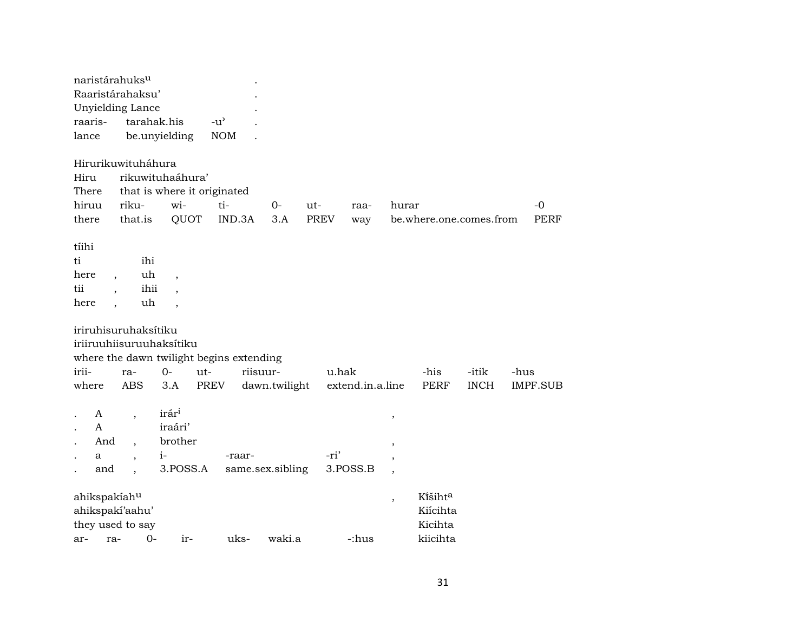| naristárahuks <sup>u</sup><br>Raaristárahaksu'<br>Unyielding Lance<br>raaris-<br>lance |                                                     | tarahak.his<br>be.unyielding                                   | $-u^{\prime}$<br><b>NOM</b>                          |                                   |                    |                              |                          |                                            |             |                     |
|----------------------------------------------------------------------------------------|-----------------------------------------------------|----------------------------------------------------------------|------------------------------------------------------|-----------------------------------|--------------------|------------------------------|--------------------------|--------------------------------------------|-------------|---------------------|
| Hirurikuwituháhura<br>Hiru<br>There<br>hiruu<br>there                                  | riku-<br>that.is                                    | rikuwituhaáhura'<br>that is where it originated<br>wi-<br>QUOT | ti-<br>IND.3A                                        | $0-$<br>3.A                       | ut-<br><b>PREV</b> | raa-<br>way                  | hurar                    | be.where.one.comes.from                    |             | $-0$<br><b>PERF</b> |
| tíihi<br>ti<br>here<br>tii<br>here                                                     | ihi<br>uh<br>ihii<br>uh<br>$\overline{\phantom{a}}$ | $\overline{\phantom{a}}$<br>$\overline{\phantom{a}}$           |                                                      |                                   |                    |                              |                          |                                            |             |                     |
| iriruhisuruhaksítiku<br>irii-                                                          | ra-                                                 | iriiruuhiisuruuhaksitiku<br>$0-$<br>ut-                        | where the dawn twilight begins extending<br>riisuur- |                                   | u.hak              |                              |                          | -his                                       | -itik       | -hus                |
| where<br>A<br>A<br>And<br>a<br>and                                                     | <b>ABS</b>                                          | 3.A<br>irári<br>iraári'<br>brother<br>$i-$<br>3.POSS.A         | PREV<br>-raar-                                       | dawn.twilight<br>same.sex.sibling | -ri'               | extend.in.a.line<br>3.POSS.B | $\,$<br>$\overline{ }$   | <b>PERF</b>                                | <b>INCH</b> | IMPF.SUB            |
| ahikspakíahu<br>ahikspakí'aahu'<br>they used to say<br>ra-<br>ar-                      | $O -$                                               | ir-                                                            | uks-                                                 | waki.a                            |                    | -:hus                        | $\overline{\phantom{a}}$ | Kišihta<br>Kiícihta<br>Kicihta<br>kiicihta |             |                     |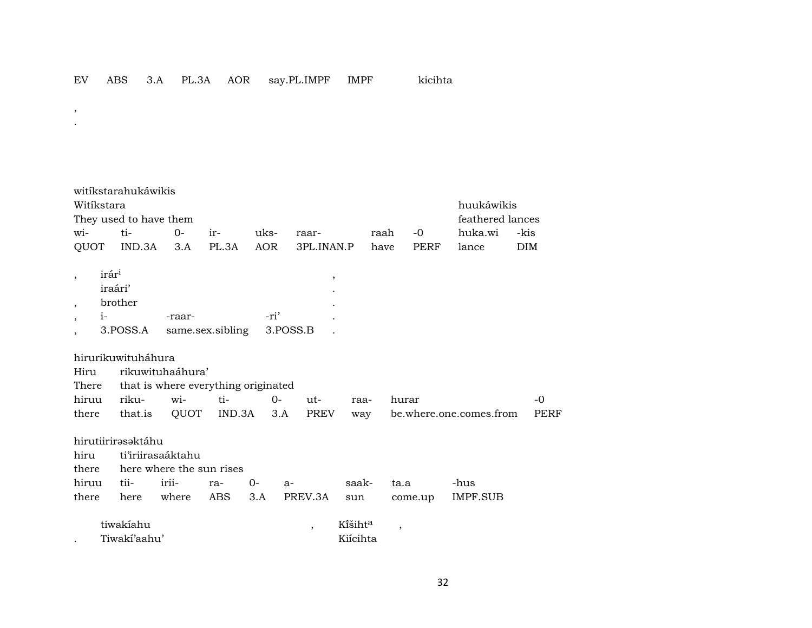- , .
- witíkstarahukáwikis Witíkstara huukáwikis They used to have them feathered lances wi- ti- 0- ir- uks- raar- raah -0 huka.wi -kis QUOT IND.3A 3.A PL.3A AOR 3PL.INAN.P have PERF lance DIM  $,\qquad$  irár $^{1}$ iraári' . , brother . , i- -raar- -ri' . , 3.POSS.A same.sex.sibling 3.POSS.B . hirurikuwituháhura Hiru rikuwituhaáhura' There that is where everything originated hiruu riku- wi- ti- 0- ut- raa- hurar -0
- there that.is QUOT IND.3A 3.A PREV way be.where.one.comes.from PERF hirutiirirəsəktáhu hiru ti'iriirasaáktahu there here where the sun rises hiruu tii- irii- ra- 0- a- saak- ta.a -hus there here where ABS 3.A PREV.3A sun come.up IMPF.SUB tiwakíahu , Kïšiht° ,
- . Tiwakí'aahu' Kiícihta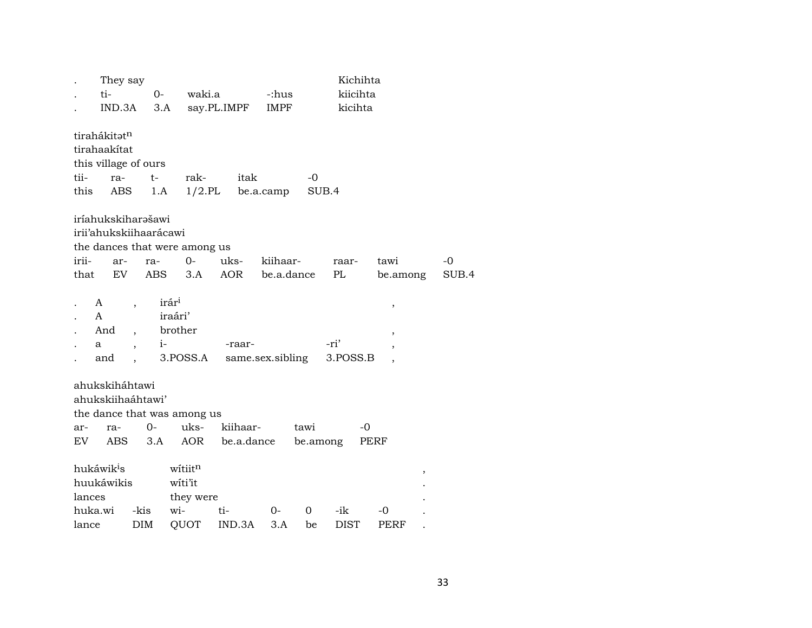|         | They say               |                          |       |                               |             |                  |             | Kichihta    |          |   |       |
|---------|------------------------|--------------------------|-------|-------------------------------|-------------|------------------|-------------|-------------|----------|---|-------|
|         | ti-                    |                          | $0-$  | waki.a                        |             | -:hus            |             | kiicihta    |          |   |       |
|         | IND.3A                 |                          | 3.A   |                               | say.PL.IMPF | IMPF             |             | kicihta     |          |   |       |
|         | tirahákitatn           |                          |       |                               |             |                  |             |             |          |   |       |
|         | tirahaakítat           |                          |       |                               |             |                  |             |             |          |   |       |
|         | this village of ours   |                          |       |                               |             |                  |             |             |          |   |       |
| tii-    | ra-                    |                          | $t-$  | rak-                          | itak        |                  | $-0$        |             |          |   |       |
| this    | ABS                    |                          | 1.A   | $1/2$ .PL                     |             | be.a.camp        | SUB.4       |             |          |   |       |
|         | iríahukskiharašawi     |                          |       |                               |             |                  |             |             |          |   |       |
|         | irii'ahukskiihaarácawi |                          |       |                               |             |                  |             |             |          |   |       |
|         |                        |                          |       | the dances that were among us |             |                  |             |             |          |   |       |
| irii-   | ar-                    |                          | ra-   | $0-$                          | uks-        | kiihaar-         |             | raar-       | tawi     |   | -0    |
| that    | EV                     |                          |       | ABS 3.A                       | AOR         | be.a.dance       |             | PL          | be.among |   | SUB.4 |
|         |                        |                          |       |                               |             |                  |             |             |          |   |       |
|         | A                      | $\overline{\phantom{a}}$ |       | irár <sup>i</sup>             |             |                  |             |             | $\, ,$   |   |       |
|         | A                      |                          |       | iraári'                       |             |                  |             |             |          |   |       |
|         | And                    | $\overline{\phantom{a}}$ |       | brother                       |             |                  |             |             | $\, ,$   |   |       |
|         | а                      | $\overline{ }$           | $i-$  |                               | -raar-      |                  |             | -ri'        |          |   |       |
|         | and                    |                          |       | 3.POSS.A                      |             | same.sex.sibling |             | 3.POSS.B    |          |   |       |
|         | ahukskiháhtawi         |                          |       |                               |             |                  |             |             |          |   |       |
|         | ahukskiihaáhtawi'      |                          |       |                               |             |                  |             |             |          |   |       |
|         |                        |                          |       | the dance that was among us   |             |                  |             |             |          |   |       |
| ar-     | ra-                    |                          | $O -$ | uks-                          | kiihaar-    |                  | tawi        | -0          |          |   |       |
| EV.     | ABS.                   |                          | 3.A   | <b>AOR</b>                    | be.a.dance  |                  |             | be.among    | PERF     |   |       |
|         | hukáwik <sup>i</sup> s |                          |       | witiitn                       |             |                  |             |             |          | , |       |
|         | huukáwikis             |                          |       | witi'it                       |             |                  |             |             |          |   |       |
| lances  |                        |                          |       | they were                     |             |                  |             |             |          |   |       |
| huka.wi |                        | -kis                     |       | wi-                           | ti-         | $0-$             | $\mathbf 0$ | -ik         | -0       |   |       |
| lance   |                        | <b>DIM</b>               |       | QUOT                          | IND.3A      | 3.A              | be          | <b>DIST</b> | PERF     |   |       |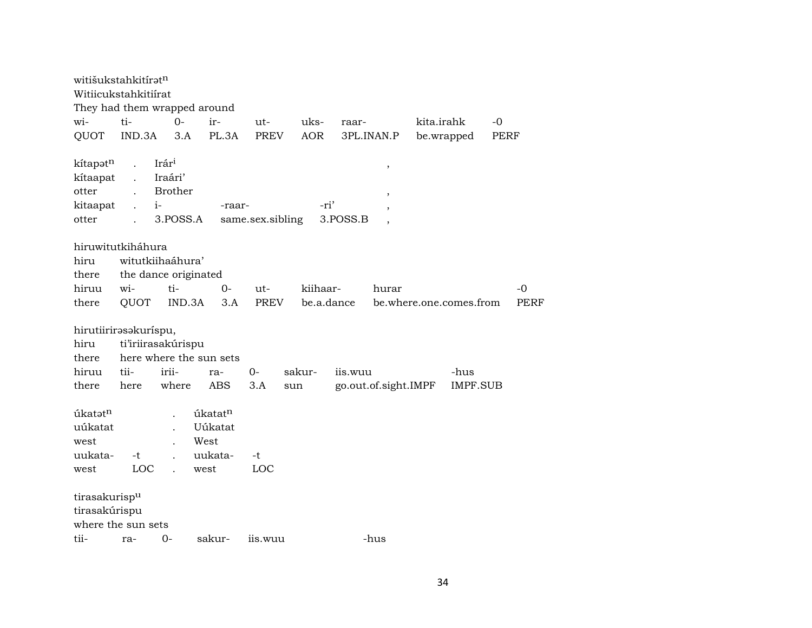| witišukstahkitírət <sup>n</sup><br>Witiicukstahkitiírat                         |                                              |                                                        |                                               |                  |            |          |                      |                         |                 |             |             |
|---------------------------------------------------------------------------------|----------------------------------------------|--------------------------------------------------------|-----------------------------------------------|------------------|------------|----------|----------------------|-------------------------|-----------------|-------------|-------------|
|                                                                                 |                                              | They had them wrapped around                           |                                               |                  |            |          |                      |                         |                 |             |             |
| wi-                                                                             | ti-                                          | $O -$                                                  | ir-                                           | ut-              | uks-       | raar-    |                      | kita.irahk              |                 | $-0$        |             |
| QUOT                                                                            | IND.3A                                       | 3.A                                                    | PL.3A                                         | PREV             | <b>AOR</b> |          | 3PL.INAN.P           | be.wrapped              |                 | <b>PERF</b> |             |
| kítapotn<br>kítaapat<br>otter<br>kitaapat<br>otter                              | $\ddot{\phantom{a}}$<br>$\ddot{\phantom{a}}$ | Irári<br>Iraári'<br><b>Brother</b><br>$i-$<br>3.POSS.A | -raar-                                        | same.sex.sibling | -ri'       | 3.POSS.B | $\, ,$<br>,<br>,     |                         |                 |             |             |
| hiruwitutkiháhura                                                               |                                              |                                                        |                                               |                  |            |          |                      |                         |                 |             |             |
| hiru                                                                            |                                              | witutkiihaáhura'                                       |                                               |                  |            |          |                      |                         |                 |             |             |
| there                                                                           |                                              | the dance originated                                   |                                               |                  |            |          |                      |                         |                 |             |             |
| hiruu                                                                           | wi-                                          | ti-                                                    | $0-$                                          | ut-              | kiihaar-   |          | hurar                |                         |                 |             | -0          |
| there                                                                           | QUOT                                         | IND.3A                                                 | 3.A                                           | PREV             | be.a.dance |          |                      | be.where.one.comes.from |                 |             | <b>PERF</b> |
| hirutiirirasakuríspu,<br>hiru<br>there<br>hiruu                                 | tii-                                         | ti'iriirasakúrispu<br>here where the sun sets<br>irii- | ra-                                           | $0 -$            | sakur-     | iis.wuu  |                      |                         | -hus            |             |             |
| there                                                                           | here                                         | where                                                  | <b>ABS</b>                                    | 3.A              | sun        |          | go.out.of.sight.IMPF |                         | <b>IMPF.SUB</b> |             |             |
| úkatatn<br>uúkatat<br>west<br>uukata-<br>west<br>tirasakurispu<br>tirasakúrispu | -t<br>LOC                                    |                                                        | úkatatn<br>Uúkatat<br>West<br>uukata-<br>west | -t<br>LOC        |            |          |                      |                         |                 |             |             |
| where the sun sets                                                              |                                              |                                                        |                                               |                  |            |          |                      |                         |                 |             |             |
| tii-                                                                            | ra-                                          | $O -$                                                  | sakur-                                        | iis.wuu          |            |          | -hus                 |                         |                 |             |             |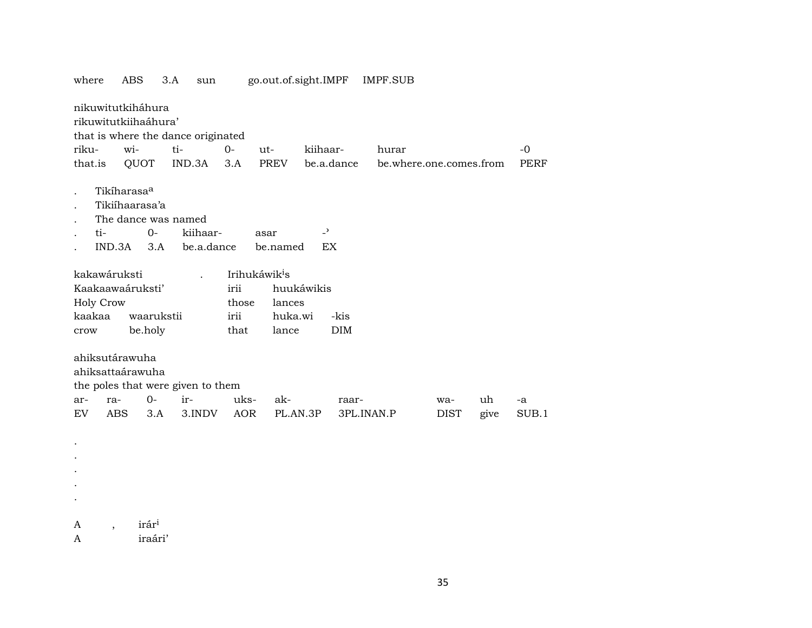|                               | nikuwitutkiháhura<br>rikuwitutkiihaáhura'                        |                                    |                           |            |                |            |                         |      |             |
|-------------------------------|------------------------------------------------------------------|------------------------------------|---------------------------|------------|----------------|------------|-------------------------|------|-------------|
|                               |                                                                  | that is where the dance originated |                           |            |                |            |                         |      |             |
| riku-                         | wi-                                                              | ti-                                | $0 -$                     | ut-        | kiihaar-       | hurar      |                         |      | $-0$        |
| that.is                       | QUOT                                                             | IND.3A                             | 3.A                       | PREV       | be.a.dance     |            | be.where.one.comes.from |      | <b>PERF</b> |
|                               | Tikíharasa <sup>a</sup><br>Tikiíhaarasa'a<br>The dance was named |                                    |                           |            | $\overline{z}$ |            |                         |      |             |
| ti-                           | $O -$                                                            | kiihaar-                           |                           | asar       |                |            |                         |      |             |
|                               | IND.3A<br>3.A                                                    | be.a.dance                         |                           | be.named   | EX             |            |                         |      |             |
| kakawáruksti                  |                                                                  |                                    | Irihukáwik <sup>i</sup> s |            |                |            |                         |      |             |
|                               | Kaakaawaáruksti'                                                 |                                    | irii                      | huukáwikis |                |            |                         |      |             |
| Holy Crow                     |                                                                  |                                    | those                     | lances     |                |            |                         |      |             |
| kaakaa                        | waarukstii                                                       |                                    | irii                      | huka.wi    | -kis           |            |                         |      |             |
| crow                          | be.holy                                                          |                                    | that                      | lance      | <b>DIM</b>     |            |                         |      |             |
|                               |                                                                  |                                    |                           |            |                |            |                         |      |             |
|                               | ahiksutárawuha<br>ahiksattaárawuha                               | the poles that were given to them  |                           |            |                |            |                         |      |             |
| ra-<br>ar-                    | $0-$                                                             | ir-                                | uks-                      | ak-        | raar-          |            | wa-                     | uh   | -a          |
| <b>EV</b>                     | <b>ABS</b><br>3.A                                                | 3.INDV                             | AOR                       | PL.AN.3P   |                | 3PL.INAN.P | <b>DIST</b>             | give | SUB.1       |
|                               |                                                                  |                                    |                           |            |                |            |                         |      |             |
|                               |                                                                  |                                    |                           |            |                |            |                         |      |             |
|                               |                                                                  |                                    |                           |            |                |            |                         |      |             |
|                               |                                                                  |                                    |                           |            |                |            |                         |      |             |
|                               |                                                                  |                                    |                           |            |                |            |                         |      |             |
|                               |                                                                  |                                    |                           |            |                |            |                         |      |             |
|                               |                                                                  |                                    |                           |            |                |            |                         |      |             |
| A<br>$\overline{\phantom{a}}$ | irár <sup>i</sup>                                                |                                    |                           |            |                |            |                         |      |             |
| A                             | iraári'                                                          |                                    |                           |            |                |            |                         |      |             |

go.out.of.sight.IMPF IMPF.SUB where ABS 3.A sun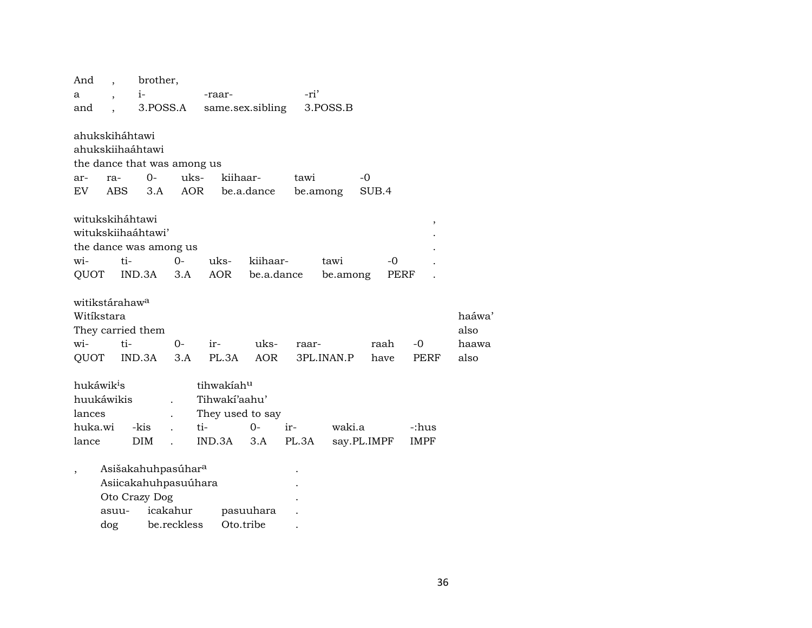| And                        |       | brother,                       |          |                  |            |       |            |             |             |       |
|----------------------------|-------|--------------------------------|----------|------------------|------------|-------|------------|-------------|-------------|-------|
| a                          |       | $i-$                           |          | -raar-           |            | -ri'  |            |             |             |       |
| and                        |       | 3.POSS.A                       |          | same.sex.sibling |            |       | 3.POSS.B   |             |             |       |
|                            |       |                                |          |                  |            |       |            |             |             |       |
| ahukskiháhtawi             |       |                                |          |                  |            |       |            |             |             |       |
|                            |       | ahukskiihaáhtawi               |          |                  |            |       |            |             |             |       |
|                            |       | the dance that was among us    |          |                  |            |       |            |             |             |       |
| ar-                        | ra-   | $0-$                           | uks-     | kiihaar-         |            | tawi  |            | -0          |             |       |
| EV.                        | ABS.  | 3.A                            | AOR      |                  | be.a.dance |       | be.among   | SUB.4       |             |       |
|                            |       |                                |          |                  |            |       |            |             |             |       |
| witukskiháhtawi            |       |                                |          |                  |            |       |            |             | $\,$        |       |
|                            |       | witukskiihaáhtawi'             |          |                  |            |       |            |             |             |       |
|                            |       | the dance was among us         |          |                  |            |       |            |             |             |       |
| wi-                        | ti-   |                                | $0 -$    | uks-             | kiihaar-   |       | tawi       | -0          |             |       |
| QUOT                       |       | IND.3A                         | 3.A      | AOR              | be.a.dance |       | be.among   | PERF        |             |       |
| witikstárahaw <sup>a</sup> |       |                                |          |                  |            |       |            |             |             |       |
| Witíkstara                 |       |                                |          |                  |            |       |            |             |             | haáwa |
|                            |       |                                |          |                  |            |       |            |             |             | also  |
|                            |       | They carried them              |          |                  |            |       |            |             |             |       |
| wi-                        | ti-   |                                | $O -$    | ir-              | uks-       | raar- |            | raah        | $-0$        | haawa |
| QUOT                       |       | IND.3A                         | 3.A      | PL.3A            | AOR        |       | 3PL.INAN.P | have        | PERF        | also  |
| hukáwik <sup>i</sup> s     |       |                                |          | tihwakiahu       |            |       |            |             |             |       |
| huukáwikis                 |       |                                |          | Tihwaki'aahu'    |            |       |            |             |             |       |
| lances                     |       |                                |          | They used to say |            |       |            |             |             |       |
| huka.wi                    |       | -kis                           |          | ti-              | $0-$       | ir-   | waki.a     |             | -:hus       |       |
| lance                      |       | <b>DIM</b>                     |          | IND.3A           | 3.A        | PL.3A |            | say.PL.IMPF | <b>IMPF</b> |       |
|                            |       |                                |          |                  |            |       |            |             |             |       |
| $\overline{\phantom{a}}$   |       | Asišakahuhpasúhar <sup>a</sup> |          |                  |            |       |            |             |             |       |
|                            |       | Asiicakahuhpasuúhara           |          |                  |            |       |            |             |             |       |
|                            |       | Oto Crazy Dog                  |          |                  |            |       |            |             |             |       |
|                            | asuu- |                                | icakahur |                  | pasuuhara  |       |            |             |             |       |
|                            |       |                                |          |                  |            |       |            |             |             |       |

| asuu- | icakahur    | pasuuhara |  |
|-------|-------------|-----------|--|
| dog   | be.reckless | Oto.tribe |  |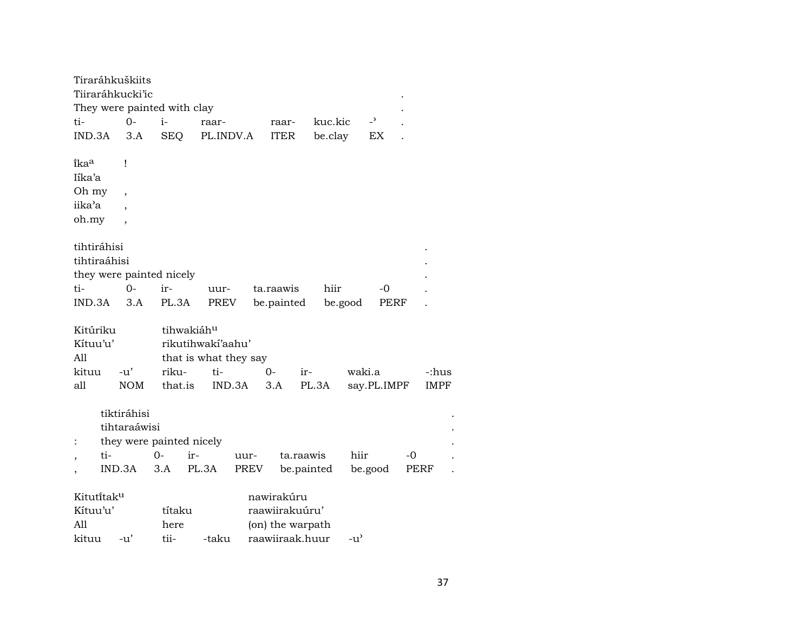|                      |     | Tiraráhkuškiits          |                             |            |                       |      |               |            |         |                |    |             |
|----------------------|-----|--------------------------|-----------------------------|------------|-----------------------|------|---------------|------------|---------|----------------|----|-------------|
| Tiiraráhkucki'ic     |     |                          |                             |            |                       |      |               |            |         |                |    |             |
|                      |     |                          | They were painted with clay |            |                       |      |               |            |         |                |    |             |
| ti-                  |     | $0 -$                    | $i-$                        |            | raar-                 |      | raar-         | kuc.kic    |         | $\overline{a}$ |    |             |
| IND.3A               |     | 3.A                      | SEQ                         |            | PL.INDV.A             |      | <b>ITER</b>   | be.clay    |         | EX             |    |             |
| ikaa                 |     | Ţ                        |                             |            |                       |      |               |            |         |                |    |             |
| Iíka'a               |     |                          |                             |            |                       |      |               |            |         |                |    |             |
| Oh my                |     | $\overline{\phantom{a}}$ |                             |            |                       |      |               |            |         |                |    |             |
| iika'a               |     |                          |                             |            |                       |      |               |            |         |                |    |             |
| oh.my                |     | $\cdot$                  |                             |            |                       |      |               |            |         |                |    |             |
| tihtiráhisi          |     |                          |                             |            |                       |      |               |            |         |                |    |             |
| tihtiraáhisi         |     |                          |                             |            |                       |      |               |            |         |                |    |             |
|                      |     |                          | they were painted nicely    |            |                       |      |               |            |         |                |    |             |
| ti-                  |     | $0-$                     | ir-                         |            | uur-                  |      | ta.raawis     | hiir       |         | -0             |    |             |
| IND.3A               |     | 3.A                      | PL.3A                       |            | PREV                  |      | be.painted    |            | be.good | PERF           |    |             |
|                      |     |                          |                             | tihwakiáhu |                       |      |               |            |         |                |    |             |
| Kitúriku<br>Kítuu'u' |     |                          |                             |            | rikutihwakí'aahu'     |      |               |            |         |                |    |             |
| A11                  |     |                          |                             |            | that is what they say |      |               |            |         |                |    |             |
| kituu                |     | $-u'$                    | riku-                       |            | ti-                   |      | $0-$          | ir-        | waki.a  |                |    | -:hus       |
| all                  |     | <b>NOM</b>               | that.is                     |            | IND.3A                |      | 3.A           | PL.3A      |         | say.PL.IMPF    |    | <b>IMPF</b> |
|                      |     |                          |                             |            |                       |      |               |            |         |                |    |             |
|                      |     | tiktiráhisi              |                             |            |                       |      |               |            |         |                |    |             |
|                      |     | tihtaraáwisi             |                             |            |                       |      |               |            |         |                |    |             |
| $\ddot{\cdot}$       |     |                          | they were painted nicely    |            |                       |      |               |            |         |                |    |             |
|                      | ti- |                          | $0-$                        | ir-        |                       | uur- |               | ta.raawis  | hiir    |                | -0 |             |
|                      |     | IND.3A                   | 3.A                         | PL.3A      |                       | PREV |               | be.painted |         | be.good        |    | PERF        |
| Kitutitaku           |     |                          |                             |            |                       |      | nawirakúru    |            |         |                |    |             |
| $K$ ituu'u'          |     |                          | títaku                      |            |                       |      | raawiirakuun' |            |         |                |    |             |

| Kítuu'u' |                    | títaku | raawiirakuuru'        |                    |
|----------|--------------------|--------|-----------------------|--------------------|
| - A11    |                    | here   | (on) the warpath      |                    |
| kituu    | $-11$ <sup>'</sup> | tii-   | -taku raawiiraak.huur | $-11$ <sup>2</sup> |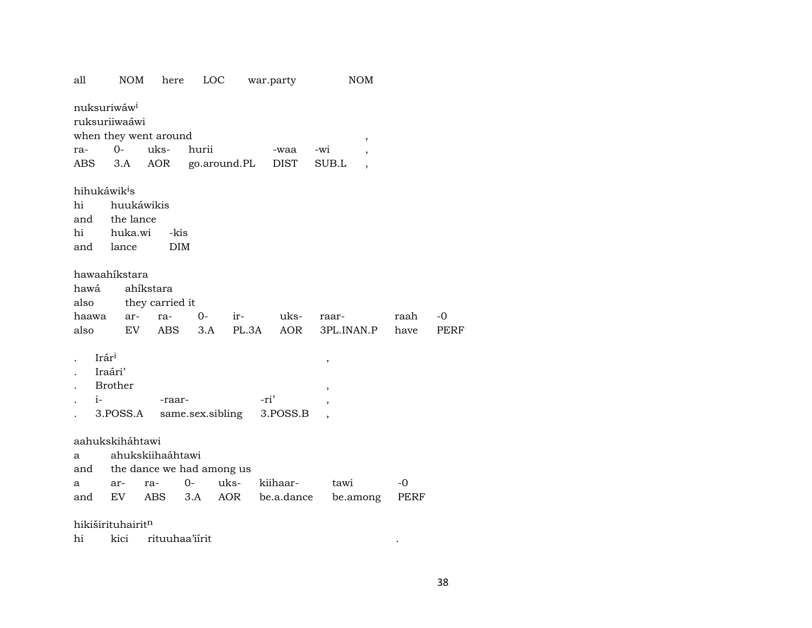| all                                                                                            | <b>NOM</b><br>here                                                      | LOC                        |              | war.party              | <b>NOM</b>          |   |              |              |
|------------------------------------------------------------------------------------------------|-------------------------------------------------------------------------|----------------------------|--------------|------------------------|---------------------|---|--------------|--------------|
| nuksuriwáw <sup>i</sup><br>ruksuriiwaáwi<br>when they went around<br>$0-$<br>ra-<br>3.A<br>ABS | uks-<br>AOR                                                             | hurii<br>go.around.PL      |              | -waa<br><b>DIST</b>    | -wi<br>SUB.L        | , |              |              |
| hihukáwik <sup>i</sup> s<br>hi<br>and<br>hi<br>and lance                                       | huukáwikis<br>the lance<br>huka.wi<br>-kis<br><b>DIM</b>                |                            |              |                        |                     |   |              |              |
| hawaahikstara<br>hawá<br>also<br>haawa<br>also                                                 | ahíkstara<br>they carried it<br>ar-<br>ra-<br>EV<br>ABS                 | $0-$<br>3.A                | ir-<br>PL.3A | uks-<br>AOR            | raar-<br>3PL.INAN.P |   | raah<br>have | $-0$<br>PERF |
| Irári<br>Iraári'<br><b>Brother</b><br>$i-$<br>3.POSS.A                                         | -raar-                                                                  | same.sex.sibling           | -ri'         | 3.POSS.B               | ,<br>,              |   |              |              |
| aahukskiháhtawi<br>a<br>and<br>ar-<br>a<br>EV<br>and<br>.                                      | ahukskiihaáhtawi<br>the dance we had among us<br>ra-<br>ABS<br>$\cdots$ | uks-<br>$0-$<br>AOR<br>3.A |              | kiihaar-<br>be.a.dance | tawi<br>be.among    |   | -0<br>PERF   |              |

hikiširituhairit<sup>n</sup>

hi kici rituuhaa'iirit

 $\mathcal{L}^{\text{max}}(\mathcal{L}^{\text{max}})$  .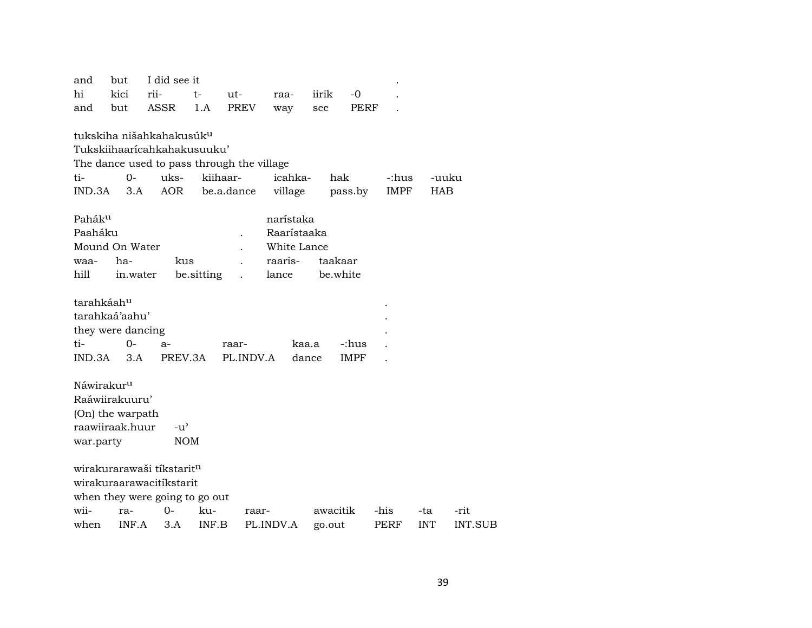| and<br>hi              | but<br>kici       | I did see it<br>rii-                       | $t-$       | ut-         | raa-        | iirik  |             | $-0$ |       |            |                |
|------------------------|-------------------|--------------------------------------------|------------|-------------|-------------|--------|-------------|------|-------|------------|----------------|
| and                    | but               | ASSR                                       | 1.A        | <b>PREV</b> | way         | see    |             | PERF |       |            |                |
|                        |                   | tukskiha nišahkahakusúk <sup>u</sup>       |            |             |             |        |             |      |       |            |                |
|                        |                   | Tukskiihaaricahkahakusuuku'                |            |             |             |        |             |      |       |            |                |
|                        |                   | The dance used to pass through the village |            |             |             |        |             |      |       |            |                |
| ti-                    | $0 -$             | uks-                                       | kiihaar-   |             | icahka-     |        | hak         |      | -:hus | -uuku      |                |
| IND.3A                 | 3.A               | AOR                                        |            | be.a.dance  | village     |        | pass.by     |      | IMPF  | <b>HAB</b> |                |
|                        |                   |                                            |            |             |             |        |             |      |       |            |                |
| Pahák <sup>u</sup>     |                   |                                            |            |             | narístaka   |        |             |      |       |            |                |
| Paaháku                |                   |                                            |            |             | Raarístaaka |        |             |      |       |            |                |
|                        | Mound On Water    |                                            |            |             | White Lance |        |             |      |       |            |                |
| waa-                   | ha-               | kus                                        |            |             | raaris-     |        | taakaar     |      |       |            |                |
| hill                   | in.water          |                                            | be.sitting |             | lance       |        | be.white    |      |       |            |                |
| tarahkáah <sup>u</sup> |                   |                                            |            |             |             |        |             |      |       |            |                |
|                        | tarahkaá'aahu'    |                                            |            |             |             |        |             |      |       |            |                |
|                        | they were dancing |                                            |            |             |             |        |             |      |       |            |                |
| ti-                    | 0-                | $a-$                                       |            | raar-       |             | kaa.a  | -:hus       |      |       |            |                |
| IND 3A                 | 3.A               | PREV.3A                                    |            | PL.INDV.A   |             | dance  | <b>IMPF</b> |      |       |            |                |
|                        |                   |                                            |            |             |             |        |             |      |       |            |                |
| Náwirakur <sup>u</sup> |                   |                                            |            |             |             |        |             |      |       |            |                |
|                        | Raáwiirakuuru'    |                                            |            |             |             |        |             |      |       |            |                |
|                        | (On) the warpath  |                                            |            |             |             |        |             |      |       |            |                |
|                        | raawiiraak.huur   | $-u^{\prime}$                              |            |             |             |        |             |      |       |            |                |
| war.party              |                   | <b>NOM</b>                                 |            |             |             |        |             |      |       |            |                |
|                        |                   |                                            |            |             |             |        |             |      |       |            |                |
|                        |                   | wirakurarawaši tíkstarit <sup>n</sup>      |            |             |             |        |             |      |       |            |                |
|                        |                   | wirakuraarawacitíkstarit                   |            |             |             |        |             |      |       |            |                |
|                        |                   | when they were going to go out             |            |             |             |        |             |      |       |            |                |
| wii-                   | ra-               | 0-                                         | ku-        | raar-       |             |        | awacitik    |      | -his  | -ta        | -rit           |
| when                   | INF.A             | 3.A                                        | INF.B      |             | PL.INDV.A   | go.out |             |      | PERF  | <b>INT</b> | <b>INT.SUB</b> |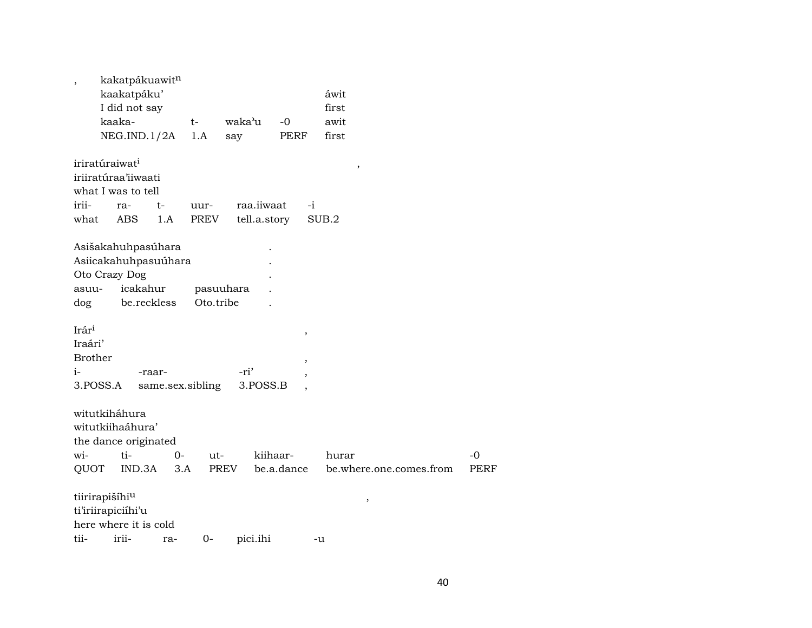| $\overline{\phantom{a}}$                                                                 | kakatpákuawit <sup>n</sup><br>kaakatpáku'<br>I did not say<br>kaaka-<br>NEG.ID.1/2A |           | $t-$<br>1.A      | waka'u<br>say              | $-0$<br>PERF               | áwit<br>first<br>awit<br>first   |                     |
|------------------------------------------------------------------------------------------|-------------------------------------------------------------------------------------|-----------|------------------|----------------------------|----------------------------|----------------------------------|---------------------|
| iriratúraiwat <sup>i</sup><br>iriiratúraa'iiwaati<br>what I was to tell<br>irii-<br>what | ra-<br>ABS                                                                          | t-<br>1.A | uur-<br>PREV     | raa.iiwaat<br>tell.a.story | $-i$                       | $\,$<br>SUB.2                    |                     |
| Asišakahuhpasúhara<br>Asiicakahuhpasuúhara<br>Oto Crazy Dog<br>asuu-<br>dog              | icakahur<br>be.reckless                                                             |           | Oto.tribe        | pasuuhara                  |                            |                                  |                     |
| Irár <sup>i</sup><br>Iraári'<br><b>Brother</b><br>i-<br>3.POSS.A                         |                                                                                     | -raar-    | same.sex.sibling | -ri'<br>3.POSS.B           | $\, ,$<br>$\, ,$<br>$\, ,$ |                                  |                     |
| witutkiháhura<br>witutkiihaáhura'<br>the dance originated<br>wi-<br>QUOT                 | ti-<br>IND.3A                                                                       | 0-<br>3.A | ut-              | PREV                       | kiihaar-<br>be.a.dance     | hurar<br>be.where.one.comes.from | $-0$<br><b>PERF</b> |
| tiirirapišíhiu<br>ti'iriirapiciíhi'u<br>here where it is cold<br>tii-                    | irii-                                                                               | ra-       | $0-$             | pici.ihi                   |                            | $\,$<br>-u                       |                     |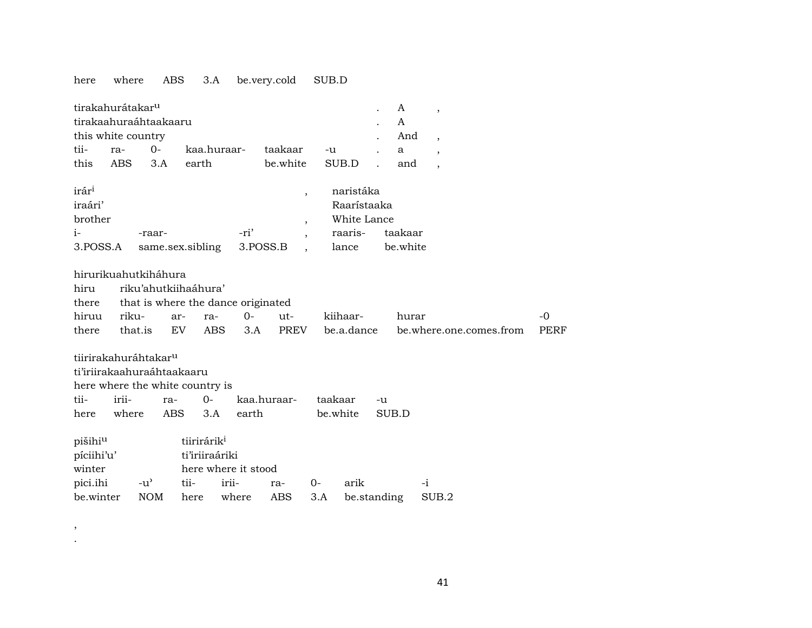## here where ABS 3.A be.very.cold SUB.D

| tirakahurátakar <sup>u</sup><br>tirakaahuraáhtaakaaru<br>this white country |            |            |                                           |       |             |                                            |                                                             |       | A<br>A<br>And       | $\overline{\phantom{a}}$ |             |
|-----------------------------------------------------------------------------|------------|------------|-------------------------------------------|-------|-------------|--------------------------------------------|-------------------------------------------------------------|-------|---------------------|--------------------------|-------------|
| tii-                                                                        | ra-        | $O -$      | kaa.huraar-                               |       | taakaar     |                                            |                                                             |       |                     | $\overline{\phantom{a}}$ |             |
|                                                                             |            |            |                                           |       |             | -u                                         |                                                             |       | $\mathbf{a}$        | $\overline{\phantom{a}}$ |             |
| this                                                                        | <b>ABS</b> | 3.A        | earth                                     |       | be.white    |                                            | SUB.D                                                       |       | and                 |                          |             |
| irár <sup>i</sup><br>iraári'<br>brother<br>$i-$<br>3.POSS.A                 |            | -raar-     | same.sex.sibling                          | -ri'  | 3.POSS.B    | $\overline{\phantom{a}}$<br>$\overline{ }$ | naristáka<br>Raarístaaka<br>White Lance<br>raaris-<br>lance |       | taakaar<br>be.white |                          |             |
| hirurikuahutkiháhura                                                        |            |            |                                           |       |             |                                            |                                                             |       |                     |                          |             |
| hiru                                                                        |            |            | riku'ahutkiihaáhura'                      |       |             |                                            |                                                             |       |                     |                          |             |
| there                                                                       |            |            | that is where the dance originated        |       |             |                                            |                                                             |       |                     |                          |             |
| hiruu                                                                       | riku-      |            | ar-<br>ra-                                | $O -$ | ut-         |                                            | kiihaar-                                                    |       | hurar               |                          | -0          |
| there                                                                       | that.is    |            | EV.<br>ABS                                | 3.A   | PREV        |                                            | be.a.dance                                                  |       |                     | be.where.one.comes.from  | <b>PERF</b> |
| tiirirakahuráhtakar <sup>u</sup>                                            |            |            |                                           |       |             |                                            |                                                             |       |                     |                          |             |
| ti'iriirakaahuraáhtaakaaru                                                  |            |            |                                           |       |             |                                            |                                                             |       |                     |                          |             |
|                                                                             |            |            | here where the white country is           |       |             |                                            |                                                             |       |                     |                          |             |
| tii-                                                                        | irii-      | ra-        | $O -$                                     |       | kaa.huraar- | taakaar                                    |                                                             | -u    |                     |                          |             |
| here                                                                        | where      | ABS        | 3.A                                       | earth |             |                                            | be.white                                                    | SUB.D |                     |                          |             |
| pišihiu<br>píciihi'u'                                                       |            |            | tiirirárik <sup>i</sup><br>ti'iriiraáriki |       |             |                                            |                                                             |       |                     |                          |             |
| winter                                                                      |            |            | here where it stood                       |       |             |                                            |                                                             |       |                     |                          |             |
| pici.ihi                                                                    |            | -u'        | tii-                                      | irii- | ra-         | $0-$                                       | arik                                                        |       |                     | $-i$                     |             |
| be.winter                                                                   |            | <b>NOM</b> | here                                      | where | <b>ABS</b>  | 3.A                                        | be.standing                                                 |       |                     | SUB.2                    |             |

, .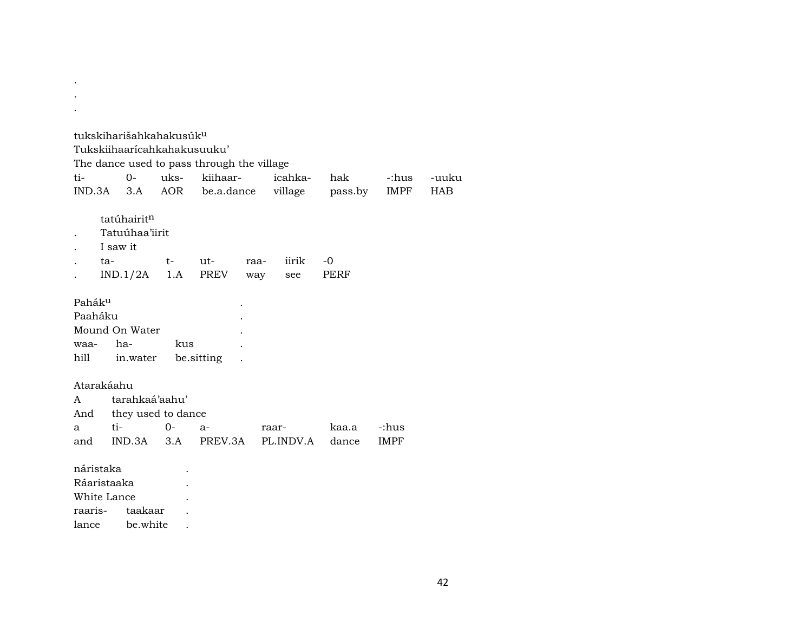|     |             |                         | tukskiharišahkahakusúk <sup>u</sup> |                                            |      |           |         |             |       |
|-----|-------------|-------------------------|-------------------------------------|--------------------------------------------|------|-----------|---------|-------------|-------|
|     |             |                         | Tukskiihaarícahkahakusuuku'         |                                            |      |           |         |             |       |
|     |             |                         |                                     | The dance used to pass through the village |      |           |         |             |       |
| ti- |             | $0 -$                   |                                     | uks- kiihaar-                              |      | icahka-   | hak     | -:hus       | -uuku |
|     | IND.3A      | 3.A                     | AOR                                 | be.a.dance                                 |      | village   | pass.by | IMPF        | HAB   |
|     |             | tatúhairit <sup>n</sup> |                                     |                                            |      |           |         |             |       |
|     |             | Tatuúhaa'iirit          |                                     |                                            |      |           |         |             |       |
|     |             | I saw it                |                                     |                                            |      |           |         |             |       |
|     | ta-         |                         | $t-$                                | ut-                                        | raa- | iirik     | $-0$    |             |       |
|     |             | IND.1/2A                | 1.A                                 | PREV                                       | way  | see       | PERF    |             |       |
|     |             |                         |                                     |                                            |      |           |         |             |       |
|     | Paháku      |                         |                                     |                                            |      |           |         |             |       |
|     | Paaháku     |                         |                                     |                                            |      |           |         |             |       |
|     |             | Mound On Water          |                                     |                                            |      |           |         |             |       |
|     | waa-        | ha-                     | kus                                 |                                            |      |           |         |             |       |
|     | hill        | in.water                |                                     | be sitting                                 |      |           |         |             |       |
|     |             |                         |                                     |                                            |      |           |         |             |       |
|     | Atarakáahu  |                         |                                     |                                            |      |           |         |             |       |
| A   |             | tarahkaá'aahu'          |                                     |                                            |      |           |         |             |       |
|     | And         |                         | they used to dance                  |                                            |      |           |         |             |       |
| a   | ti-         |                         | $0-$                                | $a-$                                       |      | raar-     | kaa.a   | -:hus       |       |
|     | and         |                         | $IND.3A$ $3.A$                      | PREV.3A                                    |      | PL.INDV.A | dance   | <b>IMPF</b> |       |
|     | náristaka   |                         |                                     |                                            |      |           |         |             |       |
|     | Ráaristaaka |                         |                                     |                                            |      |           |         |             |       |
|     | White Lance |                         |                                     |                                            |      |           |         |             |       |
|     |             |                         |                                     |                                            |      |           |         |             |       |

. .

raaris- taakaar . lance be.white .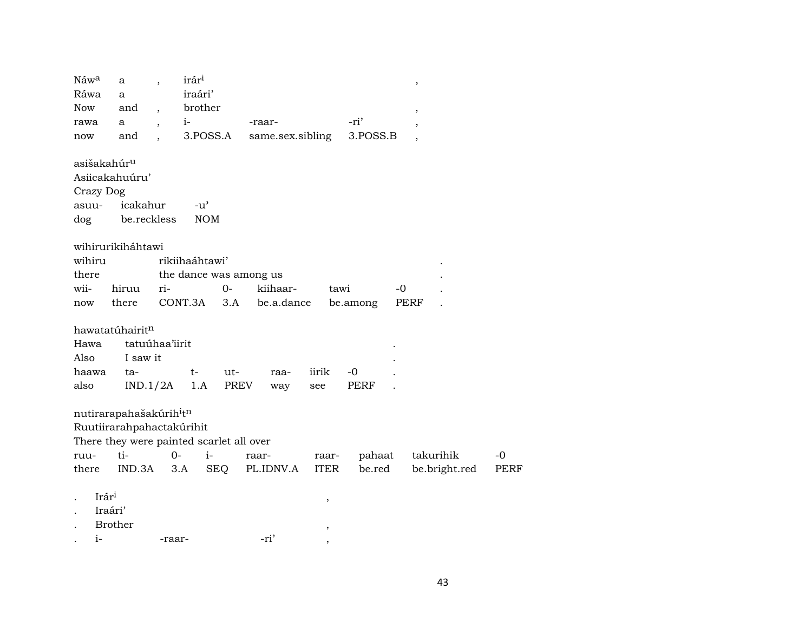| Náwa                    | a                                        |                      | irár <sup>i</sup> |            |                        |       |             |          |      | $\,$                     |      |
|-------------------------|------------------------------------------|----------------------|-------------------|------------|------------------------|-------|-------------|----------|------|--------------------------|------|
| Ráwa                    | a                                        |                      | iraári'           |            |                        |       |             |          |      |                          |      |
| <b>Now</b>              | and                                      | $\ddot{\phantom{0}}$ | brother           |            |                        |       |             |          |      | $\overline{\phantom{a}}$ |      |
| rawa                    | a                                        |                      | $i-$              |            | -raar-                 |       |             | -ri'     |      | ,                        |      |
| now                     | and                                      | $\ddot{\phantom{a}}$ |                   | 3.POSS.A   | same.sex.sibling       |       |             | 3.POSS.B |      |                          |      |
| asišakahúr <sup>u</sup> |                                          |                      |                   |            |                        |       |             |          |      |                          |      |
| Asiicakahuúru'          |                                          |                      |                   |            |                        |       |             |          |      |                          |      |
| Crazy Dog               |                                          |                      |                   |            |                        |       |             |          |      |                          |      |
| asuu-                   | icakahur                                 |                      | $-u^{\prime}$     |            |                        |       |             |          |      |                          |      |
| dog                     | be.reckless                              |                      | <b>NOM</b>        |            |                        |       |             |          |      |                          |      |
|                         | wihirurikiháhtawi                        |                      |                   |            |                        |       |             |          |      |                          |      |
| wihiru                  |                                          |                      | rikiihaáhtawi'    |            |                        |       |             |          |      |                          |      |
| there                   |                                          |                      |                   |            | the dance was among us |       |             |          |      |                          |      |
| wii-                    | hiruu                                    | ri-                  |                   | $O-$       | kiihaar-               |       | tawi        |          | $-0$ |                          |      |
| now                     | there                                    |                      | CONT.3A           | 3.A        | be.a.dance             |       |             | be.among | PERF |                          |      |
|                         | hawatatúhairit <sup>n</sup>              |                      |                   |            |                        |       |             |          |      |                          |      |
| Hawa                    | tatuúhaa'iirit                           |                      |                   |            |                        |       |             |          |      |                          |      |
| Also                    | I saw it                                 |                      |                   |            |                        |       |             |          |      |                          |      |
| haawa                   | ta-                                      |                      | $t-$              | ut-        | raa-                   | iirik |             | $-0$     |      |                          |      |
| also                    | IND.1/2A                                 |                      | 1.A               | PREV       | way                    | see   |             | PERF     |      |                          |      |
|                         | nutirarapahašakúrih <sup>i</sup> tn      |                      |                   |            |                        |       |             |          |      |                          |      |
|                         | Ruutiirarahpahactakúrihit                |                      |                   |            |                        |       |             |          |      |                          |      |
|                         | There they were painted scarlet all over |                      |                   |            |                        |       |             |          |      |                          |      |
| ruu-                    | ti-                                      | $0-$                 | $i-$              |            | raar-                  |       | raar-       | pahaat   |      | takurihik                | -0   |
| there                   | IND.3A                                   |                      | 3.A               | <b>SEQ</b> | PL.IDNV.A              |       | <b>ITER</b> | be.red   |      | be.bright.red            | PERF |

| ٠ | $Ir$ ár <sup>i</sup><br>ື | ٠ |
|---|---------------------------|---|
|   |                           |   |

- . Iraári'
- . Brother ,

. i- -raar-  $-ri'$  ,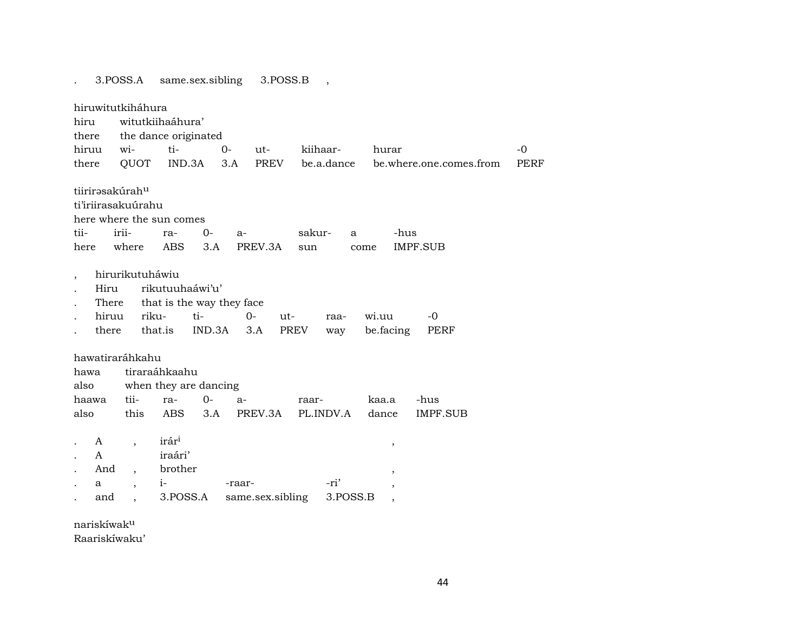. 3.POSS.A same.sex.sibling 3.POSS.B , hiruwitutkiháhura hiru witutkiihaáhura' there the dance originated hiruu wi- ti- 0- ut- kiihaar- hurar -0 there QUOT IND.3A 3.A PREV be.a.dance be.where.one.comes.from PERF tiirirasakúrah<sup>u</sup> ti'iriirasakuúrahu here where the sun comes tii- irii- ra- 0- a- sakur- a -hus here where ABS 3.A PREV.3A sun come IMPF.SUB , hirurikutuháwiu . Hiru rikutuuhaáwi'u' There that is the way they face . hiruu riku- ti- 0- ut- raa- wi.uu -0 . there that.is IND.3A 3.A PREV way be.facing PERF hawatiraráhkahu hawa tiraraáhkaahu also when they are dancing haawa tii- ra- 0- a- raar- kaa.a -hus also this ABS 3.A PREV.3A PL.INDV.A dance IMPF.SUB  $A$ ,  $\text{irár}^1$ , . A iraári' And , brother , , . a , i- -raar- -ri' , . and , 3.POSS.A same.sex.sibling 3.POSS.B ,

nariskíwakµ

Raariskíwaku'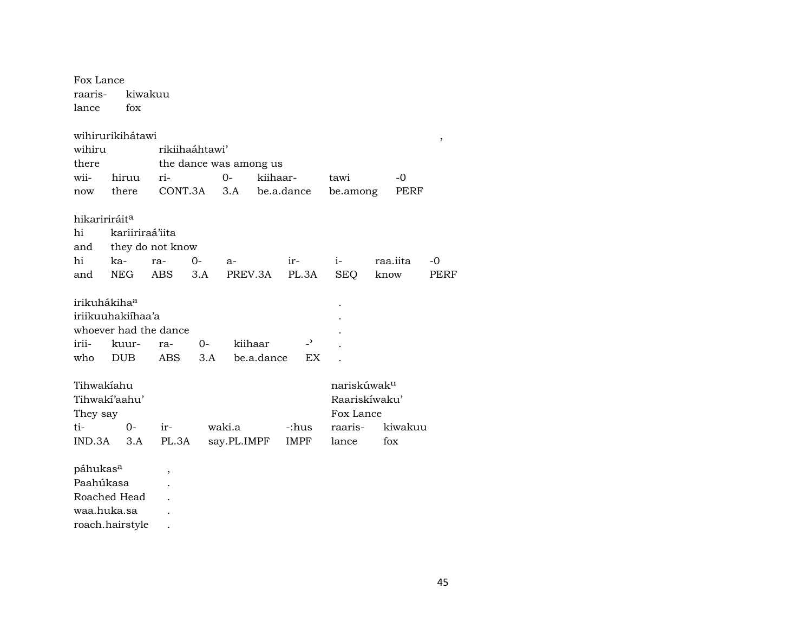| Fox Lance<br>raaris-<br>lance | fox               | kiwakuu                  |             |                        |            |             |                |                         |      |          |      |
|-------------------------------|-------------------|--------------------------|-------------|------------------------|------------|-------------|----------------|-------------------------|------|----------|------|
|                               | wihirurikihátawi  |                          |             |                        |            |             |                |                         |      |          | ,    |
| wihiru                        |                   | rikiihaáhtawi'           |             |                        |            |             |                |                         |      |          |      |
| there                         |                   |                          |             | the dance was among us |            |             |                |                         |      |          |      |
| wii-                          | hiruu             | ri-                      |             | $O -$                  | kiihaar-   |             |                | tawi                    |      | -0       |      |
| now                           | there             |                          | CONT.3A 3.A |                        | be.a.dance |             |                | be.among                |      | PERF     |      |
| hikaririráit <sup>a</sup>     |                   |                          |             |                        |            |             |                |                         |      |          |      |
| hi                            | kariiriraá'iita   |                          |             |                        |            |             |                |                         |      |          |      |
| and                           |                   | they do not know         |             |                        |            |             |                |                         |      |          |      |
| hi                            | ka-               | ra-                      | $0-$        | a-                     |            | ir-         |                | $i-$                    |      | raa.iita | $-0$ |
| and                           | NEG               | ABS                      | 3.A         | PREV.3A                |            |             | PL.3A          | SEQ                     | know |          | PERF |
| irikuhákihaa                  |                   |                          |             |                        |            |             |                |                         |      |          |      |
|                               | iriikuuhakiihaa'a |                          |             |                        |            |             |                |                         |      |          |      |
|                               |                   | whoever had the dance    |             |                        |            |             |                |                         |      |          |      |
| irii-                         | kuur-             | ra-                      | 0-          | kiihaar                |            |             | $\overline{a}$ |                         |      |          |      |
| who                           | <b>DUB</b>        | ABS                      | 3.A         |                        | be.a.dance |             | EX             |                         |      |          |      |
| Tihwakiahu                    |                   |                          |             |                        |            |             |                | nariskúwak <sup>u</sup> |      |          |      |
|                               | Tihwakí'aahu'     |                          |             |                        |            |             |                | Raariskíwaku'           |      |          |      |
| They say                      |                   |                          |             |                        |            |             |                | Fox Lance               |      |          |      |
| ti-                           | $0-$              | ir-                      |             | waki.a                 |            | -:hus       |                | raaris-                 |      | kiwakuu  |      |
| IND.3A                        | 3.A               | PL.3A                    |             | say.PL.IMPF            |            | <b>IMPF</b> |                | lance                   |      | fox      |      |
| páhukas <sup>a</sup>          |                   | $\overline{\phantom{a}}$ |             |                        |            |             |                |                         |      |          |      |
| Paahúkasa                     |                   |                          |             |                        |            |             |                |                         |      |          |      |
|                               | Roached Head      |                          |             |                        |            |             |                |                         |      |          |      |

waa.huka.sa . roach.hairstyle .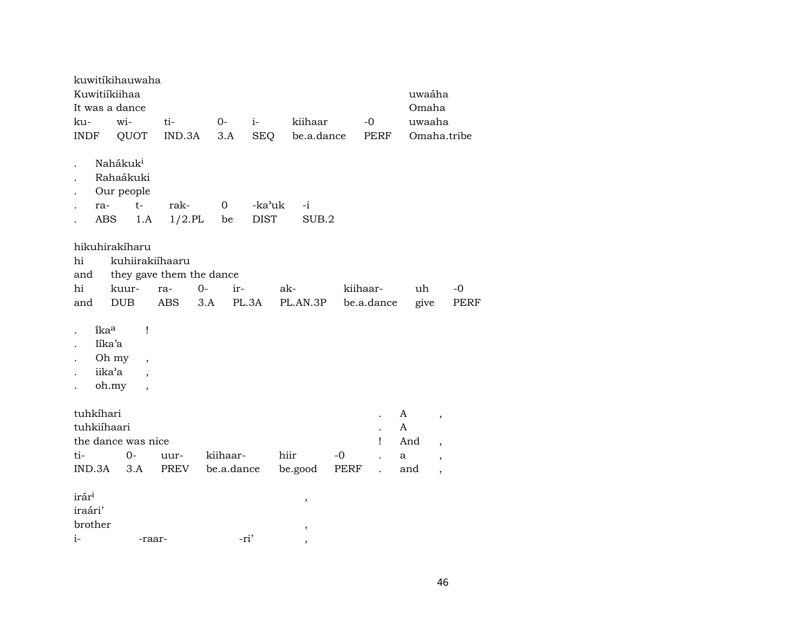| Kuwitiíkiihaa<br>It was a dance<br>ku-<br>INDF         | kuwitikihauwaha<br>wi-<br>QUOT                                 | ti-<br>IND.3A                          | $O -$<br>3.A           | $i-$<br><b>SEQ</b>    | kiihaar<br>be.a.dance |              | $-0$<br>PERF                                | uwaáha<br>Omaha<br>uwaaha<br>Omaha.tribe |                                                                                                              |              |
|--------------------------------------------------------|----------------------------------------------------------------|----------------------------------------|------------------------|-----------------------|-----------------------|--------------|---------------------------------------------|------------------------------------------|--------------------------------------------------------------------------------------------------------------|--------------|
| ra-<br><b>ABS</b>                                      | Nahákuk <sup>i</sup><br>Rahaákuki<br>Our people<br>$t-$<br>1.A | rak-<br>$1/2$ .PL                      | $\mathbf 0$<br>be      | -ka'uk<br><b>DIST</b> | -i<br>SUB.2           |              |                                             |                                          |                                                                                                              |              |
| hikuhirakíharu<br>hi<br>and<br>hi<br>and               | kuhiirakiíhaaru<br>kuur-<br><b>DUB</b>                         | they gave them the dance<br>ra-<br>ABS | $0-$<br>ir-<br>3.A     | PL.3A                 | ak-<br>PL.AN.3P       |              | kiihaar-<br>be.a.dance                      | uh<br>give                               |                                                                                                              | $-0$<br>PERF |
| îka <sup>a</sup><br>Iíka'a<br>Oh my<br>iika'a<br>oh.my | Ţ<br>$\overline{\phantom{a}}$                                  |                                        |                        |                       |                       |              |                                             |                                          |                                                                                                              |              |
| tuhkíhari<br>tuhkiíhaari<br>ti-<br>IND.3A              | the dance was nice<br>$0-$<br>3.A                              | uur-<br>PREV                           | kiihaar-<br>be.a.dance |                       | hiir<br>be.good       | $-0$<br>PERF | $\ddot{\phantom{0}}$<br>Ţ<br>$\overline{a}$ | A<br>A<br>And<br>a<br>and                | $\overline{\phantom{a}}$<br>$\overline{\phantom{a}}$<br>$\overline{\phantom{a}}$<br>$\overline{\phantom{a}}$ |              |
| irár <sup>i</sup><br>iraári'<br>brother<br>$i-$        | -raar-                                                         |                                        |                        | -ri'                  | ,<br>,                |              |                                             |                                          |                                                                                                              |              |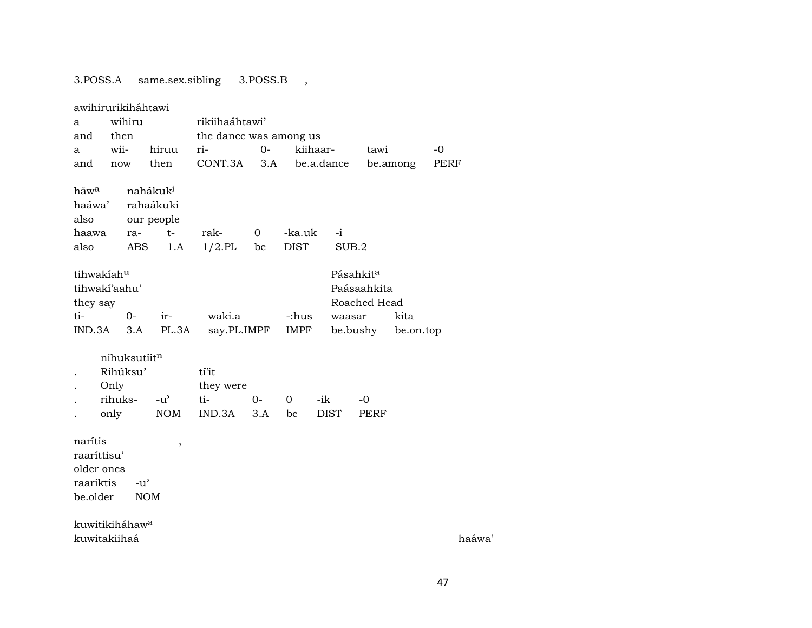## 3.POSS.A same.sex.sibling 3.POSS.B ,

|                                                               | awihirurikiháhtawi                          |                                                                |                           |                   |                       |               |                                                      |           |      |                    |
|---------------------------------------------------------------|---------------------------------------------|----------------------------------------------------------------|---------------------------|-------------------|-----------------------|---------------|------------------------------------------------------|-----------|------|--------------------|
| a                                                             | wihiru                                      |                                                                | rikiihaáhtawi'            |                   |                       |               |                                                      |           |      |                    |
| and                                                           | then                                        |                                                                | the dance was among us    |                   |                       |               |                                                      |           |      |                    |
| a                                                             | wii-                                        | hiruu                                                          | ri-                       | $O -$             | kiihaar-              |               | tawi                                                 |           | $-0$ |                    |
| and                                                           | now                                         | then                                                           | CONT.3A                   | 3.A               |                       | be.a.dance    | be.among                                             |           | PERF |                    |
| hãw <sup>a</sup><br>haáwa'<br>also<br>haawa<br>also           | ra-<br>ABS                                  | nahákuk <sup>i</sup><br>rahaákuki<br>our people<br>$t-$<br>1.A | rak-<br>$1/2$ .PL         | $\mathbf 0$<br>be | -ka.uk<br><b>DIST</b> | $-i$<br>SUB.2 |                                                      |           |      |                    |
| tihwakiahu<br>they say                                        | tihwakí'aahu'                               |                                                                |                           |                   |                       |               | Pásahkit <sup>a</sup><br>Paásaahkita<br>Roached Head |           |      |                    |
| ti-                                                           | $0-$                                        | ir-                                                            | waki.a                    |                   | -:hus                 | waasar        |                                                      | kita      |      |                    |
| IND.3A                                                        | 3.A                                         | PL.3A                                                          | say.PL.IMPF               |                   | IMPF                  |               | be.bushy                                             | be.on.top |      |                    |
|                                                               | nihuksutiitn<br>Rihúksu'<br>Only<br>rihuks- | $-u^{\prime}$                                                  | tí'it<br>they were<br>ti- | $0-$              | 0                     | -ik           | $-0$                                                 |           |      |                    |
|                                                               | only                                        | <b>NOM</b>                                                     | IND.3A                    | 3.A               | be                    | <b>DIST</b>   | <b>PERF</b>                                          |           |      |                    |
| narítis<br>raaríttisu'<br>older ones<br>raariktis<br>be.older | $-u^{\prime}$                               | $\overline{\phantom{a}}$<br><b>NOM</b>                         |                           |                   |                       |               |                                                      |           |      |                    |
|                                                               | kuwitikiháhaw <sup>a</sup>                  |                                                                |                           |                   |                       |               |                                                      |           |      |                    |
|                                                               | kuwitakiihaá                                |                                                                |                           |                   |                       |               |                                                      |           |      | haáwa <sup>'</sup> |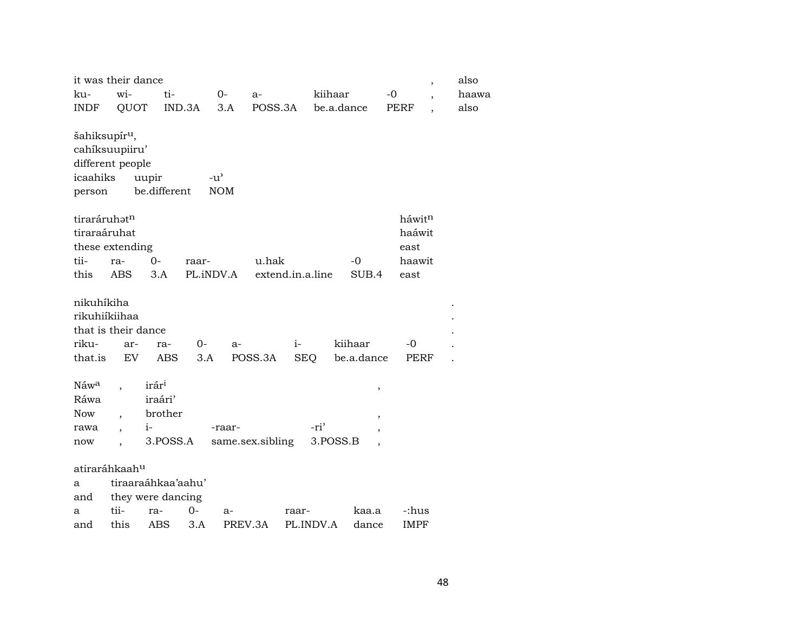|                                                 | it was their dance                   |                                                             |                             |                  |                  |                         |                    | $\overline{\phantom{a}}$ | also  |
|-------------------------------------------------|--------------------------------------|-------------------------------------------------------------|-----------------------------|------------------|------------------|-------------------------|--------------------|--------------------------|-------|
| ku-                                             | wi-                                  | ti-                                                         | $0-$                        | a-               |                  | kiihaar                 | $-0$               |                          | haawa |
| <b>INDF</b>                                     | QUOT                                 | IND.3A                                                      | 3.A                         | POSS.3A          |                  | be.a.dance              | <b>PERF</b>        |                          | also  |
| šahiksupír <sup>u</sup> ,<br>icaahiks<br>person | cahíksuupiiru'<br>different people   | uupir<br>be.different                                       | $-u^{\prime}$<br><b>NOM</b> |                  |                  |                         |                    |                          |       |
| tiraráruhatn                                    |                                      |                                                             |                             |                  |                  |                         | háwit <sup>n</sup> |                          |       |
| tiraraáruhat                                    |                                      |                                                             |                             |                  |                  |                         | haáwit             |                          |       |
|                                                 | these extending                      |                                                             |                             |                  |                  |                         | east               |                          |       |
| tii-                                            | ra-                                  | $0-$                                                        | raar-                       | u.hak            |                  | -0                      | haawit             |                          |       |
| this                                            | <b>ABS</b>                           | 3.A                                                         | PL.iNDV.A                   |                  | extend.in.a.line | SUB.4                   | east               |                          |       |
| nikuhíkiha                                      | rikuhiíkiihaa<br>that is their dance |                                                             |                             |                  |                  |                         |                    |                          |       |
| riku-                                           | ar-                                  | ra-                                                         | $0-$                        | $a-$             | $i-$             | kiihaar                 | -0                 |                          |       |
| that.is                                         | EV                                   | ABS                                                         | 3.A                         | POSS.3A          | <b>SEQ</b>       | be.a.dance              | PERF               |                          |       |
| Náwa<br>Ráwa<br><b>Now</b><br>rawa<br>now       | $\ddot{\phantom{0}}$                 | irár <sup>i</sup><br>iraári'<br>brother<br>$i-$<br>3.POSS.A | -raar-                      | same.sex.sibling | -ri'             | $\, ,$<br>,<br>3.POSS.B |                    |                          |       |
|                                                 | atiraráhkaah <sup>u</sup>            |                                                             |                             |                  |                  |                         |                    |                          |       |
| a                                               |                                      | tiraaraáhkaa'aahu'                                          |                             |                  |                  |                         |                    |                          |       |
| and                                             |                                      | they were dancing                                           |                             |                  |                  |                         |                    |                          |       |
| a                                               | tii-                                 | ra-                                                         | 0-                          | a-               | raar-            | kaa.a                   | -:hus              |                          |       |
| and                                             | this                                 | ABS                                                         | 3.A                         | PREV.3A          | PL.INDV.A        | dance                   | <b>IMPF</b>        |                          |       |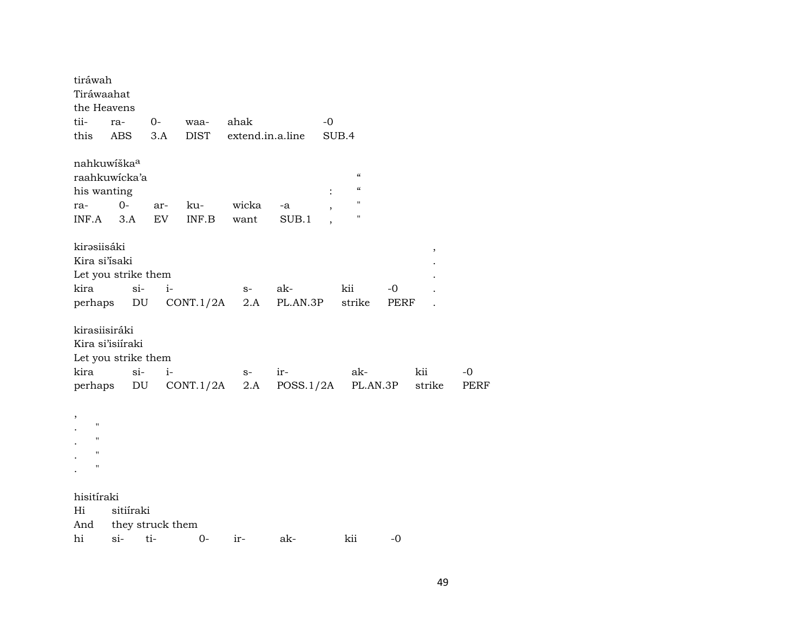| tiráwah<br>Tiráwaahat<br>the Heavens<br>tii-  | ra-                                                     | $0-$       | waa-                          | ahak                |                          | -0    |                                                                |            |               |                   |
|-----------------------------------------------|---------------------------------------------------------|------------|-------------------------------|---------------------|--------------------------|-------|----------------------------------------------------------------|------------|---------------|-------------------|
| this                                          | ABS                                                     | 3.A        | <b>DIST</b>                   | extend.in.a.line    |                          | SUB.4 |                                                                |            |               |                   |
| nahkuwíška <sup>a</sup><br>his wanting<br>ra- | raahkuwicka'a<br>$0-$                                   | ar-        | ku-                           | wicka               | -a                       |       | $\pmb{\zeta}\pmb{\zeta}$<br>$\mathcal{C}\mathcal{C}$<br>п<br>п |            |               |                   |
| INF.A<br>kirəsiisáki<br>Kira si'isaki<br>kira | 3.A<br>Let you strike them<br>$si$ -                    | EV<br>$i-$ | INF.B<br>perhaps DU CONT.1/2A | want<br>$S-$<br>2.A | SUB.1<br>ak-<br>PL.AN.3P |       | kii<br>strike                                                  | -0<br>PERF | $\, ,$        |                   |
| kirasiisiráki<br>kira<br>perhaps              | Kira si'isiíraki<br>Let you strike them<br>$si$ -<br>DU | $i-$       | CONT.1/2A                     | $S-$<br>2.A         | ir-<br>POSS.1/2A         |       | ak-<br>PL.AN.3P                                                |            | kii<br>strike | -0<br><b>PERF</b> |
| ,<br>н<br>$\blacksquare$<br>п<br>н            |                                                         |            |                               |                     |                          |       |                                                                |            |               |                   |
| hisitíraki<br>Hi<br>And<br>hi                 | sitiíraki<br>they struck them<br>$si-$                  | ti-        | $0-$                          | ir-                 | ak-                      |       | kii                                                            | $-0$       |               |                   |
|                                               |                                                         |            |                               |                     |                          |       |                                                                |            |               |                   |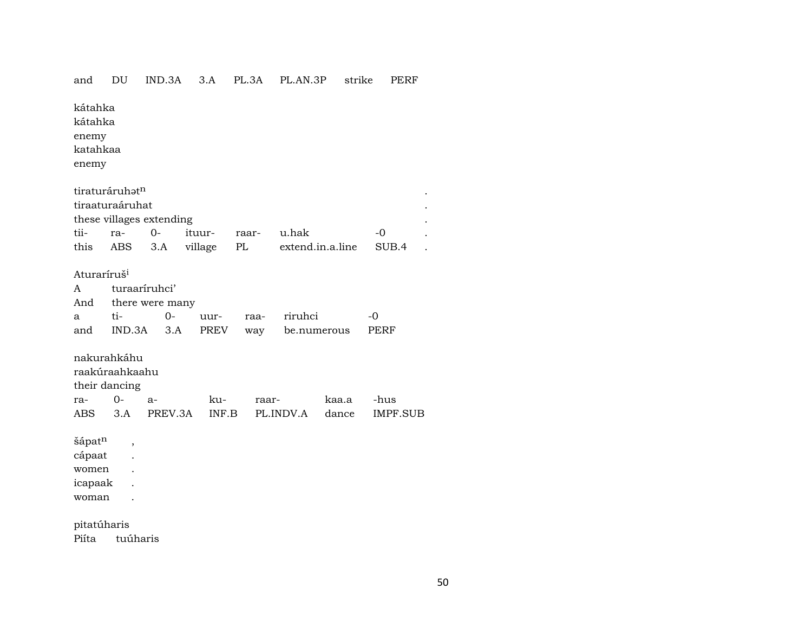## and DU IND.3A 3.A PL.3A PL.AN.3P strike PERF

kátahka kátahka enemy katahkaa enemy  $t$ iraturáruh $t^n$ tiraaturaáruhat . these villages extending . tii- ra- 0- ituur- raar- u.hak -0 . this ABS 3.A village PL extend.in.a.line SUB.4 . Aturaríruš<sup>i</sup> A turaaríruhci' And there were many a ti- 0- uur- raa- riruhci -0 and IND.3A 3.A PREV way be.numerous PERF nakurahkáhu raakúraahkaahu their dancing ra- 0- a- ku- raar- kaa.a -hus ABS 3.A PREV.3A INF.B PL.INDV.A dance IMPF.SUB šápat<sup>n</sup>, cápaat . women . icapaak . woman . pitatúharis Piíta tuúharis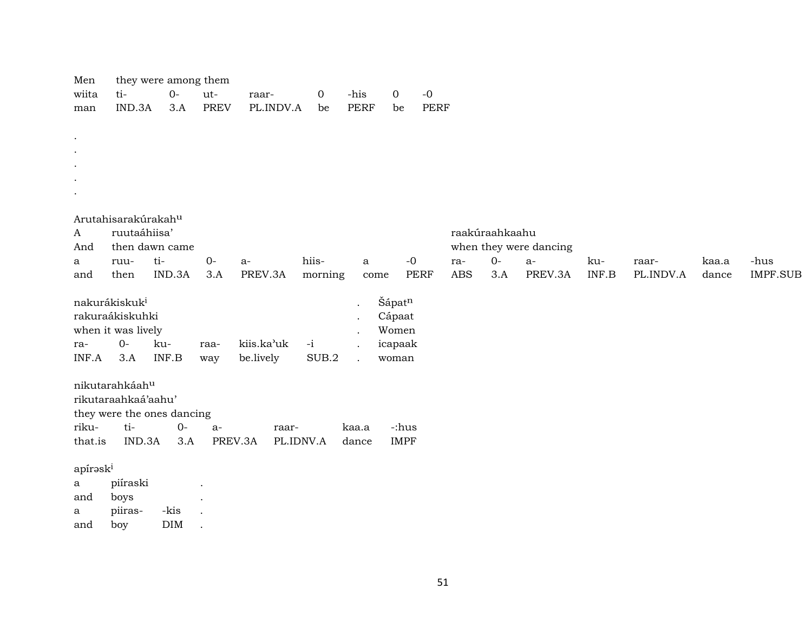| Men       |                            | they were among them |             |            |           |             |                            |            |                |                        |       |           |       |                 |
|-----------|----------------------------|----------------------|-------------|------------|-----------|-------------|----------------------------|------------|----------------|------------------------|-------|-----------|-------|-----------------|
| wiita     | ti-                        | $0-$                 | ut-         | raar-      | 0         | -his        | $\mbox{-}0$<br>$\mathbf 0$ |            |                |                        |       |           |       |                 |
| man       | IND.3A                     | 3.A                  | <b>PREV</b> | PL.INDV.A  | be        | <b>PERF</b> | be                         | PERF       |                |                        |       |           |       |                 |
|           |                            |                      |             |            |           |             |                            |            |                |                        |       |           |       |                 |
| $\bullet$ |                            |                      |             |            |           |             |                            |            |                |                        |       |           |       |                 |
| $\bullet$ |                            |                      |             |            |           |             |                            |            |                |                        |       |           |       |                 |
| $\bullet$ |                            |                      |             |            |           |             |                            |            |                |                        |       |           |       |                 |
| $\bullet$ |                            |                      |             |            |           |             |                            |            |                |                        |       |           |       |                 |
| $\bullet$ |                            |                      |             |            |           |             |                            |            |                |                        |       |           |       |                 |
|           |                            |                      |             |            |           |             |                            |            |                |                        |       |           |       |                 |
|           | Arutahisarakúrakahu        |                      |             |            |           |             |                            |            |                |                        |       |           |       |                 |
| A         | ruutaáhiisa'               |                      |             |            |           |             |                            |            | raakúraahkaahu |                        |       |           |       |                 |
| And       | then dawn came             |                      |             |            |           |             |                            |            |                | when they were dancing |       |           |       |                 |
| a         | ruu-                       | ti-                  | $0-$        | $a-$       | hiis-     | a           | $-0$                       | ra-        | $O -$          | a-                     | ku-   | raar-     | kaa.a | -hus            |
| and       | then                       | IND.3A               | 3.A         | PREV.3A    | morning   | come        | <b>PERF</b>                | <b>ABS</b> | 3.A            | PREV.3A                | INF.B | PL.INDV.A | dance | <b>IMPF.SUB</b> |
|           |                            |                      |             |            |           |             |                            |            |                |                        |       |           |       |                 |
|           | nakurákiskuk <sup>i</sup>  |                      |             |            |           |             | Šápatn                     |            |                |                        |       |           |       |                 |
|           | rakuraákiskuhki            |                      |             |            |           |             | Cápaat                     |            |                |                        |       |           |       |                 |
|           | when it was lively         |                      |             |            |           |             | Women                      |            |                |                        |       |           |       |                 |
| ra-       | $0-$                       | ku-                  | raa-        | kiis.ka'uk | $-i$      |             | icapaak                    |            |                |                        |       |           |       |                 |
| INF.A     | 3.A                        | INF.B                | way         | be.lively  | SUB.2     |             | woman                      |            |                |                        |       |           |       |                 |
|           |                            |                      |             |            |           |             |                            |            |                |                        |       |           |       |                 |
|           | nikutarahkáahu             |                      |             |            |           |             |                            |            |                |                        |       |           |       |                 |
|           | rikutaraahkaá'aahu'        |                      |             |            |           |             |                            |            |                |                        |       |           |       |                 |
|           | they were the ones dancing |                      |             |            |           |             |                            |            |                |                        |       |           |       |                 |
| riku-     | ti-                        | $0-$                 | $a-$        | raar-      |           | kaa.a       | -:hus                      |            |                |                        |       |           |       |                 |
| that.is   | IND.3A                     | 3.A                  | PREV.3A     |            | PL.IDNV.A | dance       | <b>IMPF</b>                |            |                |                        |       |           |       |                 |
|           |                            |                      |             |            |           |             |                            |            |                |                        |       |           |       |                 |
| apíroski  |                            |                      |             |            |           |             |                            |            |                |                        |       |           |       |                 |
| a         | piíraski                   |                      |             |            |           |             |                            |            |                |                        |       |           |       |                 |
| and       | boys                       |                      |             |            |           |             |                            |            |                |                        |       |           |       |                 |
|           |                            |                      |             |            |           |             |                            |            |                |                        |       |           |       |                 |
| a         | piiras-                    | -kis                 |             |            |           |             |                            |            |                |                        |       |           |       |                 |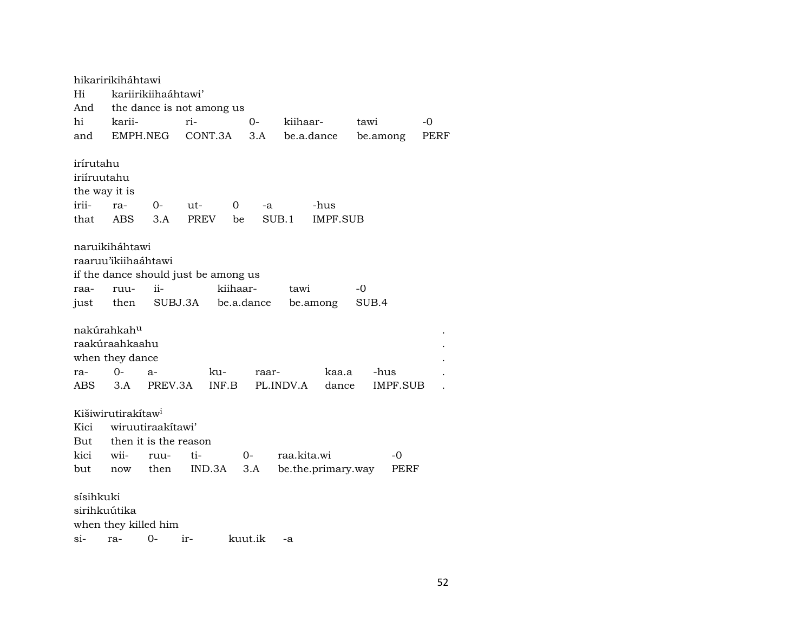hikaririkiháhtawi Hi kariirikiihaáhtawi' And the dance is not among us hi karii- ri- 0- kiihaar- tawi -0 and EMPH.NEG CONT.3A 3.A be.a.dance be.among PERF irírutahu iriíruutahu the way it is irii- ra- 0- ut- 0 -a -hus that ABS 3.A PREV be SUB.1 IMPF.SUB naruikiháhtawi raaruu'ikiihaáhtawi if the dance should just be among us raa- ruu- ii- kiihaar- tawi -0 just then SUBJ.3A be.a.dance be.among SUB.4 nakúrahkah<sup>u</sup> raakúraahkaahu . when they dance ra- 0- a- ku- raar- kaa.a -hus . ABS 3.A PREV.3A INF.B PL.INDV.A dance IMPF.SUB . Kišiwirutirakítaw<sup>i</sup> Kici wiruutiraakítawi' But then it is the reason kici wii- ruu- ti- 0- raa.kita.wi -0 but now then IND.3A 3.A be.the.primary.way PERF sísihkuki sirihkuútika when they killed him si- ra- 0- ir- kuut.ik -a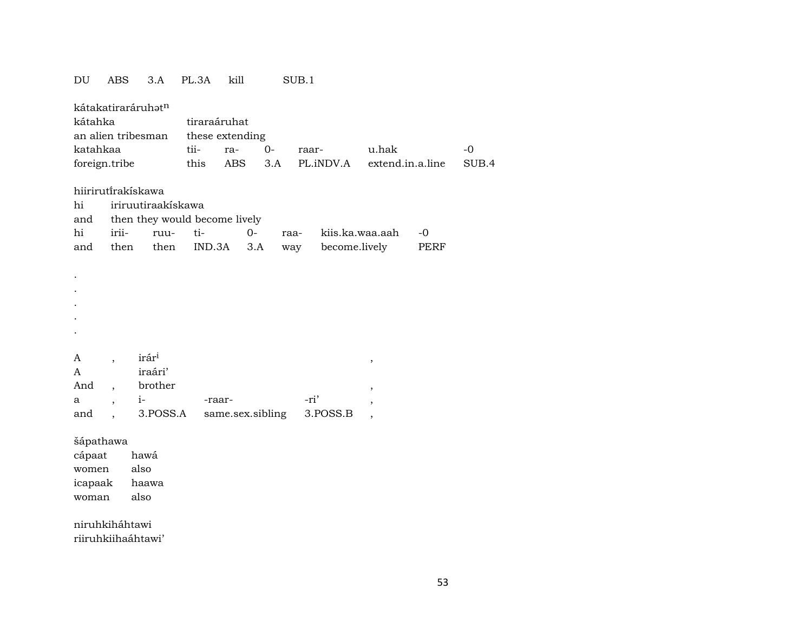## $\mathop{\rm DU}$ ABS 3.A PL.3A kill  $SUB.1$

| kátahka<br>katahkaa<br>foreign.tribe |                          | kátakatiraráruhət <sup>n</sup><br>an alien tribesman | tiraraáruhat<br>tii-<br>this | these extending<br>ra-<br>ABS | $O -$<br>3.A |      | raar-<br>PL.iNDV.A | u.hak<br>extend.in.a.line |      | $-0$<br>SUB.4 |
|--------------------------------------|--------------------------|------------------------------------------------------|------------------------------|-------------------------------|--------------|------|--------------------|---------------------------|------|---------------|
| hi                                   |                          | hiiriruti̇̃rakískawa<br>iriruutiraakiskawa           |                              |                               |              |      |                    |                           |      |               |
| and                                  |                          | then they would become lively                        |                              |                               |              |      |                    |                           |      |               |
| hi                                   | irii-                    | ruu-                                                 | ti-                          | $0-$                          |              | raa- |                    | kiis.ka.waa.aah           | $-0$ |               |
| and                                  | then                     | then                                                 | IND.3A                       |                               | 3.A          | way  | become.lively      |                           | PERF |               |
|                                      |                          |                                                      |                              |                               |              |      |                    |                           |      |               |
|                                      |                          |                                                      |                              |                               |              |      |                    |                           |      |               |
|                                      |                          |                                                      |                              |                               |              |      |                    |                           |      |               |
|                                      |                          |                                                      |                              |                               |              |      |                    |                           |      |               |
|                                      |                          |                                                      |                              |                               |              |      |                    |                           |      |               |
|                                      |                          |                                                      |                              |                               |              |      |                    |                           |      |               |
|                                      |                          |                                                      |                              |                               |              |      |                    |                           |      |               |
| A                                    | $\overline{\phantom{a}}$ | irár <sup>i</sup>                                    |                              |                               |              |      |                    | ,                         |      |               |
| A                                    |                          | iraári'                                              |                              |                               |              |      |                    |                           |      |               |
| And                                  | $\ddot{\phantom{0}}$     | brother                                              |                              |                               |              |      |                    | $\overline{\phantom{a}}$  |      |               |
| a                                    | $\overline{\phantom{a}}$ | $i-$                                                 | -raar-                       |                               |              | -ri' |                    | $\overline{ }$            |      |               |
| and                                  |                          | 3.POSS.A                                             |                              | same.sex.sibling              |              |      | 3.POSS.B           | $\cdot$                   |      |               |
| šápathawa                            |                          |                                                      |                              |                               |              |      |                    |                           |      |               |

cápaat hawá also women icapaak haawa woman also

niruhkiháhtawi

riiruhkiihaáhtawi'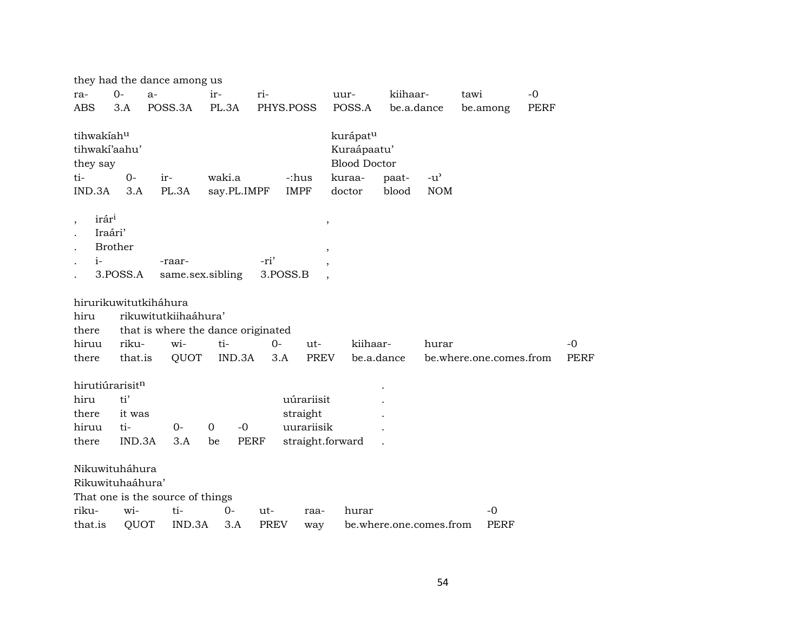|                                                          |                            | they had the dance among us      |                                    |                  |                                  |                                                                                |                         |                             |                         |             |             |
|----------------------------------------------------------|----------------------------|----------------------------------|------------------------------------|------------------|----------------------------------|--------------------------------------------------------------------------------|-------------------------|-----------------------------|-------------------------|-------------|-------------|
| ra-                                                      | $0-$                       | $a-$                             | ir-                                | ri-              |                                  | uur-                                                                           | kiihaar-                |                             | tawi                    | $-0$        |             |
| <b>ABS</b>                                               | 3.A                        | POSS.3A                          | PL.3A                              | PHYS.POSS        |                                  | POSS.A                                                                         | be.a.dance              |                             | be.among                | <b>PERF</b> |             |
| tihwakíahu<br>tihwakí'aahu'<br>they say<br>ti-<br>IND.3A | $0-$<br>3.A                | ir-<br>PL.3A                     | waki.a<br>say.PL.IMPF              |                  | -:hus<br><b>IMPF</b>             | kurápat <sup>u</sup><br>Kuraápaatu'<br><b>Blood Doctor</b><br>kuraa-<br>doctor | paat-<br>blood          | $-u^{\prime}$<br><b>NOM</b> |                         |             |             |
| irár <sup>i</sup><br>$\cdot$<br>Iraári'<br>$i-$          | <b>Brother</b><br>3.POSS.A | -raar-                           | same.sex.sibling                   | -ri'<br>3.POSS.B | $\,$<br>$\overline{\phantom{a}}$ |                                                                                |                         |                             |                         |             |             |
|                                                          |                            | hirurikuwitutkiháhura            |                                    |                  |                                  |                                                                                |                         |                             |                         |             |             |
| hiru                                                     |                            | rikuwitutkiihaáhura'             |                                    |                  |                                  |                                                                                |                         |                             |                         |             |             |
| there                                                    |                            |                                  | that is where the dance originated |                  |                                  |                                                                                |                         |                             |                         |             |             |
| hiruu                                                    | riku-                      | wi-                              | ti-                                | $O -$            | ut-                              | kiihaar-                                                                       |                         | hurar                       |                         |             | $-0$        |
| there                                                    | that.is                    | QUOT                             | IND.3A                             | 3.A              | PREV                             | be.a.dance                                                                     |                         |                             | be.where.one.comes.from |             | <b>PERF</b> |
| hirutiúrarisitn                                          |                            |                                  |                                    |                  |                                  |                                                                                |                         |                             |                         |             |             |
| hiru                                                     | ti'                        |                                  |                                    |                  | uúrariisit                       |                                                                                |                         |                             |                         |             |             |
| there                                                    | it was                     |                                  |                                    |                  | straight                         |                                                                                |                         |                             |                         |             |             |
| hiruu                                                    | ti-                        | $0 -$                            | $-0$<br>$\Omega$                   |                  | uurariisik                       |                                                                                |                         |                             |                         |             |             |
| there                                                    | IND.3A                     | 3.A                              | be                                 | <b>PERF</b>      | straight.forward                 |                                                                                |                         |                             |                         |             |             |
| Nikuwituháhura<br>Rikuwituhaáhura'                       |                            | That one is the source of things |                                    |                  |                                  |                                                                                |                         |                             |                         |             |             |
| riku-                                                    | wi-                        | ti-                              | $O -$                              | ut-              | raa-                             | hurar                                                                          |                         |                             | -0                      |             |             |
| that.is                                                  | QUOT                       | IND.3A                           | 3.A                                | <b>PREV</b>      | way                              |                                                                                | be.where.one.comes.from |                             | <b>PERF</b>             |             |             |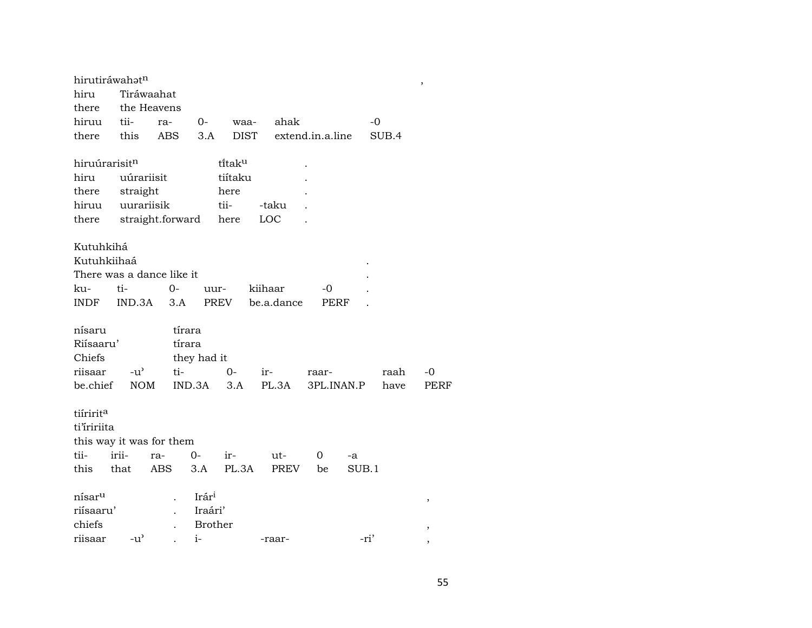| hirutiráwahatn     |               |                           |                |                      |            |                  |            |       | $\overline{\phantom{a}}$ |
|--------------------|---------------|---------------------------|----------------|----------------------|------------|------------------|------------|-------|--------------------------|
| hiru               | Tiráwaahat    |                           |                |                      |            |                  |            |       |                          |
| there              | the Heavens   |                           |                |                      |            |                  |            |       |                          |
| hiruu              | tii-          | ra-                       | $0-$           | waa-                 | ahak       |                  | $-0$       |       |                          |
| there              | this          | <b>ABS</b>                | 3.A            | <b>DIST</b>          |            | extend.in.a.line |            | SUB.4 |                          |
| hiruúrarisitn      |               |                           |                | ti̇̃tak <sup>u</sup> |            |                  |            |       |                          |
| hiru               | uúrariisit    |                           |                | tiítaku              |            |                  |            |       |                          |
| there              | straight      |                           |                | here                 |            |                  |            |       |                          |
| hiruu              | uurariisik    |                           |                | tii-                 | -taku      |                  |            |       |                          |
| there              |               | straight.forward          |                | here                 | LOC        |                  |            |       |                          |
|                    |               |                           |                |                      |            |                  |            |       |                          |
| Kutuhkihá          |               |                           |                |                      |            |                  |            |       |                          |
| Kutuhkiihaá        |               |                           |                |                      |            |                  |            |       |                          |
|                    |               | There was a dance like it |                |                      |            |                  |            |       |                          |
| ku-                | ti-           | $O -$                     | uur-           |                      | kiihaar    | -0               |            |       |                          |
| INDF               | IND.3A        | 3.A                       | PREV           |                      | be.a.dance | PERF             |            |       |                          |
| nísaru             |               | tírara                    |                |                      |            |                  |            |       |                          |
| Riisaaru'          |               | tírara                    |                |                      |            |                  |            |       |                          |
| Chiefs             |               |                           |                |                      |            |                  |            |       |                          |
|                    |               |                           | they had it    |                      |            |                  |            |       |                          |
| riisaar            | $-u^{\flat}$  | ti-                       |                | $0-$                 | $ir-$      | raar-            |            | raah  | -0                       |
| be.chief           | <b>NOM</b>    |                           | IND.3A         | 3.A                  | PL.3A      |                  | 3PL.INAN.P | have  | <b>PERF</b>              |
| tiíririta          |               |                           |                |                      |            |                  |            |       |                          |
| ti'iririita        |               |                           |                |                      |            |                  |            |       |                          |
|                    |               | this way it was for them  |                |                      |            |                  |            |       |                          |
| tii-               | irii-         | ra-                       | $0-$           | ir-                  | ut-        | 0                | -a         |       |                          |
| this that          |               | ABS                       | 3.A            | PL.3A                | PREV       | be               | SUB.1      |       |                          |
| nísar <sup>u</sup> |               |                           | Irári          |                      |            |                  |            |       |                          |
| riísaaru'          |               |                           | Iraári'        |                      |            |                  |            |       | ,                        |
| chiefs             |               |                           | <b>Brother</b> |                      |            |                  |            |       |                          |
| riisaar            | $-u^{\prime}$ |                           | $i-$           |                      | -raar-     |                  | -ri'       |       | ,                        |
|                    |               |                           |                |                      |            |                  |            |       |                          |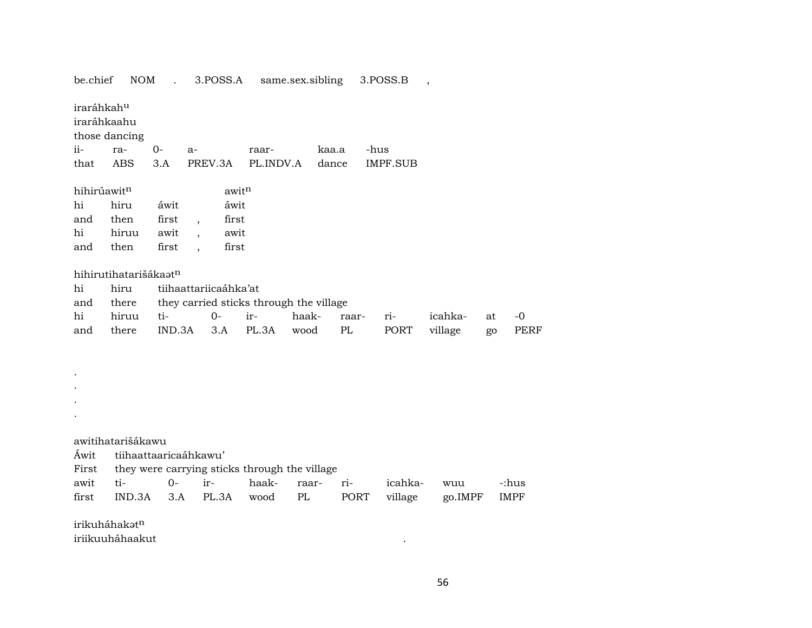| be.chief                              | NOM                   |        |                          | 3.POSS.A          |                                               | same.sex.sibling |       | 3.POSS.B        | $\cdot$ |    |             |
|---------------------------------------|-----------------------|--------|--------------------------|-------------------|-----------------------------------------------|------------------|-------|-----------------|---------|----|-------------|
| iraráhkah <sup>u</sup><br>iraráhkaahu | those dancing         |        |                          |                   |                                               |                  |       |                 |         |    |             |
| ii-                                   | ra-                   | $O -$  | $a-$                     |                   | raar-                                         |                  | kaa.a | -hus            |         |    |             |
| that                                  | <b>ABS</b>            | 3.A    | PREV.3A                  |                   | PL.INDV.A                                     |                  | dance | <b>IMPF.SUB</b> |         |    |             |
| hihirúawitn                           |                       |        |                          | awit <sup>n</sup> |                                               |                  |       |                 |         |    |             |
| hi                                    | hiru                  | áwit   |                          | áwit              |                                               |                  |       |                 |         |    |             |
| and                                   | then                  | first  | $\overline{\phantom{a}}$ | first             |                                               |                  |       |                 |         |    |             |
| hi                                    | hiruu                 | awit   |                          | awit              |                                               |                  |       |                 |         |    |             |
| and                                   | then                  | first  | $\ddot{\phantom{0}}$     | first             |                                               |                  |       |                 |         |    |             |
|                                       | hihirutihatarišákaatn |        |                          |                   |                                               |                  |       |                 |         |    |             |
| hi                                    | hiru                  |        | tiihaattariicaáhka'at    |                   |                                               |                  |       |                 |         |    |             |
| and                                   | there                 |        |                          |                   | they carried sticks through the village       |                  |       |                 |         |    |             |
| hi                                    | hiruu                 | ti-    | $0 -$                    |                   | ir-                                           | haak-            | raar- | ri-             | icahka- | at | $-0$        |
| and                                   | there                 | IND.3A |                          | 3.A               | PL.3A                                         | wood             | PL    | PORT            | village | go | PERF        |
|                                       |                       |        |                          |                   |                                               |                  |       |                 |         |    |             |
|                                       |                       |        |                          |                   |                                               |                  |       |                 |         |    |             |
|                                       |                       |        |                          |                   |                                               |                  |       |                 |         |    |             |
|                                       |                       |        |                          |                   |                                               |                  |       |                 |         |    |             |
|                                       |                       |        |                          |                   |                                               |                  |       |                 |         |    |             |
|                                       |                       |        |                          |                   |                                               |                  |       |                 |         |    |             |
|                                       |                       |        |                          |                   |                                               |                  |       |                 |         |    |             |
|                                       | awitihatarišákawu     |        |                          |                   |                                               |                  |       |                 |         |    |             |
| Áwit                                  | tiihaattaaricaáhkawu' |        |                          |                   |                                               |                  |       |                 |         |    |             |
| First                                 |                       |        |                          |                   | they were carrying sticks through the village |                  |       |                 |         |    |             |
| awit                                  | ti-                   | $0-$   | ir-                      |                   | haak-                                         | raar-            | ri-   | icahka-         | wuu     |    | -:hus       |
| first                                 | IND.3A                | 3.A    |                          | PL.3A             | wood                                          | PL               | PORT  | village         | go.IMPF |    | <b>IMPF</b> |
|                                       | irikuháhakatn         |        |                          |                   |                                               |                  |       |                 |         |    |             |
|                                       | iriikuuháhaakut       |        |                          |                   |                                               |                  |       |                 |         |    |             |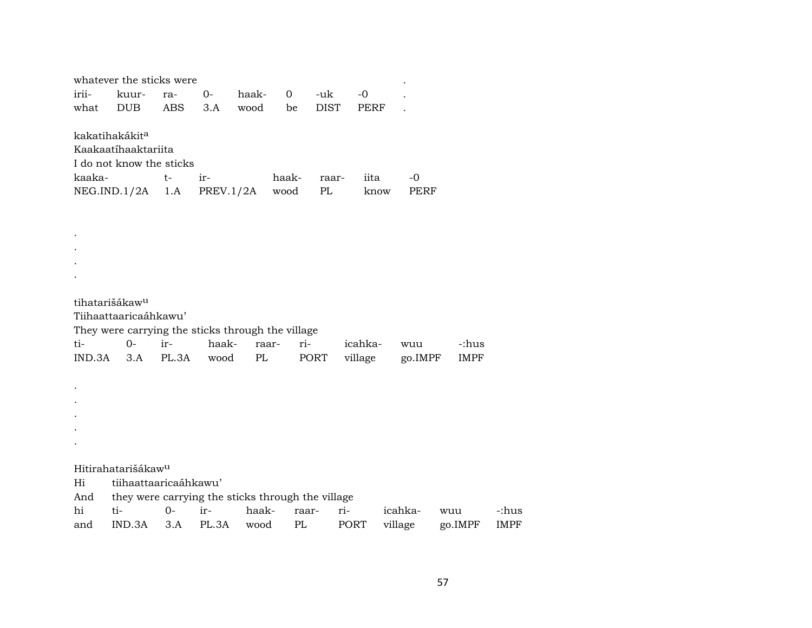|        | whatever the sticks were                          |            |           |               |                |             |             |             |             |       |
|--------|---------------------------------------------------|------------|-----------|---------------|----------------|-------------|-------------|-------------|-------------|-------|
| irii-  | kuur-                                             | ra-        | $0-$      | haak-         | $\overline{O}$ | -uk         | $-0$        |             |             |       |
| what   | <b>DUB</b>                                        | <b>ABS</b> | 3.A       | wood          | be             | <b>DIST</b> | <b>PERF</b> |             |             |       |
|        | kakatihakákit <sup>a</sup><br>Kaakaatíhaaktariita |            |           |               |                |             |             |             |             |       |
|        | I do not know the sticks                          |            |           |               |                |             |             |             |             |       |
| kaaka- |                                                   | $t-$       | ir-       |               | haak-          | raar-       | iita        | $-0$        |             |       |
|        | NEG.IND.1/2A                                      | 1.A        | PREV.1/2A |               | wood           | PL          | know        | <b>PERF</b> |             |       |
|        |                                                   |            |           |               |                |             |             |             |             |       |
|        |                                                   |            |           |               |                |             |             |             |             |       |
|        |                                                   |            |           |               |                |             |             |             |             |       |
|        |                                                   |            |           |               |                |             |             |             |             |       |
|        |                                                   |            |           |               |                |             |             |             |             |       |
|        |                                                   |            |           |               |                |             |             |             |             |       |
|        | tihatarišákaw <sup>u</sup>                        |            |           |               |                |             |             |             |             |       |
|        | Tiihaattaaricaáhkawu'                             |            |           |               |                |             |             |             |             |       |
|        | They were carrying the sticks through the village |            |           |               |                |             |             |             |             |       |
| ti-    | $0-$                                              | ir-        | haak-     | raar-         | ri-            |             | icahka-     | wuu         | -:hus       |       |
| IND.3A | 3.A                                               | PL.3A      | wood      | $\mathbf{PL}$ |                | PORT        | village     | go.IMPF     | <b>IMPF</b> |       |
|        |                                                   |            |           |               |                |             |             |             |             |       |
|        |                                                   |            |           |               |                |             |             |             |             |       |
|        |                                                   |            |           |               |                |             |             |             |             |       |
|        |                                                   |            |           |               |                |             |             |             |             |       |
|        |                                                   |            |           |               |                |             |             |             |             |       |
|        |                                                   |            |           |               |                |             |             |             |             |       |
|        | Hitirahatarišákaw <sup>u</sup>                    |            |           |               |                |             |             |             |             |       |
| Hi     | tiihaattaaricaáhkawu'                             |            |           |               |                |             |             |             |             |       |
| And    | they were carrying the sticks through the village |            |           |               |                |             |             |             |             |       |
| hi     | ti-                                               | $O -$      | ir-       | haak-         | raar-          |             | ri-         | icahka-     | wuu         | -:hus |
|        |                                                   | 3.A        |           |               |                |             |             |             |             |       |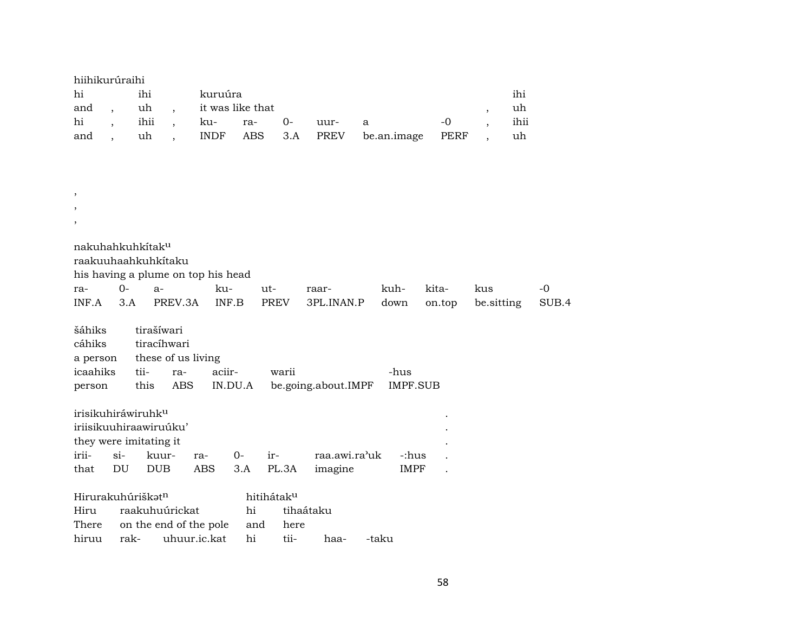| hiihikurúraihi |        |         |                  |      |      |                                    |      |      |
|----------------|--------|---------|------------------|------|------|------------------------------------|------|------|
| hi             | ihi    | kuruúra |                  |      |      |                                    |      | ihi  |
| and,           | uh .   |         | it was like that |      |      |                                    |      | uh   |
| hi             | ihii , | ku- ra- |                  | $O-$ | uur- | a                                  | $-0$ | ihii |
| and            | uh.    |         |                  |      |      | INDF ABS 3.A PREV be.an.image PERF |      | uh   |

| $^\mathrm{,}$                                            |        |                                                           |        |         |             |                     |             |                 |            |       |
|----------------------------------------------------------|--------|-----------------------------------------------------------|--------|---------|-------------|---------------------|-------------|-----------------|------------|-------|
| $\cdot$                                                  |        |                                                           |        |         |             |                     |             |                 |            |       |
| $\overline{\phantom{a}}$                                 |        |                                                           |        |         |             |                     |             |                 |            |       |
| nakuhahkuhkítak <sup>u</sup>                             |        | raakuuhaahkuhkitaku<br>his having a plume on top his head |        |         |             |                     |             |                 |            |       |
| ra-                                                      | $O -$  | $a-$                                                      | ku-    |         | ut-         | raar-               | kuh-        | kita-           | kus        | -0    |
| INF.A                                                    | 3.A    | PREV.3A                                                   |        | INF.B   | <b>PREV</b> | 3PL.INAN.P          | down        | on.top          | be.sitting | SUB.4 |
|                                                          |        |                                                           |        |         |             |                     |             |                 |            |       |
| šáhiks<br>cáhiks<br>a person                             |        | tirašíwari<br>tiracíhwari<br>these of us living           |        |         |             |                     |             |                 |            |       |
| icaahiks                                                 | tii-   | ra-                                                       | aciir- |         | warii       |                     | -hus        |                 |            |       |
| person                                                   |        | <b>ABS</b><br>this                                        |        | IN.DU.A |             | be.going.about.IMPF |             | <b>IMPF.SUB</b> |            |       |
|                                                          |        |                                                           |        |         |             |                     |             |                 |            |       |
| irisikuhiráwiruhk <sup>u</sup><br>they were imitating it |        | iriisikuuhiraawiruúku'                                    |        |         |             |                     |             |                 |            |       |
| irii-                                                    | $\sin$ | kuur-                                                     | ra-    | 0-      | ir-         | raa.awi.ra'uk       |             | -:hus           |            |       |
| that                                                     | DU     | <b>DUB</b>                                                | ABS    | 3.A     | PL.3A       | imagine             | <b>IMPF</b> |                 |            |       |
|                                                          |        |                                                           |        |         |             |                     |             |                 |            |       |
| Hirurakuhúriškat <sup>n</sup>                            |        |                                                           |        |         | hitihátaku  |                     |             |                 |            |       |
| Hiru                                                     |        | raakuhuúrickat                                            |        | hi      |             | tihaátaku           |             |                 |            |       |
| There                                                    |        | on the end of the pole                                    |        |         | here<br>and |                     |             |                 |            |       |

hiruu rak- uhuur.ic.kat hi tii- haa- -taku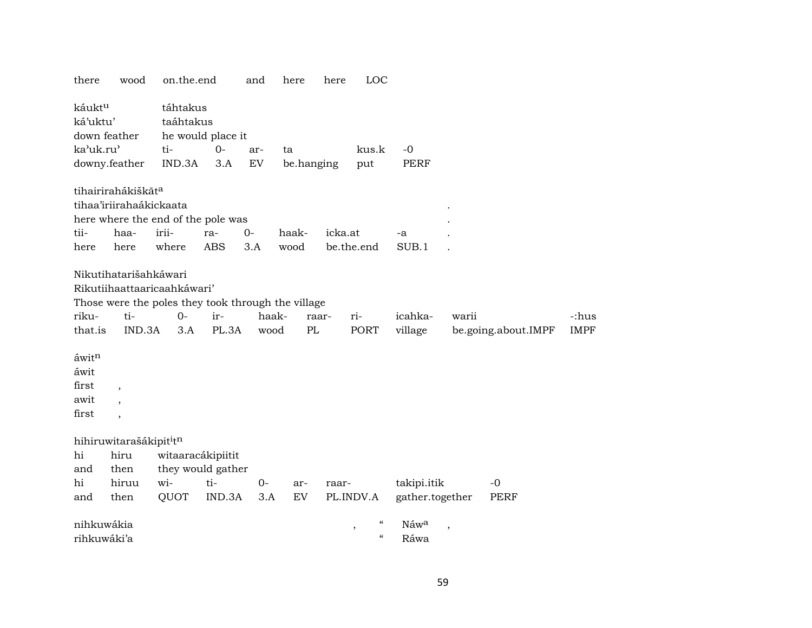| there              | wood                                | on.the.end                                         |                   | and                        | here       | here    | LOC                                |                 |                          |                     |             |
|--------------------|-------------------------------------|----------------------------------------------------|-------------------|----------------------------|------------|---------|------------------------------------|-----------------|--------------------------|---------------------|-------------|
| káukt <sup>u</sup> |                                     | táhtakus                                           |                   |                            |            |         |                                    |                 |                          |                     |             |
| ká'uktu'           |                                     | taáhtakus                                          |                   |                            |            |         |                                    |                 |                          |                     |             |
|                    | down feather                        |                                                    | he would place it |                            |            |         |                                    |                 |                          |                     |             |
| ka'uk.ru'          |                                     | ti-                                                | $0-$              | ar-                        | ta         |         | kus.k                              | $-0$            |                          |                     |             |
|                    | downy.feather                       | IND.3A                                             | 3.A               | $\mathop{\rm EV}\nolimits$ | be.hanging |         | put                                | <b>PERF</b>     |                          |                     |             |
|                    | tihairirahákiškāt <sup>a</sup>      |                                                    |                   |                            |            |         |                                    |                 |                          |                     |             |
|                    | tihaa'iriirahaákickaata             |                                                    |                   |                            |            |         |                                    |                 |                          |                     |             |
|                    |                                     | here where the end of the pole was                 |                   |                            |            |         |                                    |                 |                          |                     |             |
| tii-               | haa-                                | irii-                                              | ra-               | $0 -$                      | haak-      | icka.at |                                    | -a              |                          |                     |             |
| here               | here                                | where                                              | <b>ABS</b>        | 3.A                        | wood       |         | be.the.end                         | SUB.1           |                          |                     |             |
|                    | Nikutihatarišahkáwari               |                                                    |                   |                            |            |         |                                    |                 |                          |                     |             |
|                    |                                     | Rikutiihaattaaricaahkáwari'                        |                   |                            |            |         |                                    |                 |                          |                     |             |
|                    |                                     | Those were the poles they took through the village |                   |                            |            |         |                                    |                 |                          |                     |             |
| riku-              | ti-                                 | $0-$                                               | ir-               | haak-                      |            | raar-   | ri-                                | icahka-         | warii                    |                     | -:hus       |
| that.is            | IND.3A                              | 3.A                                                | PL.3A             | wood                       | PL         |         | PORT                               | village         |                          | be.going.about.IMPF | <b>IMPF</b> |
| áwitn              |                                     |                                                    |                   |                            |            |         |                                    |                 |                          |                     |             |
| áwit               |                                     |                                                    |                   |                            |            |         |                                    |                 |                          |                     |             |
| first              | $\overline{\phantom{a}}$            |                                                    |                   |                            |            |         |                                    |                 |                          |                     |             |
| awit               | $\ddot{\phantom{0}}$                |                                                    |                   |                            |            |         |                                    |                 |                          |                     |             |
| first              | $\overline{\phantom{a}}$            |                                                    |                   |                            |            |         |                                    |                 |                          |                     |             |
|                    | hihiruwitarašákipit <sup>i</sup> tn |                                                    |                   |                            |            |         |                                    |                 |                          |                     |             |
| hi                 | hiru                                | witaaracákipiitit                                  |                   |                            |            |         |                                    |                 |                          |                     |             |
| and                | then                                |                                                    | they would gather |                            |            |         |                                    |                 |                          |                     |             |
| hi                 | hiruu                               | wi-                                                | ti-               | $0-$                       | ar-        | raar-   |                                    | takipi.itik     |                          | $-0$                |             |
| and                | then                                | QUOT                                               | IND.3A            | 3.A                        | EV         |         | PL.INDV.A                          | gather.together |                          | <b>PERF</b>         |             |
| nihkuwákia         |                                     |                                                    |                   |                            |            |         | $\mathcal{C}\mathcal{C}$<br>$\, ,$ | Náwa            | $\overline{\phantom{a}}$ |                     |             |
| rihkuwáki'a        |                                     |                                                    |                   |                            |            |         | $\mathcal{C}$                      | Ráwa            |                          |                     |             |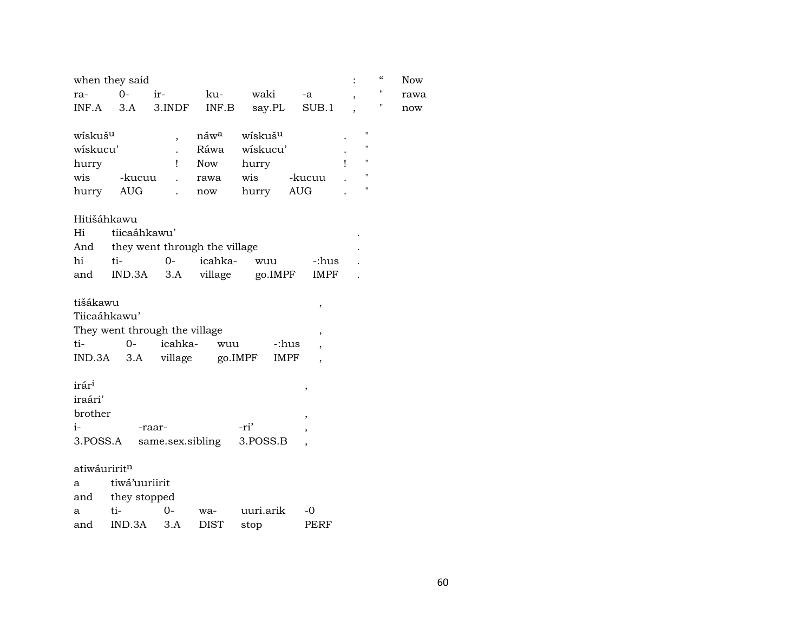|                     | when they said                |                          |                               |                     |                          |                          |                    | $\epsilon\epsilon$ | <b>Now</b> |
|---------------------|-------------------------------|--------------------------|-------------------------------|---------------------|--------------------------|--------------------------|--------------------|--------------------|------------|
| ra-                 | $O -$                         | ir-                      | ku-                           | waki                | -a                       | $\overline{\phantom{a}}$ |                    | "                  | rawa       |
| INF.A               | 3.A                           | 3.INDF                   | INF.B                         | say.PL              | SUB.1                    |                          |                    | Ħ                  | now        |
| wiskuš <sup>u</sup> |                               | $\overline{\phantom{a}}$ | náw <sup>a</sup>              | wiskuš <sup>u</sup> |                          |                          | П                  |                    |            |
| wiskucu'            |                               | $\ddot{\phantom{a}}$     | Ráwa                          | wiskucu'            |                          |                          | $\pmb{\mathsf{H}}$ |                    |            |
| hurry               |                               | Τ.                       | <b>Now</b>                    | hurry               |                          | 1                        | $\pmb{\mathsf{H}}$ |                    |            |
| wis                 | -kucuu                        | $\ddot{\phantom{a}}$     | rawa                          | wis                 | -kucuu                   |                          | $\pmb{\mathsf{H}}$ |                    |            |
| hurry               | AUG                           |                          | now                           | hurry               | <b>AUG</b>               |                          | 11                 |                    |            |
|                     | Hitišáhkawu                   |                          |                               |                     |                          |                          |                    |                    |            |
| Hi                  | tiicaáhkawu'                  |                          |                               |                     |                          |                          |                    |                    |            |
| And                 |                               |                          | they went through the village |                     |                          |                          |                    |                    |            |
| hi                  | ti-                           | $0-$                     | icahka-                       | wuu                 | -:hus                    |                          |                    |                    |            |
| and                 | IND.3A                        | 3.A                      | village                       | go.IMPF             | IMPF                     |                          |                    |                    |            |
| tišákawu            |                               |                          |                               |                     | ,                        |                          |                    |                    |            |
|                     | Tiicaáhkawu'                  |                          |                               |                     |                          |                          |                    |                    |            |
|                     | They went through the village |                          |                               |                     | $\overline{\phantom{a}}$ |                          |                    |                    |            |
| ti-                 | $0 -$                         | icahka-                  | wuu                           | -:hus               |                          |                          |                    |                    |            |
| IND.3A              | 3.A                           | village                  |                               | go.IMPF<br>IMPF     |                          |                          |                    |                    |            |
| irár <sup>i</sup>   |                               |                          |                               |                     | ,                        |                          |                    |                    |            |
| iraári'             |                               |                          |                               |                     |                          |                          |                    |                    |            |
| brother             |                               |                          |                               |                     | ,                        |                          |                    |                    |            |
| $i-$                |                               | -raar-                   |                               | -ri'                |                          |                          |                    |                    |            |
|                     | 3.POSS.A                      |                          | same.sex.sibling              | 3.POSS.B            |                          |                          |                    |                    |            |
|                     | atiwáuriritn                  |                          |                               |                     |                          |                          |                    |                    |            |
| a                   | tiwá'uuriirit                 |                          |                               |                     |                          |                          |                    |                    |            |
| and                 | they stopped                  |                          |                               |                     |                          |                          |                    |                    |            |
| a                   | ti-                           | 0-                       | wa-                           | uuri.arik           | -0                       |                          |                    |                    |            |
| and                 | IND.3A                        | 3.A                      | DIST                          | stop                | PERF                     |                          |                    |                    |            |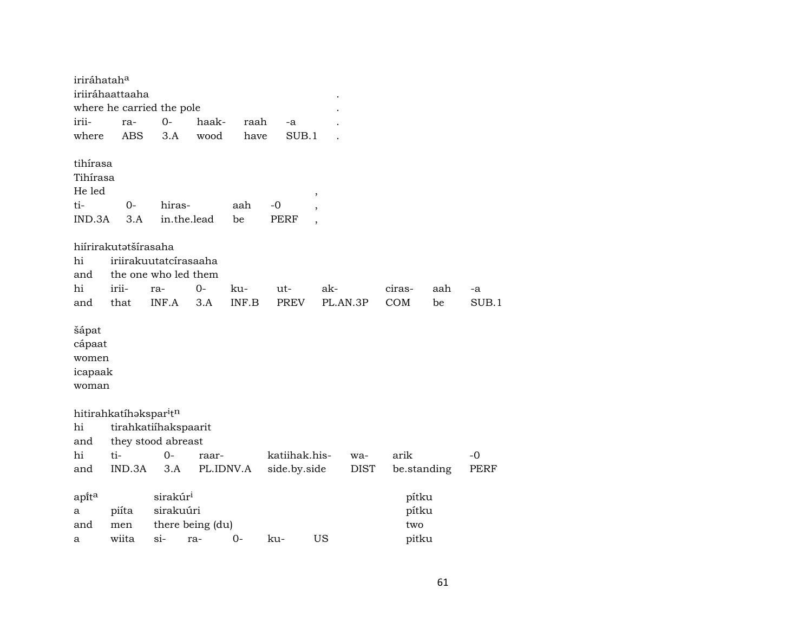| iriráhatah <sup>a</sup>                               | iriiráhaattaaha<br>where he carried the pole  |                                   |                  |           |                   |                                                           |             |                       |     |       |
|-------------------------------------------------------|-----------------------------------------------|-----------------------------------|------------------|-----------|-------------------|-----------------------------------------------------------|-------------|-----------------------|-----|-------|
| irii-                                                 | ra-                                           | $0-$                              | haak-            | raah      | -a                |                                                           |             |                       |     |       |
| where                                                 | <b>ABS</b>                                    | 3.A                               | wood             | have      | SUB.1             |                                                           |             |                       |     |       |
| tihírasa<br>Tihírasa<br>He led<br>ti-<br>IND.3A       | $0 -$<br>3.A                                  | hiras-                            | in.the.lead      | aah<br>be | -0<br><b>PERF</b> | ,<br>$\overline{\phantom{a}}$<br>$\overline{\phantom{a}}$ |             |                       |     |       |
|                                                       | hiírirakutətšírasaha                          |                                   |                  |           |                   |                                                           |             |                       |     |       |
| hi<br>and                                             | iriirakuutatcírasaaha<br>the one who led them |                                   |                  |           |                   |                                                           |             |                       |     |       |
| hi                                                    | irii-                                         | ra-                               | 0-               | ku-       | ut-               | ak-                                                       |             | ciras-                | aah | -a    |
| and                                                   | that                                          | INF.A                             | 3.A              | INF.B     | <b>PREV</b>       | PL.AN.3P                                                  |             | COM                   | be  | SUB.1 |
| šápat<br>cápaat<br>women<br>icapaak<br>woman          |                                               |                                   |                  |           |                   |                                                           |             |                       |     |       |
|                                                       | hitirahkatíhakspar <sup>itn</sup>             |                                   |                  |           |                   |                                                           |             |                       |     |       |
| hi                                                    | tirahkatiíhakspaarit                          |                                   |                  |           |                   |                                                           |             |                       |     |       |
| and                                                   | they stood abreast                            |                                   |                  |           |                   |                                                           |             |                       |     |       |
| hi                                                    | ti-                                           | $O -$                             | raar-            |           | katiihak.his-     |                                                           | wa-         | arik                  |     | $-0$  |
| and                                                   | IND.3A                                        | 3.A                               | PL.IDNV.A        |           | side.by.side      |                                                           | <b>DIST</b> | be.standing           |     | PERF  |
| $\mathsf{apft}^{\mathrm{\scriptstyle a}}$<br>а<br>and | piíta<br>men                                  | sirakúr <sup>i</sup><br>sirakuúri | there being (du) |           |                   |                                                           |             | pítku<br>pítku<br>two |     |       |
| a                                                     | wiita                                         | $\sin$                            | ra-              | $0-$      | ku-               | US                                                        |             | pitku                 |     |       |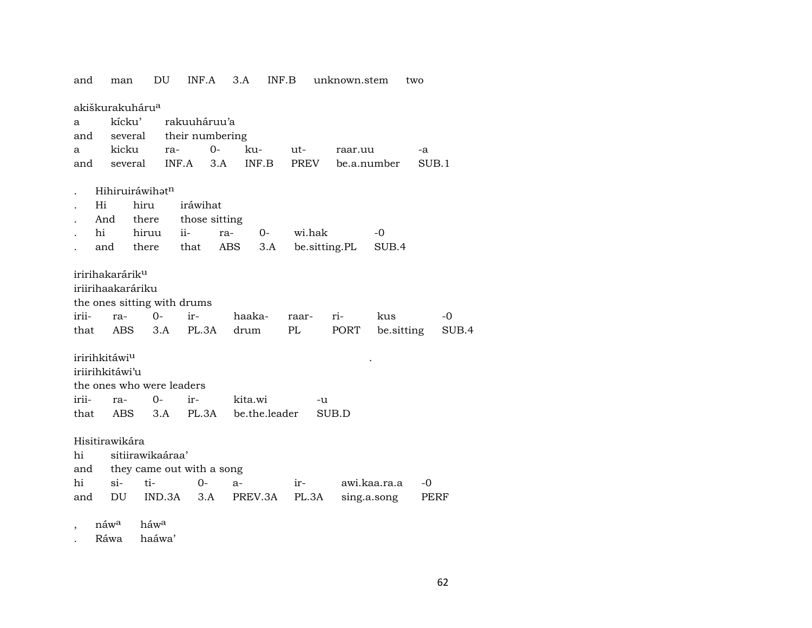and man DU INF.A 3.A INF.B unknown.stem two akiškurakuháru<sup>a</sup> a kícku' rakuuháruu'a and several their numbering a kicku ra- 0- ku- ut- raar.uu -a and several INF.A 3.A INF.B PREV be.a.number SUB.1 . Hihiruiráwihat<sup>n</sup> . Hi hiru iráwihat . And there those sitting . hi hiruu ii- ra- 0- wi.hak -0 . and there that ABS 3.A be.sitting.PL SUB.4 iririhakarárikµ iriirihaakaráriku the ones sitting with drums irii- ra- 0- ir- haaka- raar- ri- kus -0 that ABS 3.A PL.3A drum PL PORT be.sitting SUB.4 iririhkitáwi<sup>u</sup> iriirihkitáwi'u the ones who were leaders irii- ra- 0- ir- kita.wi -u that ABS 3.A PL.3A be.the.leader SUB.D Hisitirawikára hi sitiirawikaáraa' and they came out with a song hi si- ti- 0- a- ir- awi.kaa.ra.a -0 and DU IND.3A 3.A PREV.3A PL.3A sing.a.song PERF , náw<sup>a</sup> háw<sup>a</sup>

. Ráwa haáwa'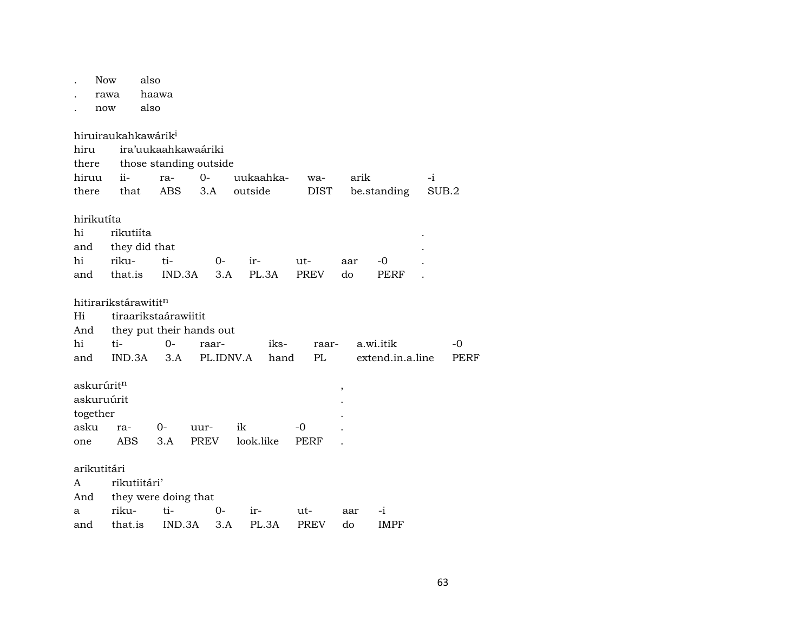|          | <b>Now</b><br>rawa<br>now        | also<br>haawa<br>also |                          |             |           |           |       |             |     |           |                  |       |      |  |
|----------|----------------------------------|-----------------------|--------------------------|-------------|-----------|-----------|-------|-------------|-----|-----------|------------------|-------|------|--|
|          | hiruiraukahkawárik <sup>i</sup>  |                       |                          |             |           |           |       |             |     |           |                  |       |      |  |
| hiru     |                                  |                       | ira'uukaahkawaáriki      |             |           |           |       |             |     |           |                  |       |      |  |
| there    |                                  |                       | those standing outside   |             |           |           |       |             |     |           |                  |       |      |  |
| hiruu    | ii-                              |                       | ra-                      | $0-$        |           | uukaahka- |       | wa-         |     | arik      |                  | $-i$  |      |  |
| there    | that                             |                       | <b>ABS</b>               | 3.A         |           | outside   |       | <b>DIST</b> |     |           | be.standing      | SUB.2 |      |  |
|          | hirikutíta                       |                       |                          |             |           |           |       |             |     |           |                  |       |      |  |
| hi       |                                  | rikutiíta             |                          |             |           |           |       |             |     |           |                  |       |      |  |
| and      |                                  | they did that         |                          |             |           |           |       |             |     |           |                  |       |      |  |
| hi       | riku-                            |                       | ti-                      |             | $0-$      | ir-       |       | ut-         | aar |           | -0               |       |      |  |
|          | and that.is                      |                       | IND.3A                   |             | 3.A       | PL.3A     |       | PREV        | do  |           | PERF             |       |      |  |
|          | hitirarikstárawitit <sup>n</sup> |                       |                          |             |           |           |       |             |     |           |                  |       |      |  |
| Hi       |                                  |                       | tiraarikstaárawiitit     |             |           |           |       |             |     |           |                  |       |      |  |
| And      |                                  |                       | they put their hands out |             |           |           |       |             |     |           |                  |       |      |  |
| hi       | ti-                              |                       | $0-$                     |             | raar-     |           | iks-  | raar-       |     | a.wi.itik |                  |       | -0   |  |
| and      | IND.3A                           |                       | 3.A                      |             | PL.IDNV.A |           | hand  | PL          |     |           | extend.in.a.line |       | PERF |  |
|          | askurúrit <sup>n</sup>           |                       |                          |             |           |           |       |             | ,   |           |                  |       |      |  |
|          | askuruúrit                       |                       |                          |             |           |           |       |             |     |           |                  |       |      |  |
| together |                                  |                       |                          |             |           |           |       |             |     |           |                  |       |      |  |
| asku     | ra-                              |                       | $0-$                     | uur-        |           | ik        |       | -0          |     |           |                  |       |      |  |
| one      | ABS                              |                       | 3.A                      | <b>PREV</b> |           | look.like |       | PERF        |     |           |                  |       |      |  |
|          | arikutitári                      |                       |                          |             |           |           |       |             |     |           |                  |       |      |  |
| A        |                                  | rikutiitári'          |                          |             |           |           |       |             |     |           |                  |       |      |  |
| And      |                                  |                       | they were doing that     |             |           |           |       |             |     |           |                  |       |      |  |
| a        | riku-                            |                       | ti-                      |             | $0-$      | ir-       |       | ut-         | aar |           | -i               |       |      |  |
| and      | that.is                          |                       | IND.3A                   |             | 3.A       |           | PL.3A | <b>PREV</b> | do  |           | <b>IMPF</b>      |       |      |  |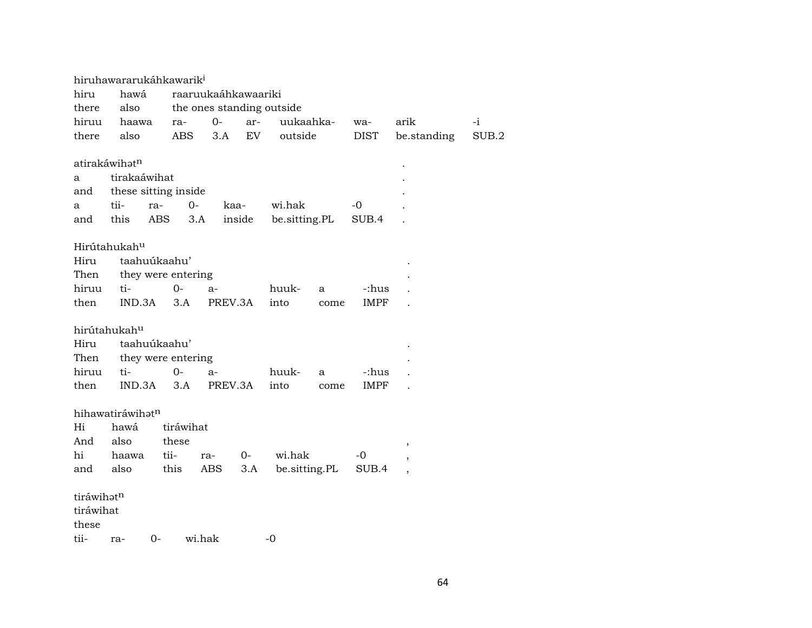|            |                           | hiruhawararukáhkawarik <sup>i</sup> |                           |      |               |      |             |                          |       |
|------------|---------------------------|-------------------------------------|---------------------------|------|---------------|------|-------------|--------------------------|-------|
| hiru       | hawá                      |                                     | raaruukaáhkawaariki       |      |               |      |             |                          |       |
| there      | also                      |                                     | the ones standing outside |      |               |      |             |                          |       |
| hiruu      | haawa                     | ra-                                 | $0-$                      | ar-  | uukaahka-     |      | wa-         | arik                     | -i    |
| there      | also                      | <b>ABS</b>                          | 3.A                       | EV   | outside       |      | <b>DIST</b> | be.standing              | SUB.2 |
|            |                           |                                     |                           |      |               |      |             |                          |       |
|            | atirakáwihat <sup>n</sup> |                                     |                           |      |               |      |             |                          |       |
| a          | tirakaáwihat              |                                     |                           |      |               |      |             |                          |       |
| and        |                           | these sitting inside                |                           |      |               |      |             |                          |       |
| a          | tii-                      | $0-$<br>ra-                         | kaa-                      |      | wi.hak        |      | $-0$        |                          |       |
| and        | this                      | ABS                                 | inside<br>3.A             |      | be.sitting.PL |      | SUB.4       |                          |       |
|            |                           |                                     |                           |      |               |      |             |                          |       |
|            | Hirútahukah <sup>u</sup>  |                                     |                           |      |               |      |             |                          |       |
| Hiru       |                           | taahuúkaahu'                        |                           |      |               |      |             |                          |       |
| Then       |                           | they were entering                  |                           |      |               |      |             |                          |       |
| hiruu      | ti-                       | $0-$                                | $a-$                      |      | huuk-         | a    | -:hus       |                          |       |
| then       | IND.3A                    | 3.A                                 | PREV.3A                   |      | into          | come | <b>IMPF</b> |                          |       |
|            |                           |                                     |                           |      |               |      |             |                          |       |
|            | hirútahukahu              |                                     |                           |      |               |      |             |                          |       |
| Hiru       |                           | taahuúkaahu'                        |                           |      |               |      |             |                          |       |
| Then       |                           | they were entering                  |                           |      |               |      |             |                          |       |
| hiruu      | ti-                       | $0-$                                | $a-$                      |      | huuk-         | a    | -:hus       |                          |       |
| then       | IND.3A                    | 3.A                                 | PREV.3A                   |      | into          | come | <b>IMPF</b> |                          |       |
|            |                           |                                     |                           |      |               |      |             |                          |       |
|            | hihawatiráwihatn          |                                     |                           |      |               |      |             |                          |       |
| Hi         | hawá                      | tiráwihat                           |                           |      |               |      |             |                          |       |
| And        | also                      | these                               |                           |      |               |      |             | $\, ,$                   |       |
| hi         | haawa                     | tii-                                | ra-                       | $0-$ | wi.hak        |      | -0          | ,                        |       |
| and        | also                      | this                                | ABS                       | 3.A  | be.sitting.PL |      | SUB.4       | $\overline{\phantom{a}}$ |       |
|            |                           |                                     |                           |      |               |      |             |                          |       |
| tiráwihatn |                           |                                     |                           |      |               |      |             |                          |       |
| tiráwihat  |                           |                                     |                           |      |               |      |             |                          |       |
| these      |                           |                                     |                           |      |               |      |             |                          |       |
| tii-       | ra-                       | $0-$                                | wi.hak                    |      | $-0$          |      |             |                          |       |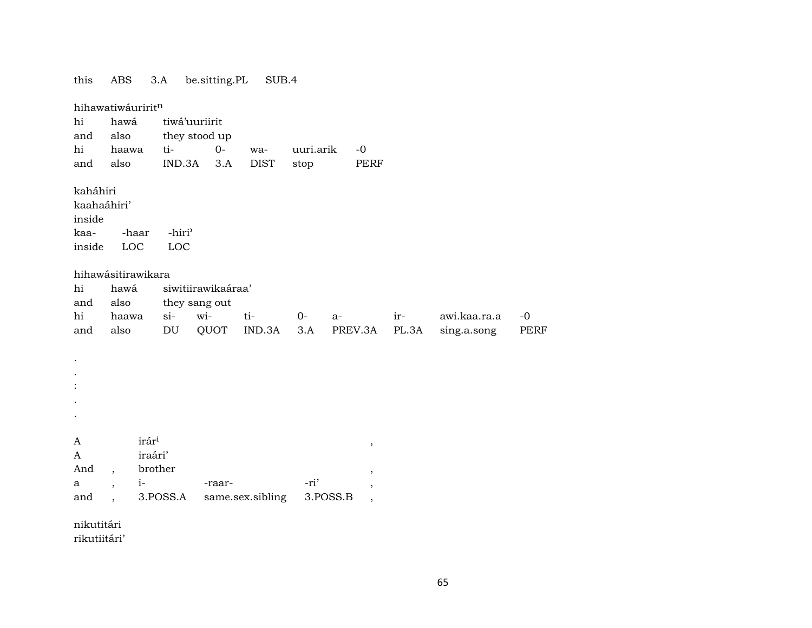| this                                                | <b>ABS</b>               |                                         | 3.A                        | be.sitting.PL      | SUB.4            |           |          |                          |       |              |             |
|-----------------------------------------------------|--------------------------|-----------------------------------------|----------------------------|--------------------|------------------|-----------|----------|--------------------------|-------|--------------|-------------|
|                                                     | hihawatiwáuriritn        |                                         |                            |                    |                  |           |          |                          |       |              |             |
| hi                                                  | hawá                     |                                         |                            | tiwá'uuriirit      |                  |           |          |                          |       |              |             |
| and                                                 | also                     |                                         |                            | they stood up      |                  |           |          |                          |       |              |             |
| hi                                                  | haawa                    |                                         | ti-                        | $0-$               | wa-              | uuri.arik |          | $-0$                     |       |              |             |
| and                                                 | also                     |                                         | IND.3A                     | 3.A                | <b>DIST</b>      | stop      |          | <b>PERF</b>              |       |              |             |
| kaháhiri<br>kaahaáhiri'<br>inside<br>kaa-<br>inside | -haar<br>LOC             |                                         | -hiri <sup>3</sup><br>LOC  |                    |                  |           |          |                          |       |              |             |
|                                                     | hihawásitirawikara       |                                         |                            |                    |                  |           |          |                          |       |              |             |
| hi                                                  | hawá                     |                                         |                            | siwitiirawikaáraa' |                  |           |          |                          |       |              |             |
| and                                                 | also                     |                                         |                            | they sang out      |                  |           |          |                          |       |              |             |
| hi                                                  | haawa                    |                                         | $si-$                      | wi-                | ti-              | $0-$      | a-       |                          | ir-   | awi.kaa.ra.a | $-0$        |
| and                                                 | also                     |                                         | $\mathop{\rm DU}\nolimits$ | QUOT               | IND.3A           | 3.A       |          | PREV.3A                  | PL.3A | sing.a.song  | <b>PERF</b> |
|                                                     |                          |                                         |                            |                    |                  |           |          |                          |       |              |             |
| A<br>A<br>And                                       | $\overline{\phantom{a}}$ | irár <sup>i</sup><br>iraári'<br>brother |                            |                    |                  |           |          | $\,$<br>$\,$             |       |              |             |
| a                                                   | $\overline{ }$           | $i-$                                    |                            | -raar-             |                  | -ri'      |          | ,                        |       |              |             |
| and                                                 |                          |                                         | 3.POSS.A                   |                    | same.sex.sibling |           | 3.POSS.B | $\overline{\phantom{a}}$ |       |              |             |
|                                                     |                          |                                         |                            |                    |                  |           |          |                          |       |              |             |

nikutitári rikutiitári'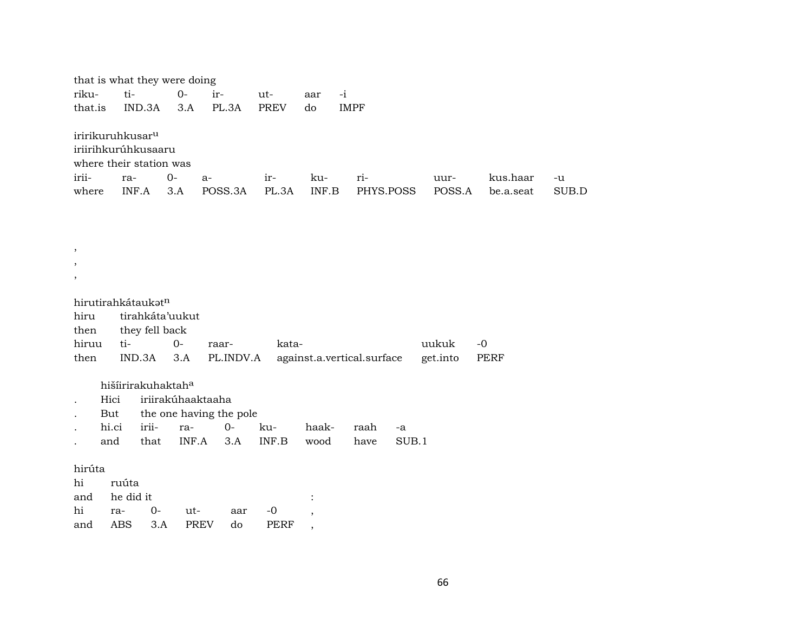|         | that is what they were doing                                                   |                   |                                  |             |                          |                            |             |          |           |       |
|---------|--------------------------------------------------------------------------------|-------------------|----------------------------------|-------------|--------------------------|----------------------------|-------------|----------|-----------|-------|
| riku-   | ti-                                                                            | $O -$             | ir-                              | ut-         | aar                      | $-i$                       |             |          |           |       |
| that.is | IND.3A                                                                         | 3.A               | PL.3A                            | <b>PREV</b> | do                       | <b>IMPF</b>                |             |          |           |       |
|         | iririkuruhkusar <sup>u</sup><br>iriirihkurúhkusaaru<br>where their station was |                   |                                  |             |                          |                            |             |          |           |       |
| irii-   | ra-                                                                            | $0-$              | a-                               | ir-         | ku-                      | ri-                        |             | uur-     | kus.haar  | $-u$  |
| where   | INF.A                                                                          | 3.A               | POSS.3A                          | PL.3A       | INF.B                    |                            | PHYS.POSS   | POSS.A   | be.a.seat | SUB.D |
|         |                                                                                |                   |                                  |             |                          |                            |             |          |           |       |
|         |                                                                                |                   |                                  |             |                          |                            |             |          |           |       |
|         |                                                                                |                   |                                  |             |                          |                            |             |          |           |       |
| $\cdot$ |                                                                                |                   |                                  |             |                          |                            |             |          |           |       |
|         |                                                                                |                   |                                  |             |                          |                            |             |          |           |       |
| $\,$    |                                                                                |                   |                                  |             |                          |                            |             |          |           |       |
|         | hirutirahkátaukatn                                                             |                   |                                  |             |                          |                            |             |          |           |       |
| hiru    | tirahkáta'uukut                                                                |                   |                                  |             |                          |                            |             |          |           |       |
| then    | they fell back                                                                 |                   |                                  |             |                          |                            |             |          |           |       |
| hiruu   | ti-                                                                            | $0-$              | raar-                            | kata-       |                          |                            |             | uukuk    | $-0$      |       |
| then    | IND.3A                                                                         | 3.A               | PL.INDV.A                        |             |                          | against.a.vertical.surface |             | get.into | PERF      |       |
|         |                                                                                |                   |                                  |             |                          |                            |             |          |           |       |
|         | hišíirirakuhaktaha                                                             |                   |                                  |             |                          |                            |             |          |           |       |
| Hici    |                                                                                | iriirakúhaaktaaha |                                  |             |                          |                            |             |          |           |       |
| But     | irii-<br>hi.ci                                                                 |                   | the one having the pole<br>$O -$ | ku-         | haak-                    | raah                       |             |          |           |       |
| and     | that                                                                           | ra-<br>INF.A      | 3.A                              | INF.B       | wood                     | have                       | -a<br>SUB.1 |          |           |       |
|         |                                                                                |                   |                                  |             |                          |                            |             |          |           |       |
| hirúta  |                                                                                |                   |                                  |             |                          |                            |             |          |           |       |
| hi      | ruúta                                                                          |                   |                                  |             |                          |                            |             |          |           |       |
| and     | he did it                                                                      |                   |                                  |             |                          |                            |             |          |           |       |
| hi      | $O -$<br>ra-                                                                   | ut-               | aar                              | $-0$        | $\overline{\phantom{a}}$ |                            |             |          |           |       |
| and     | <b>ABS</b>                                                                     | 3.A               | <b>PREV</b><br>do                | <b>PERF</b> | $\cdot$                  |                            |             |          |           |       |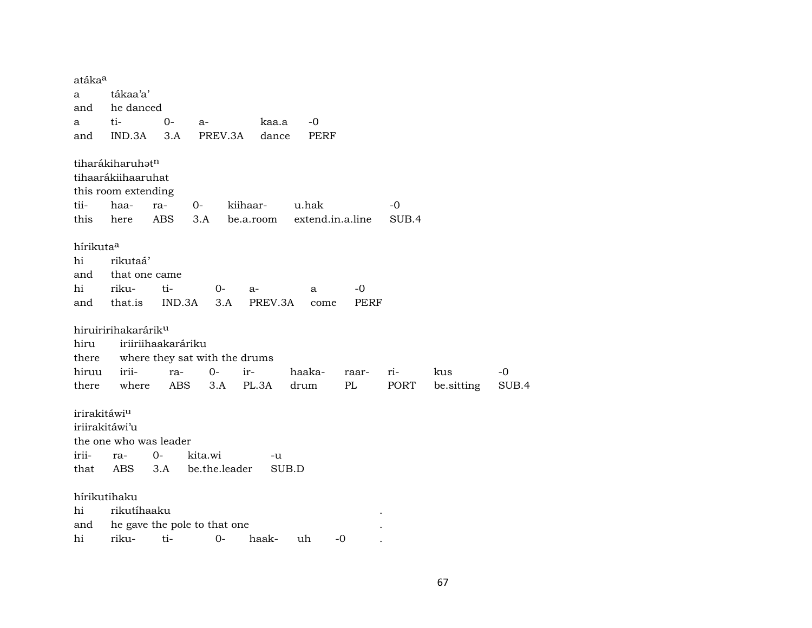atáka° a tákaa'a' and he danced a ti- 0- a- kaa.a -0 and IND.3A 3.A PREV.3A dance PERF tiharákiharuhatn tihaarákiihaaruhat this room extending tii- haa- ra- 0- kiihaar- u.hak -0 this here ABS 3.A be.a.room extend.in.a.line SUB.4 hírikuta<sup>a</sup> hi rikutaá' and that one came hi riku- ti- 0- a- a -0 and that.is IND.3A 3.A PREV.3A come PERF hiruiririhakarárik<sup>u</sup> hiru iriiriihaakaráriku there where they sat with the drums hiruu irii- ra- 0- ir- haaka- raar- ri- kus -0 there where ABS 3.A PL.3A drum PL PORT be.sitting SUB.4 irirakitáwiµ iriirakitáwi'u the one who was leader irii- ra- 0- kita.wi -u that ABS 3.A be.the.leader SUB.D hírikutihaku hi rikutíhaaku . and he gave the pole to that one hi riku- ti- 0- haak- uh -0 .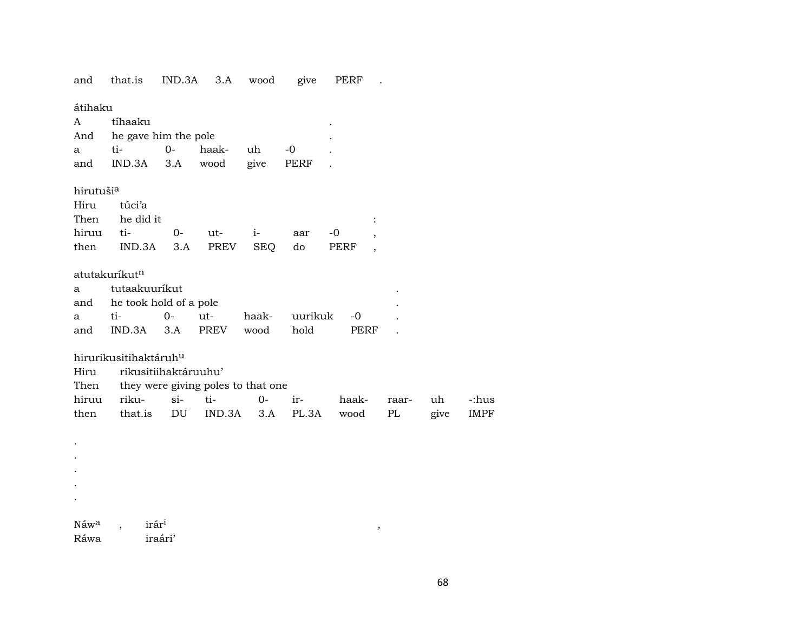and that.is IND.3A 3.A wood give PERF .

átihaku

| A                         | tíhaaku              |       |       |            |      |      |                          |  |
|---------------------------|----------------------|-------|-------|------------|------|------|--------------------------|--|
| And                       | he gave him the pole |       |       |            |      |      |                          |  |
| a                         | ti-                  | $O -$ | haak- | uh         | -0   |      |                          |  |
| and                       | IND.3A               | 3.A   | wood  | give       | PERF |      |                          |  |
| hirutuši <sup>a</sup>     |                      |       |       |            |      |      |                          |  |
| Hiru                      | túci'a               |       |       |            |      |      |                          |  |
| Then                      | he did it            |       |       |            |      |      |                          |  |
| hiruu                     | ti-                  | $0-$  | ut-   | $i-$       | aar  | -0   | ,                        |  |
| then                      | IND.3A               | 3.A   | PREV  | <b>SEQ</b> | do   | PERF | $\overline{\phantom{a}}$ |  |
| atutakuríkut <sup>n</sup> |                      |       |       |            |      |      |                          |  |
| a                         | tutaakuurikut        |       |       |            |      |      |                          |  |

| and he took hold of a pole |  |  |  |                                      |  |  |  |  |
|----------------------------|--|--|--|--------------------------------------|--|--|--|--|
|                            |  |  |  | a ti- 0- ut- haak- uurikuk -0        |  |  |  |  |
|                            |  |  |  | and IND.3A 3.A PREV wood hold PERF . |  |  |  |  |

hirurikusitihaktáruh<sup>u</sup>

rikusitiihaktáruuhu' Hiru

|  |  | Then they were giving poles to that one |                                          |  |
|--|--|-----------------------------------------|------------------------------------------|--|
|  |  |                                         | hiruu riku- si- ti-  0- ir-  haak- raar- |  |

|  | then that.is DU IND.3A 3.A PL.3A wood PL give IMPF |  |  |  |
|--|----------------------------------------------------|--|--|--|

| $N$ aw <sup>a</sup> | irár <sup>i</sup> |
|---------------------|-------------------|
| Ráwa                | iraári'           |

 $\mathcal{L}^{\pm}$  $\mathcal{A}^{\mathcal{A}}$  $\mathcal{A}^{\mathcal{A}}$  $\sim$  $\langle \cdot \rangle$ 

 $\overline{\phantom{a}}$ 

uh

-:hus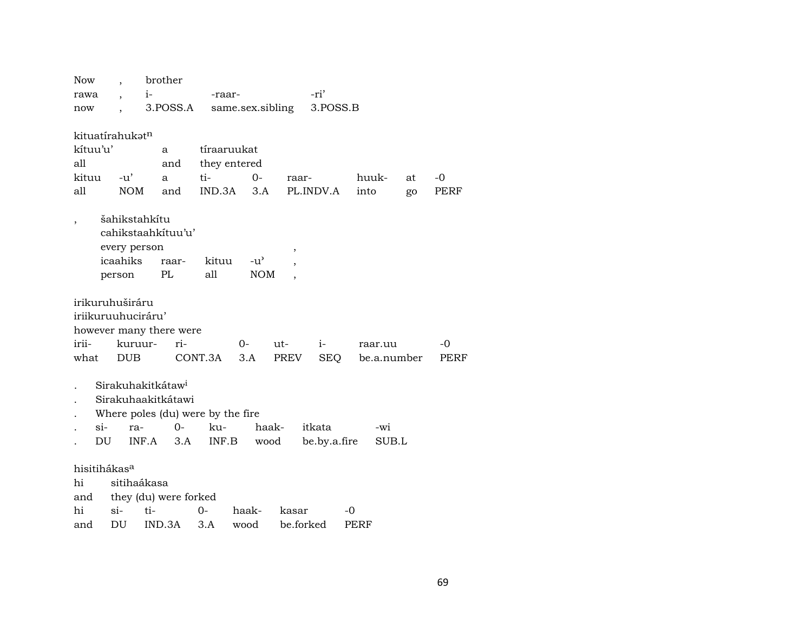| <b>Now</b>               |                      | brother                           |              |                  |                |              |             |    |      |
|--------------------------|----------------------|-----------------------------------|--------------|------------------|----------------|--------------|-------------|----|------|
| rawa                     | $\ddot{\phantom{0}}$ | $i-$                              | -raar-       |                  | -ri'           |              |             |    |      |
| now                      |                      | 3.POSS.A                          |              | same.sex.sibling |                | 3.POSS.B     |             |    |      |
|                          |                      |                                   |              |                  |                |              |             |    |      |
| kituatírahukatn          |                      |                                   |              |                  |                |              |             |    |      |
| kítuu'u'                 |                      | a                                 | tíraaruukat  |                  |                |              |             |    |      |
| all                      |                      | and                               | they entered |                  |                |              |             |    |      |
| kituu                    | $-u^{\prime}$        | a                                 | ti-          | $0-$             | raar-          |              | huuk-       | at | -0   |
| all                      | <b>NOM</b>           | and                               | IND.3A       | 3.A              | PL.INDV.A      |              | into        | go | PERF |
| ,                        | šahikstahkítu        |                                   |              |                  |                |              |             |    |      |
|                          |                      | cahikstaahkituu'u'                |              |                  |                |              |             |    |      |
|                          | every person         |                                   |              |                  | $\overline{ }$ |              |             |    |      |
|                          | icaahiks             | raar-                             | kituu        | $-u^{\prime}$    |                |              |             |    |      |
|                          | person               | PL                                | all          | <b>NOM</b>       |                |              |             |    |      |
| irikuruhuširáru          |                      |                                   |              |                  |                |              |             |    |      |
| iriikuruuhuciráru'       |                      |                                   |              |                  |                |              |             |    |      |
|                          |                      | however many there were           |              |                  |                |              |             |    |      |
| irii-                    | kuruur-              | ri-                               |              | 0-               | ut-            | $i-$         | raar.uu     |    | -0   |
| what                     | <b>DUB</b>           |                                   | CONT.3A      | 3.A              | PREV           | SEQ          | be.a.number |    | PERF |
|                          |                      |                                   |              |                  |                |              |             |    |      |
|                          |                      | Sirakuhakitkátaw <sup>i</sup>     |              |                  |                |              |             |    |      |
|                          |                      |                                   |              |                  |                |              |             |    |      |
|                          |                      | Sirakuhaakitkátawi                |              |                  |                |              |             |    |      |
|                          |                      | Where poles (du) were by the fire |              |                  |                |              |             |    |      |
| $si-$                    | ra-                  | $O -$                             | ku-          | haak-            | itkata         |              | -wi         |    |      |
| DU                       | INF.A                | 3.A                               | INF.B        | wood             |                | be.by.a.fire | SUB.L       |    |      |
|                          |                      |                                   |              |                  |                |              |             |    |      |
| hisitihákas <sup>a</sup> |                      |                                   |              |                  |                |              |             |    |      |
| hi                       | sitihaákasa          |                                   |              |                  |                |              |             |    |      |
| and<br>hi                | $\sin$               | they (du) were forked<br>ti-      | 0-           | haak-            | kasar          | -0           |             |    |      |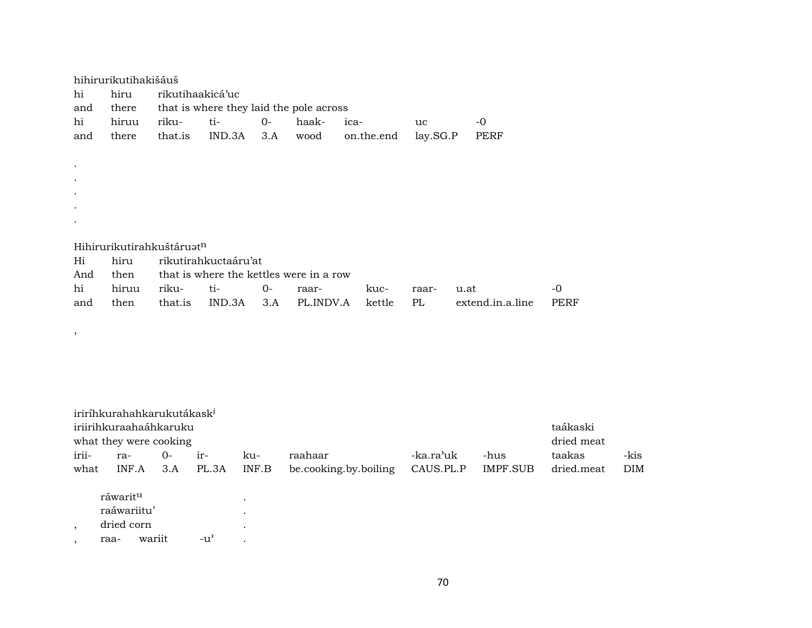| hi<br>and | hihirurikutihakišáuš<br>hiru<br>there | rikutihaakicá'uc                      | that is where they laid the pole across |       |           |            |          |                  |      |
|-----------|---------------------------------------|---------------------------------------|-----------------------------------------|-------|-----------|------------|----------|------------------|------|
| hi        | hiruu                                 | riku-                                 | ti-                                     | $O -$ | haak-     | ica-       | uc       | -0               |      |
| and       | there                                 | that.is                               | IND.3A                                  | 3.A   | wood      | on.the.end | lay.SG.P | PERF             |      |
|           |                                       |                                       |                                         |       |           |            |          |                  |      |
|           |                                       |                                       |                                         |       |           |            |          |                  |      |
|           |                                       |                                       |                                         |       |           |            |          |                  |      |
|           |                                       |                                       |                                         |       |           |            |          |                  |      |
|           |                                       |                                       |                                         |       |           |            |          |                  |      |
|           |                                       |                                       |                                         |       |           |            |          |                  |      |
|           |                                       | Hihirurikutirahkuštáruat <sup>n</sup> |                                         |       |           |            |          |                  |      |
| Hi        | hiru                                  |                                       | rikutirahkuctaáru'at                    |       |           |            |          |                  |      |
| And       | then                                  |                                       | that is where the kettles were in a row |       |           |            |          |                  |      |
| hi        | hiruu                                 | riku-                                 | ti-                                     | $O -$ | raar-     | kuc-       | raar-    | u.at             | $-0$ |
| and       | then                                  | that.is                               | IND.3A                                  | 3.A   | PL.INDV.A | kettle     | PL       | extend.in.a.line | PERF |
|           |                                       |                                       |                                         |       |           |            |          |                  |      |

 $\rightarrow$ 

| iriríhkurahahkarukutákask <sup>i</sup><br>iriirihkuraahaáhkaruku<br>what they were cooking |                                                           |        |       |       |                                     |                       |                        |                 |            |            |
|--------------------------------------------------------------------------------------------|-----------------------------------------------------------|--------|-------|-------|-------------------------------------|-----------------------|------------------------|-----------------|------------|------------|
| irii-                                                                                      | ra-                                                       | $O -$  | $ir-$ |       | ku-                                 | raahaar               | -ka.ra <sup>,</sup> uk | -hus            | taakas     | -kis       |
| what                                                                                       | INF.A                                                     |        | 3.A   | PL.3A | INF.B                               | be.cooking.by.boiling | CAUS.PL.P              | <b>IMPF.SUB</b> | dried.meat | <b>DIM</b> |
|                                                                                            | ráwarit <sup>u</sup><br>raáwariitu'<br>dried corn<br>raa- | wariit | -u'   |       | $\bullet$<br>$\bullet$<br>$\bullet$ |                       |                        |                 |            |            |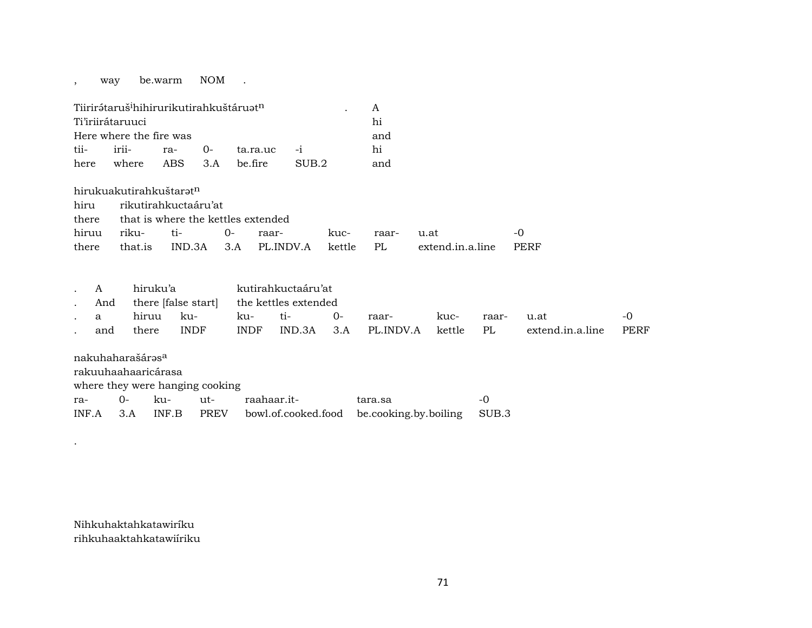, way be.warm NOM .

| Tiirirátaruš <sup>i</sup> hihirurikutirahkuštáruat <sup>n</sup> |                         |  |  |                               |       |  |     |  |  |  |
|-----------------------------------------------------------------|-------------------------|--|--|-------------------------------|-------|--|-----|--|--|--|
| Ti'iriirátaruuci                                                |                         |  |  |                               |       |  |     |  |  |  |
|                                                                 | Here where the fire was |  |  |                               |       |  |     |  |  |  |
|                                                                 |                         |  |  | tii- irii- ra- 0- ta.ra.uc -i |       |  | hi  |  |  |  |
| here                                                            | where ABS 3.A befire    |  |  |                               | SUB.2 |  | and |  |  |  |

|       | hirukuakutirahkuštarət <sup>n</sup> |                                          |  |  |      |            |                                                              |       |  |  |  |  |
|-------|-------------------------------------|------------------------------------------|--|--|------|------------|--------------------------------------------------------------|-------|--|--|--|--|
|       | hiru rikutirahkuctaáru'at           |                                          |  |  |      |            |                                                              |       |  |  |  |  |
|       |                                     | there that is where the kettles extended |  |  |      |            |                                                              |       |  |  |  |  |
|       |                                     | hiruu riku- ti-  0- raar-                |  |  | kuc- | raar- u.at |                                                              | $-()$ |  |  |  |  |
| there |                                     |                                          |  |  |      |            | that.is IND.3A 3.A PL.INDV.A kettle PL extend.in.a.line PERF |       |  |  |  |  |

| . A          |           | hiruku'a    | kutirahkuctaáru'at                           |      |                                     |      |       |                       |      |  |  |
|--------------|-----------|-------------|----------------------------------------------|------|-------------------------------------|------|-------|-----------------------|------|--|--|
|              |           |             | And there [false start] the kettles extended |      |                                     |      |       |                       |      |  |  |
| $\mathbf{a}$ | hiruu ku- |             | ku- ti-                                      | $O-$ | raar-                               | kuc- | raar- | u.at                  | $-0$ |  |  |
| and          | there     | <b>INDF</b> |                                              |      | INDF IND.3A 3.A PL.INDV.A kettle PL |      |       | extend.in.a.line PERF |      |  |  |
|              |           |             |                                              |      |                                     |      |       |                       |      |  |  |

| nakuhaharašárəs <sup>a</sup> |                                 |         |      |             |                                           |       |  |  |  |  |
|------------------------------|---------------------------------|---------|------|-------------|-------------------------------------------|-------|--|--|--|--|
| rakuuhaahaaricárasa          |                                 |         |      |             |                                           |       |  |  |  |  |
|                              | where they were hanging cooking |         |      |             |                                           |       |  |  |  |  |
| ra-                          | $()$ -                          | ku- ut- |      | raahaar.it- | tara.sa                                   | $-0$  |  |  |  |  |
| $INF.A$ 3.A                  |                                 | INF B   | PREV |             | bowl.of.cooked.food be.cooking.by.boiling | SUB.3 |  |  |  |  |

Nihkuhaktahkatawiríku rihkuhaaktahkatawiíriku

.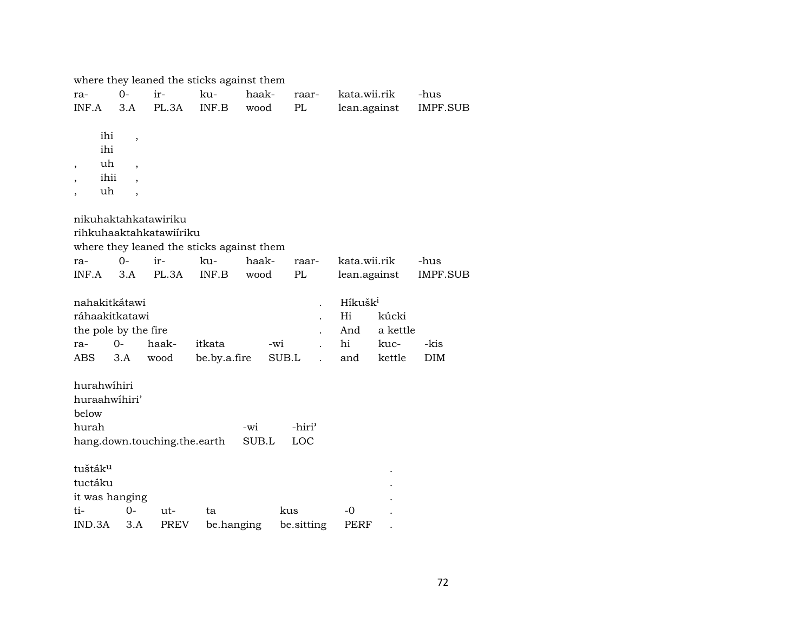|                                |                          |                              | where they leaned the sticks against them |       |                         |                     |              |                 |
|--------------------------------|--------------------------|------------------------------|-------------------------------------------|-------|-------------------------|---------------------|--------------|-----------------|
| ra-                            | $O -$                    | ir-                          | ku-                                       | haak- | raar-                   | kata.wii.rik        |              | -hus            |
| INF.A                          | 3.A                      | PL.3A                        | INF.B                                     | wood  | PL                      |                     | lean.against | <b>IMPF.SUB</b> |
|                                |                          |                              |                                           |       |                         |                     |              |                 |
| ihi                            | ,                        |                              |                                           |       |                         |                     |              |                 |
| ihi                            |                          |                              |                                           |       |                         |                     |              |                 |
| uh<br>$\overline{\phantom{a}}$ | $\overline{\phantom{a}}$ |                              |                                           |       |                         |                     |              |                 |
| ihii                           | $\overline{\phantom{a}}$ |                              |                                           |       |                         |                     |              |                 |
| uh                             | $\overline{\phantom{a}}$ |                              |                                           |       |                         |                     |              |                 |
|                                |                          |                              |                                           |       |                         |                     |              |                 |
|                                |                          | nikuhaktahkatawiriku         |                                           |       |                         |                     |              |                 |
|                                |                          | rihkuhaaktahkatawiiriku      |                                           |       |                         |                     |              |                 |
|                                |                          |                              | where they leaned the sticks against them |       |                         |                     |              |                 |
| ra-                            | $0-$                     | ir-                          | ku-                                       | haak- | raar-                   | kata.wii.rik        |              | -hus            |
| INF.A                          | 3.A                      | PL.3A                        | INF.B                                     | wood  | PL                      | lean.against        |              | <b>IMPF.SUB</b> |
|                                |                          |                              |                                           |       |                         |                     |              |                 |
| nahakitkátawi                  |                          |                              |                                           |       |                         | Híkušk <sup>i</sup> |              |                 |
| ráhaakitkatawi                 |                          |                              |                                           |       |                         | Hi                  | kúcki        |                 |
| the pole by the fire           |                          |                              |                                           |       |                         | And                 | a kettle     |                 |
| ra-                            | $0-$                     | haak-                        | itkata                                    |       | -wi                     | hi                  | kuc-         | -kis            |
| ABS                            | 3.A                      | wood                         | be.by.a.fire                              |       | SUB.L<br>$\overline{a}$ | and                 | kettle       | <b>DIM</b>      |
|                                |                          |                              |                                           |       |                         |                     |              |                 |
| hurahwihiri                    |                          |                              |                                           |       |                         |                     |              |                 |
| huraahwihiri'                  |                          |                              |                                           |       |                         |                     |              |                 |
| below                          |                          |                              |                                           |       |                         |                     |              |                 |
| hurah                          |                          |                              |                                           | -wi   | -hiri <sup>3</sup>      |                     |              |                 |
|                                |                          | hang.down.touching.the.earth |                                           | SUB.L | LOC                     |                     |              |                 |
| tuštáku                        |                          |                              |                                           |       |                         |                     |              |                 |
| tuctáku                        |                          |                              |                                           |       |                         |                     |              |                 |
|                                |                          |                              |                                           |       |                         |                     |              |                 |
| it was hanging                 |                          |                              |                                           |       |                         |                     |              |                 |
| ti-                            | $0 -$                    | ut-                          | ta                                        |       | kus                     | -0                  |              |                 |
| IND.3A                         | 3.A                      | <b>PREV</b>                  | be.hanging                                |       | be.sitting              | PERF                |              |                 |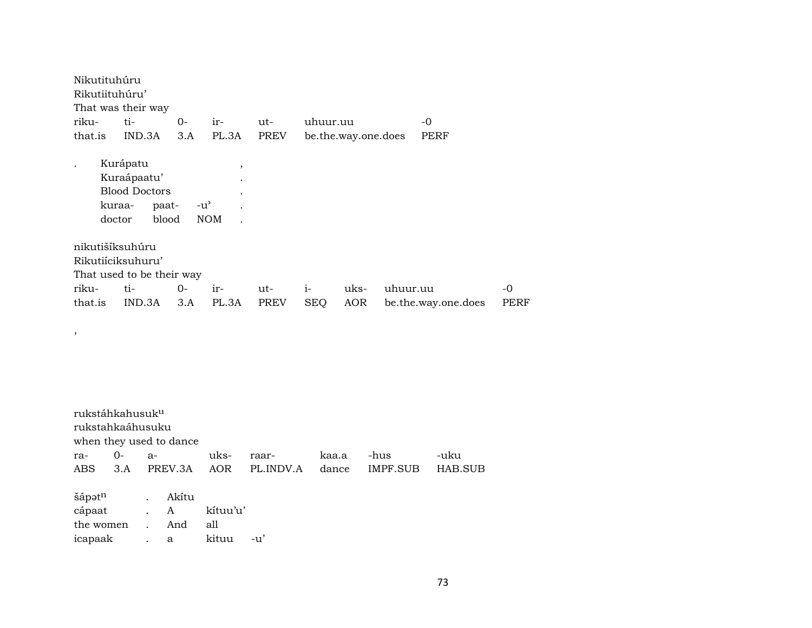| Nikutituhúru     |                                                                   |               |                       |             |            |                     |          |                     |      |
|------------------|-------------------------------------------------------------------|---------------|-----------------------|-------------|------------|---------------------|----------|---------------------|------|
| Rikutiituhúru'   |                                                                   |               |                       |             |            |                     |          |                     |      |
|                  | That was their way                                                |               |                       |             |            |                     |          |                     |      |
| riku-            | ti-                                                               | $0-$          | ir-                   | ut-         | uhuur.uu   |                     |          | $-0$                |      |
| that.is          | IND.3A                                                            | 3.A           | PL.3A                 | <b>PREV</b> |            | be.the.way.one.does |          | PERF                |      |
| kuraa-<br>doctor | Kurápatu<br>Kuraápaatu'<br><b>Blood Doctors</b><br>paat-<br>blood | $-u^{\prime}$ | $\cdot$<br><b>NOM</b> |             |            |                     |          |                     |      |
| nikutišíksuhúru  | Rikutiiciksuhuru'                                                 |               |                       |             |            |                     |          |                     |      |
|                  | That used to be their way                                         |               |                       |             |            |                     |          |                     |      |
| riku-            | ti-                                                               | $O -$         | ir-                   | ut-         | $i-$       | uks-                | uhuur.uu |                     | -0   |
| that.is          | IND.3A                                                            | 3.A           | PL.3A                 | <b>PREV</b> | <b>SEQ</b> | AOR                 |          | be.the.way.one.does | PERF |

| rukstáhkahusuk <sup>u</sup><br>rukstahkaáhusuku<br>when they used to dance |            |      |         |          |           |       |          |         |
|----------------------------------------------------------------------------|------------|------|---------|----------|-----------|-------|----------|---------|
| ra-                                                                        | $0-$       | $a-$ |         | uks-     | raar-     | kaa.a | -hus     | -uku    |
| ABS 3.A                                                                    |            |      | PREV.3A | AOR      | PL.INDV.A | dance | IMPF.SUB | HAB.SUB |
| šápət <sup>n</sup> .                                                       |            |      | Akítu   |          |           |       |          |         |
| cápaat . A                                                                 |            |      |         | kítuu'u' |           |       |          |         |
| the women                                                                  | $\sim 100$ |      | And     | all      |           |       |          |         |
| icapaak                                                                    |            |      | a       | kituu    | -u'       |       |          |         |

,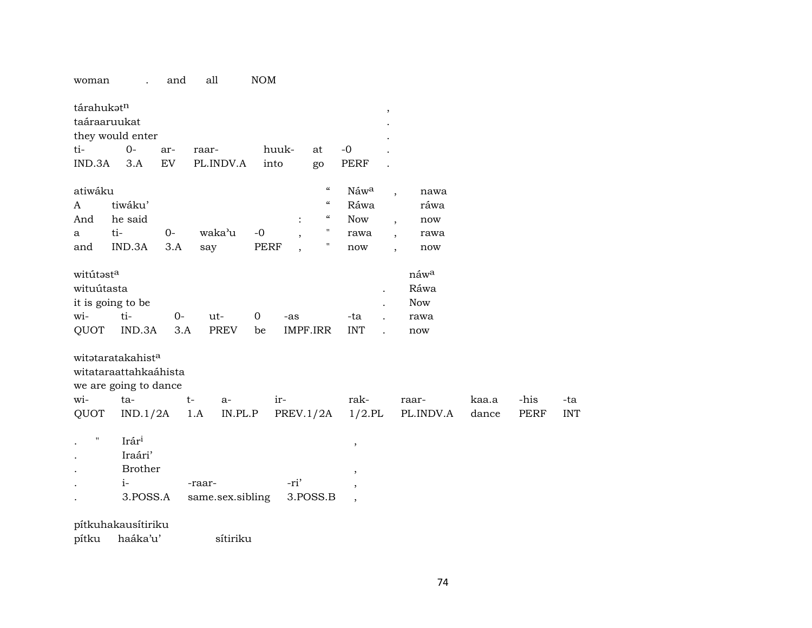## woman . and all NOM

| tárahukatn<br>taáraaruukat<br>ti-<br>IND.3A | they would enter<br>$0-$<br>3.A                                                 | ar-<br>EV   | raar-         | PL.INDV.A        | into              | huuk-                    | at<br>go                                                               | $-0$<br><b>PERF</b>              | $^\mathrm{,}$            |                                                                     |                |              |                   |
|---------------------------------------------|---------------------------------------------------------------------------------|-------------|---------------|------------------|-------------------|--------------------------|------------------------------------------------------------------------|----------------------------------|--------------------------|---------------------------------------------------------------------|----------------|--------------|-------------------|
| atiwáku<br>A<br>And                         | tiwáku'<br>he said                                                              |             |               |                  |                   |                          | $\boldsymbol{\mathcal{C}}$<br>$\epsilon\epsilon$<br>$\epsilon\epsilon$ | Náwa<br>Ráwa<br><b>Now</b>       | $\overline{\phantom{a}}$ | nawa<br>ráwa<br>now<br>$\overline{\phantom{a}}$                     |                |              |                   |
| a<br>and                                    | ti-<br>IND.3A                                                                   | $0-$<br>3.A | waka'u<br>say |                  | $-0$<br>PERF      | $\overline{\phantom{a}}$ | $\pmb{\cdot}$<br>Π.                                                    | rawa<br>$\operatorname{now}$     |                          | rawa<br>$\overline{\phantom{a}}$<br>now<br>$\overline{\phantom{a}}$ |                |              |                   |
| witútasta<br>wituútasta<br>wi-<br>QUOT      | it is going to be<br>ti-<br>IND.3A                                              | $0-$<br>3.A | ut-           | <b>PREV</b>      | $\mathbf 0$<br>be | $-as$                    | IMPF.IRR                                                               | -ta<br><b>INT</b>                | $\overline{a}$           | náwa<br>Ráwa<br><b>Now</b><br>rawa<br>now                           |                |              |                   |
|                                             | witataratakahist <sup>a</sup><br>witataraattahkaáhista<br>we are going to dance |             |               |                  |                   |                          |                                                                        |                                  |                          |                                                                     |                |              |                   |
| wi-<br>QUOT                                 | ta-<br>IND.1/2A                                                                 |             | $t-$<br>1.A   | $a-$<br>IN.PL.P  |                   | ir-                      | PREV.1/2A                                                              | rak-<br>$1/2$ .PL                |                          | raar-<br>PL.INDV.A                                                  | kaa.a<br>dance | -his<br>PERF | -ta<br><b>INT</b> |
| н                                           | Irár <sup>i</sup><br>Iraári'<br><b>Brother</b>                                  |             |               |                  |                   |                          |                                                                        | $^\mathrm{,}$<br>$\, ,$          |                          |                                                                     |                |              |                   |
|                                             | $i-$<br>3.POSS.A                                                                |             | -raar-        | same.sex.sibling |                   | -ri'                     | 3.POSS.B                                                               | $\,$<br>$\overline{\phantom{a}}$ |                          |                                                                     |                |              |                   |
|                                             | pítkuhakausítiriku                                                              |             |               |                  |                   |                          |                                                                        |                                  |                          |                                                                     |                |              |                   |

pítku haáka'u' sítiriku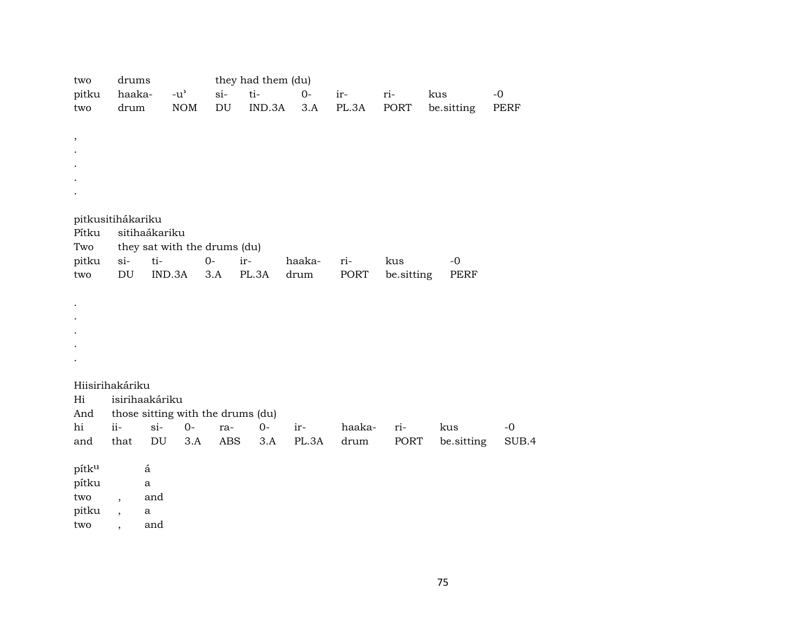| two<br>pitku<br>two                               | drums<br>haaka-<br>drum                                                      |                                                                    | $-u^2$<br><b>NOM</b> | $\sin$<br>$\mathop{\rm DU}\nolimits$ | they had them (du)<br>ti-<br>IND.3A | $0-$<br>3.A    | ir-<br>PL.3A   | ri-<br>PORT       | kus<br>be.sitting | $-0$<br><b>PERF</b> |
|---------------------------------------------------|------------------------------------------------------------------------------|--------------------------------------------------------------------|----------------------|--------------------------------------|-------------------------------------|----------------|----------------|-------------------|-------------------|---------------------|
| $\, ,$                                            |                                                                              |                                                                    |                      |                                      |                                     |                |                |                   |                   |                     |
| pitkusitihákariku<br>Pítku<br>Two<br>pitku<br>two | si- ti-<br>DU                                                                | sitihaákariku<br>they sat with the drums (du)<br>IND.3A            | $O -$                | 3.A                                  | ir-<br>PL.3A                        | haaka-<br>drum | ri-<br>PORT    | kus<br>be.sitting | $-0$<br>PERF      |                     |
| $\cdot$                                           |                                                                              |                                                                    |                      |                                      |                                     |                |                |                   |                   |                     |
| Hiisirihakáriku<br>Hi<br>And<br>hi<br>and         | $ii -$<br>that                                                               | isirihaakáriku<br>those sitting with the drums (du)<br>$si-$<br>DU | $0-$<br>3.A          | ra-<br>ABS                           | $O-$<br>3.A                         | ir-<br>PL.3A   | haaka-<br>drum | ri-<br>PORT       | kus<br>be.sitting | $-0$<br>SUB.4       |
| pítku<br>pítku<br>two<br>pitku<br>two             | $\overline{\phantom{a}}$<br>$\overline{\phantom{a}}$<br>$\ddot{\phantom{0}}$ | á<br>a<br>and<br>a<br>and                                          |                      |                                      |                                     |                |                |                   |                   |                     |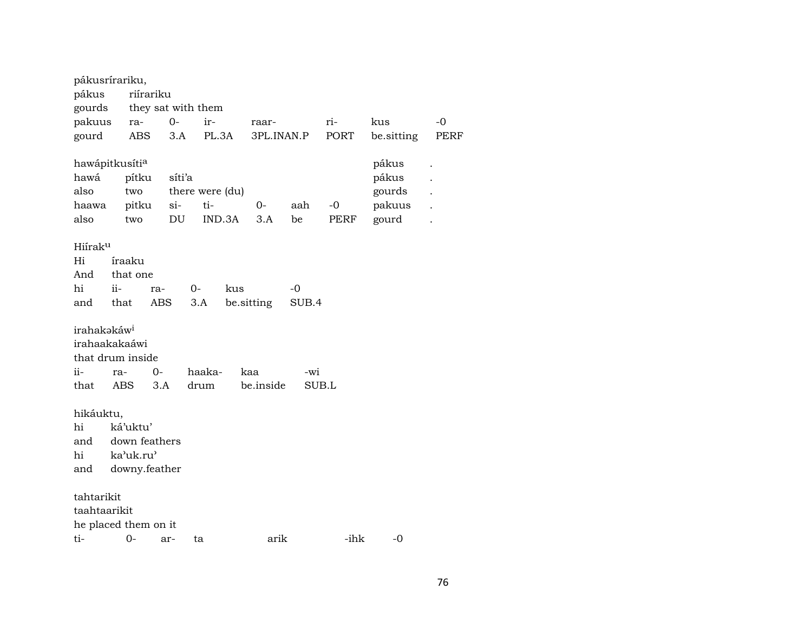| pákus<br>gourds         | pákusrírariku,             | riírariku | they sat with them |        |            |       |             |            |             |
|-------------------------|----------------------------|-----------|--------------------|--------|------------|-------|-------------|------------|-------------|
| pakuus                  | ra-                        | $0-$      | ir-                |        | raar-      |       | ri-         | kus        | -0          |
| gourd                   | <b>ABS</b>                 | 3.A       | PL.3A              |        | 3PL.INAN.P |       | <b>PORT</b> | be.sitting | <b>PERF</b> |
|                         |                            |           |                    |        |            |       |             |            |             |
|                         | hawápitkusíti <sup>a</sup> |           |                    |        |            |       |             | pákus      |             |
| hawá                    | pítku                      |           | síti'a             |        |            |       |             | pákus      |             |
| also                    | two                        |           | there were (du)    |        |            |       |             | gourds     |             |
| haawa                   | pitku                      | si-       | ti-                |        | 0-         | aah   | $-0$        | pakuus     |             |
| also                    | two                        | DU        |                    | IND.3A | 3.A        | be    | PERF        | gourd      |             |
|                         |                            |           |                    |        |            |       |             |            |             |
| Hiírak <sup>u</sup>     |                            |           |                    |        |            |       |             |            |             |
| Hi                      | íraaku                     |           |                    |        |            |       |             |            |             |
| And                     | that one                   |           |                    |        |            |       |             |            |             |
| hi                      | $ii -$                     | ra-       | 0-                 | kus    |            | -0    |             |            |             |
| and                     | that                       | ABS       | 3.A                |        | be.sitting | SUB.4 |             |            |             |
|                         |                            |           |                    |        |            |       |             |            |             |
| irahakakáw <sup>i</sup> |                            |           |                    |        |            |       |             |            |             |
|                         | irahaakakaáwi              |           |                    |        |            |       |             |            |             |
|                         | that drum inside           |           |                    |        |            |       |             |            |             |
| ii-                     | ra-                        | 0-        | haaka-             |        | kaa        | -wi   |             |            |             |
| that                    | ABS                        | 3.A       | drum               |        | be.inside  |       | SUB.L       |            |             |
|                         |                            |           |                    |        |            |       |             |            |             |
| hikáuktu,               |                            |           |                    |        |            |       |             |            |             |
| hi                      | ká'uktu'                   |           |                    |        |            |       |             |            |             |
| and                     | down feathers              |           |                    |        |            |       |             |            |             |
| hi                      | ka'uk.ru'                  |           |                    |        |            |       |             |            |             |
| and                     | downy.feather              |           |                    |        |            |       |             |            |             |
|                         |                            |           |                    |        |            |       |             |            |             |
| tahtarikit              |                            |           |                    |        |            |       |             |            |             |
| taahtaarikit            |                            |           |                    |        |            |       |             |            |             |
|                         | he placed them on it       |           |                    |        |            |       |             |            |             |
| ti-                     | 0-                         | ar-       | ta                 |        | arik       |       | -ihk        | -0         |             |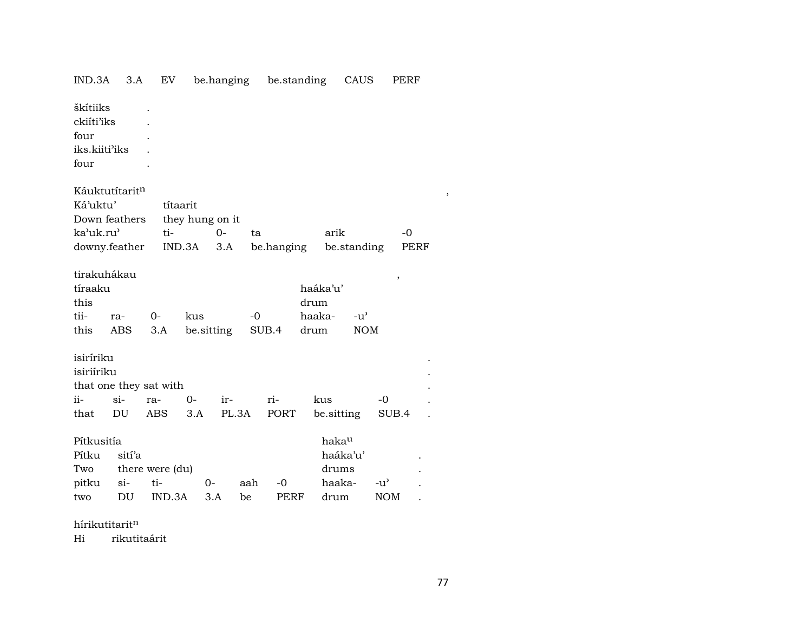| IND.3A                                                                    | 3.A                    | EV                                          |                                       | be.hanging   |           | be.standing  |                                    |                                                          | CAUS                        | PERF          |  |
|---------------------------------------------------------------------------|------------------------|---------------------------------------------|---------------------------------------|--------------|-----------|--------------|------------------------------------|----------------------------------------------------------|-----------------------------|---------------|--|
| škítiiks<br>ckiíti'iks<br>four<br>iks.kiiti'iks<br>four                   |                        |                                             |                                       |              |           |              |                                    |                                                          |                             |               |  |
| Káuktutítaritn<br>Ká'uktu'<br>Down feathers<br>ka'uk.ru'<br>downy.feather |                        | ti-                                         | títaarit<br>they hung on it<br>IND.3A | $O -$<br>3.A | ta        | be.hanging   |                                    | arik<br>be.standing                                      |                             | $-0$<br>PERF  |  |
| tirakuhákau<br>tíraaku<br>this<br>tii-<br>this                            | ra-<br>ABS             | $O -$<br>3.A                                | kus<br>be.sitting                     |              | $-0$      | SUB.4        | haáka'u'<br>drum<br>haaka-<br>drum |                                                          | $-u^{\prime}$<br><b>NOM</b> | $\,$          |  |
| isiríriku<br>isiriíriku<br>ii-<br>that                                    | $\sin$<br>DU           | that one they sat with<br>ra-<br><b>ABS</b> | $0-$<br>3.A                           | ir-<br>PL.3A |           | ri-<br>PORT  | kus                                | be.sitting                                               |                             | $-0$<br>SUB.4 |  |
| Pítkusitía<br>Pítku<br>Two<br>pitku<br>two                                | sití'a<br>$\sin$<br>DU | there were (du)<br>ti-<br>IND.3A            | $0-$                                  | 3.A          | aah<br>be | $-0$<br>PERF |                                    | haka <sup>u</sup><br>haáka'u'<br>drums<br>haaka-<br>drum | $-u^{\prime}$               | <b>NOM</b>    |  |

hírikutitarit $<sup>n</sup>$ </sup>

Hi rikutitaárit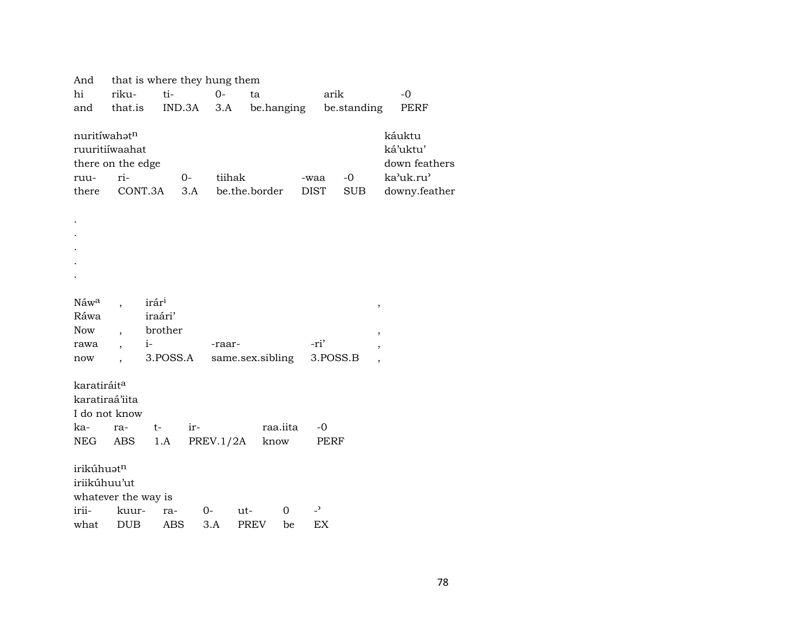| And                      |                          |                   | that is where they hung them |           |                  |    |                          |             |        |               |  |
|--------------------------|--------------------------|-------------------|------------------------------|-----------|------------------|----|--------------------------|-------------|--------|---------------|--|
| hi                       | riku-                    | ti-               |                              | $0-$      | ta               |    | arik                     |             |        | $-0$          |  |
| and                      | that.is                  |                   | IND.3A                       | 3.A       | be.hanging       |    |                          | be.standing |        | PERF          |  |
|                          |                          |                   |                              |           |                  |    |                          |             |        |               |  |
| nuritíwahatn             |                          |                   |                              |           |                  |    |                          |             |        | káuktu        |  |
|                          | ruuritiíwaahat           |                   |                              |           |                  |    |                          |             |        | ká'uktu'      |  |
|                          | there on the edge        |                   |                              |           |                  |    |                          |             |        | down feathers |  |
| ruu-                     | ri-                      |                   | $0-$                         | tiihak    |                  |    | -waa                     | $-0$        |        | ka'uk.ru'     |  |
| there                    |                          | CONT.3A           | 3.A                          |           | be.the.border    |    | <b>DIST</b>              | <b>SUB</b>  |        | downy.feather |  |
|                          |                          |                   |                              |           |                  |    |                          |             |        |               |  |
|                          |                          |                   |                              |           |                  |    |                          |             |        |               |  |
|                          |                          |                   |                              |           |                  |    |                          |             |        |               |  |
|                          |                          |                   |                              |           |                  |    |                          |             |        |               |  |
|                          |                          |                   |                              |           |                  |    |                          |             |        |               |  |
|                          |                          |                   |                              |           |                  |    |                          |             |        |               |  |
|                          |                          | irár <sup>i</sup> |                              |           |                  |    |                          |             |        |               |  |
| Náw <sup>a</sup><br>Ráwa |                          | iraári'           |                              |           |                  |    |                          |             | $\, ,$ |               |  |
| Now                      |                          | brother           |                              |           |                  |    |                          |             |        |               |  |
|                          |                          | $i-$              |                              |           |                  |    | -ri'                     |             | $\, ,$ |               |  |
| rawa                     | $\overline{\phantom{a}}$ | 3.POSS.A          |                              | -raar-    | same.sex.sibling |    | 3.POSS.B                 |             | $\,$   |               |  |
| now                      |                          |                   |                              |           |                  |    |                          |             |        |               |  |
| karatiráit <sup>a</sup>  |                          |                   |                              |           |                  |    |                          |             |        |               |  |
| karatiraá'iita           |                          |                   |                              |           |                  |    |                          |             |        |               |  |
|                          | I do not know            |                   |                              |           |                  |    |                          |             |        |               |  |
| ka-                      | ra-                      | $t-$              | ir-                          |           | raa.iita         |    | $-0$                     |             |        |               |  |
| NEG                      | ABS                      | 1.A               |                              | PREV.1/2A | know             |    | PERF                     |             |        |               |  |
|                          |                          |                   |                              |           |                  |    |                          |             |        |               |  |
| irikúhuatn               |                          |                   |                              |           |                  |    |                          |             |        |               |  |
| iriikúhuu'ut             |                          |                   |                              |           |                  |    |                          |             |        |               |  |
|                          | whatever the way is      |                   |                              |           |                  |    |                          |             |        |               |  |
| irii-                    | kuur-                    | ra-               | 0-                           |           | 0<br>ut-         |    | $\overline{\phantom{0}}$ |             |        |               |  |
| what                     | <b>DUB</b>               | <b>ABS</b>        |                              | 3.A       | <b>PREV</b>      | be | EX                       |             |        |               |  |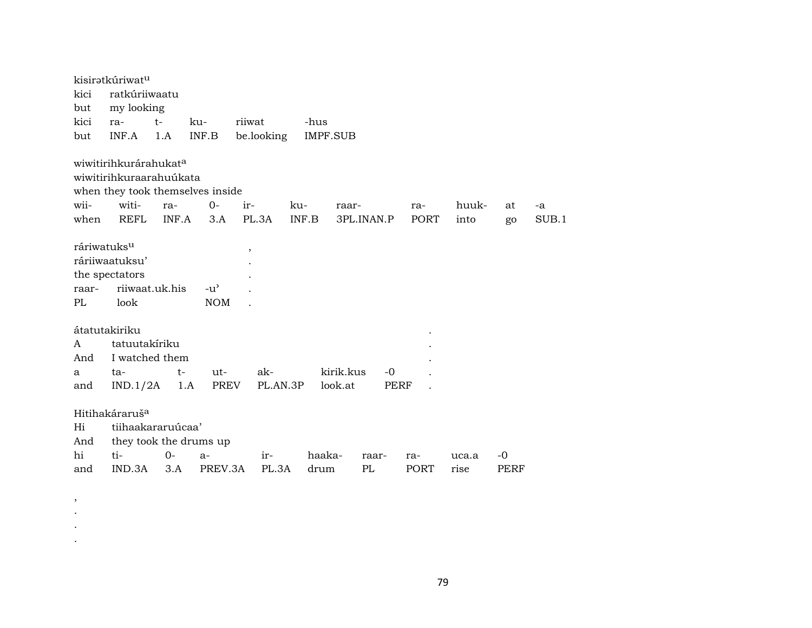|                         | kisiratkúriwatu                   |       |                                  |            |                 |            |      |       |      |       |
|-------------------------|-----------------------------------|-------|----------------------------------|------------|-----------------|------------|------|-------|------|-------|
| kici                    | ratkúriiwaatu                     |       |                                  |            |                 |            |      |       |      |       |
| but                     | my looking                        |       |                                  |            |                 |            |      |       |      |       |
| kici                    | ra-                               | $t-$  | ku-                              | riiwat     | -hus            |            |      |       |      |       |
| but                     | INF.A                             | 1.A   | INF.B                            | be.looking | <b>IMPF.SUB</b> |            |      |       |      |       |
|                         |                                   |       |                                  |            |                 |            |      |       |      |       |
|                         | wiwitirihkurárahukat <sup>a</sup> |       |                                  |            |                 |            |      |       |      |       |
|                         | wiwitirihkuraarahuúkata           |       |                                  |            |                 |            |      |       |      |       |
|                         |                                   |       | when they took themselves inside |            |                 |            |      |       |      |       |
| wii-                    | witi-                             | ra-   | $0-$                             | ir-        | ku-             | raar-      | ra-  | huuk- | at   | -a    |
| when                    | REFL                              | INF.A | 3.A                              | PL.3A      | INF.B           | 3PL.INAN.P | PORT | into  | go   | SUB.1 |
|                         |                                   |       |                                  |            |                 |            |      |       |      |       |
| ráriwatuks <sup>u</sup> |                                   |       |                                  | $\, ,$     |                 |            |      |       |      |       |
|                         | ráriiwaatuksu'                    |       |                                  |            |                 |            |      |       |      |       |
|                         | the spectators                    |       |                                  |            |                 |            |      |       |      |       |
| raar-                   | riiwaat.uk.his                    |       | $-u^{\prime}$                    |            |                 |            |      |       |      |       |
| PL                      | look                              |       | <b>NOM</b>                       |            |                 |            |      |       |      |       |
|                         |                                   |       |                                  |            |                 |            |      |       |      |       |
|                         | átatutakiriku                     |       |                                  |            |                 |            |      |       |      |       |
| A                       | tatuutakiriku                     |       |                                  |            |                 |            |      |       |      |       |
| And                     | I watched them                    |       |                                  |            |                 |            |      |       |      |       |
| a                       | ta-                               | $t-$  | ut-                              | ak-        |                 | kirik.kus  | $-0$ |       |      |       |
| and                     | IND.1/2A                          | 1.A   | PREV                             | PL.AN.3P   |                 | look.at    | PERF |       |      |       |
|                         |                                   |       |                                  |            |                 |            |      |       |      |       |
|                         | Hitihakáraruš <sup>a</sup>        |       |                                  |            |                 |            |      |       |      |       |
| Hi                      | tiihaakararuúcaa'                 |       |                                  |            |                 |            |      |       |      |       |
| And                     |                                   |       | they took the drums up           |            |                 |            |      |       |      |       |
| hi                      | ti-                               | $0-$  | $a-$                             | ir-        | haaka-          | raar-      | ra-  | uca.a | -0   |       |
| and                     | IND.3A                            | 3.A   | PREV.3A                          | PL.3A      | drum            | PL         | PORT | rise  | PERF |       |

, . . .

79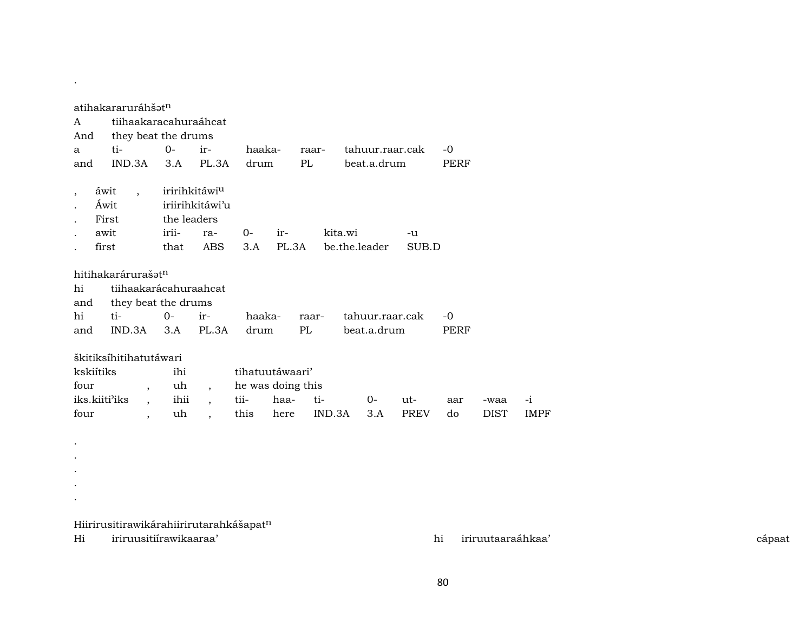|                                                         | atihakararuráhšət <sup>n</sup>                                            |                                                                        |                                          |                                                                                  |              |                                                      |               |         |                 |                    |           |              |                   |
|---------------------------------------------------------|---------------------------------------------------------------------------|------------------------------------------------------------------------|------------------------------------------|----------------------------------------------------------------------------------|--------------|------------------------------------------------------|---------------|---------|-----------------|--------------------|-----------|--------------|-------------------|
| A                                                       | tiihaakaracahuraáhcat                                                     |                                                                        |                                          |                                                                                  |              |                                                      |               |         |                 |                    |           |              |                   |
| And                                                     | they beat the drums                                                       |                                                                        |                                          |                                                                                  |              |                                                      |               |         |                 |                    |           |              |                   |
| a                                                       | ti-                                                                       | $0-$                                                                   |                                          | ir-                                                                              | haaka-       |                                                      | raar-         |         |                 | tahuur.raar.cak    | $-0$      |              |                   |
| and                                                     | IND.3A                                                                    | 3.A                                                                    |                                          | PL.3A                                                                            | drum         |                                                      | PL            |         | beat.a.drum     |                    | PERF      |              |                   |
| $\overline{ }$                                          | áwit<br>$\overline{\phantom{a}}$<br>Áwit<br>First                         |                                                                        | iririhkitáwi <sup>u</sup><br>the leaders | iriirihkitáwi'u                                                                  |              |                                                      |               |         |                 |                    |           |              |                   |
|                                                         | awit                                                                      | irii-                                                                  |                                          | ra-                                                                              | 0-           | ir-                                                  |               | kita.wi |                 | -u                 |           |              |                   |
|                                                         | first                                                                     | that                                                                   |                                          | ABS                                                                              | 3.A          | PL.3A                                                |               |         | be.the.leader   | SUB.D              |           |              |                   |
| hi<br>and<br>hi                                         | hitihakarárurašatn<br>tiihaakarácahuraahcat<br>they beat the drums<br>ti- | $O -$                                                                  |                                          | ir-                                                                              | haaka-       |                                                      | raar-         |         | tahuur.raar.cak |                    | -0        |              |                   |
| and                                                     | IND.3A                                                                    |                                                                        | 3.A                                      | PL.3A                                                                            | drum         |                                                      | PL            |         | beat.a.drum     |                    | PERF      |              |                   |
| kskiítiks<br>four<br>iks.kiiti <sup>3</sup> iks<br>four | škitiksíhitihatutáwari                                                    | $\overline{ }$<br>$\overline{\phantom{a}}$<br>$\overline{\phantom{a}}$ | ihi<br>uh<br>ihii<br>uh                  | $\overline{\phantom{a}}$<br>$\overline{\phantom{a}}$<br>$\overline{\phantom{a}}$ | tii-<br>this | tihatuutáwaari'<br>he was doing this<br>haa-<br>here | ti-<br>IND.3A |         | $0-$<br>3.A     | ut-<br><b>PREV</b> | aar<br>do | -waa<br>DIST | -i<br><b>IMPF</b> |

Hiirirusitirawikárahiirirutarahkášapat $^{\rm n}$ 

Hi iriruusitiírawikaaraa' hi iriruutaaraáhkaa' cápaat

.

. . . .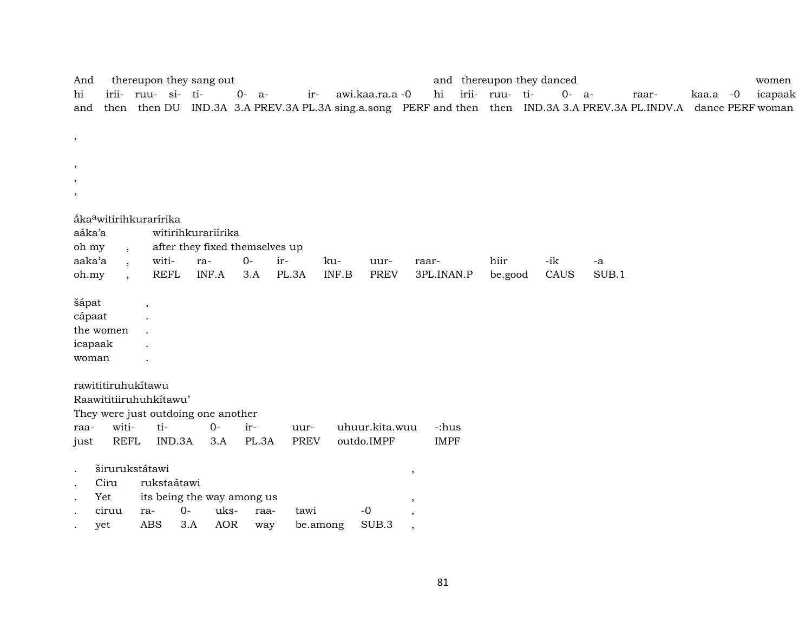| And       |                                    |                    |             | thereupon they sang out             |           |       |             |       |                 |                          |             | and thereupon they danced |           |       |                                                                                                                    |          | women   |
|-----------|------------------------------------|--------------------|-------------|-------------------------------------|-----------|-------|-------------|-------|-----------------|--------------------------|-------------|---------------------------|-----------|-------|--------------------------------------------------------------------------------------------------------------------|----------|---------|
| hi        |                                    | irii- ruu- si- ti- |             |                                     | $0 - a -$ |       | $ir-$       |       | awi.kaa.ra.a -0 |                          | hi          | irii- ruu- ti-            | $0 - a -$ |       | raar-                                                                                                              | kaa.a -0 | icapaak |
| and       |                                    |                    |             |                                     |           |       |             |       |                 |                          |             |                           |           |       | then then DU IND.3A 3.A PREV.3A PL.3A sing.a.song PERF and then then IND.3A 3.A PREV.3A PL.INDV.A dance PERF woman |          |         |
|           |                                    |                    |             |                                     |           |       |             |       |                 |                          |             |                           |           |       |                                                                                                                    |          |         |
| $\,$      |                                    |                    |             |                                     |           |       |             |       |                 |                          |             |                           |           |       |                                                                                                                    |          |         |
|           |                                    |                    |             |                                     |           |       |             |       |                 |                          |             |                           |           |       |                                                                                                                    |          |         |
| $\, ,$    |                                    |                    |             |                                     |           |       |             |       |                 |                          |             |                           |           |       |                                                                                                                    |          |         |
| $\cdot$   |                                    |                    |             |                                     |           |       |             |       |                 |                          |             |                           |           |       |                                                                                                                    |          |         |
| $\cdot$   |                                    |                    |             |                                     |           |       |             |       |                 |                          |             |                           |           |       |                                                                                                                    |          |         |
|           | åka <sup>a</sup> witirihkurarírika |                    |             |                                     |           |       |             |       |                 |                          |             |                           |           |       |                                                                                                                    |          |         |
| aáka'a    |                                    |                    |             | witirihkurariírika                  |           |       |             |       |                 |                          |             |                           |           |       |                                                                                                                    |          |         |
| oh my     | $\overline{\phantom{a}}$           |                    |             | after they fixed themselves up      |           |       |             |       |                 |                          |             |                           |           |       |                                                                                                                    |          |         |
| aaka'a    | $\overline{\phantom{a}}$           |                    | witi-       | ra-                                 | $0-$      | ir-   |             | ku-   | uur-            |                          | raar-       | hiir                      | -ik       | -a    |                                                                                                                    |          |         |
| oh.my     |                                    |                    | <b>REFL</b> | INF.A                               | 3.A       | PL.3A |             | INF.B | <b>PREV</b>     |                          | 3PL.INAN.P  | be.good                   | CAUS      | SUB.1 |                                                                                                                    |          |         |
| šápat     |                                    |                    |             |                                     |           |       |             |       |                 |                          |             |                           |           |       |                                                                                                                    |          |         |
| cápaat    |                                    |                    |             |                                     |           |       |             |       |                 |                          |             |                           |           |       |                                                                                                                    |          |         |
|           | the women                          |                    |             |                                     |           |       |             |       |                 |                          |             |                           |           |       |                                                                                                                    |          |         |
| icapaak   |                                    |                    |             |                                     |           |       |             |       |                 |                          |             |                           |           |       |                                                                                                                    |          |         |
| woman     |                                    |                    |             |                                     |           |       |             |       |                 |                          |             |                           |           |       |                                                                                                                    |          |         |
|           |                                    |                    |             |                                     |           |       |             |       |                 |                          |             |                           |           |       |                                                                                                                    |          |         |
|           | rawititiruhukítawu                 |                    |             |                                     |           |       |             |       |                 |                          |             |                           |           |       |                                                                                                                    |          |         |
|           | Raawititiiruhuhkítawu'             |                    |             |                                     |           |       |             |       |                 |                          |             |                           |           |       |                                                                                                                    |          |         |
|           |                                    |                    |             | They were just outdoing one another |           |       |             |       |                 |                          |             |                           |           |       |                                                                                                                    |          |         |
| raa-      | witi-                              |                    | ti-         | $O -$                               | ir-       |       | uur-        |       | uhuur.kita.wuu  |                          | -:hus       |                           |           |       |                                                                                                                    |          |         |
| just      | <b>REFL</b>                        |                    | IND.3A      | 3.A                                 |           | PL.3A | <b>PREV</b> |       | outdo.IMPF      |                          | <b>IMPF</b> |                           |           |       |                                                                                                                    |          |         |
| $\bullet$ | širurukstátawi                     |                    |             |                                     |           |       |             |       |                 | $\overline{\phantom{a}}$ |             |                           |           |       |                                                                                                                    |          |         |
| $\bullet$ | Ciru                               |                    | rukstaátawi |                                     |           |       |             |       |                 |                          |             |                           |           |       |                                                                                                                    |          |         |
|           | Yet                                |                    |             | its being the way among us          |           |       |             |       |                 | ,                        |             |                           |           |       |                                                                                                                    |          |         |
|           | ciruu                              | ra-                | $0-$        | uks-                                |           | raa-  | tawi        |       | $-0$            |                          |             |                           |           |       |                                                                                                                    |          |         |
|           | yet                                | <b>ABS</b>         |             | <b>AOR</b><br>3.A                   |           | way   | be.among    |       | SUB.3           | $\cdot$                  |             |                           |           |       |                                                                                                                    |          |         |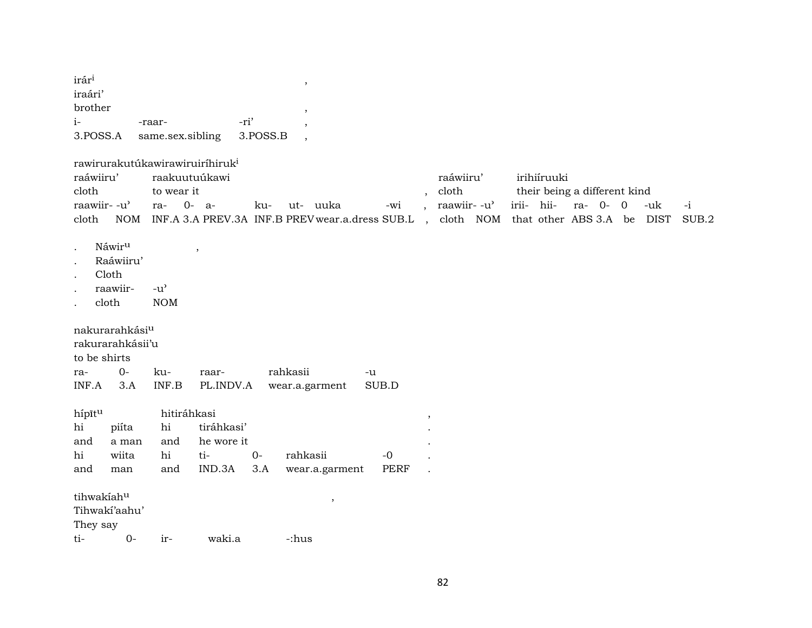| irár <sup>i</sup> |                  |          |  |
|-------------------|------------------|----------|--|
| iraári'           |                  |          |  |
| brother           |                  |          |  |
| $\mathbf{i}$      | -raar-           | -ri'     |  |
| 3.POSS.A          | same.sex.sibling | 3.POSS.B |  |

|                             | rawirurakutúkawirawiruiríhiruk <sup>i</sup>                                                      |           |                                                                                     |
|-----------------------------|--------------------------------------------------------------------------------------------------|-----------|-------------------------------------------------------------------------------------|
| raáwiiru'                   | raakuutuúkawi                                                                                    | raáwiiru' | irihiíruuki                                                                         |
| cloth                       | to wear it                                                                                       | cloth     | their being a different kind                                                        |
| raawiir- -u' ra-    0-   a- | ku-                                                                                              |           | ut- uuka       -wi    ,  raawiir- -u'    irii-   hii-    ra-   0-   0    -uk     -i |
| cloth                       | NOM INF.A 3.A PREV.3A INF.B PREV wear.a.dress SUB.L , cloth NOM that other ABS 3.A be DIST SUB.2 |           |                                                                                     |

- . Náwir<sup>u</sup> ,
- . Raáwiiru'
- . Cloth
- 
- . raawiir- -u" .  $\qquad$  cloth

nakurarahkásiµ

rakurarahkásii'u

to be shirts

| ra- | $\Omega$ | ku- | raar- | rahkasii                                       | $-11$ |
|-----|----------|-----|-------|------------------------------------------------|-------|
|     |          |     |       | INF.A 3.A INF.B PL.INDV.A wear.a.garment SUB.D |       |

| hípītu                 |               | hitiráhkasi |                     |      |                               |      |  |
|------------------------|---------------|-------------|---------------------|------|-------------------------------|------|--|
| hi                     |               |             | piíta hi tiráhkasi' |      |                               |      |  |
| and                    | a man         |             | and he wore it      |      |                               |      |  |
| hi                     | wiita         | hi          | ti-                 | $0-$ | rahkasii                      | -0   |  |
| and                    | man           |             |                     |      | and IND.3A 3.A wear.a.garment | PERF |  |
|                        |               |             |                     |      |                               |      |  |
| tihwakíah <sup>u</sup> |               |             |                     |      | $\overline{\phantom{a}}$      |      |  |
|                        | Tihwaki'aahu' |             |                     |      |                               |      |  |
|                        |               |             |                     |      |                               |      |  |

They say<br>ti-

0- ir- waki.a -:hus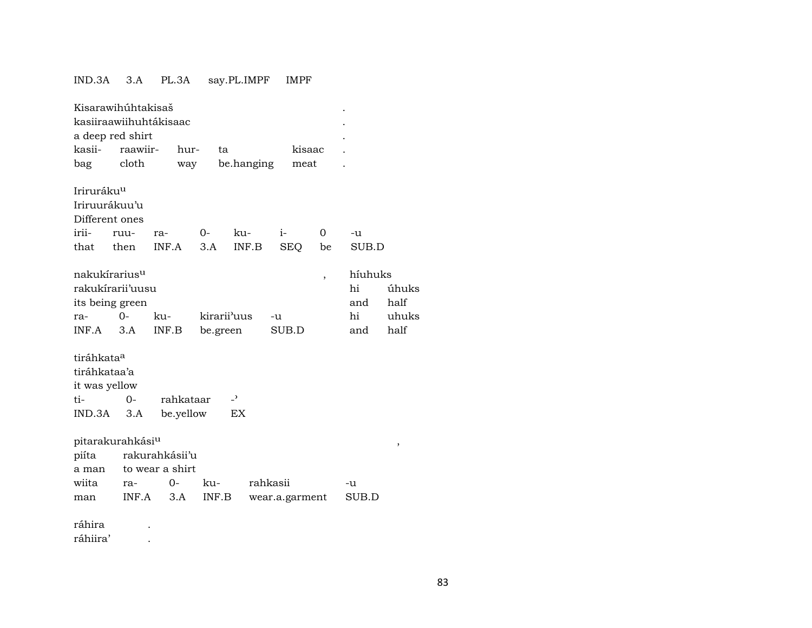## IND.3A 3.A PL.3A say.PL.IMPF IMPF

| Kisarawihúhtakisaš           |          |                        |             |                          |                |        |          |         |       |
|------------------------------|----------|------------------------|-------------|--------------------------|----------------|--------|----------|---------|-------|
|                              |          | kasiiraawiihuhtákisaac |             |                          |                |        |          |         |       |
| a deep red shirt             |          |                        |             |                          |                |        |          |         |       |
| kasii-                       | raawiir- | hur-                   | ta          |                          |                | kisaac |          |         |       |
| bag                          | cloth    | way                    |             | be.hanging               |                | meat   |          |         |       |
|                              |          |                        |             |                          |                |        |          |         |       |
| Iriruráku <sup>u</sup>       |          |                        |             |                          |                |        |          |         |       |
| Iriruurákuu'u                |          |                        |             |                          |                |        |          |         |       |
| Different ones               |          |                        |             |                          |                |        |          |         |       |
| irii-                        | ruu-     | ra-                    | $O -$       | ku-                      | $i-$           |        | $\Omega$ | -u      |       |
| that                         | then     | INF.A                  | 3.A         | INF.B                    |                | SEQ    | be       | SUB.D   |       |
|                              |          |                        |             |                          |                |        |          |         |       |
| nakukírarius <sup>u</sup>    |          |                        |             |                          |                |        | ,        | híuhuks |       |
| rakukírarii'uusu             |          |                        |             |                          |                |        |          | hi      | úhuks |
| its being green              |          |                        |             |                          |                |        |          | and     | half  |
| ra-                          | $O -$    | ku-                    | kirarii'uus |                          | -u             |        |          | hi      | uhuks |
| INF.A                        | 3.A      | INF.B                  | be.green    |                          | SUB.D          |        |          | and     | half  |
|                              |          |                        |             |                          |                |        |          |         |       |
| tiráhkata <sup>a</sup>       |          |                        |             |                          |                |        |          |         |       |
| tiráhkataa'a                 |          |                        |             |                          |                |        |          |         |       |
| it was yellow                |          |                        |             |                          |                |        |          |         |       |
| ti-                          | $0 -$    | rahkataar              |             | $\overline{\phantom{0}}$ |                |        |          |         |       |
| IND.3A                       | 3.A      | be.yellow              |             | EX                       |                |        |          |         |       |
|                              |          |                        |             |                          |                |        |          |         |       |
| pitarakurahkási <sup>u</sup> |          |                        |             |                          |                |        |          |         | ,     |
| piíta                        |          | rakurahkásii'u         |             |                          |                |        |          |         |       |
| a man                        |          | to wear a shirt        |             |                          |                |        |          |         |       |
| wiita                        | ra-      | 0-                     | ku-         |                          | rahkasii       |        |          | -u      |       |
| man                          | INF.A    | 3.A                    | INF.B       |                          | wear.a.garment |        |          | SUB.D   |       |
|                              |          |                        |             |                          |                |        |          |         |       |
| ráhira                       |          |                        |             |                          |                |        |          |         |       |
| ráhiira'                     |          |                        |             |                          |                |        |          |         |       |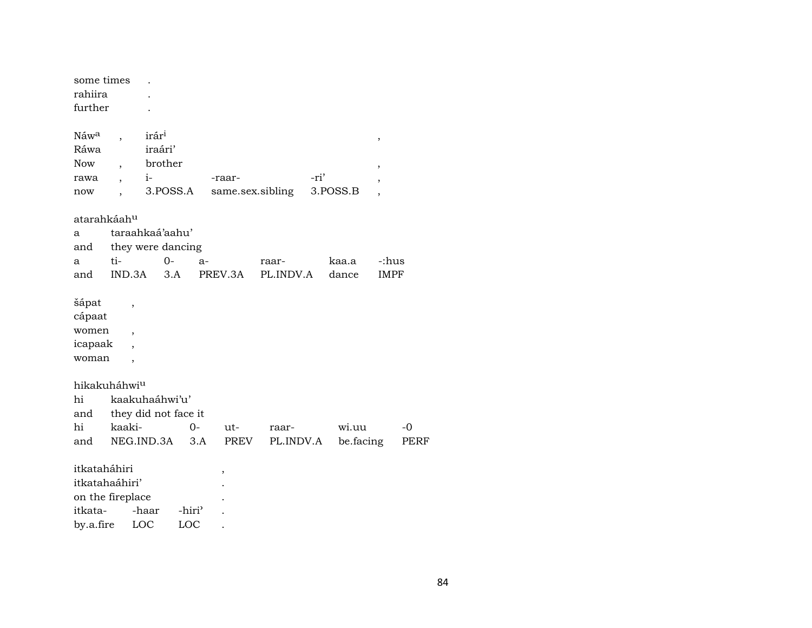| some times              |                          |                      |                    |      |         |                  |           |           |                          |      |
|-------------------------|--------------------------|----------------------|--------------------|------|---------|------------------|-----------|-----------|--------------------------|------|
| rahiira                 |                          |                      |                    |      |         |                  |           |           |                          |      |
| further                 |                          |                      |                    |      |         |                  |           |           |                          |      |
| Náw <sup>a</sup>        |                          | irár <sup>i</sup>    |                    |      |         |                  |           |           | $\, ,$                   |      |
| Ráwa                    |                          | iraári'              |                    |      |         |                  |           |           |                          |      |
| <b>Now</b>              |                          | brother              |                    |      |         |                  |           |           | ,                        |      |
| rawa                    |                          | $i-$                 |                    |      | -raar-  |                  | -ri'      |           |                          |      |
| now                     |                          | 3.POSS.A             |                    |      |         | same.sex.sibling |           | 3.POSS.B  | $\overline{\phantom{a}}$ |      |
| atarahkáah <sup>u</sup> |                          |                      |                    |      |         |                  |           |           |                          |      |
| a                       |                          | taraahkaá'aahu'      |                    |      |         |                  |           |           |                          |      |
| and                     |                          | they were dancing    |                    |      |         |                  |           |           |                          |      |
| a                       | ti-                      | 0-                   |                    | $a-$ |         | raar-            |           | kaa.a     | -:hus                    |      |
| and                     | IND.3A                   | 3.A                  |                    |      | PREV.3A | PL.INDV.A        |           | dance     | <b>IMPF</b>              |      |
| šápat                   | ,                        |                      |                    |      |         |                  |           |           |                          |      |
| cápaat                  |                          |                      |                    |      |         |                  |           |           |                          |      |
| women                   | ,                        |                      |                    |      |         |                  |           |           |                          |      |
| icapaak                 |                          |                      |                    |      |         |                  |           |           |                          |      |
| woman                   | $\overline{\phantom{a}}$ |                      |                    |      |         |                  |           |           |                          |      |
| hikakuháhwiu            |                          |                      |                    |      |         |                  |           |           |                          |      |
| hi                      |                          | kaakuhaáhwi'u'       |                    |      |         |                  |           |           |                          |      |
| and                     |                          | they did not face it |                    |      |         |                  |           |           |                          |      |
| hi                      | kaaki-                   |                      | 0-                 |      | ut-     | raar-            |           | wi.uu     |                          | $-0$ |
| and                     |                          | NEG.IND.3A           | 3.A                |      | PREV    |                  | PL.INDV.A | be.facing |                          | PERF |
| itkataháhiri            |                          |                      |                    |      | ,       |                  |           |           |                          |      |
| itkatahaáhiri'          |                          |                      |                    |      |         |                  |           |           |                          |      |
| on the fireplace        |                          |                      |                    |      |         |                  |           |           |                          |      |
| itkata-                 |                          | -haar                | -hiri <sup>3</sup> |      |         |                  |           |           |                          |      |
| by.a.fire               |                          | LOC                  | LOC                |      |         |                  |           |           |                          |      |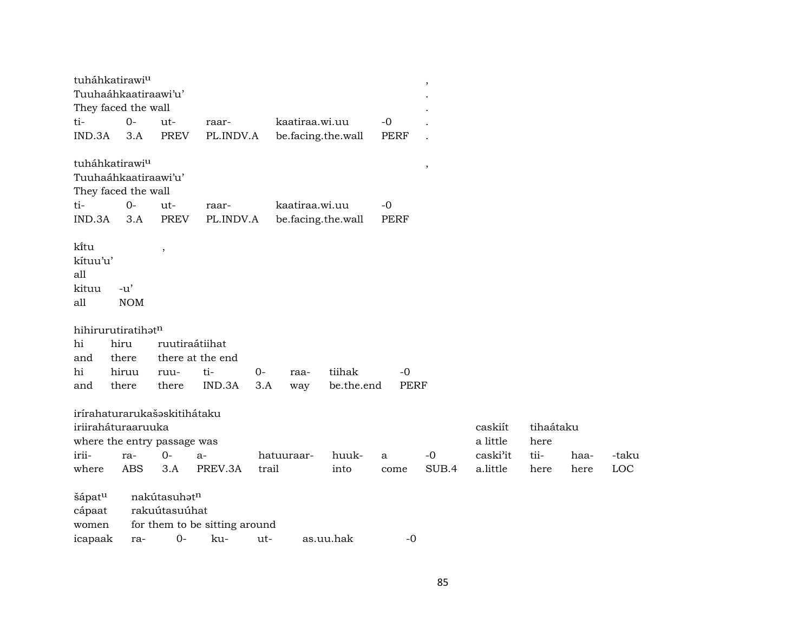|          | tuháhkatirawi <sup>u</sup>   |                          |                               |       |                    |            |             | $\overline{\phantom{a}}$ |          |           |      |       |
|----------|------------------------------|--------------------------|-------------------------------|-------|--------------------|------------|-------------|--------------------------|----------|-----------|------|-------|
|          | Tuuhaáhkaatiraawi'u'         |                          |                               |       |                    |            |             |                          |          |           |      |       |
|          | They faced the wall          |                          |                               |       |                    |            |             |                          |          |           |      |       |
| ti-      | $0-$                         | ut-                      | raar-                         |       | kaatiraa.wi.uu     |            | $-0$        |                          |          |           |      |       |
| IND.3A   | 3.A                          | <b>PREV</b>              | PL.INDV.A                     |       | be.facing.the.wall |            | <b>PERF</b> |                          |          |           |      |       |
|          | tuháhkatirawi <sup>u</sup>   |                          |                               |       |                    |            |             | $^\mathrm{^\mathrm{o}}$  |          |           |      |       |
|          | Tuuhaáhkaatiraawi'u'         |                          |                               |       |                    |            |             |                          |          |           |      |       |
|          | They faced the wall          |                          |                               |       |                    |            |             |                          |          |           |      |       |
| ti-      | $O -$                        | $ut-$                    | raar-                         |       | kaatiraa.wi.uu     |            | $-0$        |                          |          |           |      |       |
| IND.3A   | 3.A                          | <b>PREV</b>              | PL.INDV.A                     |       | be.facing.the.wall |            | <b>PERF</b> |                          |          |           |      |       |
| ki̇̃tu   |                              | $\overline{\phantom{a}}$ |                               |       |                    |            |             |                          |          |           |      |       |
| kítuu'u' |                              |                          |                               |       |                    |            |             |                          |          |           |      |       |
| all      |                              |                          |                               |       |                    |            |             |                          |          |           |      |       |
| kituu    | $-u'$                        |                          |                               |       |                    |            |             |                          |          |           |      |       |
| all      | <b>NOM</b>                   |                          |                               |       |                    |            |             |                          |          |           |      |       |
|          | hihirurutiratihatn           |                          |                               |       |                    |            |             |                          |          |           |      |       |
| hi       | hiru                         | ruutiraátiihat           |                               |       |                    |            |             |                          |          |           |      |       |
| and      | there                        |                          | there at the end              |       |                    |            |             |                          |          |           |      |       |
| hi       | hiruu                        | ruu-                     | ti-                           | $0-$  | raa-               | tiihak     | $-0$        |                          |          |           |      |       |
| and      | there                        | there                    | IND.3A                        | 3.A   | way                | be.the.end | <b>PERF</b> |                          |          |           |      |       |
|          | irírahaturarukašaskitihátaku |                          |                               |       |                    |            |             |                          |          |           |      |       |
|          | iriiraháturaaruuka           |                          |                               |       |                    |            |             |                          | caskiít  | tihaátaku |      |       |
|          | where the entry passage was  |                          |                               |       |                    |            |             |                          | a little | here      |      |       |
| irii-    | ra-                          | 0-                       | $a-$                          |       | hatuuraar-         | huuk-      | a           | $-0$                     | caski'it | tii-      | haa- | -taku |
| where    | <b>ABS</b>                   | 3.A                      | PREV.3A                       | trail |                    | into       | come        | SUB.4                    | a.little | here      | here | LOC   |
| šápatu   |                              | nakútasuhatn             |                               |       |                    |            |             |                          |          |           |      |       |
| cápaat   |                              | rakuútasuúhat            |                               |       |                    |            |             |                          |          |           |      |       |
| women    |                              |                          | for them to be sitting around |       |                    |            |             |                          |          |           |      |       |
| icapaak  | ra-                          | $0-$                     | ku-                           | ut-   |                    | as.uu.hak  | $-0$        |                          |          |           |      |       |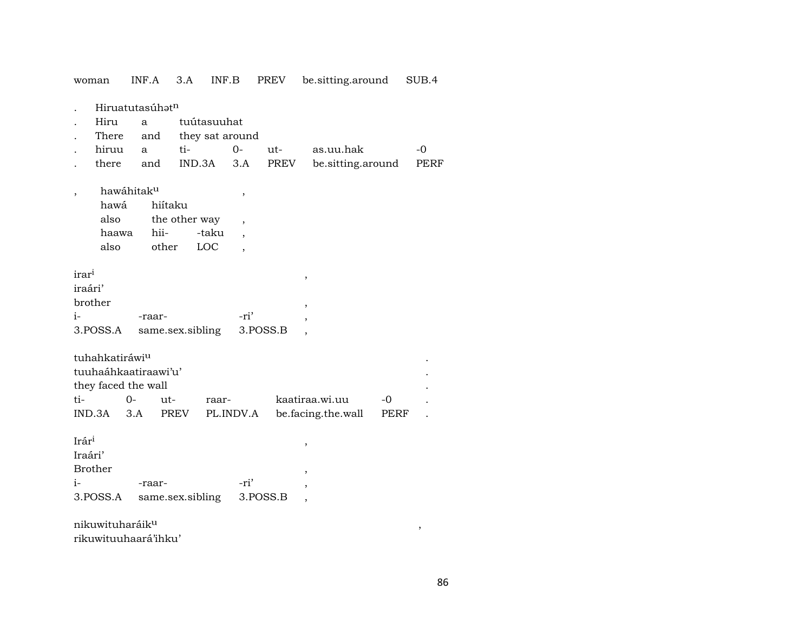|                             | Hiruatutasúhət <sup>n</sup> |                  |                          |          |                          |      |      |
|-----------------------------|-----------------------------|------------------|--------------------------|----------|--------------------------|------|------|
| Hiru                        | a                           | tuútasuuhat      |                          |          |                          |      |      |
| There                       | and                         | they sat around  |                          |          |                          |      |      |
| hiruu                       | a                           | ti-              | $0-$                     | $ut-$    | as.uu.hak                |      | $-0$ |
| there                       | and                         | IND.3A           | 3.A                      | PREV     | be.sitting.around        |      | PERF |
|                             |                             |                  |                          |          |                          |      |      |
|                             | hawáhitaku                  |                  | ,                        |          |                          |      |      |
| hawá                        | hiítaku                     |                  |                          |          |                          |      |      |
| also                        |                             | the other way    | $\overline{\phantom{a}}$ |          |                          |      |      |
| haawa                       | hii-                        | -taku            |                          |          |                          |      |      |
| also                        | other                       | LOC              |                          |          |                          |      |      |
|                             |                             |                  |                          |          |                          |      |      |
| irar <sup>i</sup>           |                             |                  |                          |          |                          |      |      |
| iraári'                     |                             |                  |                          |          | $\,$                     |      |      |
| brother                     |                             |                  |                          |          |                          |      |      |
|                             |                             |                  |                          |          | $\, ,$                   |      |      |
| $i-$                        | -raar-                      |                  | -ri'                     |          | $\overline{\phantom{a}}$ |      |      |
| 3.POSS.A                    |                             | same.sex.sibling |                          | 3.POSS.B | $\overline{ }$           |      |      |
|                             |                             |                  |                          |          |                          |      |      |
| tuhahkatiráwi <sup>u</sup>  |                             |                  |                          |          |                          |      |      |
|                             | tuuhaáhkaatiraawi'u'        |                  |                          |          |                          |      |      |
| they faced the wall         |                             |                  |                          |          |                          |      |      |
| ti-                         | $0 -$<br>$ut -$             | raar-            |                          |          | kaatiraa.wi.uu           | $-0$ |      |
| IND.3A                      | 3.A                         | PREV             | PL.INDV.A                |          | be.facing.the.wall       | PERF |      |
|                             |                             |                  |                          |          |                          |      |      |
| Irári                       |                             |                  |                          |          | $\,$                     |      |      |
| Iraári'                     |                             |                  |                          |          |                          |      |      |
| <b>Brother</b>              |                             |                  |                          |          | ,                        |      |      |
| $i-$                        | -raar-                      |                  | -ri'                     |          |                          |      |      |
| 3.POSS.A                    |                             | same.sex.sibling |                          | 3.POSS.B | $\overline{ }$           |      |      |
|                             |                             |                  |                          |          |                          |      |      |
| nikuwituharáik <sup>u</sup> |                             |                  |                          |          |                          |      |      |

woman INF.A 3.A INF.B PREV be.sitting.around SUB.4

rikuwituuhaará'ihku'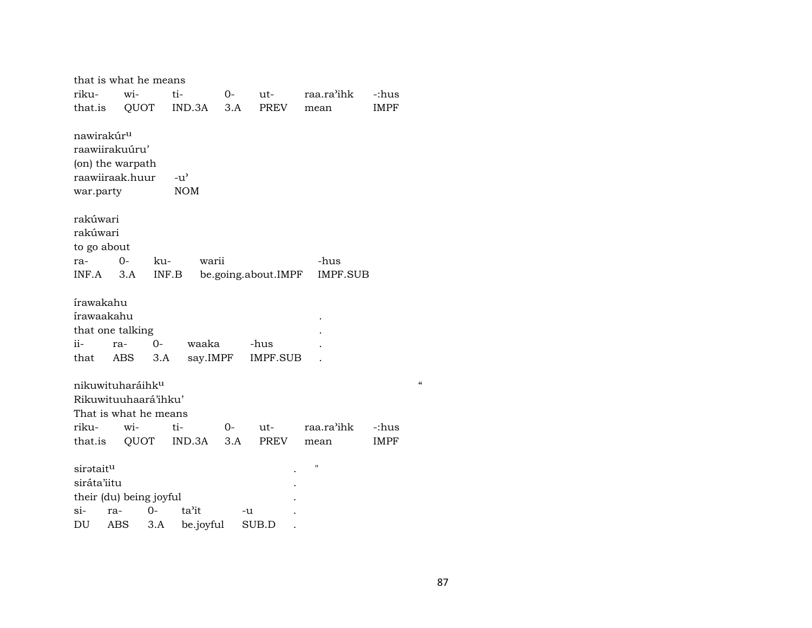|                                     | that is what he means                                                                |       |                             |           |                     |                    |                                    |
|-------------------------------------|--------------------------------------------------------------------------------------|-------|-----------------------------|-----------|---------------------|--------------------|------------------------------------|
| riku-                               | wi-                                                                                  |       | ti-                         | $0-$      | ut-                 | raa.ra'ihk         | -:hus                              |
| that.is                             |                                                                                      | QUOT  | IND.3A                      | 3.A       | <b>PREV</b>         | mean               | <b>IMPF</b>                        |
| nawirakúr <sup>u</sup><br>war.party | raawiirakuúru'<br>(on) the warpath<br>raawiiraak.huur                                |       | $-u^{\prime}$<br><b>NOM</b> |           |                     |                    |                                    |
| rakúwari                            |                                                                                      |       |                             |           |                     |                    |                                    |
| rakúwari                            |                                                                                      |       |                             |           |                     |                    |                                    |
| to go about                         |                                                                                      |       |                             |           |                     |                    |                                    |
| ra-                                 | $0-$                                                                                 | ku-   | warii                       |           |                     | -hus               |                                    |
| INF.A                               | 3.A                                                                                  | INF.B |                             |           | be.going.about.IMPF | IMPF.SUB           |                                    |
| írawakahu<br>írawaakahu             | that one talking                                                                     |       |                             |           |                     |                    |                                    |
| ii-                                 | ra-                                                                                  | 0-    | waaka                       |           | -hus                |                    |                                    |
| that                                | ABS                                                                                  | 3.A   | say.IMPF                    |           | IMPF.SUB            |                    |                                    |
| riku-<br>that.is                    | nikuwituharáihk <sup>u</sup><br>Rikuwituuhaará'ihku'<br>That is what he means<br>wi- | QUOT  | ti-<br>IND.3A               | 0-<br>3.A | ut-<br>PREV         | raa.ra'ihk<br>mean | $\epsilon$<br>-:hus<br><b>IMPF</b> |
| sirataitu                           |                                                                                      |       |                             |           |                     | $\pmb{\mathsf{H}}$ |                                    |
| siráta'iitu                         |                                                                                      |       |                             |           |                     |                    |                                    |
|                                     | their (du) being joyful                                                              |       |                             |           |                     |                    |                                    |
| $\sin$                              | ra-                                                                                  | 0-    | ta'it                       |           | -u                  |                    |                                    |
| DU                                  | ABS                                                                                  | $3.A$ | be.joyful                   |           | SUB.D               |                    |                                    |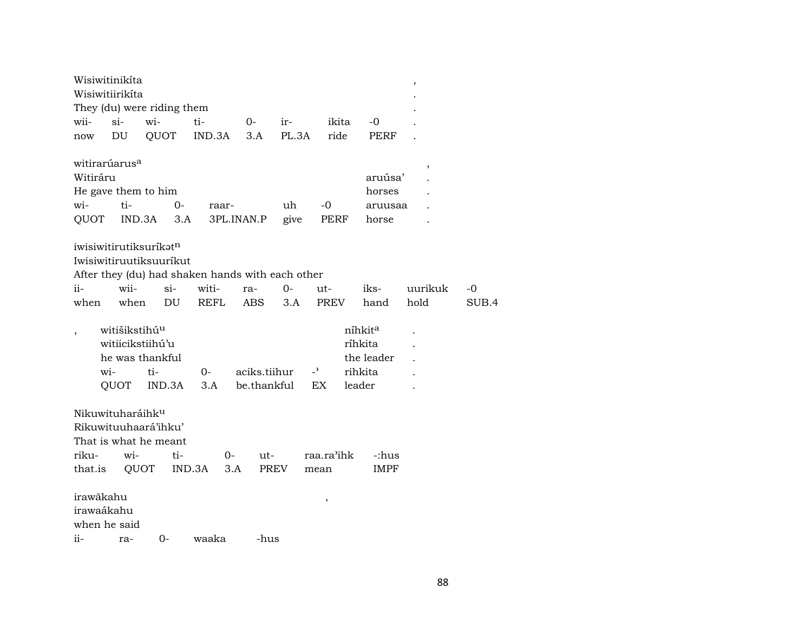|                         | Wisiwitinikíta                              |                                                                                                                   |              |                             |            |                         |                                                                   | $\,$    |       |
|-------------------------|---------------------------------------------|-------------------------------------------------------------------------------------------------------------------|--------------|-----------------------------|------------|-------------------------|-------------------------------------------------------------------|---------|-------|
|                         | Wisiwitiirikíta                             |                                                                                                                   |              |                             |            |                         |                                                                   |         |       |
|                         |                                             | They (du) were riding them                                                                                        |              |                             |            |                         |                                                                   |         |       |
| wii-                    | $si$ -                                      | wi-                                                                                                               | ti-          | 0-                          | ir-        | ikita                   | $-0$                                                              |         |       |
| now                     | DU                                          | QUOT                                                                                                              | IND.3A       | 3.A                         | PL.3A      | ride                    | PERF                                                              |         |       |
| Witiráru<br>wi-<br>QUOT | witirarúarus <sup>a</sup><br>ti-<br>IND.3A  | He gave them to him<br>0-<br>3.A                                                                                  | raar-        | 3PL.INAN.P                  | uh<br>give | $-0$<br>PERF            | aruúsa'<br>horses<br>aruusaa<br>horse                             | ,       |       |
|                         |                                             | iwisiwitirutiksurikət <sup>n</sup><br>Iwisiwitiruutiksuuríkut<br>After they (du) had shaken hands with each other |              |                             |            |                         |                                                                   |         |       |
| ii-                     | wii-                                        | $\sin$                                                                                                            | witi-        | ra-                         | $0-$       | ut-                     | iks-                                                              | uurikuk | -0    |
| when                    | when                                        | DU                                                                                                                | <b>REFL</b>  | ABS                         | 3.A        | <b>PREV</b>             | hand                                                              | hold    | SUB.4 |
|                         | witišikstihú <sup>u</sup><br>wi-<br>QUOT    | witiicikstiihú'u<br>he was thankful<br>ti-<br>IND.3A                                                              | $0 -$<br>3.A | aciks.tiihur<br>be.thankful |            | $-$ <sup>2</sup><br>EX. | níhkit <sup>a</sup><br>ríhkita<br>the leader<br>rihkita<br>leader |         |       |
| riku-<br>that.is        | Nikuwituharáihk <sup>u</sup><br>wi-<br>QUOT | Rikuwituuhaará'ihku'<br>That is what he meant<br>ti-                                                              | 0-<br>IND.3A | ut-<br>3.A<br>PREV          |            | raa.ra'ihk<br>mean      | -:hus<br><b>IMPF</b>                                              |         |       |
| irawãkahu<br>irawaákahu | when he said                                |                                                                                                                   |              |                             |            | $\, ,$                  |                                                                   |         |       |
| ii-                     | ra-                                         | $0-$                                                                                                              | waaka        | -hus                        |            |                         |                                                                   |         |       |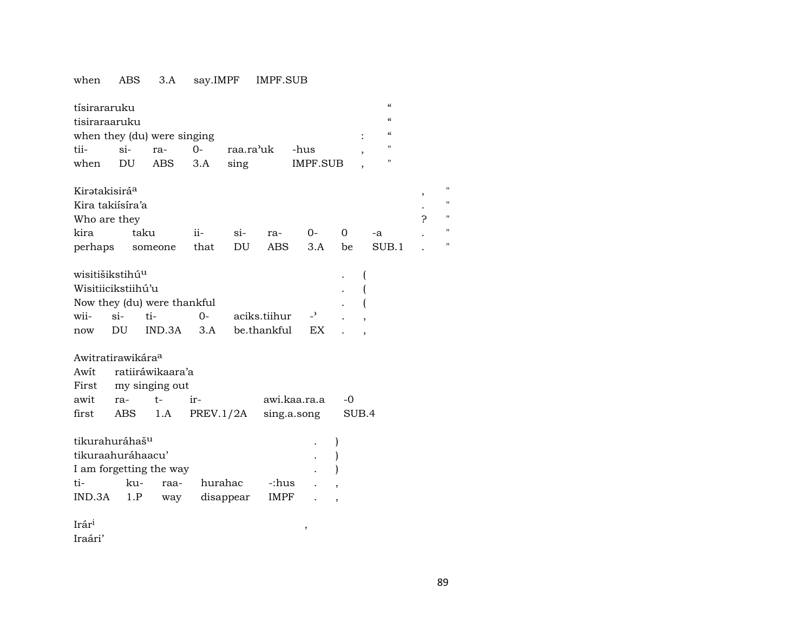## when ABS 3.A say.IMPF IMPF.SUB

| tísirararuku<br>tisiraraaruku<br>tii-<br>when                                    | $si-$<br>DU  | when they (du) were singing<br>ra-<br>ABS       | $0 -$<br>3.A | sing                 | raa.ra'uk                   | -hus<br><b>IMPF.SUB</b>     |             | $\mathcal{C}\mathcal{C}$<br>$\mathcal{C}\mathcal{C}$<br>$\mathcal{C}\mathcal{C}$<br>$\overline{\phantom{a}}$<br>п |        |                         |
|----------------------------------------------------------------------------------|--------------|-------------------------------------------------|--------------|----------------------|-----------------------------|-----------------------------|-------------|-------------------------------------------------------------------------------------------------------------------|--------|-------------------------|
| Kirətakisirá <sup>a</sup><br>Kira takiísíra'a<br>Who are they<br>kira<br>perhaps |              | taku<br>someone                                 | ii-<br>that  | $\sin$<br>DU         | ra-<br>ABS                  | $0-$<br>3.A                 | 0<br>be     | -a<br>SUB.1                                                                                                       | ,<br>Ç | П<br>11<br>11<br>Ħ<br>Ħ |
| wisitišikstihú <sup>u</sup><br>Wisitiicikstiihú'u<br>wii-<br>now                 | $\sin$<br>DU | Now they (du) were thankful<br>ti-<br>IND.3A    | $0-$<br>3.A  |                      | aciks.tiihur<br>be.thankful | $\overline{a}$<br>EX        |             |                                                                                                                   |        |                         |
| Awitratirawikára <sup>a</sup><br>Awit<br>First<br>awit<br>first                  | ra-<br>ABS   | ratiiráwikaara'a<br>my singing out<br>t-<br>1.A | ir-          | PREV.1/2A            |                             | awi.kaa.ra.a<br>sing.a.song | -0<br>SUB.4 |                                                                                                                   |        |                         |
| tikurahuráhaš <sup>u</sup><br>tikuraahuráhaacu'<br>ti-<br>IND.3A                 | ku-<br>1.P   | I am forgetting the way<br>raa-<br>way          |              | hurahac<br>disappear | -:hus<br>IMPF               |                             |             |                                                                                                                   |        |                         |

Irár³ , Iraári'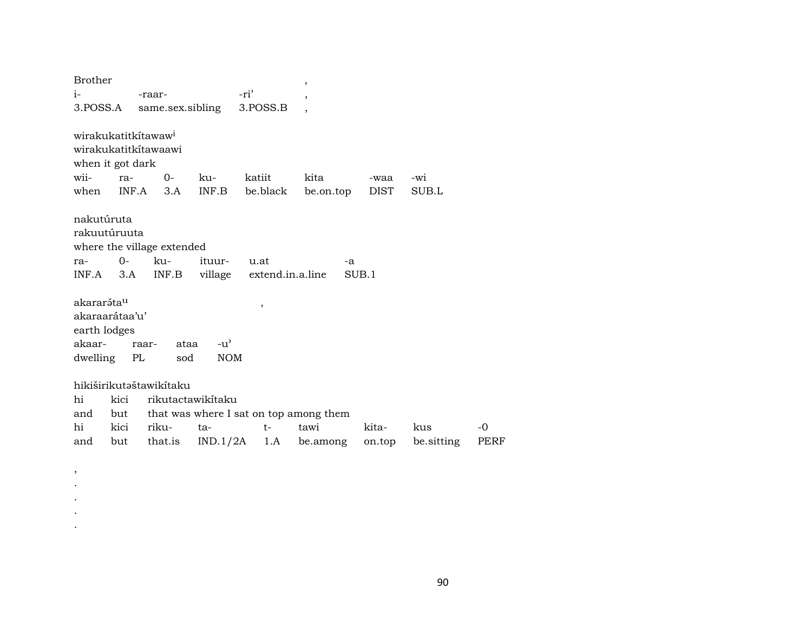| <b>Brother</b>                                                                      |                            |                                                                  |                            |                                  | $\overline{\phantom{a}}$                                                  |                 |                   |            |
|-------------------------------------------------------------------------------------|----------------------------|------------------------------------------------------------------|----------------------------|----------------------------------|---------------------------------------------------------------------------|-----------------|-------------------|------------|
| $i-$                                                                                |                            | -raar-                                                           |                            | -ri'                             | ,                                                                         |                 |                   |            |
| 3.POSS.A                                                                            |                            | same.sex.sibling                                                 |                            | 3.POSS.B                         |                                                                           |                 |                   |            |
| wirakukatitkítawaw <sup>i</sup><br>wirakukatitkítawaawi<br>when it got dark<br>wii- | ra-                        | $0-$                                                             | ku-                        | katiit                           | kita                                                                      | -waa            | -wi               |            |
| when                                                                                |                            | $INF.A$ 3.A                                                      | INF.B                      | be.black                         | be.on.top                                                                 | DIST            | SUB.L             |            |
| nakutúruta<br>rakuutúruuta<br>ra-<br>$INF.A$ 3.A                                    | $O-$                       | where the village extended<br>ku-<br>INF.B                       | ituur-                     | u.at<br>village extend.in.a.line | -a                                                                        | SUB.1           |                   |            |
| akararáta <sup>u</sup><br>akaraarátaa'u'<br>earth lodges<br>akaar-<br>dwelling PL   |                            | ataa<br>raar-<br>sod                                             | $-u^{\flat}$<br><b>NOM</b> | $\, ,$                           |                                                                           |                 |                   |            |
| hi<br>and<br>hi<br>and                                                              | kici<br>but<br>kici<br>but | hikiširikutəštawikitaku<br>rikutactawikitaku<br>riku-<br>that.is | ta-                        | $t-$                             | that was where I sat on top among them<br>tawi<br>$IND.1/2A$ 1.A be.among | kita-<br>on.top | kus<br>be sitting | -0<br>PERF |
|                                                                                     |                            |                                                                  |                            |                                  |                                                                           |                 |                   |            |

, . . . .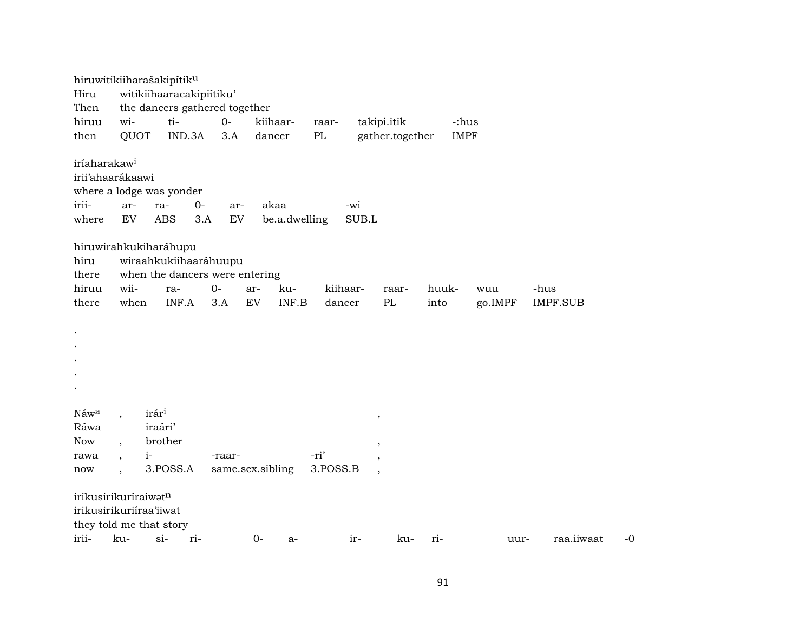| Hiru<br>Then<br>hiruu<br>then              | hiruwitikiiharašakipítik <sup>u</sup><br>wi-<br>QUOT                              | witikiihaaracakipiitiku'<br>the dancers gathered together<br>ti-<br>IND.3A | $0-$<br>3.A                      | kiihaar-<br>dancer    | raar-<br>PL        | takipi.itik<br>gather.together                                                             | -:hus<br><b>IMPF</b> |                |                         |      |
|--------------------------------------------|-----------------------------------------------------------------------------------|----------------------------------------------------------------------------|----------------------------------|-----------------------|--------------------|--------------------------------------------------------------------------------------------|----------------------|----------------|-------------------------|------|
| iríaharakaw <sup>i</sup><br>irii-<br>where | irii'ahaarákaawi<br>where a lodge was yonder<br>ar-<br>EV                         | $O -$<br>ra-<br><b>ABS</b><br>3.A                                          | ar-<br>${\rm EV}$                | akaa<br>be.a.dwelling |                    | -wi<br>SUB.L                                                                               |                      |                |                         |      |
| hiru<br>there<br>hiruu<br>there            | hiruwirahkukiharáhupu<br>wii-<br>when                                             | wiraahkukiihaaráhuupu<br>when the dancers were entering<br>ra-<br>INF.A    | $0-$<br>ar-<br>${\rm EV}$<br>3.A | ku-<br>INF.B          | kiihaar-<br>dancer | raar-<br>$\rm PL$                                                                          | huuk-<br>into        | wuu<br>go.IMPF | -hus<br><b>IMPF.SUB</b> |      |
|                                            |                                                                                   |                                                                            |                                  |                       |                    |                                                                                            |                      |                |                         |      |
| Náwa<br>Ráwa<br><b>Now</b><br>rawa<br>now  | irár <sup>i</sup><br>$\overline{\phantom{a}}$<br>$i-$                             | iraári'<br>brother<br>3.POSS.A                                             | -raar-<br>same.sex.sibling       |                       | -ri'<br>3.POSS.B   | $\, ,$<br>$\overline{\phantom{a}}$<br>$\overline{\phantom{a}}$<br>$\overline{\phantom{a}}$ |                      |                |                         |      |
| irii-                                      | irikusirikuríraiwatn<br>irikusirikuriíraa'iiwat<br>they told me that story<br>ku- | $si-$<br>ri-                                                               |                                  | $0-$<br>$a-$          |                    | ir-<br>ku-                                                                                 | ri-                  | uur-           | raa.iiwaat              | $-0$ |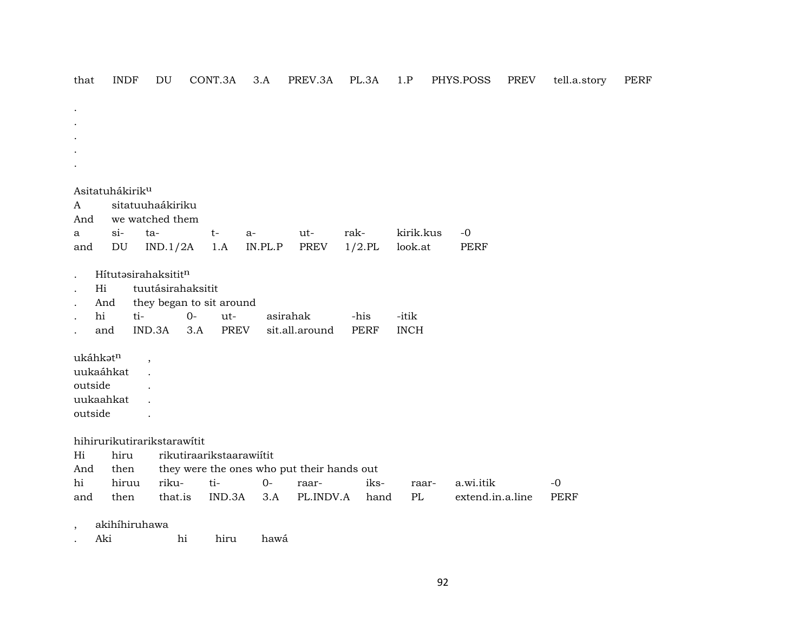that INDF DU CONT.3A 3.A PREV.3A PL.3A 1.P PHYS.POSS PREV tell.a.story PERF . . . . . Asitatuhákirikµ A sitatuuhaákiriku And we watched them a si- ta- t- a- ut- rak- kirik.kus -0 and DU IND.1/2A 1.A IN.PL.P PREV 1/2.PL look.at PERF . Hítutəsirahaksitit<sup>n</sup> . Hi tuutásirahaksitit . And they began to sit around . hi ti- 0- ut- asirahak -his -itik . and IND.3A 3.A PREV sit.all.around PERF INCH  $ukáhk$ ət $n$ , uukaáhkat . outside . uukaahkat . outside . hihirurikutirarikstarawítit Hi hiru rikutiraarikstaarawiítit And then they were the ones who put their hands out hi hiruu riku- ti- 0- raar- iks- raar- a.wi.itik -0 and then that.is IND.3A 3.A PL.INDV.A hand PL extend.in.a.line PERF , akihíhiruhawa . Aki hi hiru hawá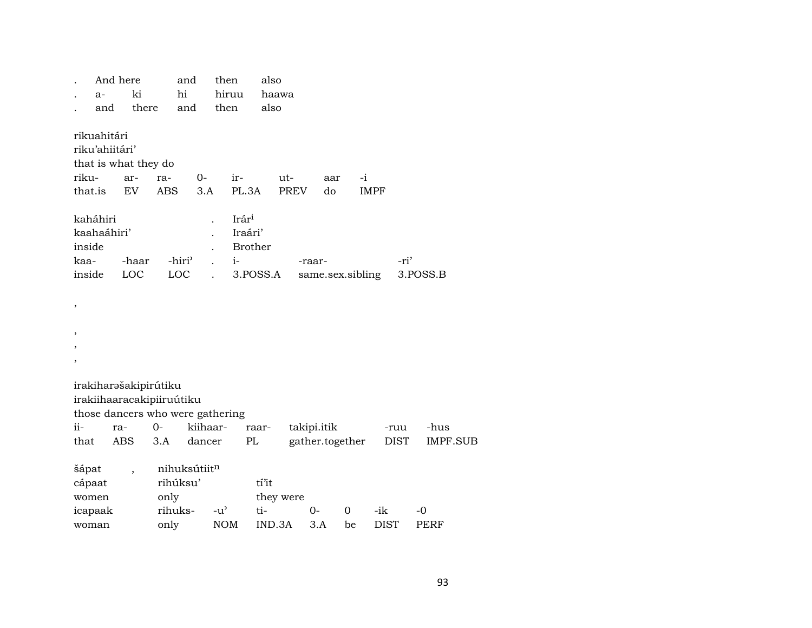|                                                     | And here<br>$a-$<br>and | ki<br>there                                                                                                 |                   | and<br>hi<br>and                 |                    | then<br>hiruu<br>then                                  | also<br>also           | haawa              |                                |                   |                    |                     |                     |                 |
|-----------------------------------------------------|-------------------------|-------------------------------------------------------------------------------------------------------------|-------------------|----------------------------------|--------------------|--------------------------------------------------------|------------------------|--------------------|--------------------------------|-------------------|--------------------|---------------------|---------------------|-----------------|
| rikuahitári<br>riku'ahiitári'<br>riku-<br>that.is   |                         | that is what they do<br>ar-<br><b>EV</b>                                                                    | ra-<br><b>ABS</b> |                                  | 0-<br>3.A          | ir-<br>PL.3A                                           |                        | ut-<br><b>PREV</b> | aar<br>do                      | $-i$              | <b>IMPF</b>        |                     |                     |                 |
| kaháhiri<br>kaahaáhiri'<br>inside<br>kaa-<br>inside |                         | -haar<br>LOC                                                                                                |                   | -hiri <sup>3</sup><br><b>LOC</b> |                    | Irár <sup>i</sup><br>Iraári'<br><b>Brother</b><br>$i-$ | 3.POSS.A               |                    | -raar-<br>same.sex.sibling     |                   |                    | -ri'                | 3.POSS.B            |                 |
| ,<br>,<br>,<br>$\overline{\phantom{a}}$             |                         |                                                                                                             |                   |                                  |                    |                                                        |                        |                    |                                |                   |                    |                     |                     |                 |
| ii-<br>that                                         |                         | irakiharašakipirútiku<br>irakiihaaracakipiiruútiku<br>those dancers who were gathering<br>ra-<br><b>ABS</b> | $O -$<br>3.A      |                                  | kiihaar-<br>dancer | PL                                                     | raar-                  |                    | takipi.itik<br>gather.together |                   |                    | -ruu<br><b>DIST</b> | -hus                | <b>IMPF.SUB</b> |
| šápat<br>cápaat<br>women<br>icapaak<br>woman        |                         | $\overline{\phantom{a}}$                                                                                    | only<br>only      | rihúksu'<br>rihuks-              | nihuksútiitn       | $-u^{\prime}$<br><b>NOM</b>                            | tí'it<br>ti-<br>IND.3A | they were          | $O -$<br>3.A                   | $\mathbf 0$<br>be | -ik<br><b>DIST</b> |                     | $-0$<br><b>PERF</b> |                 |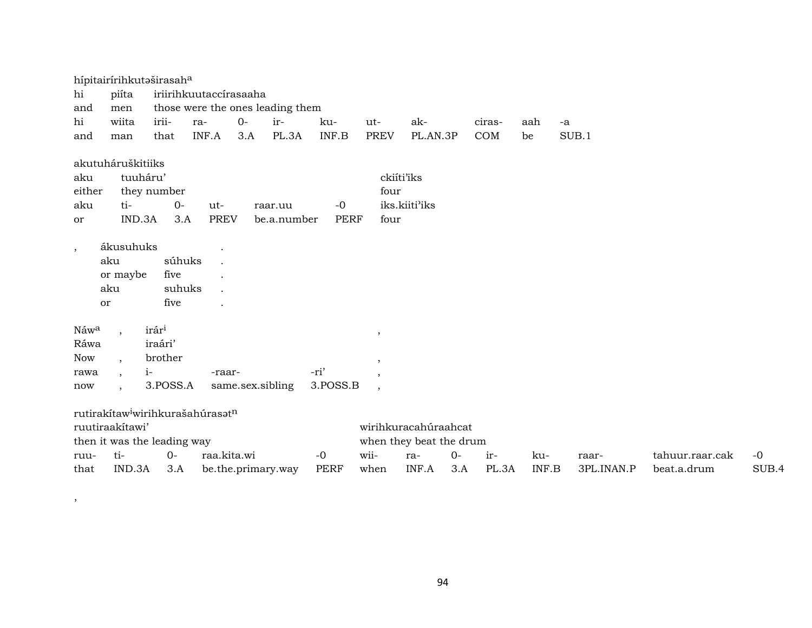| hi                       | hípitairírihkutaširasaha<br>piíta              |                                  | iriirihkuutaccírasaaha                       |                    |                                  |             |                    |                                                 |      |        |       |            |                 |       |
|--------------------------|------------------------------------------------|----------------------------------|----------------------------------------------|--------------------|----------------------------------|-------------|--------------------|-------------------------------------------------|------|--------|-------|------------|-----------------|-------|
| and                      | men                                            |                                  |                                              |                    | those were the ones leading them |             |                    |                                                 |      |        |       |            |                 |       |
| hi                       | wiita                                          | irii-                            | ra-                                          | $0-$               | ir-                              | ku-         | ut-                | ak-                                             |      | ciras- | aah   | $-a$       |                 |       |
| and                      | man                                            | that                             | INF.A                                        | 3.A                | PL.3A                            | INF.B       | <b>PREV</b>        | PL.AN.3P                                        |      | COM    | be    | SUB.1      |                 |       |
| aku<br>either            | akutuháruškitiiks<br>tuuháru'                  | they number                      |                                              |                    |                                  |             | ckiíti'iks<br>four |                                                 |      |        |       |            |                 |       |
| aku                      | ti-                                            | 0-                               | ut-                                          |                    | raar.uu                          | $-0$        |                    | iks.kiiti'iks                                   |      |        |       |            |                 |       |
| or                       | IND.3A                                         | 3.A                              | <b>PREV</b>                                  |                    | be.a.number                      | <b>PERF</b> | four               |                                                 |      |        |       |            |                 |       |
| $\overline{\phantom{a}}$ | ákusuhuks<br>aku<br>or maybe<br>aku<br>or      | súhuks<br>five<br>suhuks<br>five |                                              |                    |                                  |             |                    |                                                 |      |        |       |            |                 |       |
| Náw <sup>a</sup>         |                                                | irár <sup>i</sup>                |                                              |                    |                                  |             | ,                  |                                                 |      |        |       |            |                 |       |
| Ráwa                     |                                                | iraári'                          |                                              |                    |                                  |             |                    |                                                 |      |        |       |            |                 |       |
| <b>Now</b>               | $\overline{\phantom{a}}$                       | brother                          |                                              |                    |                                  |             | ,                  |                                                 |      |        |       |            |                 |       |
| rawa                     | $\ddot{\phantom{1}}$                           | $i-$                             | -raar-                                       |                    |                                  | -ri'        |                    |                                                 |      |        |       |            |                 |       |
| now                      |                                                | 3.POSS.A                         |                                              | same.sex.sibling   |                                  | 3.POSS.B    | $\cdot$            |                                                 |      |        |       |            |                 |       |
|                          | ruutiraakítawi'<br>then it was the leading way |                                  | rutirakítaw <sup>i</sup> wirihkurašahúrasatn |                    |                                  |             |                    | wirihkuracahúraahcat<br>when they beat the drum |      |        |       |            |                 |       |
| ruu-                     | ti-                                            | $0-$                             | raa.kita.wi                                  |                    |                                  | $-0$        | wii-               | ra-                                             | $0-$ | ir-    | ku-   | raar-      | tahuur.raar.cak | $-0$  |
| that                     | IND.3A                                         | 3.A                              |                                              | be.the.primary.way |                                  | <b>PERF</b> | when               | INF.A                                           | 3.A  | PL.3A  | INF.B | 3PL.INAN.P | beat.a.drum     | SUB.4 |

,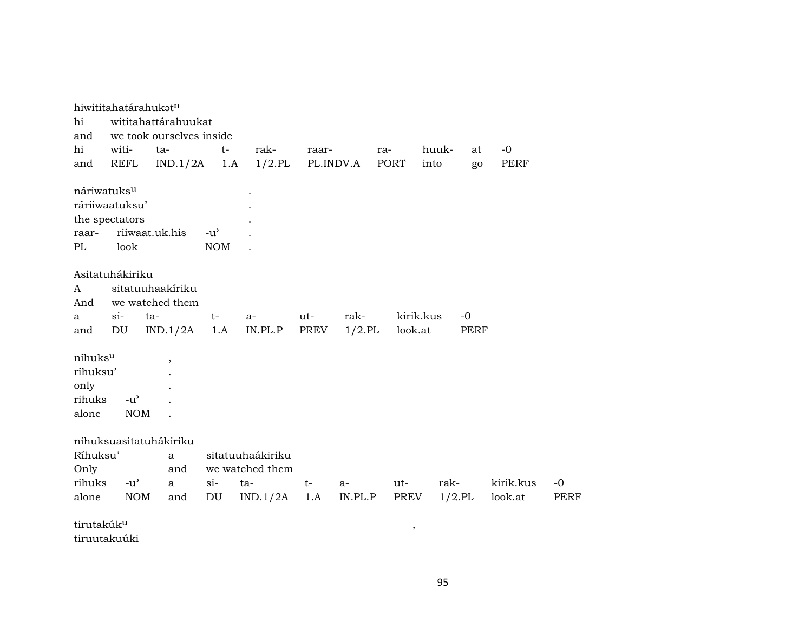|                        |                         | hiwititahatárahukat <sup>n</sup> |               |                  |       |           |           |           |      |           |             |
|------------------------|-------------------------|----------------------------------|---------------|------------------|-------|-----------|-----------|-----------|------|-----------|-------------|
| hi                     |                         | wititahattárahuukat              |               |                  |       |           |           |           |      |           |             |
| and                    |                         | we took ourselves inside         |               |                  |       |           |           |           |      |           |             |
| hi                     | witi-                   | ta-                              | $t-$          | rak-             | raar- |           | ra-       | huuk-     | at   | $-0$      |             |
| and                    | <b>REFL</b>             | IND.1/2A                         | 1.A           | $1/2$ .PL        |       | PL.INDV.A | PORT      | into      | go   | PERF      |             |
|                        | náriwatuks <sup>u</sup> |                                  |               |                  |       |           |           |           |      |           |             |
|                        | ráriiwaatuksu'          |                                  |               |                  |       |           |           |           |      |           |             |
|                        | the spectators          |                                  |               |                  |       |           |           |           |      |           |             |
| raar-                  |                         | riiwaat.uk.his                   | $-u^{\prime}$ |                  |       |           |           |           |      |           |             |
| PL                     | look                    |                                  | <b>NOM</b>    |                  |       |           |           |           |      |           |             |
|                        |                         |                                  |               |                  |       |           |           |           |      |           |             |
|                        | Asitatuhákiriku         |                                  |               |                  |       |           |           |           |      |           |             |
| A                      |                         | sitatuuhaakiriku                 |               |                  |       |           |           |           |      |           |             |
| And                    |                         | we watched them                  |               |                  |       |           |           |           |      |           |             |
| a                      | $\sin$                  | ta-                              | $t-$          | $a-$             | ut-   | rak-      | kirik.kus |           | $-0$ |           |             |
| and                    | DU                      | IND.1/2A                         | 1.A           | IN.PL.P          | PREV  | $1/2$ .PL | look.at   |           | PERF |           |             |
|                        |                         |                                  |               |                  |       |           |           |           |      |           |             |
| níhuksu                |                         | $\overline{ }$                   |               |                  |       |           |           |           |      |           |             |
| ríhuksu'               |                         |                                  |               |                  |       |           |           |           |      |           |             |
| only                   |                         |                                  |               |                  |       |           |           |           |      |           |             |
| rihuks                 | $-u^{\prime}$           |                                  |               |                  |       |           |           |           |      |           |             |
| alone                  | <b>NOM</b>              |                                  |               |                  |       |           |           |           |      |           |             |
|                        |                         |                                  |               |                  |       |           |           |           |      |           |             |
|                        |                         | nihuksuasitatuhákiriku           |               |                  |       |           |           |           |      |           |             |
| Ríhuksu'               |                         | $\mathbf{a}$                     |               | sitatuuhaákiriku |       |           |           |           |      |           |             |
| Only                   |                         | and                              |               | we watched them  |       |           |           |           |      |           |             |
| rihuks                 | $-u^{\prime}$           | $\mathbf{a}$                     | $si-$         | ta-              | $t-$  | $a-$      | ut-       | rak-      |      | kirik.kus | $-0$        |
| alone                  | <b>NOM</b>              | and                              | DU            | IND.1/2A         | 1.A   | IN.PL.P   | PREV      | $1/2$ .PL |      | look.at   | <b>PERF</b> |
|                        |                         |                                  |               |                  |       |           |           |           |      |           |             |
| tirutakúk <sup>u</sup> |                         |                                  |               |                  |       |           | $\, ,$    |           |      |           |             |
|                        | tiruutakuúki            |                                  |               |                  |       |           |           |           |      |           |             |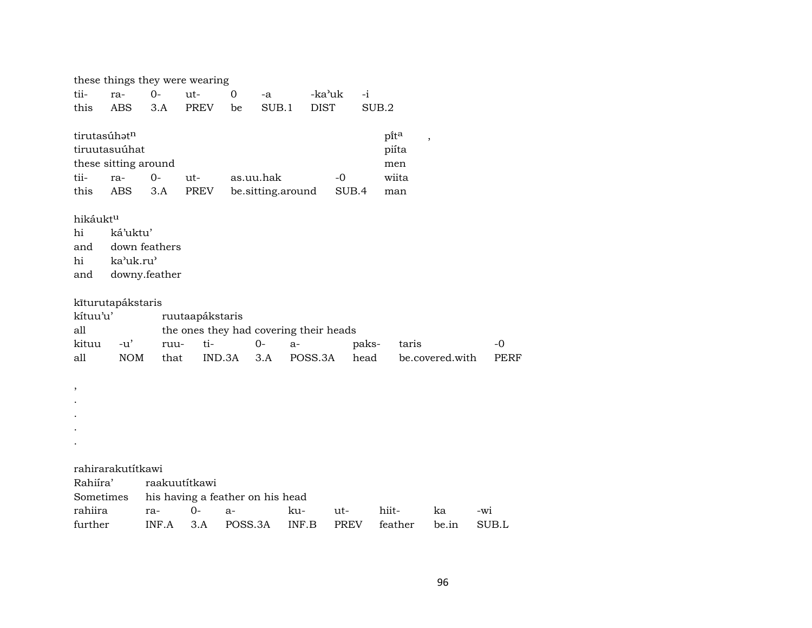|                      |                      |               | these things they were wearing         |           |                   |             |             |       |                                  |                 |             |
|----------------------|----------------------|---------------|----------------------------------------|-----------|-------------------|-------------|-------------|-------|----------------------------------|-----------------|-------------|
| tii-                 | ra-                  | $0-$          | ut-                                    | 0         | -a                | -ka'uk      |             | $-i$  |                                  |                 |             |
| this                 | <b>ABS</b>           | 3.A           | <b>PREV</b>                            | be        | SUB.1             | <b>DIST</b> |             | SUB.2 |                                  |                 |             |
|                      |                      |               |                                        |           |                   |             |             |       |                                  |                 |             |
| tirutasúhatn         |                      |               |                                        |           |                   |             |             |       | pita<br>$\overline{\phantom{a}}$ |                 |             |
|                      | tiruutasuúhat        |               |                                        |           |                   |             |             |       | piíta                            |                 |             |
|                      | these sitting around |               |                                        |           |                   |             |             |       | men                              |                 |             |
| tii-                 | ra-                  | $0-$          | ut-                                    | as.uu.hak |                   |             | $-0$        |       | wiita                            |                 |             |
| this                 | <b>ABS</b>           | 3.A           | PREV                                   |           | be.sitting.around |             | SUB.4       |       | man                              |                 |             |
|                      |                      |               |                                        |           |                   |             |             |       |                                  |                 |             |
| hikáukt <sup>u</sup> |                      |               |                                        |           |                   |             |             |       |                                  |                 |             |
| hi                   | ká'uktu'             |               |                                        |           |                   |             |             |       |                                  |                 |             |
| and                  |                      | down feathers |                                        |           |                   |             |             |       |                                  |                 |             |
| hi                   | ka'uk.ru'            |               |                                        |           |                   |             |             |       |                                  |                 |             |
| and                  |                      | downy.feather |                                        |           |                   |             |             |       |                                  |                 |             |
|                      |                      |               |                                        |           |                   |             |             |       |                                  |                 |             |
|                      | kīturutapákstaris    |               |                                        |           |                   |             |             |       |                                  |                 |             |
| kítuu'u'             |                      |               | ruutaapákstaris                        |           |                   |             |             |       |                                  |                 |             |
| all                  |                      |               | the ones they had covering their heads |           |                   |             |             |       |                                  |                 |             |
| kituu                | $-u'$                | ruu-          | ti-                                    |           | $O -$             | $a-$        |             | paks- | taris                            |                 | -0          |
| all                  | <b>NOM</b>           | that          | IND.3A                                 |           | 3.A               | POSS.3A     |             | head  |                                  | be.covered.with | <b>PERF</b> |
|                      |                      |               |                                        |           |                   |             |             |       |                                  |                 |             |
| $\, ,$               |                      |               |                                        |           |                   |             |             |       |                                  |                 |             |
|                      |                      |               |                                        |           |                   |             |             |       |                                  |                 |             |
|                      |                      |               |                                        |           |                   |             |             |       |                                  |                 |             |
|                      |                      |               |                                        |           |                   |             |             |       |                                  |                 |             |
|                      |                      |               |                                        |           |                   |             |             |       |                                  |                 |             |
|                      | rahirarakutítkawi    |               |                                        |           |                   |             |             |       |                                  |                 |             |
| Rahiíra'             |                      | raakuutítkawi |                                        |           |                   |             |             |       |                                  |                 |             |
| Sometimes            |                      |               | his having a feather on his head       |           |                   |             |             |       |                                  |                 |             |
| rahiira              |                      | ra-           | $O -$                                  | $a-$      |                   | ku-         | ut-         |       | hiit-                            | ka              | -wi         |
| further              |                      | INF.A         | 3.A                                    | POSS.3A   |                   | INF.B       | <b>PREV</b> |       | feather                          | be.in           | SUB.L       |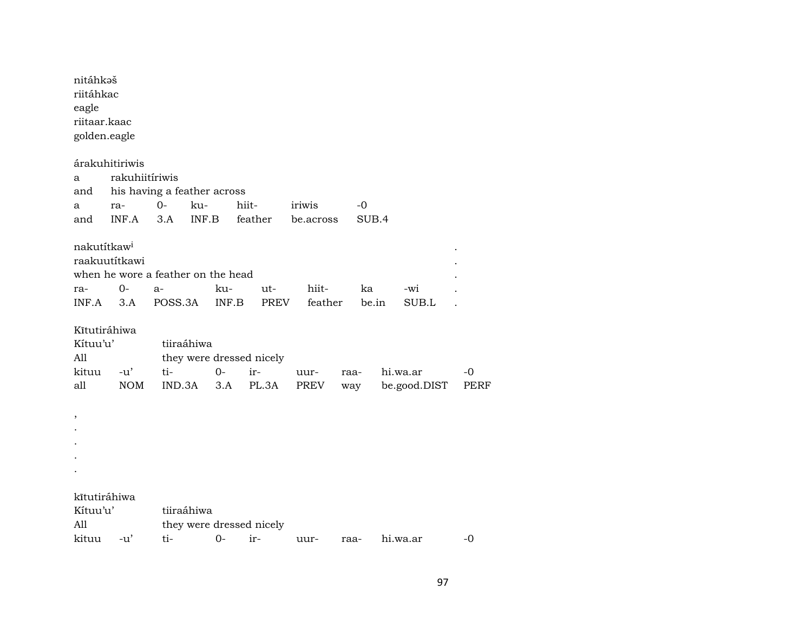| nitáhkaš<br>riitáhkac<br>eagle<br>riitaar.kaac<br>golden.eagle |                                  |                                                       |              |                          |                  |             |              |             |
|----------------------------------------------------------------|----------------------------------|-------------------------------------------------------|--------------|--------------------------|------------------|-------------|--------------|-------------|
| а                                                              | árakuhitiriwis<br>rakuhiitíriwis |                                                       |              |                          |                  |             |              |             |
| and                                                            |                                  | his having a feather across                           |              |                          |                  |             |              |             |
| a                                                              | ra-                              | $0-$<br>ku-                                           |              | hiit-                    | iriwis           | -0          |              |             |
| and                                                            | INF.A                            | 3.A<br>INF.B                                          |              | feather                  | be.across        | SUB.4       |              |             |
| nakutítkaw <sup>i</sup><br>ra-<br>INF.A                        | raakuutítkawi<br>0-<br>3.A       | when he wore a feather on the head<br>$a-$<br>POSS.3A | ku-<br>INF.B | ut-<br><b>PREV</b>       | hiit-<br>feather | ka<br>be.in | -wi<br>SUB.L |             |
|                                                                |                                  |                                                       |              |                          |                  |             |              |             |
| Kĩtutiráhiwa<br>Kítuu'u'<br>All                                |                                  | tiiraáhiwa                                            |              | they were dressed nicely |                  |             |              |             |
| kituu                                                          | $-u'$                            | ti-                                                   | $O -$        | ir-                      | uur-             | raa-        | hi.wa.ar     | $-0$        |
| all                                                            | <b>NOM</b>                       | IND.3A                                                | 3.A          | PL.3A                    | PREV             | way         | be.good.DIST | <b>PERF</b> |
| ,                                                              |                                  |                                                       |              |                          |                  |             |              |             |
|                                                                |                                  |                                                       |              |                          |                  |             |              |             |
|                                                                |                                  |                                                       |              |                          |                  |             |              |             |
|                                                                |                                  |                                                       |              |                          |                  |             |              |             |
|                                                                |                                  |                                                       |              |                          |                  |             |              |             |
| kītutiráhiwa                                                   |                                  |                                                       |              |                          |                  |             |              |             |
| Kítuu'u'                                                       |                                  | tiiraáhiwa                                            |              |                          |                  |             |              |             |
| All                                                            |                                  |                                                       |              | they were dressed nicely |                  |             |              |             |
| kituu                                                          | $-u'$                            | ti-                                                   | $0-$         | ir-                      | uur-             | raa-        | hi.wa.ar     | -0          |

97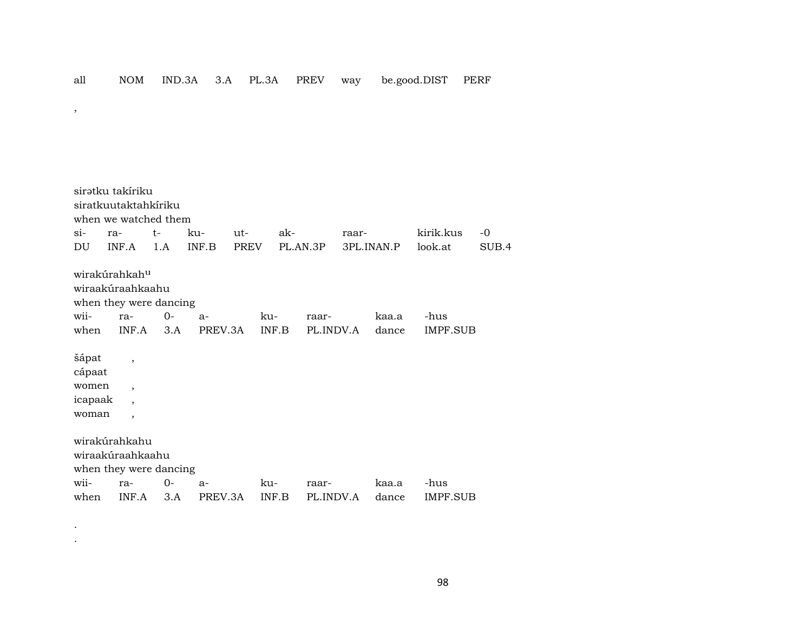sirətku takíriku siratkuutaktahkíriku when we watched them si- ra- t- ku- ut- ak- raar- kirik.kus -0 DU INF.A 1.A INF.B PREV PL.AN.3P 3PL.INAN.P look.at SUB.4 wirakúrahkahµ wiraakúraahkaahu when they were dancing wii- ra- 0- a- ku- raar- kaa.a -hus when INF.A 3.A PREV.3A INF.B PL.INDV.A dance IMPF.SUB šápat , cápaat women , icapaak , woman , wirakúrahkahu wiraakúraahkaahu when they were dancing wii- ra- 0- a- ku- raar- kaa.a -hus when INF.A 3.A PREV.3A INF.B PL.INDV.A dance IMPF.SUB

.

,

.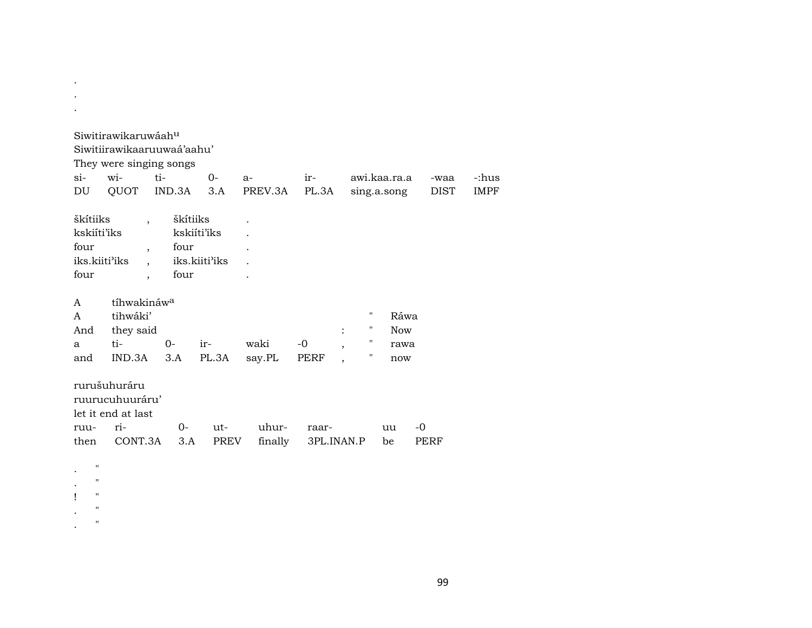| $si-$<br>DU                                              | Siwitirawikaruwáahu<br>Siwitiirawikaaruuwaá'aahu'<br>They were singing songs<br>wi-<br>QUOT | ti-<br>IND.3A            | $0 -$<br>3.A                 | $a-$<br>PREV.3A  | $ir-$<br>PL.3A      |                                                                   | awi.kaa.ra.a<br>sing.a.song       | -waa<br><b>DIST</b> | -:hus<br><b>IMPF</b> |
|----------------------------------------------------------|---------------------------------------------------------------------------------------------|--------------------------|------------------------------|------------------|---------------------|-------------------------------------------------------------------|-----------------------------------|---------------------|----------------------|
| škítiiks<br>kskiíti'iks<br>four<br>iks.kiiti'iks<br>four | $\ddot{\phantom{0}}$<br>$\overline{\phantom{a}}$<br>$\cdot$                                 | škítiiks<br>four<br>four | kskiíti'iks<br>iks.kiiti'iks |                  |                     |                                                                   |                                   |                     |                      |
| A<br>A<br>And<br>a<br>and                                | tíhwakináw <sup>a</sup><br>tihwáki'<br>they said<br>$ti-$<br>IND.3A                         | $0 -$<br>3.A             | ir-<br>PL.3A                 | waki<br>say.PL   | $-0$<br>PERF        | $\pmb{\mathsf{H}}$<br>11<br>$\ddot{\cdot}$<br>$\overline{ }$<br>н | Ráwa<br><b>Now</b><br>rawa<br>now |                     |                      |
| ruu-<br>then<br>$\pmb{\mathsf{H}}$                       | rurušuhuráru<br>ruurucuhuuráru'<br>let it end at last<br>ri-<br>CONT.3A                     | $0-$<br>3.A              | $ut-$<br>PREV                | uhur-<br>finally | raar-<br>3PL.INAN.P |                                                                   | uu<br>be                          | $-0$<br>PERF        |                      |
| 11<br>$\pmb{\mathsf{H}}$<br>$\pmb{\mathsf{H}}$           |                                                                                             |                          |                              |                  |                     |                                                                   |                                   |                     |                      |

.

. "

99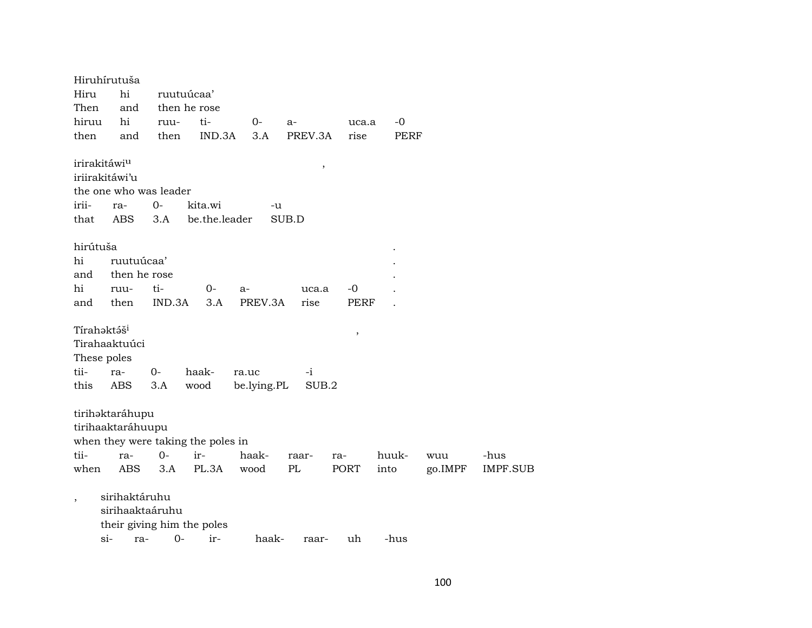Hiruhírutuša Hiru hi ruutuúcaa' Then and then he rose hiruu hi ruu- ti- 0- a- uca.a -0 then and then IND.3A 3.A PREV.3A rise PERF irirakitáwiµ , iriirakitáwi'u the one who was leader irii- ra- 0- kita.wi -u that ABS 3.A be.the.leader SUB.D hirútuša . hi ruutuúcaa' and then he rose hi ruu- ti- 0- a- uca.a -0 . and then IND.3A 3.A PREV.3A rise PERF .  $\text{Triahəktə}\tilde{\mathbf{s}}^{\text{i}}$  , Tirahaaktuúci These poles tii- ra- 0- haak- ra.uc -i this ABS 3.A wood be.lying.PL SUB.2 tirihaktaráhupu tirihaaktaráhuupu when they were taking the poles in tii- ra- 0- ir- haak- raar- ra- huuk- wuu -hus when ABS 3.A PL.3A wood PL PORT into go.IMPF IMPF.SUB , sirihaktáruhu sirihaaktaáruhu their giving him the poles si- ra- 0- ir- haak- raar- uh -hus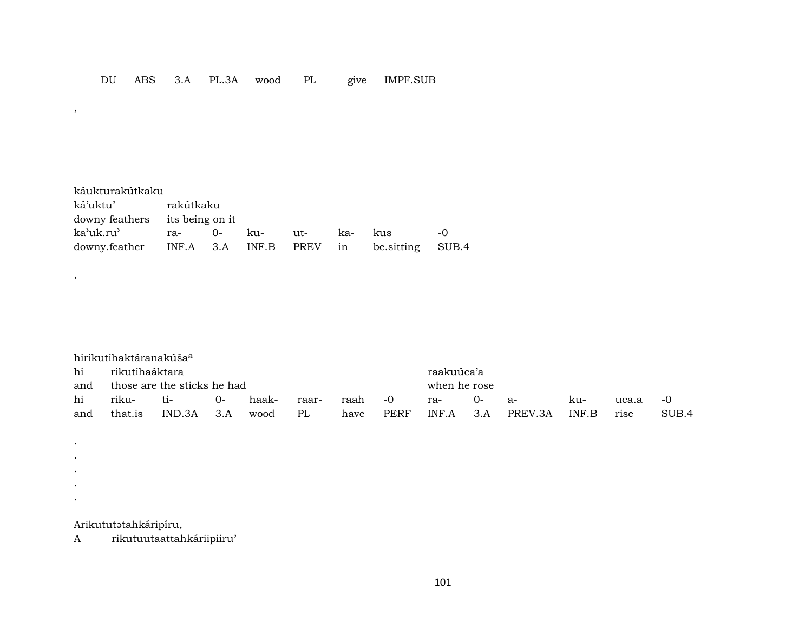| káukturakútkaku                       |           |     |        |     |            |       |
|---------------------------------------|-----------|-----|--------|-----|------------|-------|
| ká'uktu'                              | rakútkaku |     |        |     |            |       |
| downy feathers its being on it        |           |     |        |     |            |       |
| ka'uk.ru'                             |           | ku- | $11t-$ | ka- | kus        | -0    |
| downy.feather INF.A 3.A INF.B PREV in |           |     |        |     | be.sitting | SUB.4 |

|     | hirikutihaktáranakúša <sup>a</sup> |                             |       |       |       |              |      |            |      |         |       |       |       |
|-----|------------------------------------|-----------------------------|-------|-------|-------|--------------|------|------------|------|---------|-------|-------|-------|
| hi  | rikutihaáktara                     |                             |       |       |       |              |      | raakuúca'a |      |         |       |       |       |
| and |                                    | those are the sticks he had |       |       |       | when he rose |      |            |      |         |       |       |       |
| hi  | riku-<br>ti-                       |                             | $-0-$ | haak- | raar- | raah -0      |      | ra-        | $O-$ | $ a-$   | ku-   | uca.a | $-()$ |
| and | that.is                            | $IND.3A$ $3.A$              |       | wood  | PL    | have         | PERF | INF.A      | 3.A  | PREV.3A | INF.B | rise  | SUB.4 |

Arikututatahkáripíru,

,

,

. . . . .

A rikutuutaattahkáriipiiru'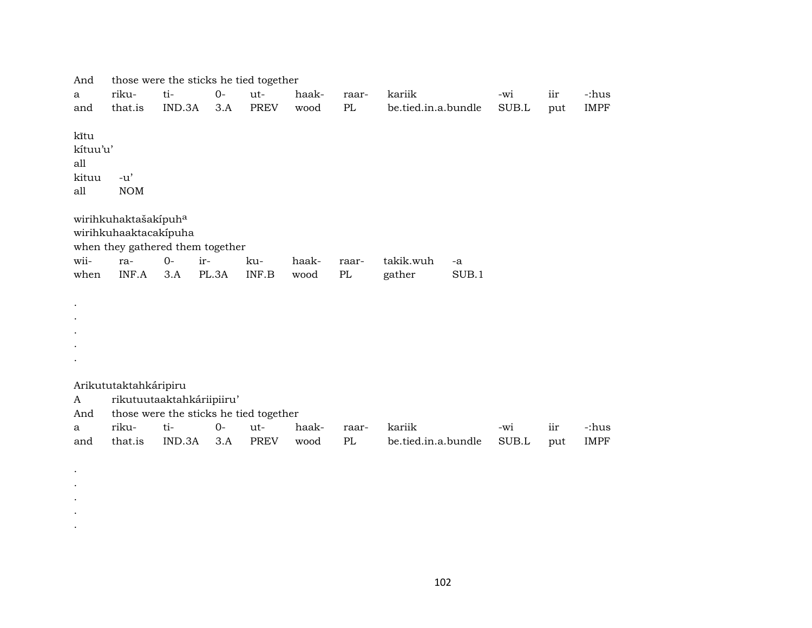| And       | those were the sticks he tied together |        |       |             |       |       |                     |       |       |     |             |
|-----------|----------------------------------------|--------|-------|-------------|-------|-------|---------------------|-------|-------|-----|-------------|
| a         | riku-                                  | ti-    | $O -$ | ut-         | haak- | raar- | kariik              |       | -wi   | iir | -:hus       |
| and       | that.is                                | IND.3A | 3.A   | <b>PREV</b> | wood  | PL    | be.tied.in.a.bundle |       | SUB.L | put | <b>IMPF</b> |
|           |                                        |        |       |             |       |       |                     |       |       |     |             |
| kĩtu      |                                        |        |       |             |       |       |                     |       |       |     |             |
| kítuu'u'  |                                        |        |       |             |       |       |                     |       |       |     |             |
| all       |                                        |        |       |             |       |       |                     |       |       |     |             |
| kituu     | $-u'$                                  |        |       |             |       |       |                     |       |       |     |             |
| all       | <b>NOM</b>                             |        |       |             |       |       |                     |       |       |     |             |
|           |                                        |        |       |             |       |       |                     |       |       |     |             |
|           | wirihkuhaktašakípuha                   |        |       |             |       |       |                     |       |       |     |             |
|           | wirihkuhaaktacakípuha                  |        |       |             |       |       |                     |       |       |     |             |
|           | when they gathered them together       |        |       |             |       |       |                     |       |       |     |             |
| wii-      | ra-                                    | $0-$   | ir-   | ku-         | haak- | raar- | takik.wuh           | -a    |       |     |             |
| when      | INF.A                                  | 3.A    | PL.3A | INF.B       | wood  | PL    | gather              | SUB.1 |       |     |             |
|           |                                        |        |       |             |       |       |                     |       |       |     |             |
| $\bullet$ |                                        |        |       |             |       |       |                     |       |       |     |             |
|           |                                        |        |       |             |       |       |                     |       |       |     |             |
|           |                                        |        |       |             |       |       |                     |       |       |     |             |
|           |                                        |        |       |             |       |       |                     |       |       |     |             |
|           |                                        |        |       |             |       |       |                     |       |       |     |             |
|           |                                        |        |       |             |       |       |                     |       |       |     |             |
|           | Arikututaktahkáripiru                  |        |       |             |       |       |                     |       |       |     |             |
| A         | rikutuutaaktahkáriipiiru'              |        |       |             |       |       |                     |       |       |     |             |
| And       | those were the sticks he tied together |        |       |             |       |       |                     |       |       |     |             |
| a         | riku-                                  | ti-    | $O -$ | ut-         | haak- | raar- | kariik              |       | -wi   | iir | -:hus       |
| and       | that.is                                | IND.3A | 3.A   | PREV        | wood  | PL    | be.tied.in.a.bundle |       | SUB.L | put | <b>IMPF</b> |
|           |                                        |        |       |             |       |       |                     |       |       |     |             |
|           |                                        |        |       |             |       |       |                     |       |       |     |             |

. . . .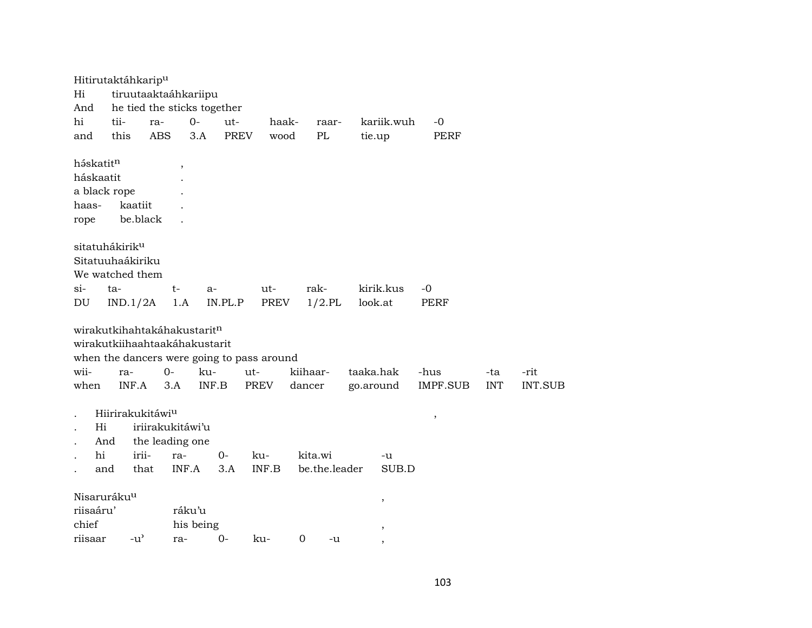| Hi<br>And                  | Hitirutaktáhkarip <sup>u</sup><br>tiruutaaktaáhkariipu       |            |                       | he tied the sticks together |                                            |        |               |           |               |             |            |         |
|----------------------------|--------------------------------------------------------------|------------|-----------------------|-----------------------------|--------------------------------------------|--------|---------------|-----------|---------------|-------------|------------|---------|
| hi                         | tii-                                                         | ra-        | $0-$                  | ut-                         |                                            | haak-  | raar-         |           | kariik.wuh    | -0          |            |         |
| and                        | this                                                         | <b>ABS</b> | 3.A                   |                             | <b>PREV</b>                                | wood   | PL            |           | tie.up        | <b>PERF</b> |            |         |
| háskatitn                  |                                                              |            | $^\mathrm{^{^\circ}}$ |                             |                                            |        |               |           |               |             |            |         |
| háskaatit                  |                                                              |            |                       |                             |                                            |        |               |           |               |             |            |         |
| a black rope               |                                                              |            |                       |                             |                                            |        |               |           |               |             |            |         |
| haas-                      | kaatiit                                                      |            |                       |                             |                                            |        |               |           |               |             |            |         |
| rope                       |                                                              | be.black   |                       |                             |                                            |        |               |           |               |             |            |         |
|                            | sitatuhákirik <sup>u</sup>                                   |            |                       |                             |                                            |        |               |           |               |             |            |         |
|                            | Sitatuuhaákiriku                                             |            |                       |                             |                                            |        |               |           |               |             |            |         |
|                            | We watched them                                              |            |                       |                             |                                            |        |               |           |               |             |            |         |
| $si-$                      | ta-                                                          |            | $t-$                  | $a-$                        | ut-                                        |        | rak-          |           | kirik.kus     | -0          |            |         |
| DU                         | IND.1/2A                                                     |            | 1.A                   | IN.PL.P                     | PREV                                       |        | $1/2$ .PL     |           | look.at       | <b>PERF</b> |            |         |
|                            | wirakutkihahtakáhakustaritn<br>wirakutkiihaahtaakáhakustarit |            |                       |                             |                                            |        |               |           |               |             |            |         |
|                            |                                                              |            |                       |                             | when the dancers were going to pass around |        |               |           |               |             |            |         |
| wii-                       | ra-                                                          | 0-         |                       | ku-                         | ut-                                        |        | kiihaar-      | taaka.hak |               | -hus        | -ta        | -rit    |
| when                       | INF.A                                                        |            | 3.A                   | INF.B                       | PREV                                       | dancer |               | go.around |               | IMPF.SUB    | <b>INT</b> | INT.SUB |
|                            | Hiirirakukitáwi <sup>u</sup>                                 |            |                       |                             |                                            |        |               |           |               | $\, ,$      |            |         |
| Hi<br>$\ddot{\phantom{0}}$ |                                                              |            | iriirakukitáwi'u      |                             |                                            |        |               |           |               |             |            |         |
|                            | And                                                          |            | the leading one       |                             |                                            |        |               |           |               |             |            |         |
| hi                         |                                                              | irii-      | ra-                   | $O -$                       | ku-                                        |        | kita.wi       |           | -u            |             |            |         |
|                            | and                                                          | that       | INF.A                 | 3.A                         | INF.B                                      |        | be.the.leader |           | SUB.D         |             |            |         |
|                            | Nisaruráku <sup>u</sup>                                      |            |                       |                             |                                            |        |               |           | $\, ,$        |             |            |         |
| riisaáru'                  |                                                              |            | ráku'u                |                             |                                            |        |               |           |               |             |            |         |
| chief                      |                                                              |            | his being             |                             |                                            |        |               |           | $^\mathrm{,}$ |             |            |         |
| riisaar                    | $-u^{\prime}$                                                |            | ra-                   | $0-$                        | ku-                                        | 0      | -u            |           |               |             |            |         |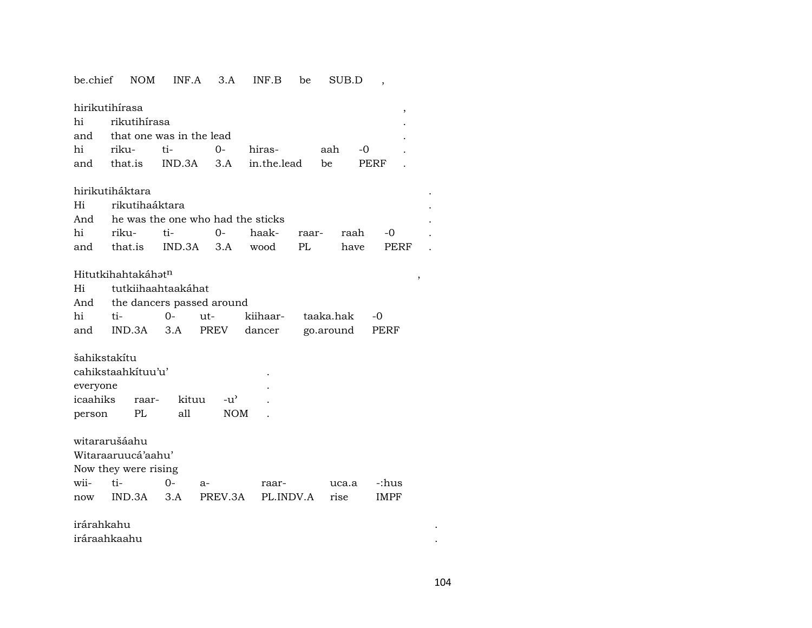## be.chief NOM INF.A 3.A INF.B be SUB.D ,

| hirikutihirasa               |                  |  |                                       |  |      |  |  |  |  |  |
|------------------------------|------------------|--|---------------------------------------|--|------|--|--|--|--|--|
| hi rikutihírasa              |                  |  |                                       |  |      |  |  |  |  |  |
| and that one was in the lead |                  |  |                                       |  |      |  |  |  |  |  |
|                              | hi riku- ti-  0- |  | hiras- aah -0                         |  |      |  |  |  |  |  |
|                              |                  |  | and that.is IND.3A 3.A in.the.lead be |  | PERF |  |  |  |  |  |

#### hirikutiháktara .

| Hi rikutihaáktara                     |                                            |  |  |  |  |  |  |  |  |  |  |  |
|---------------------------------------|--------------------------------------------|--|--|--|--|--|--|--|--|--|--|--|
| And he was the one who had the sticks |                                            |  |  |  |  |  |  |  |  |  |  |  |
|                                       | hi riku- ti-  0- haak- raar- raah -0       |  |  |  |  |  |  |  |  |  |  |  |
|                                       | and that.is IND.3A 3.A wood PL have PERF . |  |  |  |  |  |  |  |  |  |  |  |

## HitutkihahtakáhŸt¶ ,

| Hi tutkiihaahtaakáhat |                               |  |  |                                           |  |  |  |  |  |  |  |  |
|-----------------------|-------------------------------|--|--|-------------------------------------------|--|--|--|--|--|--|--|--|
|                       | And the dancers passed around |  |  |                                           |  |  |  |  |  |  |  |  |
|                       |                               |  |  |                                           |  |  |  |  |  |  |  |  |
|                       |                               |  |  | and IND.3A 3.A PREV dancer go.around PERF |  |  |  |  |  |  |  |  |

#### šahikstakítu

| cahikstaahkituu'u' |       |       |            |  |  |  |  |  |
|--------------------|-------|-------|------------|--|--|--|--|--|
| everyone           |       |       |            |  |  |  |  |  |
| icaahiks           | raar- | kituu | $-11'$     |  |  |  |  |  |
| person             | PI.   | all   | <b>NOM</b> |  |  |  |  |  |

## witararušáahu

Witaraaruucá'aahu'

### Now they were rising

| wii- ti- | $0 - a$ | raar-                                      | uca.a -:hus |  |
|----------|---------|--------------------------------------------|-------------|--|
|          |         | now IND.3A 3.A PREV.3A PL.INDV.A rise IMPF |             |  |

## irárahkahu . iráraahkaahu .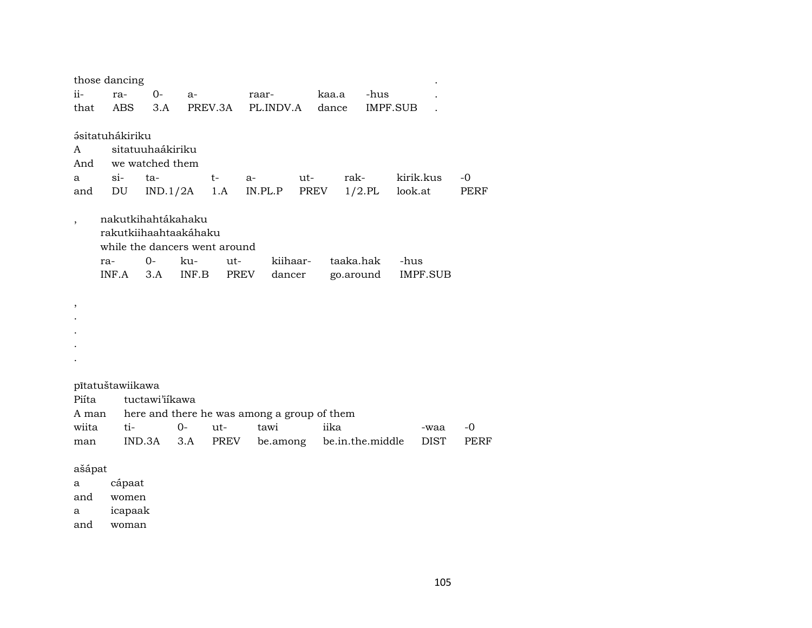|                |     | those dancing          |                       |       |                               |                                                     |       |           |                 |         |                 |      |
|----------------|-----|------------------------|-----------------------|-------|-------------------------------|-----------------------------------------------------|-------|-----------|-----------------|---------|-----------------|------|
| ii-            |     | ra-                    | $0-$                  | a-    |                               | raar-                                               |       | kaa.a     | -hus            |         |                 |      |
| that           |     | <b>ABS</b>             | 3.A                   |       | PREV.3A                       | PL.INDV.A                                           |       | dance     | <b>IMPF.SUB</b> |         |                 |      |
|                |     |                        |                       |       |                               |                                                     |       |           |                 |         |                 |      |
|                |     | <b>ásitatuhákiriku</b> |                       |       |                               |                                                     |       |           |                 |         |                 |      |
| A              |     |                        | sitatuuhaákiriku      |       |                               |                                                     |       |           |                 |         |                 |      |
| And            |     |                        | we watched them       |       |                               |                                                     |       |           |                 |         |                 |      |
| a              |     | $\sin$                 | ta-                   |       | $t-$                          | $a-$                                                | $ut-$ | rak-      |                 |         | kirik.kus       | $-0$ |
| and            |     | DU                     | IND.1/2A              |       | 1.A                           | IN.PL.P                                             | PREV  |           | $1/2$ .PL       | look.at |                 | PERF |
|                |     |                        | nakutkihahtákahaku    |       |                               |                                                     |       |           |                 |         |                 |      |
|                |     |                        | rakutkiihaahtaakáhaku |       |                               |                                                     |       |           |                 |         |                 |      |
|                |     |                        |                       |       | while the dancers went around |                                                     |       |           |                 |         |                 |      |
|                | ra- |                        | $0-$                  | ku-   | ut-                           | kiihaar-                                            |       | taaka.hak |                 | -hus    |                 |      |
|                |     | INF.A                  | 3.A                   | INF.B | PREV                          | dancer                                              |       | go.around |                 |         | <b>IMPF.SUB</b> |      |
|                |     |                        |                       |       |                               |                                                     |       |           |                 |         |                 |      |
| ,              |     |                        |                       |       |                               |                                                     |       |           |                 |         |                 |      |
|                |     |                        |                       |       |                               |                                                     |       |           |                 |         |                 |      |
|                |     |                        |                       |       |                               |                                                     |       |           |                 |         |                 |      |
|                |     |                        |                       |       |                               |                                                     |       |           |                 |         |                 |      |
|                |     |                        |                       |       |                               |                                                     |       |           |                 |         |                 |      |
|                |     |                        |                       |       |                               |                                                     |       |           |                 |         |                 |      |
| Piíta          |     | pītatuštawiikawa       | tuctawi'iikawa        |       |                               |                                                     |       |           |                 |         |                 |      |
|                |     |                        |                       |       |                               |                                                     |       |           |                 |         |                 |      |
| A man<br>wiita |     | ti-                    |                       | $0-$  | ut-                           | here and there he was among a group of them<br>tawi |       | iika      |                 |         | -waa            | -0   |
| man            |     | IND.3A                 |                       | 3.A   | PREV                          | be.among be.in.the.middle                           |       |           |                 |         | DIST            | PERF |
|                |     |                        |                       |       |                               |                                                     |       |           |                 |         |                 |      |
| ašápat         |     |                        |                       |       |                               |                                                     |       |           |                 |         |                 |      |
| a              |     | cápaat                 |                       |       |                               |                                                     |       |           |                 |         |                 |      |
| and            |     | women                  |                       |       |                               |                                                     |       |           |                 |         |                 |      |
| а              |     | icapaak                |                       |       |                               |                                                     |       |           |                 |         |                 |      |

and woman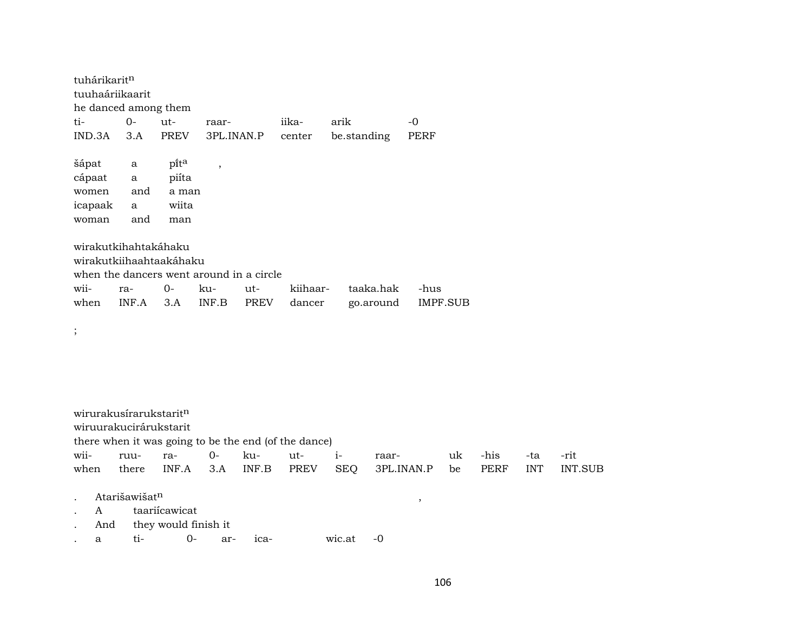| tuhárikaritn                             |              |       |                |      |          |             |          |  |  |  |  |  |
|------------------------------------------|--------------|-------|----------------|------|----------|-------------|----------|--|--|--|--|--|
| tuuhaáriikaarit                          |              |       |                |      |          |             |          |  |  |  |  |  |
| he danced among them                     |              |       |                |      |          |             |          |  |  |  |  |  |
| ti-                                      | $0-$         | ut-   | raar-          |      | iika-    | arik        | $-0$     |  |  |  |  |  |
| IND.3A                                   | 3.A          | PREV  | 3PL.INAN.P     |      | center   | be.standing | PERF     |  |  |  |  |  |
|                                          |              |       |                |      |          |             |          |  |  |  |  |  |
| šápat                                    | a            | pita  | $\overline{ }$ |      |          |             |          |  |  |  |  |  |
| cápaat                                   | $\mathbf{a}$ | piíta |                |      |          |             |          |  |  |  |  |  |
| women                                    | and          | a man |                |      |          |             |          |  |  |  |  |  |
| icapaak                                  | a            | wiita |                |      |          |             |          |  |  |  |  |  |
| woman                                    | and          | man   |                |      |          |             |          |  |  |  |  |  |
|                                          |              |       |                |      |          |             |          |  |  |  |  |  |
| wirakutkihahtakáhaku                     |              |       |                |      |          |             |          |  |  |  |  |  |
| wirakutkiihaahtaakáhaku                  |              |       |                |      |          |             |          |  |  |  |  |  |
| when the dancers went around in a circle |              |       |                |      |          |             |          |  |  |  |  |  |
| wii-                                     | ra-          | $O -$ | ku-            | ut-  | kiihaar- | taaka.hak   | -hus     |  |  |  |  |  |
| when                                     | INF.A        | 3.A   | INF.B          | PREV | dancer   | go.around   | IMPF.SUB |  |  |  |  |  |
|                                          |              |       |                |      |          |             |          |  |  |  |  |  |
| $\vdots$                                 |              |       |                |      |          |             |          |  |  |  |  |  |
|                                          |              |       |                |      |          |             |          |  |  |  |  |  |
|                                          |              |       |                |      |          |             |          |  |  |  |  |  |
|                                          |              |       |                |      |          |             |          |  |  |  |  |  |
|                                          |              |       |                |      |          |             |          |  |  |  |  |  |
| wirurakusirarukstarit <sup>n</sup>       |              |       |                |      |          |             |          |  |  |  |  |  |

wirurakusírarukstarit<sup>n</sup> wiruurakucirárukstarit there when it was going to be the end (of the dance)<br>wii- ruu- ra- 0- ku- ut- iwii- ruu- ra- 0- ku- ut- i- raar- uk -his -ta -rit when there INF.A 3.A INF.B PREV SEQ 3PL.INAN.P be PERF INT INT.SUB . Atarišawišat¶ , . A taariícawicat

. And they would finish it

. a ti- 0- ar- ica- wic.at -0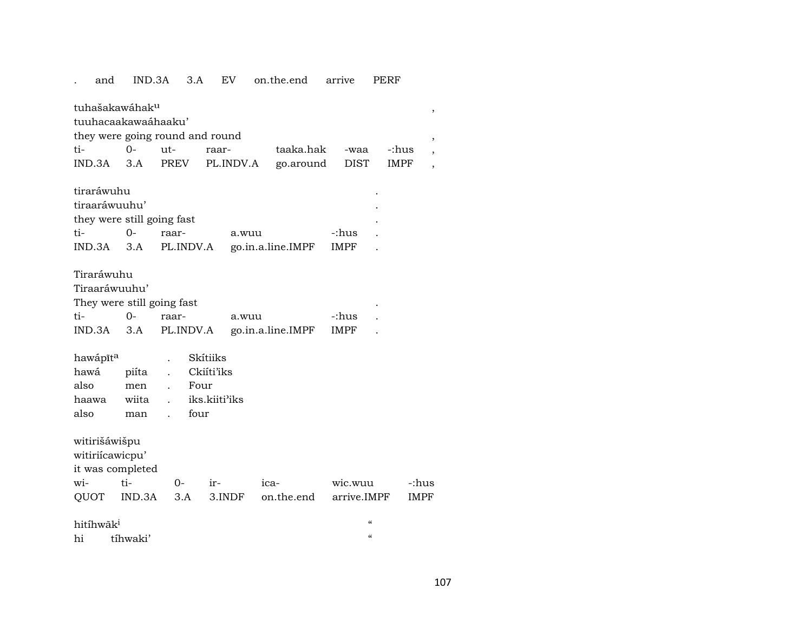# . and IND.3A 3.A EV on.the.end arrive PERF

tuhašakawáhakµ , tuuhacaakawaáhaaku' they were going round and round  $\qquad \qquad ,$ ti- 0- ut- raar- taaka.hak -waa -:hus , IND.3A 3.A PREV PL.INDV.A go.around DIST IMPF , tiraráwuhu . tiraaráwuuhu' . they were still going fast . ti- 0- raar- a.wuu -:hus . IND.3A 3.A PL.INDV.A go.in.a.line.IMPF IMPF . Tiraráwuhu Tiraaráwuuhu' They were still going fast  $\qquad \qquad$ ti- 0- raar- a.wuu -:hus . IND.3A 3.A PL.INDV.A go.in.a.line.IMPF IMPF . hawápīt<sup>a</sup> . Skítiiks hawá piíta . Ckiíti'iks also men . Four haawa wiita . iks.kiiti"iks also man . four witirišáwišpu witiriícawicpu' it was completed wi- ti- 0- ir- ica- wic.wuu -:hus QUOT IND.3A 3.A 3.INDF on.the.end arrive.IMPF IMPF hitíhwãk<sup>i</sup> "

hi tíhwaki' "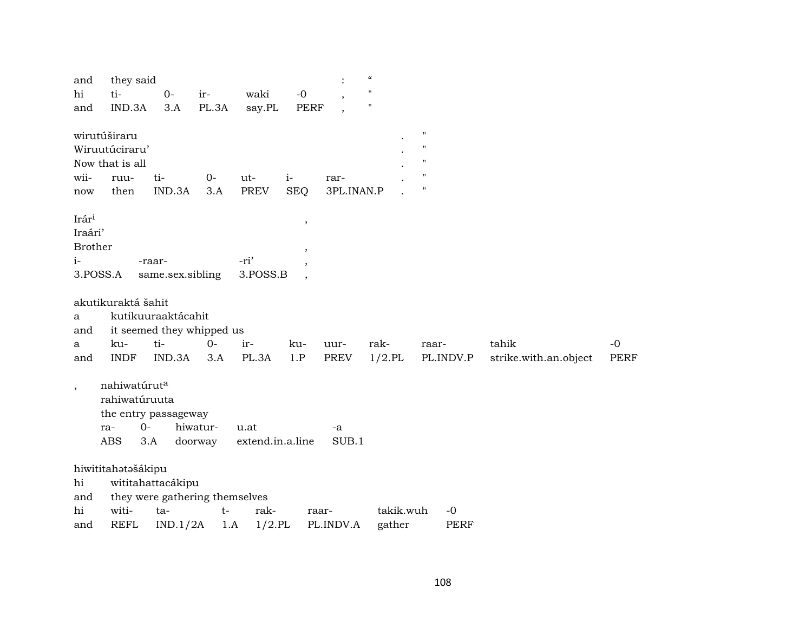| and                      | they said                |                                |          |                  |                          |            | $\boldsymbol{\mathcal{C}}$ |                    |                       |             |
|--------------------------|--------------------------|--------------------------------|----------|------------------|--------------------------|------------|----------------------------|--------------------|-----------------------|-------------|
| hi                       | ti-                      | $0-$                           | ir-      | waki             | $-0$                     |            | $\mathbf{H}$               |                    |                       |             |
| and                      | IND.3A                   | 3.A                            | PL.3A    | say.PL           | <b>PERF</b>              |            | $\mathbf{H}$               |                    |                       |             |
|                          |                          |                                |          |                  |                          |            |                            |                    |                       |             |
|                          | wirutúširaru             |                                |          |                  |                          |            |                            | $\pmb{\mathsf{H}}$ |                       |             |
|                          | Wiruutúciraru'           |                                |          |                  |                          |            |                            | $\pmb{\mathsf{H}}$ |                       |             |
|                          | Now that is all          |                                |          |                  |                          |            |                            | $\mathbf{H}$       |                       |             |
| wii-                     | ruu-                     | ti-                            | $0-$     | ut-              | $i-$                     | rar-       |                            | $\pmb{\mathsf{H}}$ |                       |             |
| now                      | then                     | IND.3A                         | 3.A      | <b>PREV</b>      | <b>SEQ</b>               | 3PL.INAN.P |                            | $\pmb{\mathsf{H}}$ |                       |             |
|                          |                          |                                |          |                  |                          |            |                            |                    |                       |             |
| Irári                    |                          |                                |          |                  | $\,$                     |            |                            |                    |                       |             |
| Iraári'                  |                          |                                |          |                  |                          |            |                            |                    |                       |             |
| <b>Brother</b>           |                          |                                |          |                  | $\overline{\phantom{a}}$ |            |                            |                    |                       |             |
| $i-$                     |                          | -raar-                         |          | -ri'             | $\cdot$                  |            |                            |                    |                       |             |
| 3.POSS.A                 |                          | same.sex.sibling               |          | 3.POSS.B         |                          |            |                            |                    |                       |             |
|                          | akutikuraktá šahit       |                                |          |                  |                          |            |                            |                    |                       |             |
| a                        |                          | kutikuuraaktácahit             |          |                  |                          |            |                            |                    |                       |             |
| and                      |                          | it seemed they whipped us      |          |                  |                          |            |                            |                    |                       |             |
| a                        | ku-                      | ti-                            | $0-$     | ir-              | ku-                      | uur-       | rak-                       | raar-              | tahik                 | $-0$        |
| and                      | <b>INDF</b>              | IND.3A                         | 3.A      | PL.3A            | 1.P                      | PREV       | $1/2$ .PL                  | PL.INDV.P          | strike.with.an.object | <b>PERF</b> |
|                          |                          |                                |          |                  |                          |            |                            |                    |                       |             |
| $\overline{\phantom{a}}$ | nahiwatúrut <sup>a</sup> |                                |          |                  |                          |            |                            |                    |                       |             |
|                          | rahiwatúruuta            |                                |          |                  |                          |            |                            |                    |                       |             |
|                          |                          | the entry passageway           |          |                  |                          |            |                            |                    |                       |             |
|                          | ra-                      | $0-$                           | hiwatur- | u.at             |                          | -a         |                            |                    |                       |             |
|                          | ABS                      | 3.A                            | doorway  | extend.in.a.line |                          | SUB.1      |                            |                    |                       |             |
|                          |                          |                                |          |                  |                          |            |                            |                    |                       |             |
|                          | hiwititahatašákipu       |                                |          |                  |                          |            |                            |                    |                       |             |
| hi                       |                          | wititahattacákipu              |          |                  |                          |            |                            |                    |                       |             |
| and                      |                          | they were gathering themselves |          |                  |                          |            |                            |                    |                       |             |
| hi                       | witi-                    | ta-                            | $t-$     | rak-             |                          | raar-      | takik.wuh                  | $-0$               |                       |             |
| and                      | <b>REFL</b>              | IND.1/2A                       | 1.A      | $1/2$ .PL        |                          | PL.INDV.A  | gather                     | PERF               |                       |             |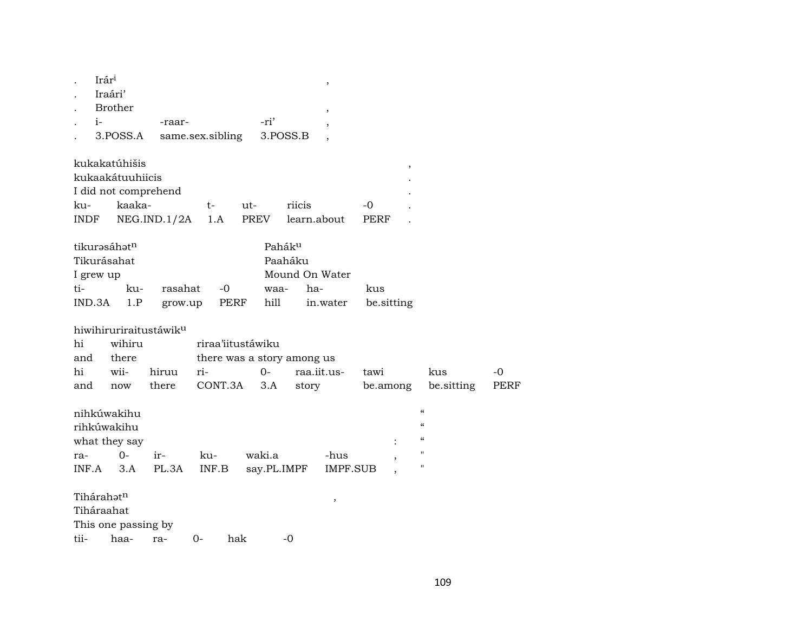|       | Irár <sup>i</sup>                  |             |                  |                            |             | $\, ,$          |            |                                        |      |
|-------|------------------------------------|-------------|------------------|----------------------------|-------------|-----------------|------------|----------------------------------------|------|
|       | Iraári'                            |             |                  |                            |             |                 |            |                                        |      |
|       | <b>Brother</b>                     |             |                  |                            |             | $\overline{ }$  |            |                                        |      |
|       | $i-$                               | -raar-      |                  | -ri'                       |             |                 |            |                                        |      |
|       | 3.POSS.A                           |             | same.sex.sibling |                            | 3.POSS.B    |                 |            |                                        |      |
|       | kukakatúhišis                      |             |                  |                            |             |                 | $\,$       |                                        |      |
|       | kukaakátuuhiicis                   |             |                  |                            |             |                 |            |                                        |      |
|       | I did not comprehend               |             |                  |                            |             |                 |            |                                        |      |
| ku-   | kaaka-                             |             | t-               | ut-                        | riicis      |                 | -0         |                                        |      |
| INDF  |                                    | NEG.ID.1/2A | 1.A              | PREV                       |             | learn.about     | PERF       |                                        |      |
|       | tikurasáhatn                       |             |                  |                            | Paháku      |                 |            |                                        |      |
|       | Tikurásahat                        |             |                  |                            | Paaháku     |                 |            |                                        |      |
|       | I grew up                          |             |                  |                            |             | Mound On Water  |            |                                        |      |
| ti-   | ku-                                | rasahat     | $-0$             |                            | waa-        | ha-             | kus        |                                        |      |
|       | IND.3A<br>1.P                      | grow.up     |                  | PERF<br>hill               |             | in.water        | be.sitting |                                        |      |
|       | hiwihiruriraitustáwik <sup>u</sup> |             |                  |                            |             |                 |            |                                        |      |
| hi    | wihiru                             |             |                  | riraa'iitustáwiku          |             |                 |            |                                        |      |
| and   | there                              |             |                  | there was a story among us |             |                 |            |                                        |      |
| hi    | wii-                               | hiruu       | ri-              | $0-$                       |             | raa.iit.us-     | tawi       | kus                                    | $-0$ |
| and   | now                                | there       | CONT.3A          | 3.A                        | story       |                 | be.among   | be sitting                             | PERF |
|       | nihkúwakihu                        |             |                  |                            |             |                 |            | $\pmb{\zeta}\pmb{\zeta}$               |      |
|       | rihkúwakihu                        |             |                  |                            |             |                 |            | $\boldsymbol{\zeta}\boldsymbol{\zeta}$ |      |
|       | what they say                      |             |                  |                            |             |                 |            | $\boldsymbol{\zeta}\boldsymbol{\zeta}$ |      |
| ra-   | $O-$                               | ir-         | ku-              | waki.a                     |             | -hus            |            | $\pmb{\mathsf{H}}$                     |      |
| INF.A | 3.A                                | PL.3A       | INF.B            |                            | say.PL.IMPF | <b>IMPF.SUB</b> |            | $\pmb{\mathsf{H}}$                     |      |
|       | Tihárahatn                         |             |                  |                            |             | ,               |            |                                        |      |
|       | Tiháraahat                         |             |                  |                            |             |                 |            |                                        |      |
|       | This one passing by                |             |                  |                            |             |                 |            |                                        |      |
| tii-  | haa-                               | ra-         | $O -$            | hak                        | -0          |                 |            |                                        |      |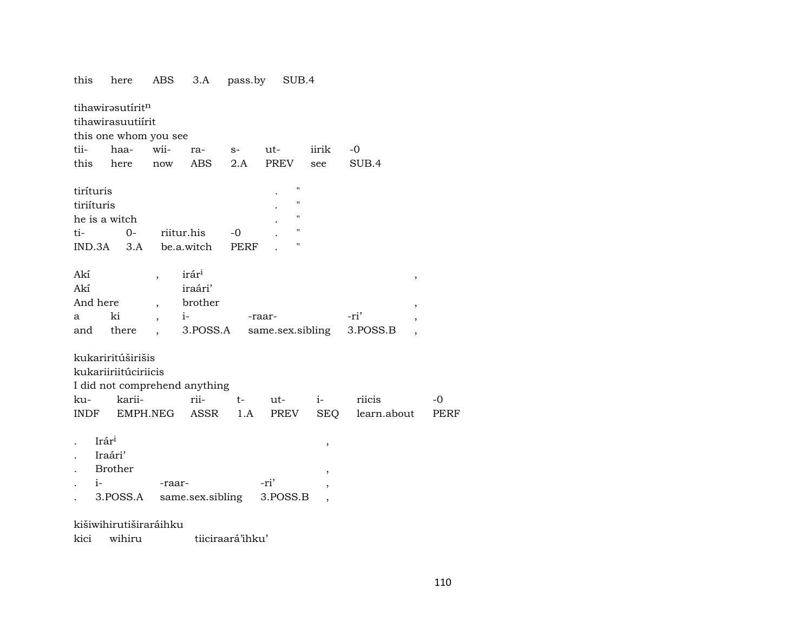here ABS 3.A pass.by SUB.4 this tihawirəsutírit<sup>n</sup> tihawirasuutiírit this one whom you see tiihaawiira- $S$  $ut$ iirik  $-0$ here  $2.A$ **PREV** SUB.4 this ABS see now tiríturis  $\mathbf{u}$ tiriíturis  $\overline{\mathbf{u}}$ he is a witch  $\boldsymbol{\mathsf{H}}$  $t_{i-}$  $0 -0$  $\boldsymbol{\mathsf{H}}$ riitur.his be.a.witch PERF IND.3A  $3.A$ irári Akí  $\overline{\phantom{a}}$  $\overline{\phantom{a}}$ Akí iraári' brother And here  $\cdot$  $\cdot$ ki  $i-$ -ri'  $\mathbf{a}$ -raar- $\cdot$ 3.POSS.A same.sex.sibling 3.POSS.B and there  $\ddot{\phantom{a}}$  $\cdot$ kukariritúširišis kukariiriitúciriicis I did not comprehend anything rii- $-0$ kukarii $t$  $ut$  $i$ riicis **PREV** learn.about **INDF** EMPH.NEG ASSR  $1.A$ **SEO PERF** Irári  $\ddot{\phantom{a}}$  $\cdot$ Iraári' Brother  $\cdot$  $i-$ -ri' -raar-3.POSS.A same.sex.sibling 3.POSS.B  $\overline{\phantom{a}}$ kišiwihirutiširaráihku

tiiciraará'ihku' kici wihiru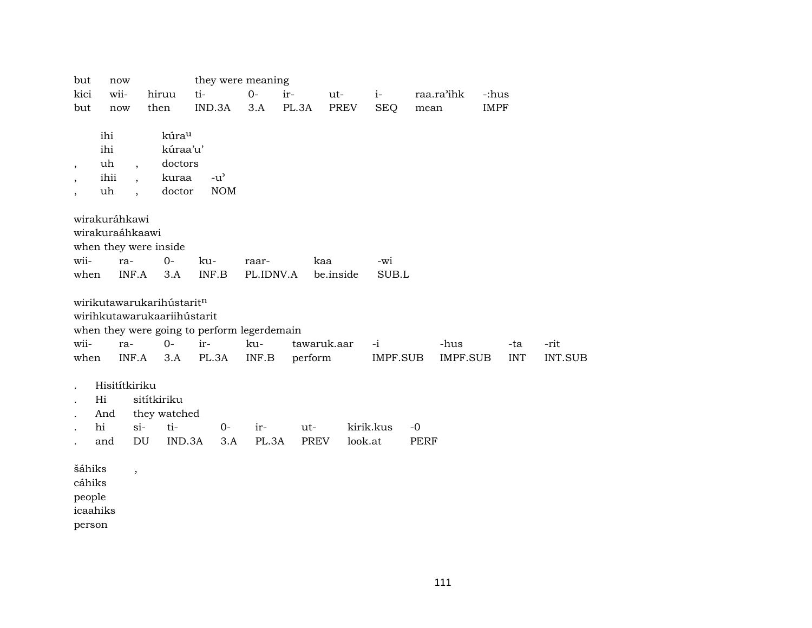| but                      | now                   |                          |                             | they were meaning                           |           |             |             |                 |             |                 |             |         |
|--------------------------|-----------------------|--------------------------|-----------------------------|---------------------------------------------|-----------|-------------|-------------|-----------------|-------------|-----------------|-------------|---------|
| kici                     | wii-                  |                          | hiruu                       | ti-                                         | $O-$      | ir-         | ut-         | $i-$            |             | raa.ra'ihk      | -:hus       |         |
| but                      | now                   |                          | then                        | IND.3A                                      | 3.A       | PL.3A       | <b>PREV</b> | <b>SEQ</b>      | mean        |                 | <b>IMPF</b> |         |
|                          |                       |                          |                             |                                             |           |             |             |                 |             |                 |             |         |
|                          | ihi                   |                          | kúrau                       |                                             |           |             |             |                 |             |                 |             |         |
|                          | ihi                   |                          | kúraa'u'                    |                                             |           |             |             |                 |             |                 |             |         |
| $\overline{\phantom{a}}$ | uh                    | $\overline{\phantom{a}}$ | doctors                     |                                             |           |             |             |                 |             |                 |             |         |
|                          | ihii                  | $\ddot{\phantom{0}}$     | kuraa                       | $-u^{\prime}$                               |           |             |             |                 |             |                 |             |         |
|                          | uh                    |                          | doctor                      | <b>NOM</b>                                  |           |             |             |                 |             |                 |             |         |
|                          |                       |                          |                             |                                             |           |             |             |                 |             |                 |             |         |
|                          | wirakuráhkawi         |                          |                             |                                             |           |             |             |                 |             |                 |             |         |
|                          | wirakuraáhkaawi       |                          |                             |                                             |           |             |             |                 |             |                 |             |         |
|                          | when they were inside |                          |                             |                                             |           |             |             |                 |             |                 |             |         |
| wii-                     | ra-                   |                          | $O -$                       | ku-                                         | raar-     | kaa         |             | -wi             |             |                 |             |         |
| when                     |                       | INF.A                    | 3.A                         | INF.B                                       | PL.IDNV.A |             | be.inside   | SUB.L           |             |                 |             |         |
|                          |                       |                          |                             |                                             |           |             |             |                 |             |                 |             |         |
|                          |                       |                          | wirikutawarukarihústaritn   |                                             |           |             |             |                 |             |                 |             |         |
|                          |                       |                          | wirihkutawarukaariihústarit |                                             |           |             |             |                 |             |                 |             |         |
|                          |                       |                          |                             | when they were going to perform legerdemain |           |             |             |                 |             |                 |             |         |
| wii-                     | ra-                   |                          | $0-$                        | ir-                                         | ku-       | tawaruk.aar |             | $-i$            |             | -hus            | -ta         | -rit    |
| when                     |                       | INF.A                    | 3.A                         | PL.3A                                       | INF.B     | perform     |             | <b>IMPF.SUB</b> |             | <b>IMPF.SUB</b> | <b>INT</b>  | INT.SUB |
|                          |                       |                          |                             |                                             |           |             |             |                 |             |                 |             |         |
|                          | Hisitítkiriku         |                          |                             |                                             |           |             |             |                 |             |                 |             |         |
|                          | Hi                    | sitítkiriku              |                             |                                             |           |             |             |                 |             |                 |             |         |
|                          | And                   |                          | they watched                |                                             |           |             |             |                 |             |                 |             |         |
|                          | hi                    | $si-$                    | ti-                         | $0-$                                        | ir-       | ut-         |             | kirik.kus       | $-0$        |                 |             |         |
|                          | and                   | DU                       | IND.3A                      | 3.A                                         | PL.3A     | <b>PREV</b> | look.at     |                 | <b>PERF</b> |                 |             |         |
|                          |                       |                          |                             |                                             |           |             |             |                 |             |                 |             |         |
| šáhiks                   |                       | $\overline{\phantom{a}}$ |                             |                                             |           |             |             |                 |             |                 |             |         |
| cáhiks                   |                       |                          |                             |                                             |           |             |             |                 |             |                 |             |         |
| people                   |                       |                          |                             |                                             |           |             |             |                 |             |                 |             |         |
| icaahiks                 |                       |                          |                             |                                             |           |             |             |                 |             |                 |             |         |
| person                   |                       |                          |                             |                                             |           |             |             |                 |             |                 |             |         |

111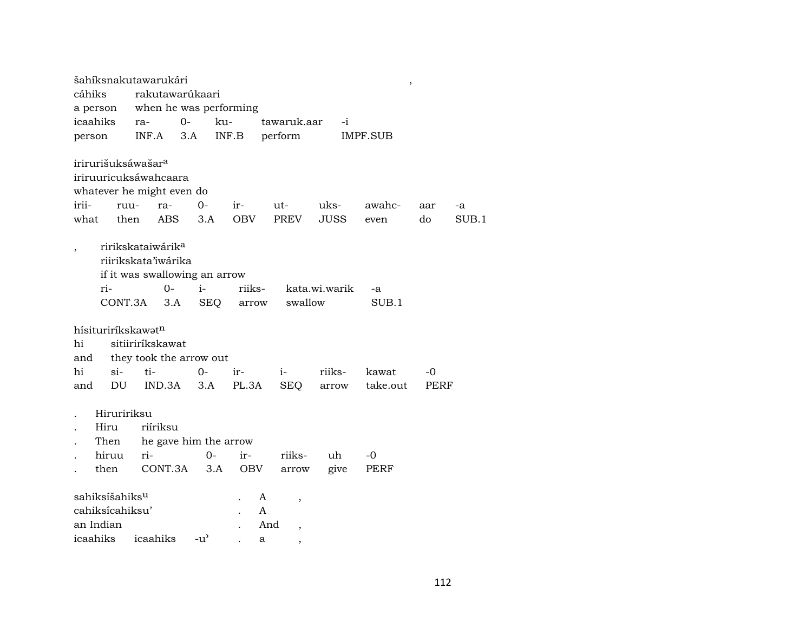| šahíksnakutawarukári                                                                                  |                                                                         |                                                     |                        |                                             |               | $\overline{\phantom{a}}$ |           |             |
|-------------------------------------------------------------------------------------------------------|-------------------------------------------------------------------------|-----------------------------------------------------|------------------------|---------------------------------------------|---------------|--------------------------|-----------|-------------|
| cáhiks                                                                                                |                                                                         | rakutawarúkaari                                     |                        |                                             |               |                          |           |             |
| a person                                                                                              |                                                                         | when he was performing                              |                        |                                             |               |                          |           |             |
| icaahiks                                                                                              | ra-                                                                     | $0-$                                                | ku-                    | tawaruk.aar                                 | $-i$          |                          |           |             |
| person                                                                                                | INF.A                                                                   | 3.A                                                 | INF.B                  | perform                                     |               | IMPF.SUB                 |           |             |
| irirurišuksáwašar <sup>a</sup><br>iriruuricuksáwahcaara<br>whatever he might even do<br>irii-<br>what | ruu-<br>ra-<br>then<br><b>ABS</b>                                       | $0-$<br>3.A                                         | $ir-$<br><b>OBV</b>    | ut-<br>PREV                                 | uks-<br>JUSS  | awahc-<br>even           | aar<br>do | -a<br>SUB.1 |
| ri-                                                                                                   | ririkskataiwárik <sup>a</sup><br>riirikskata'iwárika<br>$O-$<br>CONT.3A | if it was swallowing an arrow<br>$i-$<br>3.A<br>SEQ | riiks-<br>arrow        | swallow                                     | kata.wi.warik | $-a$<br>SUB.1            |           |             |
| hísituriríkskawatn<br>hi<br>and                                                                       | sitiiriríkskawat                                                        | they took the arrow out                             |                        |                                             |               |                          |           |             |
| hi<br>si-                                                                                             | ti-                                                                     | 0-                                                  | ir-                    | $i-$                                        | riiks-        | kawat                    | -0        |             |
| DU<br>and                                                                                             | IND.3A                                                                  | 3.A                                                 | PL.3A                  | SEQ                                         | arrow         | take.out                 | PERF      |             |
| Hiruririksu<br>Hiru<br>Then<br>hiruu<br>then<br>sahiksíšahiks <sup>u</sup>                            | riíriksu<br>ri-                                                         | he gave him the arrow<br>$0-$<br>CONT.3A<br>3.A     | ir-<br><b>OBV</b><br>A | riiks-<br>arrow<br>$\overline{\phantom{a}}$ | uh<br>give    | $-0$<br>PERF             |           |             |
| cahiksícahiksu'                                                                                       |                                                                         |                                                     | A                      |                                             |               |                          |           |             |
| an Indian                                                                                             |                                                                         |                                                     |                        | And<br>$\overline{\phantom{a}}$             |               |                          |           |             |
| icaahiks                                                                                              | icaahiks                                                                | $-u^{\prime}$                                       | a                      | $\overline{\phantom{a}}$                    |               |                          |           |             |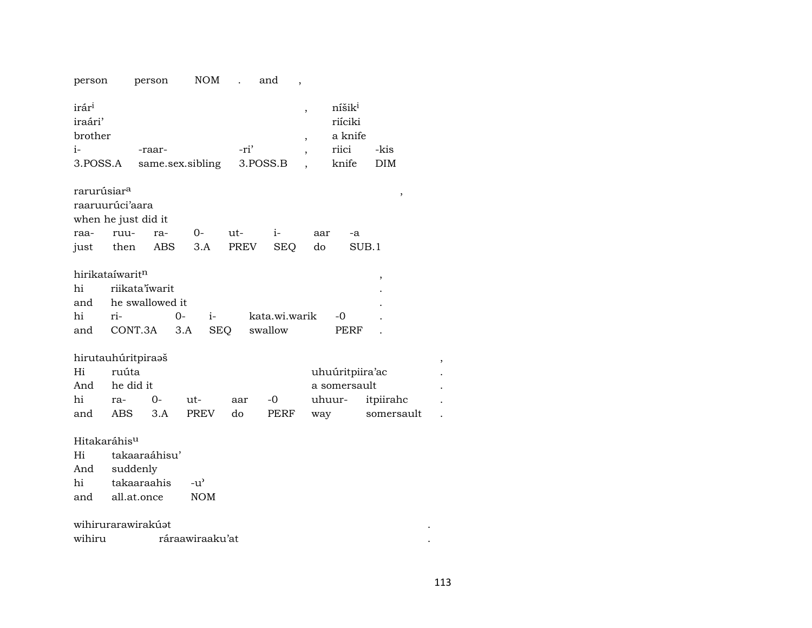|                                                           | person                      | person          | <b>NOM</b>       | $\ddot{\phantom{a}}$ | and           |                                                           |                                                            |                    |   |
|-----------------------------------------------------------|-----------------------------|-----------------|------------------|----------------------|---------------|-----------------------------------------------------------|------------------------------------------------------------|--------------------|---|
| irár <sup>i</sup><br>iraári'<br>brother<br>i-<br>3.POSS.A |                             | -raar-          | same.sex.sibling | -ri'                 | 3.POSS.B      | ,<br>$\overline{\phantom{a}}$<br>$\overline{\phantom{a}}$ | níšik <sup>i</sup><br>riíciki<br>a knife<br>riici<br>knife | -kis<br><b>DIM</b> |   |
| rarurúsiar <sup>a</sup>                                   |                             |                 |                  |                      |               |                                                           |                                                            | ,                  |   |
|                                                           | raaruurúci'aara             |                 |                  |                      |               |                                                           |                                                            |                    |   |
|                                                           | when he just did it         |                 |                  |                      |               |                                                           |                                                            |                    |   |
| raa-                                                      | ruu-                        | ra-             | $0-$             | ut-                  | $i-$          | aar                                                       | -a                                                         |                    |   |
| just                                                      | then                        | ABS             | 3.A              | PREV                 | <b>SEQ</b>    | do                                                        | SUB.1                                                      |                    |   |
|                                                           | hirikataíwaritn             |                 |                  |                      |               |                                                           |                                                            | $\,$               |   |
| hi                                                        | <i>riikata'iwarit</i>       |                 |                  |                      |               |                                                           |                                                            |                    |   |
| and                                                       |                             | he swallowed it |                  |                      |               |                                                           |                                                            |                    |   |
| hi                                                        | ri-                         | $0 -$           | i-               |                      | kata.wi.warik |                                                           | -0                                                         |                    |   |
|                                                           |                             |                 |                  |                      |               |                                                           |                                                            |                    |   |
| and                                                       | CONT.3A                     |                 | 3.A              | SEQ                  | swallow       |                                                           | PERF                                                       |                    |   |
|                                                           |                             |                 |                  |                      |               |                                                           |                                                            |                    |   |
| Hi                                                        | hirutauhúritpiraaš<br>ruúta |                 |                  |                      |               |                                                           |                                                            |                    | , |
| And                                                       | he did it                   |                 |                  |                      |               |                                                           | uhuúritpiira'ac<br>a somersault                            |                    |   |
| hi                                                        | ra-                         | $0-$            | ut-              | aar                  | -0            |                                                           | uhuur-                                                     | itpiirahc          |   |
| and                                                       | ABS                         | 3.A             | PREV             | do                   | <b>PERF</b>   | way                                                       |                                                            | somersault         |   |
|                                                           |                             |                 |                  |                      |               |                                                           |                                                            |                    |   |
| Hitakaráhis <sup>u</sup><br>Hi                            |                             |                 |                  |                      |               |                                                           |                                                            |                    |   |
| And                                                       |                             | takaaraáhisu'   |                  |                      |               |                                                           |                                                            |                    |   |
| hi                                                        | suddenly<br>takaaraahis     |                 | $-u^{\prime}$    |                      |               |                                                           |                                                            |                    |   |
| and                                                       | all.at.once                 |                 | <b>NOM</b>       |                      |               |                                                           |                                                            |                    |   |
|                                                           |                             |                 |                  |                      |               |                                                           |                                                            |                    |   |
| wihiru                                                    | wihirurarawirakúat          |                 | ráraawiraaku'at  |                      |               |                                                           |                                                            |                    |   |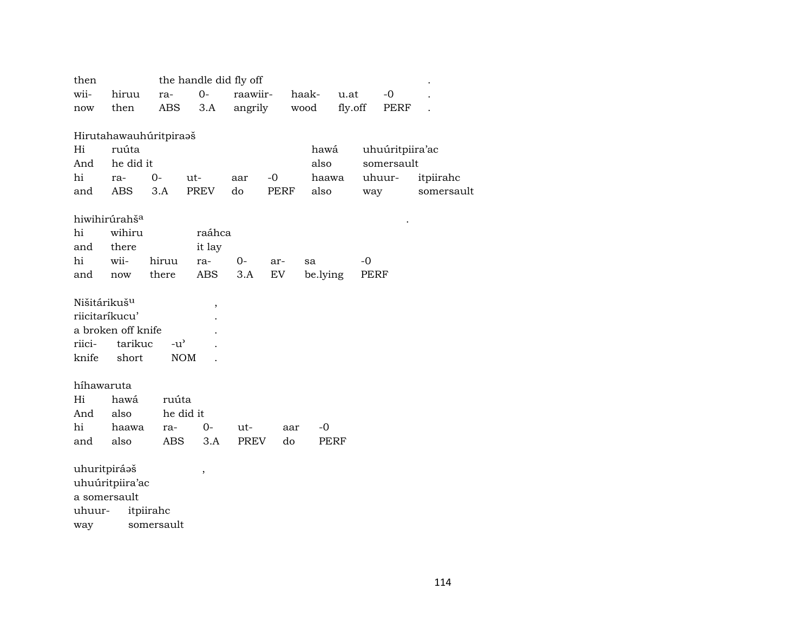| then                     |                           |               | the handle did fly off |             |           |          |         |                 |            |
|--------------------------|---------------------------|---------------|------------------------|-------------|-----------|----------|---------|-----------------|------------|
| wii-                     | hiruu                     | ra-           | $0-$                   | raawiir-    |           | haak-    | u.at    | $-0$            |            |
| now                      | then                      | ABS           | 3.A                    | angrily     |           | wood     | fly.off | PERF            |            |
|                          |                           |               |                        |             |           |          |         |                 |            |
|                          | Hirutahawauhúritpiraaš    |               |                        |             |           |          |         |                 |            |
| Hi                       | ruúta                     |               |                        |             |           | hawá     |         | uhuúritpiira'ac |            |
| And                      | he did it                 |               |                        |             |           | also     |         | somersault      |            |
| hi                       | ra-                       | $O -$         | $ut-$                  | aar         | $-0$      | haawa    |         | uhuur-          | itpiirahc  |
| and                      | ABS                       | 3.A           | PREV                   | do          | PERF      | also     |         | way             | somersault |
|                          |                           |               |                        |             |           |          |         |                 |            |
|                          | hiwihirúrahš <sup>a</sup> |               |                        |             |           |          |         |                 |            |
| hi                       | wihiru                    |               | raáhca                 |             |           |          |         |                 |            |
| and                      | there                     |               | it lay                 |             |           |          |         |                 |            |
| hi                       | wii-                      | hiruu         | ra-                    | 0-          | ar-       | sa       |         | $-0$            |            |
| and                      | now                       | there         | ABS                    | 3.A         | <b>EV</b> | be.lying |         | PERF            |            |
| Nišitárikuš <sup>u</sup> |                           |               |                        |             |           |          |         |                 |            |
|                          | riicitaríkucu'            |               | $\, ,$                 |             |           |          |         |                 |            |
|                          | a broken off knife        |               |                        |             |           |          |         |                 |            |
| riici-                   | tarikuc                   | $-u^{\prime}$ |                        |             |           |          |         |                 |            |
| knife                    | short                     |               | <b>NOM</b>             |             |           |          |         |                 |            |
|                          |                           |               |                        |             |           |          |         |                 |            |
| híhawaruta               |                           |               |                        |             |           |          |         |                 |            |
| Hi                       | hawá                      | ruúta         |                        |             |           |          |         |                 |            |
| And                      | also                      |               | he did it              |             |           |          |         |                 |            |
| hi                       | haawa                     | ra-           | $0-$                   | ut-         | aar       | $-0$     |         |                 |            |
| and                      | also                      | <b>ABS</b>    | 3.A                    | <b>PREV</b> | do        |          | PERF    |                 |            |
|                          |                           |               |                        |             |           |          |         |                 |            |
| uhuritpiráaš             |                           |               | $\, ,$                 |             |           |          |         |                 |            |
|                          | uhuúritpiira'ac           |               |                        |             |           |          |         |                 |            |
|                          | a somersault              |               |                        |             |           |          |         |                 |            |
| uhuur-                   |                           | itpiirahc     |                        |             |           |          |         |                 |            |

somersault way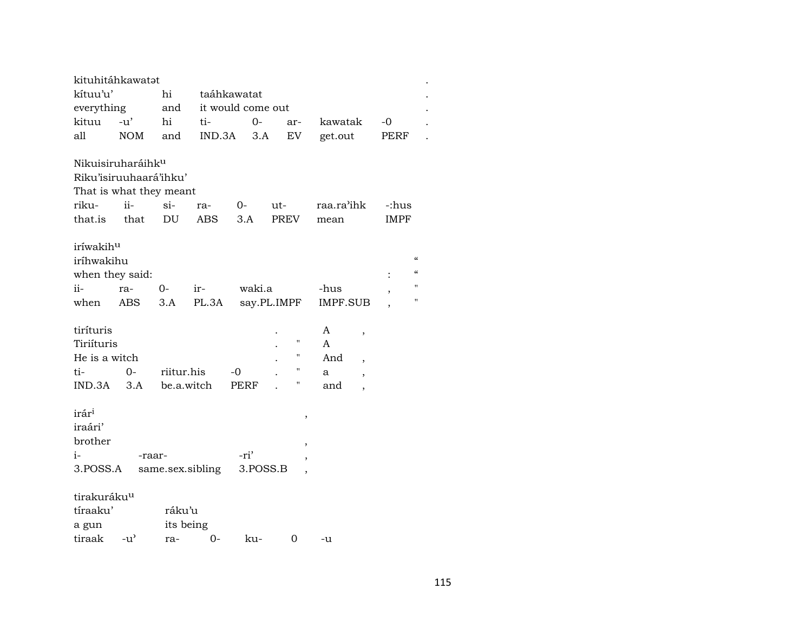| kituhitáhkawatat                                                                                       |                |                            |                   |                   |          |                    |                           |                                                                                                              |                          |                                                              |  |  |  |
|--------------------------------------------------------------------------------------------------------|----------------|----------------------------|-------------------|-------------------|----------|--------------------|---------------------------|--------------------------------------------------------------------------------------------------------------|--------------------------|--------------------------------------------------------------|--|--|--|
| kítuu'u'                                                                                               |                | hi                         |                   | taáhkawatat       |          |                    |                           |                                                                                                              |                          |                                                              |  |  |  |
| everything                                                                                             |                | and                        | it would come out |                   |          |                    |                           |                                                                                                              |                          |                                                              |  |  |  |
| kituu                                                                                                  | $-u'$          | hi                         | ti-               |                   | $0-$     | ar-                | kawatak                   |                                                                                                              | $-0$                     |                                                              |  |  |  |
| all                                                                                                    | NOM            | and                        | IND.3A            |                   | 3.A      | EV                 | get.out                   |                                                                                                              | PERF                     |                                                              |  |  |  |
| Nikuisiruharáihk <sup>u</sup><br>Riku'isiruuhaará'ihku'<br>That is what they meant<br>riku-<br>that.is | $ii -$<br>that | si-<br>DU                  | ra-<br>ABS        | $O-$<br>3.A       | ut-      | PREV               | raa.ra'ihk<br>mean        |                                                                                                              | -:hus<br><b>IMPF</b>     |                                                              |  |  |  |
| iríwakihu<br>iríhwakihu<br>when they said:                                                             |                |                            |                   |                   |          |                    |                           |                                                                                                              |                          | $\boldsymbol{\zeta}\boldsymbol{\zeta}$<br>$\epsilon\epsilon$ |  |  |  |
| $ii -$                                                                                                 | ra-            | 0-                         | ir-               |                   | waki.a   |                    | -hus                      |                                                                                                              | $\overline{\phantom{a}}$ | 11                                                           |  |  |  |
| when                                                                                                   | ABS            | 3.A                        | PL.3A             |                   |          | say.PL.IMPF        | IMPF.SUB                  |                                                                                                              |                          | н                                                            |  |  |  |
| tiríturis<br>Tiriíturis<br>He is a witch<br>ti-<br>$IND.3A$ $3.A$                                      | $0 -$          | riitur.his<br>be.a.witch   |                   | -0<br><b>PERF</b> |          | П<br>11<br>н<br>11 | A<br>A<br>And<br>a<br>and | $\overline{\phantom{a}}$<br>$\overline{\phantom{a}}$<br>$\overline{\phantom{a}}$<br>$\overline{\phantom{a}}$ |                          |                                                              |  |  |  |
| irár <sup>i</sup><br>iraári'<br>brother<br>i-<br>3.POSS.A                                              | -raar-         |                            | same.sex.sibling  | -ri'              | 3.POSS.B | $\, ,$<br>,        |                           |                                                                                                              |                          |                                                              |  |  |  |
| tirakuráku <sup>u</sup><br>tíraaku'<br>a gun<br>tiraak                                                 | $-u^{\prime}$  | ráku'u<br>its being<br>ra- | $0-$              | ku-               |          | 0                  | -u                        |                                                                                                              |                          |                                                              |  |  |  |

 $\ddot{\phantom{a}}$  $\cdot$ 

 $\ddot{\phantom{a}}$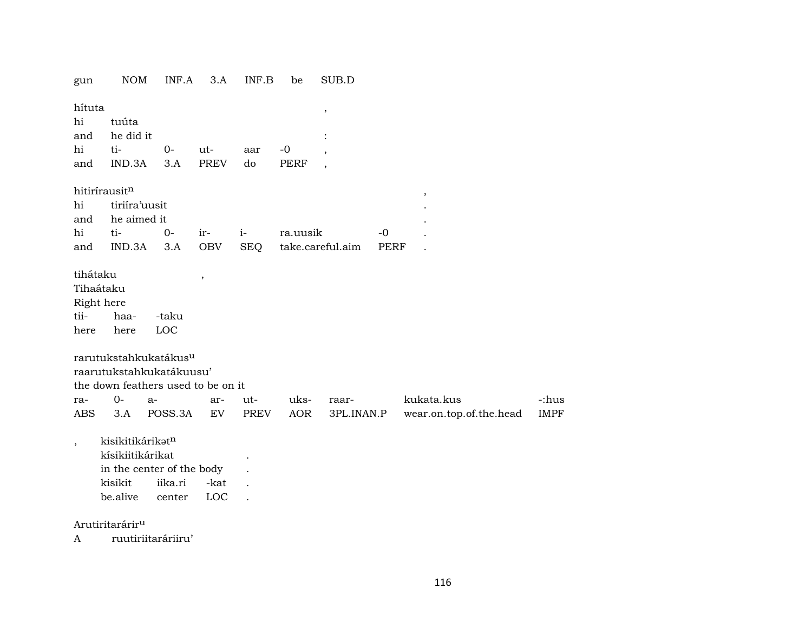NOM INF.A 3.A INF.B be SUB.D gun

| hítuta   |                             |  |  |  |
|----------|-----------------------------|--|--|--|
| hi tuúta |                             |  |  |  |
|          | and he did it               |  |  |  |
|          | hi ti- 0- ut- aar -0        |  |  |  |
|          | and IND.3A 3.A PREV do PERF |  |  |  |
|          |                             |  |  |  |

 $\,$ 

hitirírausitn

| nitirirausit <sup>11</sup> |                  |  |                                              |  |
|----------------------------|------------------|--|----------------------------------------------|--|
|                            | hi tiriira'uusit |  |                                              |  |
|                            | and he aimed it  |  |                                              |  |
|                            |                  |  |                                              |  |
|                            |                  |  | and IND.3A 3.A OBV SEO take.careful.aim PERF |  |

 $\ddot{\phantom{a}}$ 

tihátaku Tihaátaku Right here tiihaa--taku

here LOC here

rarutukstahkukatákus<sup>u</sup>

raarutukstahkukatákuusu' the down feathers used to be on it

|     | the down reathers used to be on it |  |  |         |  |            |                                                                     |       |  |  |  |  |  |  |
|-----|------------------------------------|--|--|---------|--|------------|---------------------------------------------------------------------|-------|--|--|--|--|--|--|
| ra- | 0-а-                               |  |  | ar- ut- |  | uks- raar- | kukata.kus                                                          | -:hus |  |  |  |  |  |  |
|     |                                    |  |  |         |  |            | ABS 3.A POSS.3A EV PREV AOR 3PL.INAN.P wear.on.top.of.the.head IMPF |       |  |  |  |  |  |  |

kisikitikárikət<sup>n</sup>  $\cdot$ kísikiitikárikat  $\sim$ in the center of the body kisikit iika.ri -kat  $\sim$ be.alive center LOC  $\sim$  .

Arutiritarárir<sup>u</sup>

ruutiriitaráriiru'  $\mathbf{A}$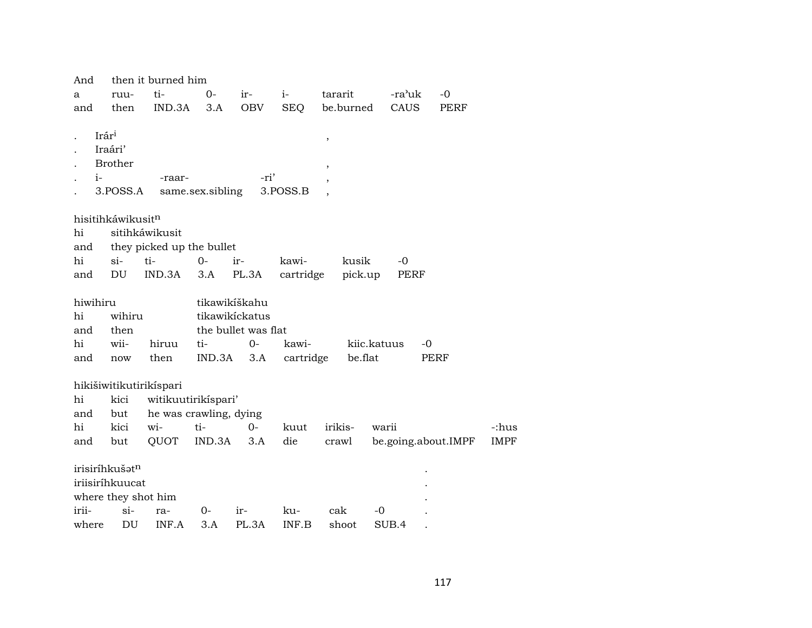| And      |                              | then it burned him        |                  |                     |            |                          |             |                     |             |
|----------|------------------------------|---------------------------|------------------|---------------------|------------|--------------------------|-------------|---------------------|-------------|
| a        | ruu-                         | ti-                       | $0-$             | ir-                 | $i-$       | tararit                  | -ra'uk      | $-0$                |             |
| and      | then                         | IND.3A                    | 3.A              | OBV                 | <b>SEQ</b> | be.burned                | CAUS        | PERF                |             |
|          |                              |                           |                  |                     |            |                          |             |                     |             |
|          | Irár <sup>i</sup><br>Iraári' |                           |                  |                     |            | ,                        |             |                     |             |
|          | <b>Brother</b>               |                           |                  |                     |            |                          |             |                     |             |
| $i-$     |                              | -raar-                    |                  | -ri'                |            | ,                        |             |                     |             |
|          | 3.POSS.A                     |                           | same.sex.sibling |                     | 3.POSS.B   | $\overline{\phantom{a}}$ |             |                     |             |
|          |                              |                           |                  |                     |            |                          |             |                     |             |
|          | hisitihkáwikusitn            |                           |                  |                     |            |                          |             |                     |             |
| hi       |                              | sitihkáwikusit            |                  |                     |            |                          |             |                     |             |
| and      |                              | they picked up the bullet |                  |                     |            |                          |             |                     |             |
| hi       | $si$ -                       | ti-                       | $0-$             | ir-                 | kawi-      | kusik                    | $-0$        |                     |             |
| and      | DU                           | IND.3A                    | 3.A              | PL.3A               | cartridge  | pick.up                  | PERF        |                     |             |
|          |                              |                           |                  |                     |            |                          |             |                     |             |
| hiwihiru |                              |                           |                  | tikawikíškahu       |            |                          |             |                     |             |
| hi       | wihiru                       |                           |                  | tikawikickatus      |            |                          |             |                     |             |
| and      | then                         |                           |                  | the bullet was flat |            |                          |             |                     |             |
| hi       | wii-                         | hiruu                     | ti-              | $0-$                | kawi-      |                          | kiic.katuus | -0                  |             |
| and      | now                          | then                      | IND.3A           | 3.A                 | cartridge  | be.flat                  |             | PERF                |             |
|          | hikišiwitikutirikispari      |                           |                  |                     |            |                          |             |                     |             |
| hi       | kici                         | witikuutirikispari'       |                  |                     |            |                          |             |                     |             |
| and      | but                          | he was crawling, dying    |                  |                     |            |                          |             |                     |             |
| hi       | kici                         | wi-                       | ti-              | $0-$                | kuut       | irikis-                  | warii       |                     | -:hus       |
| and      | but                          | QUOT                      | IND.3A           | 3.A                 | die        | crawl                    |             | be.going.about.IMPF | <b>IMPF</b> |
|          |                              |                           |                  |                     |            |                          |             |                     |             |
|          | irisiríhkušatn               |                           |                  |                     |            |                          |             |                     |             |
|          | iriisiríhkuucat              |                           |                  |                     |            |                          |             |                     |             |
|          | where they shot him          |                           |                  |                     |            |                          |             |                     |             |
| irii-    | si-                          | ra-                       | 0-               | ir-                 | ku-        | cak                      | -0          |                     |             |
| where    | DU                           | INF.A                     | 3.A              | PL.3A               | INF.B      | shoot                    | SUB.4       |                     |             |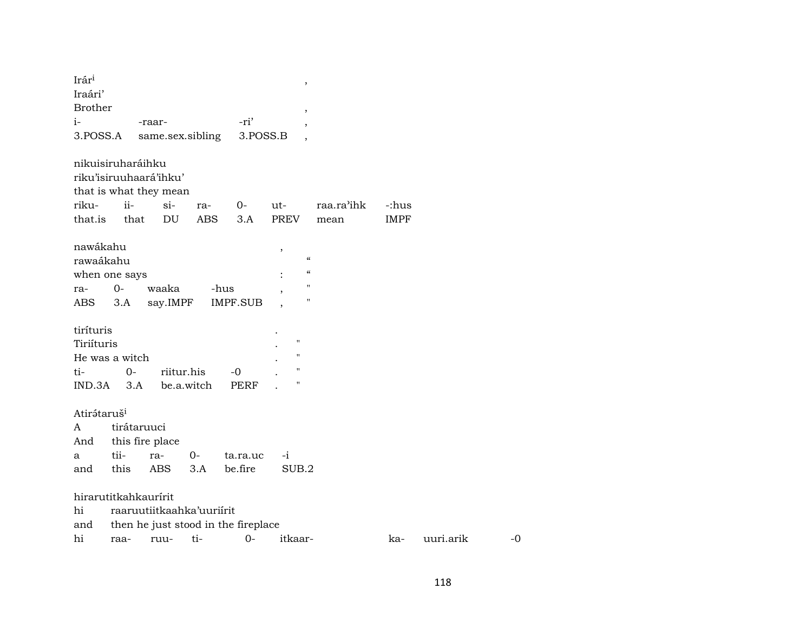| Irár <sup>i</sup>       |                   |                           |            |                                     | $\,$                       |            |             |           |
|-------------------------|-------------------|---------------------------|------------|-------------------------------------|----------------------------|------------|-------------|-----------|
| Iraári'                 |                   |                           |            |                                     |                            |            |             |           |
| <b>Brother</b>          |                   |                           |            |                                     | $\,$                       |            |             |           |
| $i-$                    |                   | -raar-                    |            | -ri'                                |                            |            |             |           |
| 3.POSS.A                |                   | same.sex.sibling          |            | 3.POSS.B                            |                            |            |             |           |
|                         | nikuisiruharáihku |                           |            |                                     |                            |            |             |           |
|                         |                   | riku'isiruuhaará'ihku'    |            |                                     |                            |            |             |           |
|                         |                   | that is what they mean    |            |                                     |                            |            |             |           |
| riku-                   | $ii -$            | $si-$                     | ra-        | 0-                                  | ut-                        | raa.ra'ihk | -:hus       |           |
| that.is                 | that              | DU                        | ABS        | 3.A                                 | <b>PREV</b>                | mean       | <b>IMPF</b> |           |
|                         |                   |                           |            |                                     |                            |            |             |           |
| nawákahu                |                   |                           |            |                                     | ,                          |            |             |           |
| rawaákahu               |                   |                           |            |                                     | $\boldsymbol{\mathcal{C}}$ |            |             |           |
|                         | when one says     |                           |            |                                     | $\pmb{\zeta}\pmb{\zeta}$   |            |             |           |
| ra-                     | $0-$              | waaka                     |            | -hus                                | $\blacksquare$             |            |             |           |
| ABS                     | 3.A               | say.IMPF                  |            | IMPF.SUB                            | $\blacksquare$             |            |             |           |
|                         |                   |                           |            |                                     |                            |            |             |           |
| tiríturis               |                   |                           |            |                                     |                            |            |             |           |
| Tiriíturis              |                   |                           |            |                                     | $\pmb{\mathsf{H}}$         |            |             |           |
|                         | He was a witch    |                           |            |                                     | $\pmb{\mathsf{H}}$         |            |             |           |
| ti-                     | $0-$              |                           | riitur.his | -0                                  | $\pmb{\mathsf{H}}$         |            |             |           |
|                         | $IND.3A$ $3.A$    |                           | be.a.witch | PERF                                | н                          |            |             |           |
|                         |                   |                           |            |                                     |                            |            |             |           |
| Atirátaruš <sup>i</sup> |                   |                           |            |                                     |                            |            |             |           |
| A                       |                   | tirátaruuci               |            |                                     |                            |            |             |           |
| And                     |                   | this fire place           |            |                                     |                            |            |             |           |
| a                       | tii-              | ra-                       | $O -$      | ta.ra.uc                            | $-i$                       |            |             |           |
| and                     | this              | <b>ABS</b>                | 3.A        | be.fire                             | SUB.2                      |            |             |           |
|                         |                   | hirarutitkahkaurírit      |            |                                     |                            |            |             |           |
| hi                      |                   | raaruutiitkaahka'uuriirit |            |                                     |                            |            |             |           |
| and                     |                   |                           |            | then he just stood in the fireplace |                            |            |             |           |
| hi                      | raa-              | ruu-                      | ti-        |                                     | itkaar-                    |            |             |           |
|                         |                   |                           |            | $O -$                               |                            |            | ka-         | uuri.arik |

 $\mbox{-}0$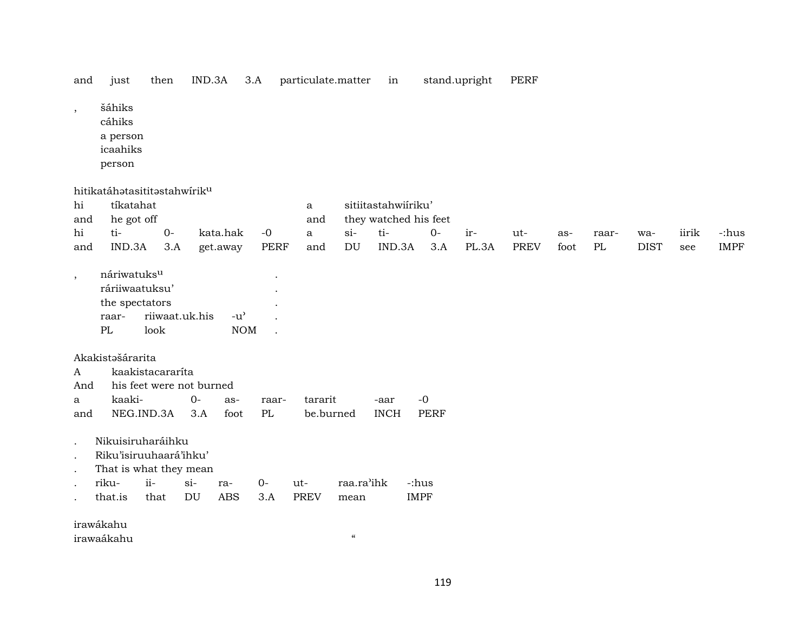| and | 1ust | then | IND.3A |  | - particulate.matter | ın | stand.upright | PERF |
|-----|------|------|--------|--|----------------------|----|---------------|------|
|-----|------|------|--------|--|----------------------|----|---------------|------|

- , šáhiks
	- cáhiks
	- a person
	- icaahiks
	- person

hitikatáhətasititəstahwírik<sup>u</sup>

| hi                       | tíkatahat               |                          |        |               |                      | a           |            | sitiitastahwiiriku' |                       |     |       |      |      |       |             |       |             |
|--------------------------|-------------------------|--------------------------|--------|---------------|----------------------|-------------|------------|---------------------|-----------------------|-----|-------|------|------|-------|-------------|-------|-------------|
| and                      | he got off              |                          |        |               |                      | and         |            |                     | they watched his feet |     |       |      |      |       |             |       |             |
| hi                       | ti-                     | $O -$                    |        | kata.hak      | $-0$                 | a           | si         | ti-                 | $0-$                  | ir- |       | ut-  | as-  | raar- | wa-         | iirik | -:hus       |
| and                      | IND.3A                  | 3.A                      |        | get.away      | PERF                 | and         | DU         | IND.3A              | 3.A                   |     | PL.3A | PREV | foot | PL    | <b>DIST</b> | see   | <b>IMPF</b> |
|                          |                         |                          |        |               |                      |             |            |                     |                       |     |       |      |      |       |             |       |             |
| $\overline{\phantom{a}}$ | náriwatuks <sup>u</sup> |                          |        |               | $\cdot$              |             |            |                     |                       |     |       |      |      |       |             |       |             |
|                          | ráriiwaatuksu'          |                          |        |               |                      |             |            |                     |                       |     |       |      |      |       |             |       |             |
|                          | the spectators          |                          |        |               |                      |             |            |                     |                       |     |       |      |      |       |             |       |             |
|                          | raar-                   | riiwaat.uk.his           |        | $-u^{\prime}$ | $\ddot{\phantom{a}}$ |             |            |                     |                       |     |       |      |      |       |             |       |             |
|                          | PL                      | look                     |        | <b>NOM</b>    | $\ddot{\phantom{a}}$ |             |            |                     |                       |     |       |      |      |       |             |       |             |
|                          |                         |                          |        |               |                      |             |            |                     |                       |     |       |      |      |       |             |       |             |
|                          | Akakistašárarita        |                          |        |               |                      |             |            |                     |                       |     |       |      |      |       |             |       |             |
| $\mathbf{A}$             |                         | kaakistacararíta         |        |               |                      |             |            |                     |                       |     |       |      |      |       |             |       |             |
| And                      |                         | his feet were not burned |        |               |                      |             |            |                     |                       |     |       |      |      |       |             |       |             |
| a                        | kaaki-                  |                          | $0 -$  | as-           | raar-                | tararit     |            | -aar                | $-0$                  |     |       |      |      |       |             |       |             |
| and                      |                         | NEG.IND.3A               | 3.A    | foot          | PL                   | be.burned   |            | <b>INCH</b>         | <b>PERF</b>           |     |       |      |      |       |             |       |             |
|                          |                         |                          |        |               |                      |             |            |                     |                       |     |       |      |      |       |             |       |             |
| $\bullet$                | Nikuisiruharáihku       |                          |        |               |                      |             |            |                     |                       |     |       |      |      |       |             |       |             |
| $\bullet$                | Riku'isiruuhaará'ihku'  |                          |        |               |                      |             |            |                     |                       |     |       |      |      |       |             |       |             |
| $\bullet$                | That is what they mean  |                          |        |               |                      |             |            |                     |                       |     |       |      |      |       |             |       |             |
| $\bullet$                | riku-                   | $ii-$                    | $\sin$ | ra-           | $0-$                 | ut-         | raa.ra'ihk |                     | -:hus                 |     |       |      |      |       |             |       |             |
|                          | that.is                 | that                     | DU     | ABS           | 3.A                  | <b>PREV</b> | mean       |                     | <b>IMPF</b>           |     |       |      |      |       |             |       |             |
|                          |                         |                          |        |               |                      |             |            |                     |                       |     |       |      |      |       |             |       |             |

irawákahu

irawaákahu "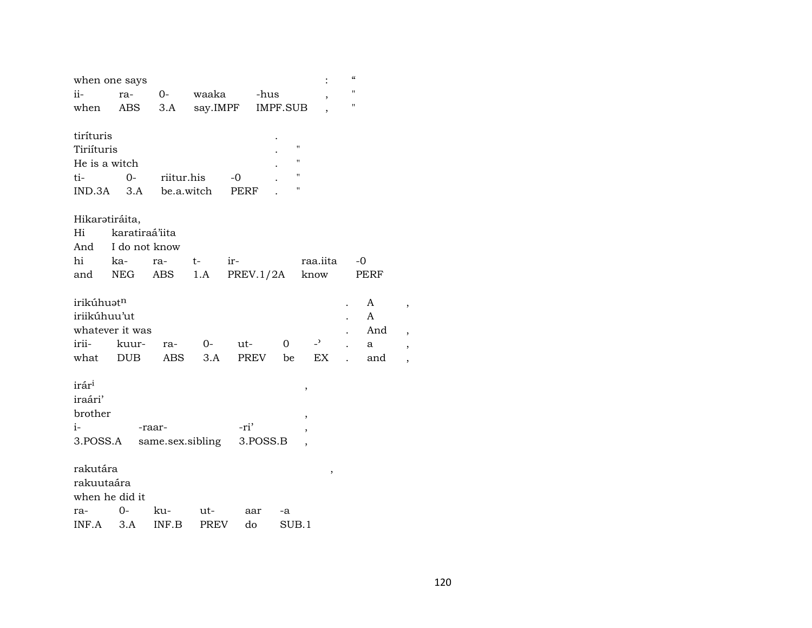| when one says                                                                                                                                                                                                     |  |
|-------------------------------------------------------------------------------------------------------------------------------------------------------------------------------------------------------------------|--|
| Ħ<br>$O-$<br>waaka<br>-hus<br>ra-<br>$\overline{\phantom{a}}$                                                                                                                                                     |  |
| "<br>say.IMPF<br>ABS<br>3.A<br><b>IMPF.SUB</b>                                                                                                                                                                    |  |
|                                                                                                                                                                                                                   |  |
|                                                                                                                                                                                                                   |  |
| $\blacksquare$<br>Tiriíturis<br>"                                                                                                                                                                                 |  |
| He is a witch<br>$\pmb{\mathsf{H}}$                                                                                                                                                                               |  |
| $0-$<br>riitur.his<br>-0<br>11                                                                                                                                                                                    |  |
| be.a.witch<br>$IND.3A$ $3.A$<br>PERF                                                                                                                                                                              |  |
|                                                                                                                                                                                                                   |  |
|                                                                                                                                                                                                                   |  |
|                                                                                                                                                                                                                   |  |
| ka-<br>t-<br>ir-<br>-0<br>ra-                                                                                                                                                                                     |  |
| 1.A<br>NEG<br>ABS<br>know<br>PERF                                                                                                                                                                                 |  |
|                                                                                                                                                                                                                   |  |
| irikúhuət <sup>n</sup><br>A                                                                                                                                                                                       |  |
| iriikúhuu'ut<br>A                                                                                                                                                                                                 |  |
| whatever it was<br>And                                                                                                                                                                                            |  |
| $\overline{a}$<br>$O-$<br>ut-<br>0<br>kuur-<br>ra-<br>a                                                                                                                                                           |  |
| <b>DUB</b><br>3.A<br>EX<br>ABS<br>PREV<br>be<br>and                                                                                                                                                               |  |
|                                                                                                                                                                                                                   |  |
| ,                                                                                                                                                                                                                 |  |
|                                                                                                                                                                                                                   |  |
| ,                                                                                                                                                                                                                 |  |
| -ri'<br>-raar-                                                                                                                                                                                                    |  |
| 3.POSS.A<br>same.sex.sibling<br>3.POSS.B                                                                                                                                                                          |  |
|                                                                                                                                                                                                                   |  |
|                                                                                                                                                                                                                   |  |
|                                                                                                                                                                                                                   |  |
|                                                                                                                                                                                                                   |  |
|                                                                                                                                                                                                                   |  |
| Hikarətiráita,<br>karatiraá'iita<br>And I do not know<br>raa.iita<br>PREV.1/2A<br>rakutára<br>,<br>rakuutaára<br>when he did it<br>$O -$<br>ku-<br>ut-<br>aar<br>-a<br>3.A<br>INF.B<br><b>PREV</b><br>do<br>SUB.1 |  |

 $\,$  ,

 $\overline{\phantom{a}}$  $\, ,$ 

 $\overline{\phantom{a}}$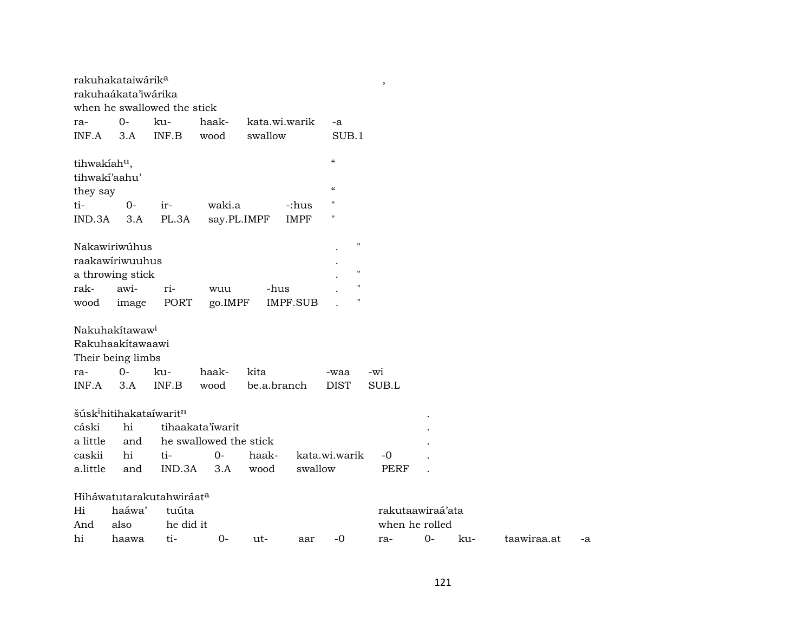|                          | rakuhakataiwárik <sup>a</sup>                   |                             |                        |               |                 |                                        | $\overline{\phantom{a}}$ |      |     |             |    |
|--------------------------|-------------------------------------------------|-----------------------------|------------------------|---------------|-----------------|----------------------------------------|--------------------------|------|-----|-------------|----|
|                          | rakuhaákata'iwárika                             |                             |                        |               |                 |                                        |                          |      |     |             |    |
|                          |                                                 | when he swallowed the stick |                        |               |                 |                                        |                          |      |     |             |    |
| ra-                      | $0-$                                            | ku-                         | haak-                  | kata.wi.warik |                 | -a                                     |                          |      |     |             |    |
| INF.A                    | 3.A                                             | INF.B                       | wood                   | swallow       |                 | SUB.1                                  |                          |      |     |             |    |
| tihwakíah <sup>u</sup> , |                                                 |                             |                        |               |                 | $\boldsymbol{\mathcal{C}}$             |                          |      |     |             |    |
|                          | tihwakí'aahu'                                   |                             |                        |               |                 |                                        |                          |      |     |             |    |
| they say                 |                                                 |                             |                        |               |                 | $\boldsymbol{\zeta}\boldsymbol{\zeta}$ |                          |      |     |             |    |
| ti-                      | $0-$                                            | ir-                         | waki.a                 |               | -:hus           | $\pmb{\mathsf{H}}$                     |                          |      |     |             |    |
| IND.3A                   | 3.A                                             | PL.3A                       |                        | say.PL.IMPF   | <b>IMPF</b>     | $\pmb{\mathsf{H}}$                     |                          |      |     |             |    |
|                          | Nakawiriwúhus                                   |                             |                        |               |                 | $\blacksquare$                         |                          |      |     |             |    |
|                          | raakawiriwuuhus                                 |                             |                        |               |                 |                                        |                          |      |     |             |    |
|                          | a throwing stick                                |                             |                        |               |                 | $\pmb{\mathsf{H}}$                     |                          |      |     |             |    |
| rak-                     | awi-                                            | ri-                         | wuu                    | -hus          |                 | п                                      |                          |      |     |             |    |
| wood                     | image                                           | PORT                        | go.IMPF                |               | <b>IMPF.SUB</b> | н                                      |                          |      |     |             |    |
|                          |                                                 |                             |                        |               |                 |                                        |                          |      |     |             |    |
|                          | Nakuhakítawaw <sup>i</sup><br>Rakuhaakítawaawi  |                             |                        |               |                 |                                        |                          |      |     |             |    |
|                          |                                                 |                             |                        |               |                 |                                        |                          |      |     |             |    |
|                          | Their being limbs<br>$0-$                       |                             |                        |               |                 |                                        |                          |      |     |             |    |
| ra-                      |                                                 | ku-                         | haak-                  | kita          |                 | -waa                                   | -wi                      |      |     |             |    |
| INF.A                    | 3.A                                             | INF.B                       | wood                   | be.a.branch   |                 | <b>DIST</b>                            | SUB.L                    |      |     |             |    |
|                          | šúsk <sup>i</sup> hitihakataíwarit <sup>n</sup> |                             |                        |               |                 |                                        |                          |      |     |             |    |
| cáski                    | hi                                              |                             | tihaakata'iwarit       |               |                 |                                        |                          |      |     |             |    |
| a little                 | and                                             |                             | he swallowed the stick |               |                 |                                        |                          |      |     |             |    |
| caskii                   | hi                                              | ti-                         | $0-$                   | haak-         |                 | kata.wi.warik                          | $-0$                     |      |     |             |    |
| a.little                 | and                                             | IND.3A                      | 3.A                    | wood          | swallow         |                                        | <b>PERF</b>              |      |     |             |    |
|                          |                                                 | Hiháwatutarakutahwiráata    |                        |               |                 |                                        |                          |      |     |             |    |
| Hi                       | haáwa'                                          | tuúta                       |                        |               |                 |                                        | rakutaawiraá'ata         |      |     |             |    |
| And                      | also                                            | he did it                   |                        |               |                 |                                        | when he rolled           |      |     |             |    |
| hi                       | haawa                                           | ti-                         | $O -$                  | ut-           | aar             | $-0$                                   | ra-                      | $0-$ | ku- | taawiraa.at | -a |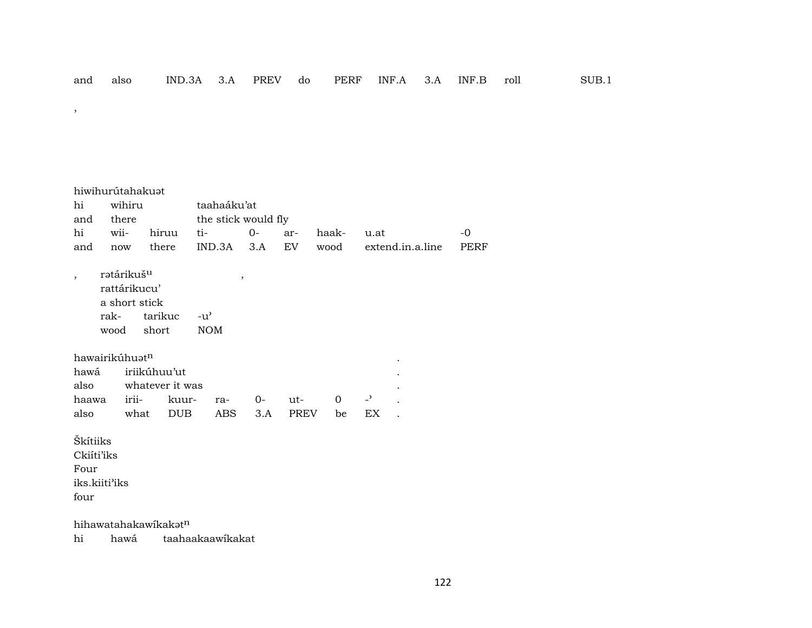$\,$  ,

|                                | hiwihurútahakuat                       |                                                   |                 |                             |             |                     |       |          |                          |                  |      |
|--------------------------------|----------------------------------------|---------------------------------------------------|-----------------|-----------------------------|-------------|---------------------|-------|----------|--------------------------|------------------|------|
| hi                             | wihiru                                 |                                                   |                 |                             | taahaáku'at |                     |       |          |                          |                  |      |
| and                            | there                                  |                                                   |                 |                             |             | the stick would fly |       |          |                          |                  |      |
| hi                             | wii-                                   |                                                   | hiruu           | ti-                         |             | $0-$                | ar-   | haak-    | u.at                     |                  | $-0$ |
| and                            | now                                    |                                                   | there           | IND.3A                      |             | 3.A                 | EV    | wood     |                          | extend.in.a.line | PERF |
| $\overline{ }$                 | rətárikuš <sup>u</sup><br>rak-<br>wood | rattárikucu'<br>a short stick<br>tarikuc<br>short |                 | $-u^{\prime}$<br><b>NOM</b> | $\,$        |                     |       |          |                          |                  |      |
|                                | hawairikúhuat <sup>n</sup>             |                                                   |                 |                             |             |                     |       |          |                          |                  |      |
| hawá                           |                                        | iriikúhuu'ut                                      |                 |                             |             |                     |       |          |                          |                  |      |
| also                           |                                        |                                                   | whatever it was |                             |             |                     |       |          |                          |                  |      |
| haawa                          |                                        | irii-                                             | kuur-           |                             | ra-         | $0-$                | $ut-$ | $\Omega$ | $\overline{\phantom{0}}$ |                  |      |
| also                           |                                        | what                                              | DUB             |                             | ABS         | 3.A                 | PREV  | be       | ΕX                       |                  |      |
| Škítiiks<br>Ckiíti'iks<br>Four |                                        |                                                   |                 |                             |             |                     |       |          |                          |                  |      |
|                                | iks.kiiti'iks                          |                                                   |                 |                             |             |                     |       |          |                          |                  |      |
| four                           |                                        |                                                   |                 |                             |             |                     |       |          |                          |                  |      |

hihawatahakawikakatn

hawá taahaakaawikakat hi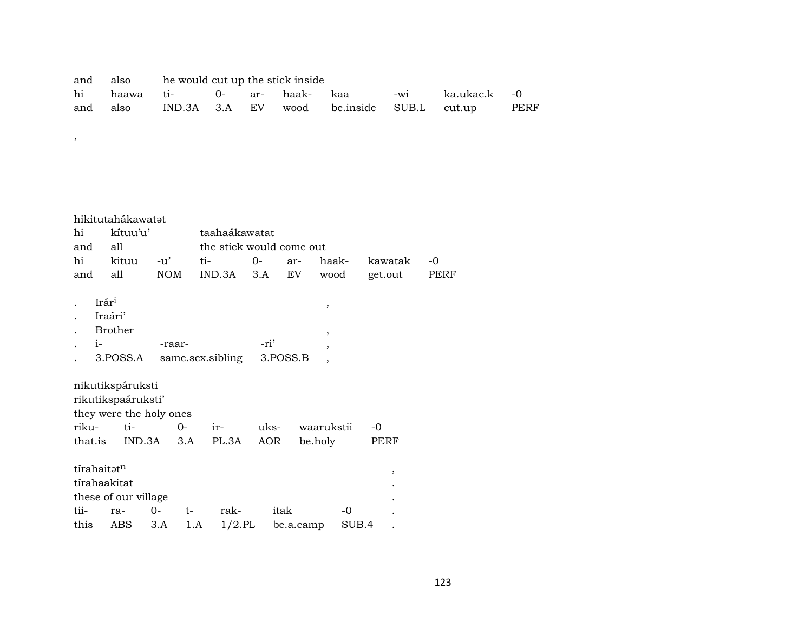|  | and also he would cut up the stick inside |  |  |                                                         |  |
|--|-------------------------------------------|--|--|---------------------------------------------------------|--|
|  |                                           |  |  |                                                         |  |
|  |                                           |  |  | and also IND.3A 3.A EV wood be.inside SUB.L cut.up PERF |  |

hikitutahákawatat hi kítuu'u' taahaákawatat and all the stick would come out hi kituu -u' ti- 0- ar- haak- kawatak -0 and all NOM IND.3A 3.A EV wood get.out PERF  $I \text{rár}^1$ ,  $I \text{rár}^1$ ,  $I \text{rár}^1$ ,  $I \text{rár}^1$ ,  $I \text{rár}^1$ ,  $I \text{rár}^1$ ,  $I \text{rár}^1$ ,  $I \text{rár}^1$ ,  $I \text{rár}^1$ ,  $I \text{rár}^1$ ,  $I \text{rár}^1$ ,  $I \text{rár}^1$ ,  $I \text{rár}^1$ ,  $I \text{rár}^1$ ,  $I \text{rár}^1$ ,  $I \text{rár}^1$ . Iraári' . Brother , . i- -raar- -ri' , . 3.POSS.A same.sex.sibling 3.POSS.B , nikutikspáruksti rikutikspaáruksti' they were the holy ones<br>riku-ti-0riku- ti- 0- ir- uks- waarukstii -0  $IND.3A$   $3.A$   $PL.3A$ 

,

| tírahaitət <sup>n</sup> |                                     |      |      |      |                                                  |
|-------------------------|-------------------------------------|------|------|------|--------------------------------------------------|
| tírahaakitat            |                                     |      |      |      |                                                  |
|                         |                                     |      |      |      |                                                  |
|                         | t –                                 | rak- | itak | $-0$ |                                                  |
|                         |                                     |      |      |      |                                                  |
|                         | these of our village<br>tii- ra- 0- |      |      |      | this $\angle$ ABS 3.A 1.A 1/2.PL be.a.camp SUB.4 |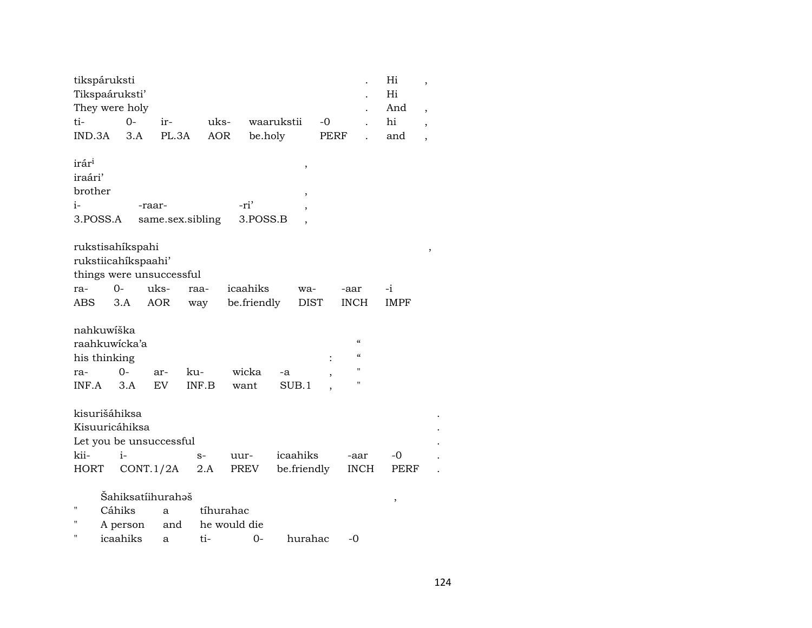| tikspáruksti<br>Tikspaáruksti'                            |                                                                     |                       |              |                           |                                            |      |                                          | Hi<br>Hi    | $\overline{\phantom{a}}$ |
|-----------------------------------------------------------|---------------------------------------------------------------------|-----------------------|--------------|---------------------------|--------------------------------------------|------|------------------------------------------|-------------|--------------------------|
|                                                           | They were holy                                                      |                       |              |                           |                                            |      |                                          | And         | $\overline{\phantom{a}}$ |
| ti-                                                       | $O -$                                                               | ir-                   | uks-         |                           | waarukstii                                 | $-0$ |                                          | hi          | $\overline{\phantom{a}}$ |
| IND.3A                                                    | 3.A                                                                 | PL.3A                 | <b>AOR</b>   | be.holy                   |                                            | PERF |                                          | and         | $\overline{\phantom{a}}$ |
| irár <sup>i</sup><br>iraári'<br>brother<br>i-<br>3.POSS.A | -raar-                                                              | same.sex.sibling      |              | -ri'<br>3.POSS.B          | ,<br>,<br>$\overline{ }$<br>$\overline{ }$ |      |                                          |             |                          |
|                                                           | rukstisahíkspahi<br>rukstiicahíkspaahi'<br>things were unsuccessful |                       |              |                           |                                            |      |                                          |             |                          |
| ra-                                                       | $0 -$                                                               | uks-                  | raa-         | icaahiks                  | wa-                                        |      | -aar                                     | -i          |                          |
| <b>ABS</b>                                                | 3.A                                                                 | <b>AOR</b>            | way          | be.friendly               | <b>DIST</b>                                |      | <b>INCH</b>                              | <b>IMPF</b> |                          |
| nahkuwíška<br>his thinking<br>ra-<br>INF.A                | raahkuwicka'a<br>0-<br>3.A                                          | ar-<br>EV <sub></sub> | ku-<br>INF.B | wicka<br>want             | -a<br>SUB.1                                |      | $\alpha$<br>$\alpha$<br>$^{\prime}$<br>п |             |                          |
| kisurišáhiksa                                             | Kisuuricáhiksa<br>Let you be unsuccessful                           |                       |              |                           |                                            |      |                                          |             |                          |
| kii-                                                      | $i-$                                                                |                       | $S-$         | uur-                      | icaahiks                                   |      | -aar                                     | -0          |                          |
| <b>HORT</b>                                               | CONT.1/2A                                                           |                       | $2.A$        | PREV                      | be.friendly                                |      | <b>INCH</b>                              | PERF        |                          |
| п                                                         | Šahiksatíihurahəš<br>Cáhiks<br>A person                             | a<br>and              |              | tíhurahac<br>he would die |                                            |      |                                          | ,           |                          |
|                                                           | icaahiks                                                            | a                     | ti-          | $0-$                      | hurahac                                    |      | -0                                       |             |                          |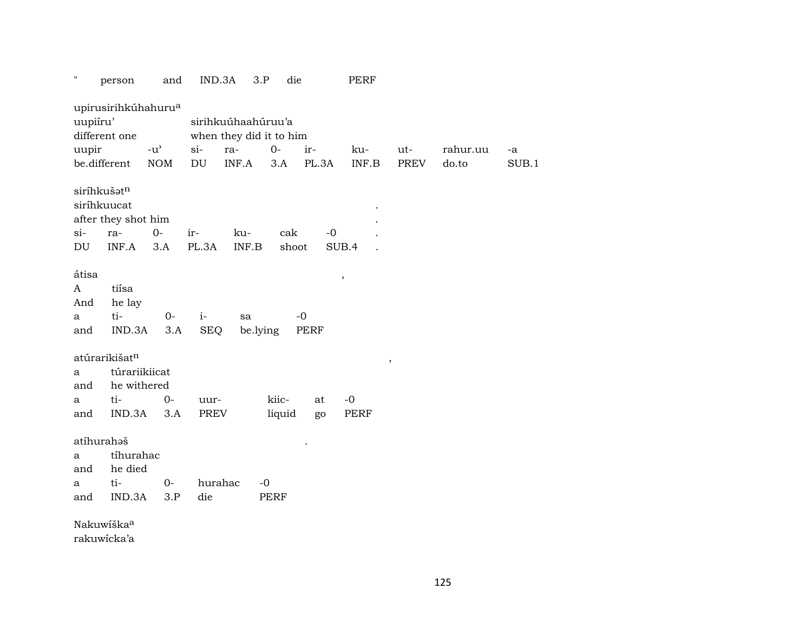| $\pmb{\mathsf{H}}$ | person                          | and                                 | IND.3A                     | 3.P      | die    |       | <b>PERF</b> |        |          |       |
|--------------------|---------------------------------|-------------------------------------|----------------------------|----------|--------|-------|-------------|--------|----------|-------|
|                    | upirusirihkúhahuru <sup>a</sup> |                                     |                            |          |        |       |             |        |          |       |
| uupiíru'           |                                 |                                     | sirihkuúhaahúruu'a         |          |        |       |             |        |          |       |
|                    | different one                   |                                     | when they did it to him    |          |        |       |             |        |          |       |
| uupir              |                                 | $-u$ <sup><math>\prime</math></sup> | $si$ -<br>ra-              |          | $0-$   | ir-   | ku-         | ut-    | rahur.uu | -a    |
|                    | be.different                    | <b>NOM</b>                          | $\mathop{\rm DU}\nolimits$ | INF.A    | 3.A    | PL.3A | INF.B       | PREV   | do.to    | SUB.1 |
|                    | siríhkušatn<br>siríhkuucat      |                                     |                            |          |        |       |             |        |          |       |
|                    | after they shot him             |                                     |                            |          |        |       |             |        |          |       |
| $si$ -             | ra-                             | $O -$                               | ir-                        | ku-      | cak    | $-0$  |             |        |          |       |
| DU                 | INF.A                           | 3.A                                 | PL.3A                      | INF.B    | shoot  |       | SUB.4       |        |          |       |
|                    |                                 |                                     |                            |          |        |       |             |        |          |       |
| átisa              |                                 |                                     |                            |          |        |       | $\, ,$      |        |          |       |
| A                  | tiísa                           |                                     |                            |          |        |       |             |        |          |       |
| And                | he lay                          |                                     |                            |          |        |       |             |        |          |       |
| $\mathbf a$        | ti-                             | $0-$                                | $i-$                       | sa       | $-0$   |       |             |        |          |       |
| and                | IND.3A                          | 3.A                                 | <b>SEQ</b>                 | be.lying |        | PERF  |             |        |          |       |
|                    | atúrarikišat <sup>n</sup>       |                                     |                            |          |        |       |             | $\, ,$ |          |       |
| a                  | túrariikiicat                   |                                     |                            |          |        |       |             |        |          |       |
| and                | he withered                     |                                     |                            |          |        |       |             |        |          |       |
| a                  | ti-                             | $0-$                                | uur-                       |          | kiic-  | at    | $-0$        |        |          |       |
| and                | IND.3A                          | 3.A                                 | PREV                       |          | liquid | go    | PERF        |        |          |       |
|                    | atíhurahaš                      |                                     |                            |          |        |       |             |        |          |       |
| a                  | tíhurahac                       |                                     |                            |          |        |       |             |        |          |       |
| and                | he died                         |                                     |                            |          |        |       |             |        |          |       |
| a                  | ti-                             | $O-$                                | hurahac                    | $-0$     |        |       |             |        |          |       |
| and                | IND.3A                          | 3.P                                 | die                        | PERF     |        |       |             |        |          |       |
|                    | Nakuwiška <sup>a</sup>          |                                     |                            |          |        |       |             |        |          |       |
|                    | rakuwicka'a                     |                                     |                            |          |        |       |             |        |          |       |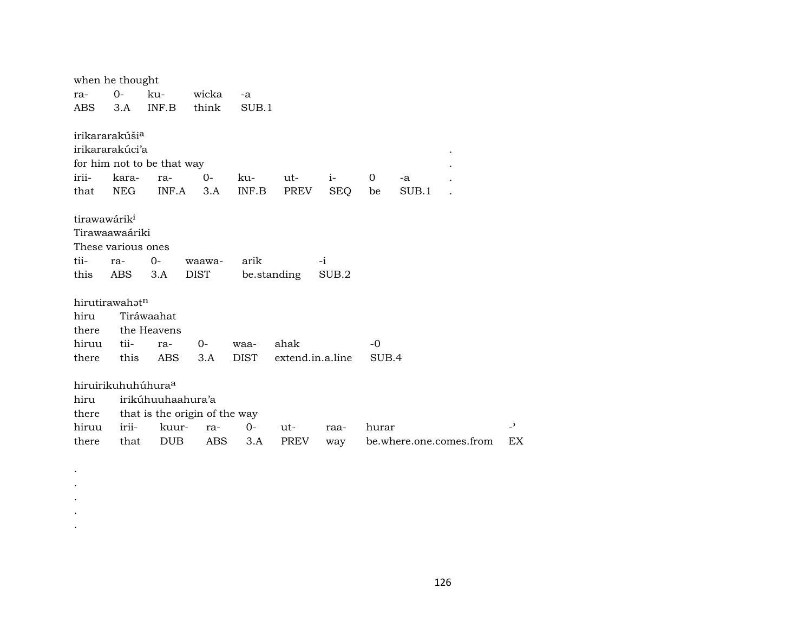|                          | when he thought                |                            |                               |             |                  |            |                |       |                         |                |
|--------------------------|--------------------------------|----------------------------|-------------------------------|-------------|------------------|------------|----------------|-------|-------------------------|----------------|
| ra-                      | $0-$                           | ku-                        | wicka                         | $-a$        |                  |            |                |       |                         |                |
| ABS                      | 3.A                            | INF.B                      | think                         | SUB.1       |                  |            |                |       |                         |                |
|                          |                                |                            |                               |             |                  |            |                |       |                         |                |
|                          | irikararakúši <sup>a</sup>     |                            |                               |             |                  |            |                |       |                         |                |
|                          | irikararakúci'a                |                            |                               |             |                  |            |                |       |                         |                |
|                          |                                | for him not to be that way |                               |             |                  |            |                |       |                         |                |
| irii-                    | kara-                          | ra-                        | $0-$                          | ku-         | ut-              | $i-$       | $\overline{0}$ | -a    |                         |                |
| that                     | <b>NEG</b>                     | INF.A                      | 3.A                           | INF.B       | PREV             | <b>SEQ</b> | be             | SUB.1 |                         |                |
|                          |                                |                            |                               |             |                  |            |                |       |                         |                |
| tirawawárik <sup>i</sup> |                                |                            |                               |             |                  |            |                |       |                         |                |
|                          | Tirawaawaáriki                 |                            |                               |             |                  |            |                |       |                         |                |
|                          | These various ones             |                            |                               |             |                  |            |                |       |                         |                |
| tii-                     | ra-                            | 0-                         | waawa-                        | arik        |                  | $-i$       |                |       |                         |                |
| this                     | ABS                            | 3.A                        | <b>DIST</b>                   |             | be.standing      | SUB.2      |                |       |                         |                |
|                          | hirutirawahatn                 |                            |                               |             |                  |            |                |       |                         |                |
| hiru                     |                                | Tiráwaahat                 |                               |             |                  |            |                |       |                         |                |
| there                    |                                | the Heavens                |                               |             |                  |            |                |       |                         |                |
| hiruu                    | tii-                           | ra-                        | 0-                            | waa-        | ahak             |            | $-0$           |       |                         |                |
| there                    | this                           | ABS                        | 3.A                           | <b>DIST</b> | extend.in.a.line |            | SUB.4          |       |                         |                |
|                          |                                |                            |                               |             |                  |            |                |       |                         |                |
|                          | hiruirikuhuhúhura <sup>a</sup> |                            |                               |             |                  |            |                |       |                         |                |
| hiru                     |                                | irikúhuuhaahura'a          |                               |             |                  |            |                |       |                         |                |
| there                    |                                |                            | that is the origin of the way |             |                  |            |                |       |                         |                |
| hiruu                    | irii-                          | kuur-                      | ra-                           | $O -$       | ut-              | raa-       | hurar          |       |                         | $\overline{a}$ |
| there                    | that                           | <b>DUB</b>                 | ABS                           | 3.A         | <b>PREV</b>      | way        |                |       | be.where.one.comes.from | EX             |

. . . . .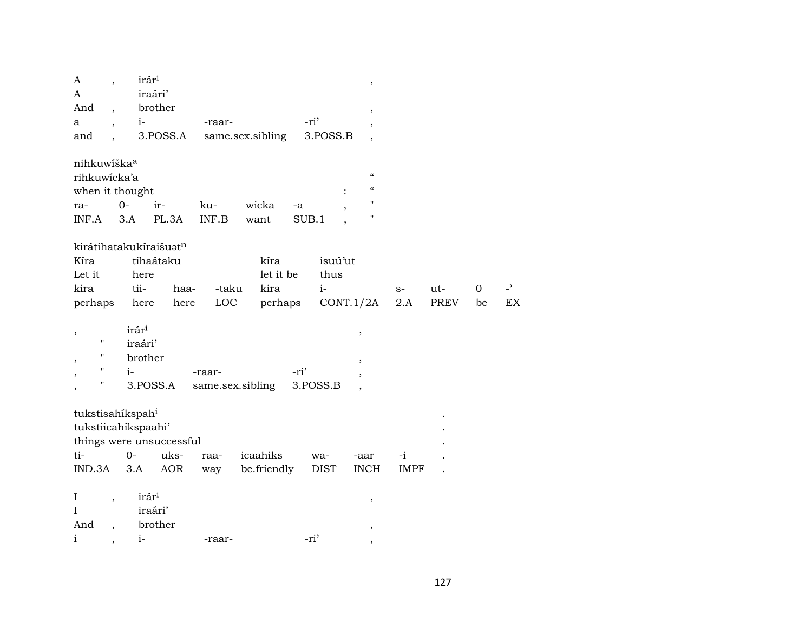| A                             | $\overline{\phantom{a}}$ |                   | irár <sup>i</sup>        |        |                  |       |             | $\, ,$                     |             |             |    |                          |
|-------------------------------|--------------------------|-------------------|--------------------------|--------|------------------|-------|-------------|----------------------------|-------------|-------------|----|--------------------------|
| A                             |                          |                   | iraári'                  |        |                  |       |             |                            |             |             |    |                          |
| And                           |                          |                   | brother                  |        |                  |       |             | $\overline{\phantom{a}}$   |             |             |    |                          |
| a                             | $\overline{\phantom{a}}$ | $i-$              |                          | -raar- |                  | -ri'  |             |                            |             |             |    |                          |
| and                           |                          |                   | 3.POSS.A                 |        | same.sex.sibling |       | 3.POSS.B    | $\overline{\phantom{a}}$   |             |             |    |                          |
| nihkuwíška <sup>a</sup>       |                          |                   |                          |        |                  |       |             |                            |             |             |    |                          |
| rihkuwicka'a                  |                          |                   |                          |        |                  |       |             | $\pmb{\zeta}\pmb{\zeta}$   |             |             |    |                          |
| when it thought               |                          |                   |                          |        |                  |       |             | $\boldsymbol{\mathcal{C}}$ |             |             |    |                          |
| ra-                           |                          | $0-$              | ir-                      | ku-    | wicka            | -a    |             | $\pmb{\mathsf{H}}$         |             |             |    |                          |
| INF.A                         |                          | 3.A               | PL.3A                    | INF.B  | want             | SUB.1 |             | $\pmb{\mathsf{H}}$         |             |             |    |                          |
|                               |                          |                   | kirátihatakukíraišuatn   |        |                  |       |             |                            |             |             |    |                          |
| Kíra                          |                          |                   | tihaátaku                |        | kíra             |       | isuú'ut     |                            |             |             |    |                          |
| Let it                        |                          | here              |                          |        | let it be        |       | thus        |                            |             |             |    |                          |
| kira                          |                          | tii-              | haa-                     | -taku  | kira             |       | $i-$        |                            | $S-$        | ut-         | 0  | $\overline{\phantom{0}}$ |
| perhaps                       |                          | here              | here                     | LOC    | perhaps          |       |             | CONT.1/2A                  | 2.A         | <b>PREV</b> | be | <b>EX</b>                |
|                               |                          |                   |                          |        |                  |       |             |                            |             |             |    |                          |
| $\overline{\phantom{a}}$      |                          | irár <sup>i</sup> |                          |        |                  |       |             | $\, ,$                     |             |             |    |                          |
| н                             |                          | iraári'           |                          |        |                  |       |             |                            |             |             |    |                          |
| П<br>$\overline{ }$           |                          | brother           |                          |        |                  |       |             | $\overline{\phantom{a}}$   |             |             |    |                          |
| П                             |                          | $i-$              |                          | -raar- |                  | -ri'  |             |                            |             |             |    |                          |
| Ħ<br>$\overline{\phantom{a}}$ |                          |                   | 3.POSS.A                 |        | same.sex.sibling |       | 3.POSS.B    |                            |             |             |    |                          |
|                               |                          |                   |                          |        |                  |       |             |                            |             |             |    |                          |
| tukstisahíkspah <sup>i</sup>  |                          |                   |                          |        |                  |       |             |                            |             |             |    |                          |
| tukstiicahíkspaahi'           |                          |                   |                          |        |                  |       |             |                            |             |             |    |                          |
|                               |                          |                   | things were unsuccessful |        |                  |       |             |                            |             |             |    |                          |
| ti-                           |                          | $0-$              | uks-                     | raa-   | icaahiks         |       | wa-         | -aar                       | $-i$        |             |    |                          |
| IND.3A                        |                          | 3.A               | AOR                      | way    | be.friendly      |       | <b>DIST</b> | <b>INCH</b>                | <b>IMPF</b> |             |    |                          |
|                               |                          |                   |                          |        |                  |       |             |                            |             |             |    |                          |
| $\bf{I}$                      | $\overline{\phantom{a}}$ |                   | irár <sup>i</sup>        |        |                  |       |             |                            |             |             |    |                          |
| I                             |                          |                   | iraári'                  |        |                  |       |             | ,                          |             |             |    |                          |
| And                           |                          |                   | brother                  |        |                  |       |             |                            |             |             |    |                          |
| $\mathbf{i}$                  |                          | $i-$              |                          | -raar- |                  | -ri'  |             |                            |             |             |    |                          |
|                               | $\overline{ }$           |                   |                          |        |                  |       |             | $\cdot$                    |             |             |    |                          |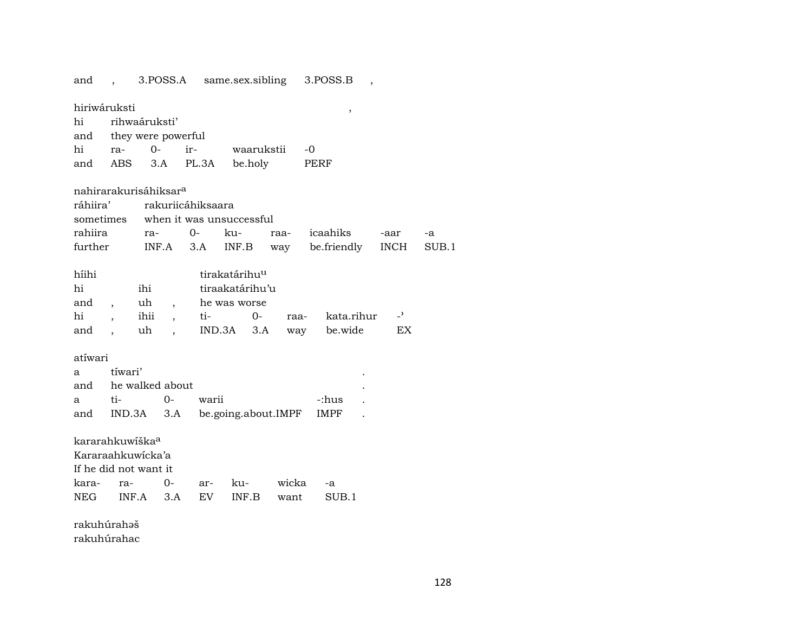and , 3.POSS.A same.sex.sibling 3.POSS.B ,

| hiriwáruksti                      |         |               |                          |                                    |                           |                 |      | ,               |                |       |
|-----------------------------------|---------|---------------|--------------------------|------------------------------------|---------------------------|-----------------|------|-----------------|----------------|-------|
| hi                                |         | rihwaáruksti' |                          |                                    |                           |                 |      |                 |                |       |
| and they were powerful            |         |               |                          |                                    |                           |                 |      |                 |                |       |
| hi                                | $ra-$   | $O -$         |                          | ir- waarukstii                     |                           |                 |      | $-0$            |                |       |
| and ABS 3.A                       |         |               |                          | PL.3A be.holy                      |                           |                 |      | PERF            |                |       |
| nahirarakurisáhiksar <sup>a</sup> |         |               |                          |                                    |                           |                 |      |                 |                |       |
| ráhiira'                          |         |               |                          | rakuriicáhiksaara                  |                           |                 |      |                 |                |       |
|                                   |         |               |                          | sometimes when it was unsuccessful |                           |                 |      |                 |                |       |
| rahiira                           |         | ra-           |                          | $0-$                               | ku-                       |                 | raa- | icaahiks        | -aar           | $-a$  |
| further                           |         |               |                          | $INF.A$ 3.A                        | INF.B                     |                 | way  | be.friendly     | INCH           | SUB.1 |
| híihi                             |         |               |                          |                                    | tirakatárihu <sup>u</sup> |                 |      |                 |                |       |
| hi                                |         | ihi           |                          |                                    |                           | tiraakatárihu'u |      |                 |                |       |
| and                               |         | uh            | $\overline{\phantom{a}}$ |                                    | he was worse              |                 |      |                 |                |       |
| hi                                |         | ihii,         |                          | ti-                                |                           | $O -$           |      | raa- kata.rihur | $\overline{ }$ |       |
| and                               |         | uh            |                          |                                    | $IND.3A$ $3.A$            |                 |      | way be.wide     | EX             |       |
| atíwari                           |         |               |                          |                                    |                           |                 |      |                 |                |       |
| a                                 | tíwari' |               |                          |                                    |                           |                 |      |                 |                |       |
| and he walked about               |         |               |                          |                                    |                           |                 |      |                 |                |       |
| a                                 | ti-     |               | 0-                       | warii                              |                           |                 |      | -:hus           |                |       |

and IND.3A 3.A be.going.about.IMPF IMPF . kararahkuwíška° Kararaahkuwícka'a If he did not want it kara- ra- 0- ar- ku- wicka -a NEG INF.A 3.A EV INF.B want SUB.1

rakuhúrahəš rakuhúrahac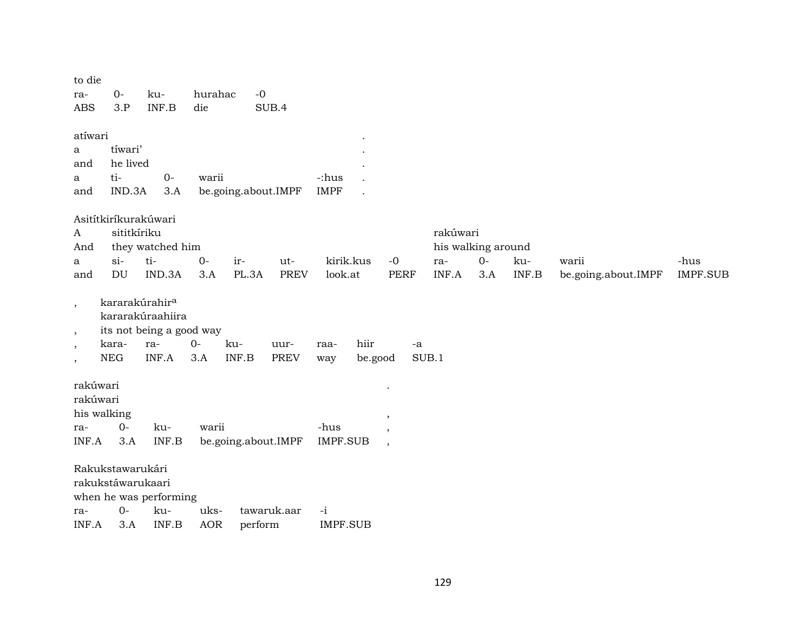| to die<br>ra-<br><b>ABS</b>                        | $0-$<br>3.P                                          | ku-<br>INF.B                                                                               | hurahac<br>die     | $-0$                | SUB.4               |                         |                 |                                          |                                                |             |              |                              |                         |
|----------------------------------------------------|------------------------------------------------------|--------------------------------------------------------------------------------------------|--------------------|---------------------|---------------------|-------------------------|-----------------|------------------------------------------|------------------------------------------------|-------------|--------------|------------------------------|-------------------------|
| atíwari<br>a<br>and<br>a<br>and                    | tíwari'<br>he lived<br>ti-<br>IND.3A                 | $O -$<br>3.A                                                                               | warii              | be.going.about.IMPF |                     | -:hus<br><b>IMPF</b>    |                 |                                          |                                                |             |              |                              |                         |
| A<br>And<br>a<br>and                               | Asitítkiríkurakúwari<br>sititkíriku<br>$si$ -<br>DU  | they watched him<br>ti-<br>IND.3A                                                          | $O -$<br>3.A       | ir-<br>PL.3A        | ut-<br><b>PREV</b>  | kirik.kus<br>look.at    |                 | $-0$<br><b>PERF</b>                      | rakúwari<br>his walking around<br>ra-<br>INF.A | $O-$<br>3.A | ku-<br>INF.B | warii<br>be.going.about.IMPF | -hus<br><b>IMPF.SUB</b> |
| $\overline{\phantom{a}}$<br>$, \,$<br>$\,$<br>$\,$ | kara-<br><b>NEG</b>                                  | kararakúrahir <sup>a</sup><br>kararakúraahiira<br>its not being a good way<br>ra-<br>INF.A | $0 -$<br>3.A       | ku-<br>INF.B        | uur-<br><b>PREV</b> | raa-<br>way             | hiir<br>be.good | -a                                       | SUB.1                                          |             |              |                              |                         |
| rakúwari<br>rakúwari<br>ra-<br>INF.A               | his walking<br>$O -$<br>3.A                          | ku-<br>INF.B                                                                               | warii              | be.going.about.IMPF |                     | -hus<br><b>IMPF.SUB</b> |                 | $\,$<br>$\overline{\phantom{a}}$<br>$\,$ |                                                |             |              |                              |                         |
| ra-<br>INF.A                                       | Rakukstawarukári<br>rakukstáwarukaari<br>$0-$<br>3.A | when he was performing<br>ku-<br>INF.B                                                     | uks-<br><b>AOR</b> | perform             | tawaruk.aar         | $-i$<br><b>IMPF.SUB</b> |                 |                                          |                                                |             |              |                              |                         |